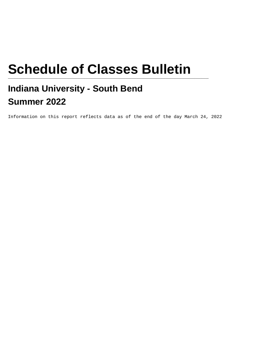# **Schedule of Classes Bulletin**

# **Indiana University - South Bend Summer 2022**

Information on this report reflects data as of the end of the day March 24, 2022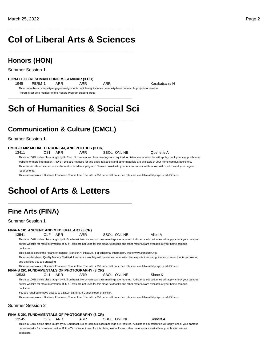## **Col of Liberal Arts & Sciences**

\_\_\_\_\_\_\_\_\_\_\_\_\_\_\_\_\_\_\_\_\_\_\_\_\_\_\_\_\_\_\_\_\_\_\_\_\_\_\_\_\_\_\_\_\_\_\_\_\_\_

\_\_\_\_\_\_\_\_\_\_\_\_\_\_\_\_\_\_\_\_\_\_\_\_\_\_\_\_\_\_\_\_\_\_\_\_\_\_\_\_\_\_\_\_\_\_\_\_\_\_

**Honors (HON)**

Summer Session 1

#### **HON-H 100 FRESHMAN HONORS SEMINAR (3 CR)**

1945 PERM 1 ARR ARR ARR ARR Karakatsanis N This course has community-engaged assignments, which may include community-based research, projects or service. Prereq: Must be a member of the Honors Program student group

## **Sch of Humanities & Social Sci**

\_\_\_\_\_\_\_\_\_\_\_\_\_\_\_\_\_\_\_\_\_\_\_\_\_\_\_\_\_\_\_\_\_\_\_\_\_\_\_\_\_\_\_\_\_\_\_\_\_\_

\_\_\_\_\_\_\_\_\_\_\_\_\_\_\_\_\_\_\_\_\_\_\_\_\_\_\_\_\_\_\_\_\_\_\_\_\_\_\_\_\_\_\_\_\_\_\_\_\_\_

\_\_\_\_\_\_\_\_\_\_\_\_\_\_\_\_\_\_\_\_\_\_\_\_\_\_\_\_\_\_\_\_\_\_\_\_\_\_\_\_\_\_\_\_\_\_\_\_\_\_

\_\_\_\_\_\_\_\_\_\_\_\_\_\_\_\_\_\_\_\_\_\_\_\_\_\_\_\_\_\_\_\_\_\_\_\_\_\_\_\_\_\_\_\_\_\_\_\_\_\_

### **Communication & Culture (CMCL)**

Summer Session 1

#### **CMCL-C 602 MEDIA, TERRORISM, AND POLITICS (3 CR)**

13411 O81 ARR ARR SBOL ONLINE Quenette A This is a 100% online class taught by IU East. No on-campus class meetings are required. A distance education fee will apply; check your campus bursar website for more information. If IU e-Texts are not used for this class, textbooks and other materials are available at your home campus bookstore. This class is offered as part of a collaborative academic program. Please consult with your advisor to ensure this class will count toward your degree requirements.

This class requires a Distance Education Course Fee. The rate is \$50 per credit hour. Fee rates are available at http://go.iu.edu/SBfees

## **School of Arts & Letters**

## **Fine Arts (FINA)**

bookstore.

| Summer Session 1                              |                                            |     |                                                                             |  |                                                                                                                                           |                                                                                                                                                           |  |  |  |  |
|-----------------------------------------------|--------------------------------------------|-----|-----------------------------------------------------------------------------|--|-------------------------------------------------------------------------------------------------------------------------------------------|-----------------------------------------------------------------------------------------------------------------------------------------------------------|--|--|--|--|
|                                               | FINA-A 101 ANCIENT AND MEDIEVAL ART (3 CR) |     |                                                                             |  |                                                                                                                                           |                                                                                                                                                           |  |  |  |  |
| 13541                                         | <b>OLF</b>                                 | ARR | ARR                                                                         |  | SBOL ONLINE                                                                                                                               | Allen A                                                                                                                                                   |  |  |  |  |
|                                               |                                            |     |                                                                             |  |                                                                                                                                           | This is a 100% online class taught by IU Southeast. No on-campus class meetings are required. A distance education fee will apply; check your campus      |  |  |  |  |
|                                               |                                            |     |                                                                             |  |                                                                                                                                           | bursar website for more information. If IU e-Texts are not used for this class, textbooks and other materials are available at your home campus           |  |  |  |  |
| bookstore.                                    |                                            |     |                                                                             |  |                                                                                                                                           |                                                                                                                                                           |  |  |  |  |
|                                               |                                            |     |                                                                             |  | This class is part of the "Transfer Indiana" (transferIN) initiative. For additional information, link to www.transferin.net.             |                                                                                                                                                           |  |  |  |  |
|                                               |                                            |     |                                                                             |  |                                                                                                                                           | This class has been Quality Matters Certified. Learners know they will receive a course with clear expectations and quidance, content that is purposeful, |  |  |  |  |
| and activities that are engaging.             |                                            |     |                                                                             |  |                                                                                                                                           |                                                                                                                                                           |  |  |  |  |
|                                               |                                            |     |                                                                             |  | This class requires a Distance Education Course Fee. The rate is \$50 per credit hour. Fee rates are available at http://go.iu.edu/SBfees |                                                                                                                                                           |  |  |  |  |
| FINA-S 291 FUNDAMENTALS OF PHOTOGRAPHY (3 CR) |                                            |     |                                                                             |  |                                                                                                                                           |                                                                                                                                                           |  |  |  |  |
| 13533                                         | OL <sub>1</sub>                            | ARR | <b>ARR</b>                                                                  |  | SBOL ONLINE                                                                                                                               | Slone K                                                                                                                                                   |  |  |  |  |
|                                               |                                            |     |                                                                             |  |                                                                                                                                           | This is a 100% online class taught by IU Southeast. No on-campus class meetings are required. A distance education fee will apply; check your campus      |  |  |  |  |
|                                               |                                            |     |                                                                             |  |                                                                                                                                           | bursar website for more information. If IU e-Texts are not used for this class, textbooks and other materials are available at your home campus           |  |  |  |  |
| bookstore.                                    |                                            |     |                                                                             |  |                                                                                                                                           |                                                                                                                                                           |  |  |  |  |
|                                               |                                            |     | You are required to have access to a DSLR camera, a Canon Rebel or similar. |  |                                                                                                                                           |                                                                                                                                                           |  |  |  |  |
|                                               |                                            |     |                                                                             |  | This class requires a Distance Education Course Fee. The rate is \$50 per credit hour. Fee rates are available at http://qo.iu.edu/SBfees |                                                                                                                                                           |  |  |  |  |
| <b>Summer Session 2</b>                       |                                            |     |                                                                             |  |                                                                                                                                           |                                                                                                                                                           |  |  |  |  |
|                                               |                                            |     |                                                                             |  |                                                                                                                                           |                                                                                                                                                           |  |  |  |  |
| FINA-S 291 FUNDAMENTALS OF PHOTOGRAPHY (3 CR) |                                            |     |                                                                             |  |                                                                                                                                           |                                                                                                                                                           |  |  |  |  |
| 13545                                         | $\Omega$ 2                                 | ARR | <b>ARR</b>                                                                  |  | SBOL ONLINE                                                                                                                               | Seibert A                                                                                                                                                 |  |  |  |  |
|                                               |                                            |     |                                                                             |  |                                                                                                                                           | This is a 100% online class taught by IU Southeast. No on-campus class meetings are required. A distance education fee will apply; check your campus      |  |  |  |  |
|                                               |                                            |     |                                                                             |  |                                                                                                                                           | bursar website for more information. If IU e-Texts are not used for this class, textbooks and other materials are available at your home campus           |  |  |  |  |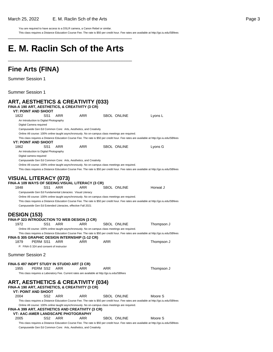You are required to have access to a DSLR camera, a Canon Rebel or similar.

\_\_\_\_\_\_\_\_\_\_\_\_\_\_\_\_\_\_\_\_\_\_\_\_\_\_\_\_\_\_\_\_\_\_\_\_\_\_\_\_\_\_\_\_\_\_\_\_\_\_

\_\_\_\_\_\_\_\_\_\_\_\_\_\_\_\_\_\_\_\_\_\_\_\_\_\_\_\_\_\_\_\_\_\_\_\_\_\_\_\_\_\_\_\_\_\_\_\_\_\_

This class requires a Distance Education Course Fee. The rate is \$50 per credit hour. Fee rates are available at http://go.iu.edu/SBfees

# **E. M. Raclin Sch of the Arts**

### **Fine Arts (FINA)**

Summer Session 1

| <b>ART, AESTHETICS &amp; CREATIVITY (033)</b><br>FINA-A 190 ART, AESTHETICS, & CREATIVITY (3 CR) |                 |                                                                                                                                                                                                                                              |            |     |                                                                                                                                           |            |
|--------------------------------------------------------------------------------------------------|-----------------|----------------------------------------------------------------------------------------------------------------------------------------------------------------------------------------------------------------------------------------------|------------|-----|-------------------------------------------------------------------------------------------------------------------------------------------|------------|
| <b>VT: POINT AND SHOOT</b>                                                                       |                 |                                                                                                                                                                                                                                              |            |     |                                                                                                                                           |            |
| 1822                                                                                             | SS1             | ARR                                                                                                                                                                                                                                          | <b>ARR</b> |     | <b>SBOL ONLINE</b>                                                                                                                        | Lyons L    |
|                                                                                                  |                 |                                                                                                                                                                                                                                              |            |     |                                                                                                                                           |            |
| An Introduction to Digital Photography                                                           |                 |                                                                                                                                                                                                                                              |            |     |                                                                                                                                           |            |
| Digital Camera required                                                                          |                 |                                                                                                                                                                                                                                              |            |     |                                                                                                                                           |            |
|                                                                                                  |                 | Campuswide Gen Ed Common Core: Arts, Aesthetics, and Creativity                                                                                                                                                                              |            |     |                                                                                                                                           |            |
|                                                                                                  |                 | Online All course: 100% online taught asynchronously. No on-campus class meetings are required.                                                                                                                                              |            |     |                                                                                                                                           |            |
| VT: POINT AND SHOOT                                                                              |                 |                                                                                                                                                                                                                                              |            |     | This class requires a Distance Education Course Fee. The rate is \$50 per credit hour. Fee rates are available at http://go.iu.edu/SBfees |            |
| 1862                                                                                             | SS1             | ARR                                                                                                                                                                                                                                          | ARR        |     | <b>SBOL ONLINE</b>                                                                                                                        | Lyons G    |
| An Introduction to Digital Photography<br>Digital camera required                                |                 |                                                                                                                                                                                                                                              |            |     |                                                                                                                                           |            |
|                                                                                                  |                 | Campuswide Gen Ed Common Core: Arts, Aesthetics, and Creativity                                                                                                                                                                              |            |     |                                                                                                                                           |            |
|                                                                                                  |                 | Online All course: 100% online taught asynchronously. No on-campus class meetings are required.                                                                                                                                              |            |     |                                                                                                                                           |            |
|                                                                                                  |                 |                                                                                                                                                                                                                                              |            |     | This class requires a Distance Education Course Fee. The rate is \$50 per credit hour. Fee rates are available at http://go.iu.edu/SBfees |            |
| <b>VISUAL LITERACY (073)</b><br>FINA-A 109 WAYS OF SEEING: VISUAL LITERACY (3 CR)                |                 |                                                                                                                                                                                                                                              |            |     |                                                                                                                                           |            |
| 1848                                                                                             | SS <sub>1</sub> | ARR                                                                                                                                                                                                                                          | <b>ARR</b> |     | SBOL ONLINE                                                                                                                               | Horwat J   |
|                                                                                                  |                 | Campuswide Gen Ed Fundamental Literacies: Visual Literacy                                                                                                                                                                                    |            |     |                                                                                                                                           |            |
|                                                                                                  |                 | Online All course: 100% online taught asynchronously. No on-campus class meetings are required.                                                                                                                                              |            |     |                                                                                                                                           |            |
|                                                                                                  |                 |                                                                                                                                                                                                                                              |            |     | This class requires a Distance Education Course Fee. The rate is \$50 per credit hour. Fee rates are available at http://go.iu.edu/SBfees |            |
|                                                                                                  |                 | Campuswide Gen Ed Extended Literacies, effective Fall 2021                                                                                                                                                                                   |            |     |                                                                                                                                           |            |
|                                                                                                  |                 |                                                                                                                                                                                                                                              |            |     |                                                                                                                                           |            |
| <b>DESIGN (153)</b>                                                                              |                 |                                                                                                                                                                                                                                              |            |     |                                                                                                                                           |            |
| FINA-P 323 INTRODUCTION TO WEB DESIGN (3 CR)                                                     |                 |                                                                                                                                                                                                                                              |            |     |                                                                                                                                           |            |
| 1972                                                                                             | SS1             | ARR                                                                                                                                                                                                                                          | <b>ARR</b> |     | <b>SBOL ONLINE</b>                                                                                                                        | Thompson J |
|                                                                                                  |                 | Online All course: 100% online taught asynchronously. No on-campus class meetings are required.                                                                                                                                              |            |     |                                                                                                                                           |            |
|                                                                                                  |                 |                                                                                                                                                                                                                                              |            |     | This class requires a Distance Education Course Fee. The rate is \$50 per credit hour. Fee rates are available at http://go.iu.edu/SBfees |            |
| FINA-S 305 GRAPHIC DESIGN INTERNSHIP (1-12 CR)                                                   |                 |                                                                                                                                                                                                                                              |            |     |                                                                                                                                           |            |
| 1879                                                                                             | PERM SS1        | <b>ARR</b>                                                                                                                                                                                                                                   | ARR        | ARR |                                                                                                                                           | Thompson J |
| P: FINA-S 324 and consent of instructor                                                          |                 |                                                                                                                                                                                                                                              |            |     |                                                                                                                                           |            |
| <b>Summer Session 2</b>                                                                          |                 |                                                                                                                                                                                                                                              |            |     |                                                                                                                                           |            |
|                                                                                                  |                 |                                                                                                                                                                                                                                              |            |     |                                                                                                                                           |            |
| FINA-S 497 INDPT STUDY IN STUDIO ART (3 CR)                                                      |                 |                                                                                                                                                                                                                                              |            |     |                                                                                                                                           |            |
| 1955                                                                                             | PERM SS2        | ARR                                                                                                                                                                                                                                          | ARR        | ARR |                                                                                                                                           | Thompson J |
|                                                                                                  |                 | This class requires a Laboratory Fee. Current rates are available at http://go.iu.edu/SBfees                                                                                                                                                 |            |     |                                                                                                                                           |            |
| <b>ART, AESTHETICS &amp; CREATIVITY (034)</b>                                                    |                 |                                                                                                                                                                                                                                              |            |     |                                                                                                                                           |            |
| FINA-A 190 ART, AESTHETICS, & CREATIVITY (3 CR)                                                  |                 |                                                                                                                                                                                                                                              |            |     |                                                                                                                                           |            |
| <b>VT: POINT AND SHOOT</b>                                                                       |                 |                                                                                                                                                                                                                                              |            |     |                                                                                                                                           |            |
| 2004                                                                                             | SS <sub>2</sub> | ARR                                                                                                                                                                                                                                          | ARR        |     | <b>SBOL ONLINE</b>                                                                                                                        | Moore S    |
|                                                                                                  |                 |                                                                                                                                                                                                                                              |            |     |                                                                                                                                           |            |
|                                                                                                  |                 |                                                                                                                                                                                                                                              |            |     |                                                                                                                                           |            |
|                                                                                                  |                 | This class requires a Distance Education Course Fee. The rate is \$50 per credit hour. Fee rates are available at http://go.iu.edu/SBfees<br>Online All course: 100% online taught asynchronously. No on-campus class meetings are required. |            |     |                                                                                                                                           |            |
| FINA-A 399 ART, AESTHETICS AND CREATIVITY (3 CR)                                                 |                 |                                                                                                                                                                                                                                              |            |     |                                                                                                                                           |            |
| VT: AAC-AMER LANDSCAPE PHOTOGRAPHY                                                               |                 |                                                                                                                                                                                                                                              |            |     |                                                                                                                                           |            |
| 2005                                                                                             | SS2             | ARR                                                                                                                                                                                                                                          | ARR        |     | <b>SBOL ONLINE</b>                                                                                                                        | Moore S    |
|                                                                                                  |                 |                                                                                                                                                                                                                                              |            |     | This class requires a Distance Education Course Fee. The rate is \$50 per credit hour. Fee rates are available at http://go.iu.edu/SBfees |            |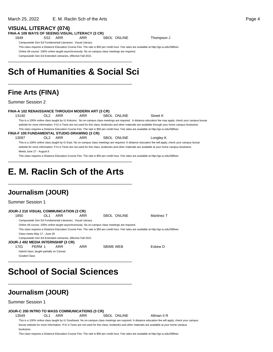### **VISUAL LITERACY (074)**

**FINA-A 109 WAYS OF SEEING:VISUAL LITERACY (3 CR)**

1849 SS2 ARR ARR SBOL ONLINE Thompson J

Campuswide Gen Ed Fundamental Literacies: Visual Literacy

This class requires a Distance Education Course Fee. The rate is \$50 per credit hour. Fee rates are available at http://go.iu.edu/SBfees Online All course: 100% online taught asynchronously. No on-campus class meetings are required.

Campuswide Gen Ed Extended Literacies, effective Fall 2021 \_\_\_\_\_\_\_\_\_\_\_\_\_\_\_\_\_\_\_\_\_\_\_\_\_\_\_\_\_\_\_\_\_\_\_\_\_\_\_\_\_\_\_\_\_\_\_\_\_\_

## **Sch of Humanities & Social Sci**

\_\_\_\_\_\_\_\_\_\_\_\_\_\_\_\_\_\_\_\_\_\_\_\_\_\_\_\_\_\_\_\_\_\_\_\_\_\_\_\_\_\_\_\_\_\_\_\_\_\_

### **Fine Arts (FINA)**

Summer Session 2

#### **FINA-A 102 RENAISSANCE THROUGH MODERN ART (3 CR)**

13140 OL2 ARR ARR SBOL ONLINE Street K

This is a 100% online class taught by IU Kokomo. No on-campus class meetings are required. A distance education fee may apply; check your campus bursar website for more information. If IU e-Texts are not used for this class, textbooks and other materials are available through your home campus bookstore. This class requires a Distance Education Course Fee. The rate is \$50 per credit hour. Fee rates are available at http://go.iu.edu/SBfees

#### **FINA-F 100 FUNDAMENTAL STUDIO-DRAWING (3 CR)**

13097 OL2 ARR ARR SBOL ONLINE Longley K This is a 100% online class taught by IU East. No on-campus class meetings are required. A distance education fee will apply; check your campus bursar

website for more information. If IU e-Texts are not used for this class, textbooks and other materials are available at your home campus bookstore. Meets June 27 - August 6

This class requires a Distance Education Course Fee. The rate is \$50 per credit hour. Fee rates are available at http://go.iu.edu/SBfees \_\_\_\_\_\_\_\_\_\_\_\_\_\_\_\_\_\_\_\_\_\_\_\_\_\_\_\_\_\_\_\_\_\_\_\_\_\_\_\_\_\_\_\_\_\_\_\_\_\_

## **E. M. Raclin Sch of the Arts**

\_\_\_\_\_\_\_\_\_\_\_\_\_\_\_\_\_\_\_\_\_\_\_\_\_\_\_\_\_\_\_\_\_\_\_\_\_\_\_\_\_\_\_\_\_\_\_\_\_\_

### **Journalism (JOUR)**

Summer Session 1

|                     | <b>JOUR-J 210 VISUAL COMMUNICATION (3 CR)</b>              |     |     |                                                                                                 |                                                                                                                                           |
|---------------------|------------------------------------------------------------|-----|-----|-------------------------------------------------------------------------------------------------|-------------------------------------------------------------------------------------------------------------------------------------------|
| 1850                | OI 1                                                       | ARR | ARR | <b>SBOL ONLINE</b>                                                                              | Martinez T                                                                                                                                |
|                     | Campuswide Gen Ed Fundamental Literacies: Visual Literacy  |     |     |                                                                                                 |                                                                                                                                           |
|                     |                                                            |     |     | Online All course: 100% online taught asynchronously. No on-campus class meetings are required. |                                                                                                                                           |
|                     |                                                            |     |     |                                                                                                 | This class requires a Distance Education Course Fee. The rate is \$50 per credit hour. Fee rates are available at http://qo.iu.edu/SBfees |
|                     | Class meets May 17 - June 26                               |     |     |                                                                                                 |                                                                                                                                           |
|                     | Campuswide Gen Ed Extended Literacies, effective Fall 2021 |     |     |                                                                                                 |                                                                                                                                           |
|                     | <b>JOUR-J 492 MEDIA INTERNSHIP (3 CR)</b>                  |     |     |                                                                                                 |                                                                                                                                           |
| 1701                | PFRM 1                                                     | ARR | ARR | SBWB WEB                                                                                        | Eskew D                                                                                                                                   |
|                     | Hybrid class; taught partially on Canvas                   |     |     |                                                                                                 |                                                                                                                                           |
| <b>Graded Class</b> |                                                            |     |     |                                                                                                 |                                                                                                                                           |

## **School of Social Sciences**

\_\_\_\_\_\_\_\_\_\_\_\_\_\_\_\_\_\_\_\_\_\_\_\_\_\_\_\_\_\_\_\_\_\_\_\_\_\_\_\_\_\_\_\_\_\_\_\_\_\_

\_\_\_\_\_\_\_\_\_\_\_\_\_\_\_\_\_\_\_\_\_\_\_\_\_\_\_\_\_\_\_\_\_\_\_\_\_\_\_\_\_\_\_\_\_\_\_\_\_\_

### **Journalism (JOUR)**

Summer Session 1

#### **JOUR-C 200 INTRO TO MASS COMMUNICATIONS (3 CR)**

13549 OL1 ARR ARR SBOL ONLINE Allman II R This is a 100% online class taught by IU Southeast. No on-campus class meetings are required. A distance education fee will apply; check your campus bursar website for more information. If IU e-Texts are not used for this class, textbooks and other materials are available at your home campus bookstore.

This class requires a Distance Education Course Fee. The rate is \$50 per credit hour. Fee rates are available at http://go.iu.edu/SBfees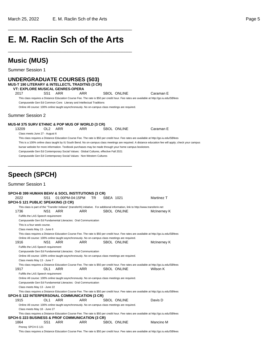## **E. M. Raclin Sch of the Arts**

\_\_\_\_\_\_\_\_\_\_\_\_\_\_\_\_\_\_\_\_\_\_\_\_\_\_\_\_\_\_\_\_\_\_\_\_\_\_\_\_\_\_\_\_\_\_\_\_\_\_

\_\_\_\_\_\_\_\_\_\_\_\_\_\_\_\_\_\_\_\_\_\_\_\_\_\_\_\_\_\_\_\_\_\_\_\_\_\_\_\_\_\_\_\_\_\_\_\_\_\_

**Music (MUS)** Summer Session 1 **UNDERGRADUATE COURSES (503) MUS-T 190 LITERARY & INTELLECTL TRADITNS (3 CR) VT: EXPLORE MUSICAL GENRES-OPERA** 2017 SS1 ARR ARR SBOL ONLINE Caraman E This class requires a Distance Education Course Fee. The rate is \$50 per credit hour. Fee rates are available at http://go.iu.edu/SBfees Campuswide Gen Ed Common Core: Literary and Intellectual Traditions Online All course: 100% online taught asynchronously. No on-campus class meetings are required. Summer Session 2 **MUS-M 375 SURV ETHNIC & POP MUS OF WORLD (3 CR)** 13209 OL2 ARR ARR SBOL ONLINE Caraman E Class meets June 27 - August 6 This class requires a Distance Education Course Fee. The rate is \$50 per credit hour. Fee rates are available at http://go.iu.edu/SBfees This is a 100% online class taught by IU South Bend. No on-campus class meetings are required. A distance education fee will apply; check your campus bursar website for more information. Textbook purchases may be made through your home campus bookstore. Campuswide Gen Ed Contemporary Social Values: Global Cultures, effective Fall 2021 Campuswide Gen Ed Contemporary Social Values: Non-Western Cultures \_\_\_\_\_\_\_\_\_\_\_\_\_\_\_\_\_\_\_\_\_\_\_\_\_\_\_\_\_\_\_\_\_\_\_\_\_\_\_\_\_\_\_\_\_\_\_\_\_\_ **Speech (SPCH)** Summer Session 1 **SPCH-B 399 HUMAN BEHV & SOCL INSTITUTIONS (3 CR)** 2022 SS1 01:00PM-04:15PM TR SBEA 1021 Martinez T **SPCH-S 121 PUBLIC SPEAKING (3 CR)** This class is part of the "Transfer Indiana" (transferIN) initiative. For additional information, link to http://www.transferin.net 1736 NS1 ARR ARR SBOL ONLINE McInerney K Fulfills the LAS Speech requirement Campuswide Gen Ed Fundamental Literacies: Oral Communication This is a four week course. Class meets May 13 - June 6 This class requires a Distance Education Course Fee. The rate is \$50 per credit hour. Fee rates are available at http://go.iu.edu/SBfees Online All course: 100% online taught asynchronously. No on-campus class meetings are required. 1916 NS1 ARR ARR SBOL ONLINE McInerney K Fulfills the LAS Speech requirement Campuswide Gen Ed Fundamental Literacies: Oral Communication Online All course: 100% online taught asynchronously. No on-campus class meetings are required. Class meets May 13 - June 7 This class requires a Distance Education Course Fee. The rate is \$50 per credit hour. Fee rates are available at http://go.iu.edu/SBfees 1917 OL1 ARR ARR SBOL ONLINE Wilson K Fulfills the LAS Speech requirement Online All course: 100% online taught asynchronously. No on-campus class meetings are required. Campuswide Gen Ed Fundamental Literacies: Oral Communication Class meets May 13 - June 22 This class requires a Distance Education Course Fee. The rate is \$50 per credit hour. Fee rates are available at http://go.iu.edu/SBfees **SPCH-S 122 INTERPERSONAL COMMUNICATION (3 CR)** 1915 OL1 ARR ARR SBOL ONLINE Davis D Online All course: 100% online taught asynchronously. No on-campus class meetings are required. Class meets May 18 - June 27 This class requires a Distance Education Course Fee. The rate is \$50 per credit hour. Fee rates are available at http://go.iu.edu/SBfees **SPCH-S 223 BUSINESS & PROF COMMUNICATION (3 CR)** 1864 SS1 ARR ARR SBOL ONLINE Mancino M Prereq: SPCH-S 121

This class requires a Distance Education Course Fee. The rate is \$50 per credit hour. Fee rates are available at http://go.iu.edu/SBfees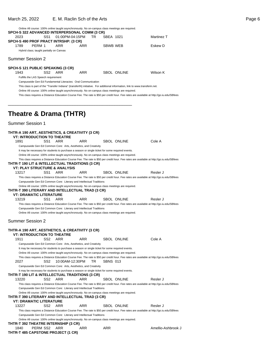**SPCH-S 322 ADVANCED INTERPERSONAL COMM (3 CR)**

Summer Session 2

#### **SPCH-S 121 PUBLIC SPEAKING (3 CR)**

Hybrid class; taught partially on Canvas

**SPCH-S 490 PROF PRACT INTRSHP: (3 CR)**

1943 SS2 ARR ARR SBOL ONLINE Wilson K Fulfills the LAS Speech requirement

1789 PERM 1 ARR ARR SBWB WEB Eskew D

Campuswide Gen Ed Fundamental Literacies: Oral Communication

This class is part of the "Transfer Indiana" (transferIN) initiative. For additional information, link to www.transferin.net.

Online All course: 100% online taught asynchronously. No on-campus class meetings are required.

\_\_\_\_\_\_\_\_\_\_\_\_\_\_\_\_\_\_\_\_\_\_\_\_\_\_\_\_\_\_\_\_\_\_\_\_\_\_\_\_\_\_\_\_\_\_\_\_\_\_

Online All course: 100% online taught asynchronously. No on-campus class meetings are required.

This class requires a Distance Education Course Fee. The rate is \$50 per credit hour. Fee rates are available at http://go.iu.edu/SBfees

### **Theatre & Drama (THTR)**

| THTR-A 190 ART, AESTHETICS, & CREATIVITY (3 CR)                                             |                 |                 |                                                                                                  |                    |                                                                                                 |                                                                                                                                           |
|---------------------------------------------------------------------------------------------|-----------------|-----------------|--------------------------------------------------------------------------------------------------|--------------------|-------------------------------------------------------------------------------------------------|-------------------------------------------------------------------------------------------------------------------------------------------|
| <b>VT: INTRODUCTION TO THEATRE</b>                                                          |                 |                 |                                                                                                  |                    |                                                                                                 |                                                                                                                                           |
| 1891                                                                                        | SS1             | ARR             | ARR                                                                                              |                    | <b>SBOL ONLINE</b>                                                                              | Cole A                                                                                                                                    |
|                                                                                             |                 |                 | Campuswide Gen Ed Common Core: Arts, Aesthetics, and Creativity                                  |                    |                                                                                                 |                                                                                                                                           |
|                                                                                             |                 |                 | It may be necessary for students to purchase a season or single ticket for some required events. |                    |                                                                                                 |                                                                                                                                           |
|                                                                                             |                 |                 |                                                                                                  |                    | Online All course: 100% online taught asynchronously. No on-campus class meetings are required. |                                                                                                                                           |
|                                                                                             |                 |                 |                                                                                                  |                    |                                                                                                 | This class requires a Distance Education Course Fee. The rate is \$50 per credit hour. Fee rates are available at http://go.iu.edu/SBfees |
| THTR-T 190 LIT & INTELLECTUAL TRADITIONS (3 CR)<br><b>VT: PLAY STRUCTURE &amp; ANALYSIS</b> |                 |                 |                                                                                                  |                    |                                                                                                 |                                                                                                                                           |
| 13217                                                                                       | SS1             | ARR             | <b>ARR</b>                                                                                       |                    | <b>SBOL ONLINE</b>                                                                              | Resler J                                                                                                                                  |
|                                                                                             |                 |                 |                                                                                                  |                    |                                                                                                 | This class requires a Distance Education Course Fee. The rate is \$50 per credit hour. Fee rates are available at http://go.iu.edu/SBfees |
|                                                                                             |                 |                 | Campuswide Gen Ed Common Core: Literary and Intellectual Traditions                              |                    |                                                                                                 |                                                                                                                                           |
|                                                                                             |                 |                 |                                                                                                  |                    | Online All course: 100% online taught asynchronously. No on-campus class meetings are required. |                                                                                                                                           |
| THTR-T 390 LITERARY AND INTELLECTUAL TRAD (3 CR)                                            |                 |                 |                                                                                                  |                    |                                                                                                 |                                                                                                                                           |
| <b>VT: DRAMATIC LITERATURE</b>                                                              |                 |                 |                                                                                                  |                    |                                                                                                 |                                                                                                                                           |
| 13219                                                                                       | SS1             | ARR             | <b>ARR</b>                                                                                       |                    | <b>SBOL ONLINE</b>                                                                              | Resler J                                                                                                                                  |
|                                                                                             |                 |                 |                                                                                                  |                    |                                                                                                 | This class requires a Distance Education Course Fee. The rate is \$50 per credit hour. Fee rates are available at http://go.iu.edu/SBfees |
|                                                                                             |                 |                 | Campuswide Gen Ed Common Core: Literary and Intellectual Traditions                              |                    |                                                                                                 |                                                                                                                                           |
|                                                                                             |                 |                 |                                                                                                  |                    | Online All course: 100% online taught asynchronously. No on-campus class meetings are required. |                                                                                                                                           |
|                                                                                             |                 |                 |                                                                                                  |                    |                                                                                                 |                                                                                                                                           |
| <b>Summer Session 2</b>                                                                     |                 |                 |                                                                                                  |                    |                                                                                                 |                                                                                                                                           |
| THTR-A 190 ART, AESTHETICS, & CREATIVITY (3 CR)<br>VT: INTRODUCTION TO THEATRE<br>1911      | SS <sub>2</sub> | <b>ARR</b>      | <b>ARR</b>                                                                                       |                    | <b>SBOL ONLINE</b>                                                                              | Cole A                                                                                                                                    |
|                                                                                             |                 |                 | Campuswide Gen Ed Common Core: Arts, Aesthetics, and Creativity                                  |                    |                                                                                                 |                                                                                                                                           |
|                                                                                             |                 |                 | It may be necessary for students to purchase a season or single ticket for some required events. |                    |                                                                                                 |                                                                                                                                           |
|                                                                                             |                 |                 |                                                                                                  |                    | Online All course: 100% online taught asynchronously. No on-campus class meetings are required. |                                                                                                                                           |
| 2027                                                                                        | SS <sub>2</sub> | 10:00AM-12:30PM | TR                                                                                               | <b>SBNS 013</b>    |                                                                                                 | This class requires a Distance Education Course Fee. The rate is \$50 per credit hour. Fee rates are available at http://go.iu.edu/SBfees |
|                                                                                             |                 |                 | Campuswide Gen Ed Common Core: Arts, Aesthetics, and Creativity                                  |                    |                                                                                                 |                                                                                                                                           |
|                                                                                             |                 |                 | It may be necessary for students to purchase a season or single ticket for some required events. |                    |                                                                                                 |                                                                                                                                           |
| THTR-T 190 LIT & INTELLECTUAL TRADITIONS (3 CR)                                             |                 |                 |                                                                                                  |                    |                                                                                                 |                                                                                                                                           |
| 13220                                                                                       | SS <sub>2</sub> | ARR             | ARR                                                                                              |                    | <b>SBOL ONLINE</b>                                                                              | Resler J                                                                                                                                  |
|                                                                                             |                 |                 |                                                                                                  |                    |                                                                                                 | This class requires a Distance Education Course Fee. The rate is \$50 per credit hour. Fee rates are available at http://go.iu.edu/SBfees |
|                                                                                             |                 |                 |                                                                                                  |                    |                                                                                                 |                                                                                                                                           |
|                                                                                             |                 |                 | Campuswide Gen Ed Common Core: Literary and Intellectual Traditions                              |                    |                                                                                                 |                                                                                                                                           |
|                                                                                             |                 |                 |                                                                                                  |                    | Online All course: 100% online taught asynchronously. No on-campus class meetings are required. |                                                                                                                                           |
| THTR-T 390 LITERARY AND INTELLECTUAL TRAD (3 CR)                                            |                 |                 |                                                                                                  |                    |                                                                                                 |                                                                                                                                           |
| VT: DRAMATIC LITERATURE                                                                     |                 |                 |                                                                                                  |                    |                                                                                                 |                                                                                                                                           |
| 13227                                                                                       |                 |                 |                                                                                                  |                    |                                                                                                 |                                                                                                                                           |
|                                                                                             | SS2             | ARR             | <b>ARR</b>                                                                                       | <b>SBOL ONLINE</b> |                                                                                                 | Resler J                                                                                                                                  |
|                                                                                             |                 |                 |                                                                                                  |                    |                                                                                                 | This class requires a Distance Education Course Fee. The rate is \$50 per credit hour. Fee rates are available at http://go.iu.edu/SBfees |
|                                                                                             |                 |                 | Campuswide Gen Ed Common Core: Literary and Intellectual Traditions                              |                    |                                                                                                 |                                                                                                                                           |
|                                                                                             |                 |                 |                                                                                                  |                    | Online All course: 100% online taught asynchronously. No on-campus class meetings are required. |                                                                                                                                           |
| THTR-T 392 THEATRE INTERNSHIP (3 CR)<br>1840                                                | PERM SS2        | ARR             | ARR                                                                                              | <b>ARR</b>         |                                                                                                 | Amellio-Ashbrook J                                                                                                                        |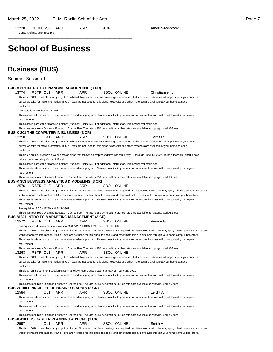13228 PERM SS2 ARR ARR ARR ARR Amellio-Ashbrook J Consent of Instructor required \_\_\_\_\_\_\_\_\_\_\_\_\_\_\_\_\_\_\_\_\_\_\_\_\_\_\_\_\_\_\_\_\_\_\_\_\_\_\_\_\_\_\_\_\_\_\_\_\_\_

\_\_\_\_\_\_\_\_\_\_\_\_\_\_\_\_\_\_\_\_\_\_\_\_\_\_\_\_\_\_\_\_\_\_\_\_\_\_\_\_\_\_\_\_\_\_\_\_\_\_

## **School of Business**

#### **Business (BUS)** Summer Session 1 **BUS-A 201 INTRO TO FINANCIAL ACCOUNTING (3 CR)** 13774 RSTR OL1 ARR ARR SBOL ONLINE Christiansen L This is a 100% online class taught by IU Southeast. No on-campus class meetings are required. A distance education fee will apply; check your campus bursar website for more information. If IU e-Texts are not used for this class, textbooks and other materials are available at your home campus bookstore. Pre-Requisite: Sophomore Standing This class is offered as part of a collaborative academic program. Please consult with your advisor to ensure this class will count toward your degree requirements This class is part of the "Transfer Indiana" (transferIN) initiative. For additional information, link to www.transferin.net. This class requires a Distance Education Course Fee. The rate is \$50 per credit hour. Fee rates are available at http://go.iu.edu/SBfees **BUS-K 201 THE COMPUTER IN BUSINESS (3 CR)** 13250 O41 ARR ARR SBOL ONLINE Harris R This is a 100% online class taught by IU Southeast. No on-campus class meetings are required. A distance education fee will apply; check your campus bursar website for more information. If IU e-Texts are not used for this class, textbooks and other materials are available at your home campus bookstore. This is an online, intensive 4-week session class that follows a compressed time schedule May 16 through June 13, 2022. To be successful, should have prior experience using Microsoft Excel. This class is part of the "Transfer Indiana" (transferIN) initiative. For additional information, link to www.transferin.net. This class is offered as part of a collaborative academic program. Please consult with your advisor to ensure this class will count toward your degree requirement This class requires a Distance Education Course Fee. The rate is \$50 per credit hour. Fee rates are available at http://go.iu.edu/SBfees **BUS-K 353 BUSINESS ANALYTICS & MODELING (3 CR)** 12576 RSTR OLF ARR ARR SBOL ONLINE This is a 100% online class taught by IU Kokomo. No on-campus class meetings are required. A distance education fee may apply; check your campus bursar website for more information. If IU e-Texts are not used for this class, textbooks and other materials are available through your home campus bookstore. This class is offered as part of a collaborative academic program. Please consult with your advisor to ensure this class will count toward your degree requirement Prerequisites: ECON-E270 and BUS-S302 This class requires a Distance Education Course Fee. The rate is \$50 per credit hour. Fee rates are available at http://go.iu.edu/SBfees **BUS-M 301 INTRO TO MARKETING MANAGEMENT (3 CR)** 12572 RSTR OL1 ARR ARR SBOL ONLINE Preece G Prerequisites: Junior standing, including BUS-A 202, ECON-E 201 and ECON-E 202 This is a 100% online class taught by IU Kokomo. No on-campus class meetings are required. A distance education fee may apply; check your campus bursar website for more information. If IU e-Texts are not used for this class, textbooks and other materials are available through your home campus bookstore. This class is offered as part of a collaborative academic program. Please consult with your advisor to ensure this class will count toward your degree requirement This class requires a Distance Education Course Fee. The rate is \$50 per credit hour. Fee rates are available at http://go.iu.edu/SBfees 13263 RSTR OL1 ARR ARR SBOL ONLINE This is a 100% online class taught by IU Southeast. No on-campus class meetings are required. A distance education fee will apply; check your campus bursar website for more information. If IU e-Texts are not used for this class, textbooks and other materials are available at your home campus bookstore. This is an online summer I session class that follows compressed calendar May 15 - June 25, 2021. This class is offered as part of a collaborative academic program. Please consult with your advisor to ensure this class will count toward your degree requirement This class requires a Distance Education Course Fee. The rate is \$50 per credit hour. Fee rates are available at http://go.iu.edu/SBfees **BUS-W 100 PRINCIPLES OF BUSINESS ADMIN (3 CR)** 12584 OL1 ARR ARR SBOL ONLINE Leicht A This class is offered as part of a collaborative academic program. Please consult with your advisor to ensure this class will count toward your degree requirement This class is offered as part of a collaborative academic program. Please consult with your advisor to ensure this class will count toward your degree requirement This class requires a Distance Education Course Fee. The rate is \$50 per credit hour. Fee rates are available at http://go.iu.edu/SBfees **BUS-X 410 BUS CAREER PLANNING & PLCMT (3 CR)** 12597 OL1 ARR ARR SBOL ONLINE Smith A This is a 100% online class taught by IU Kokomo. No on-campus class meetings are required. A distance education fee may apply; check your campus bursar

website for more information. If IU e-Texts are not used for this class, textbooks and other materials are available through your home campus bookstore.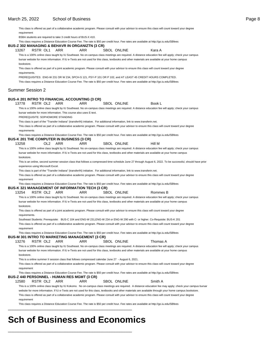| requirement   |                                   |     |                                  | This class is offered as part of a collaborative academic program. Please consult with your advisor to ensure this class will count toward your degree                                                                                                                                                             |                    |          |  |
|---------------|-----------------------------------|-----|----------------------------------|--------------------------------------------------------------------------------------------------------------------------------------------------------------------------------------------------------------------------------------------------------------------------------------------------------------------|--------------------|----------|--|
|               |                                   |     |                                  | BSBA students are required to take 3 credit hours of BUS-X 410.                                                                                                                                                                                                                                                    |                    |          |  |
|               |                                   |     |                                  | This class requires a Distance Education Course Fee. The rate is \$50 per credit hour. Fee rates are available at http://go.iu.edu/SBfees<br>BUS-Z 302 MANAGING & BEHAVR IN ORGANIZTN (3 CR)                                                                                                                       |                    |          |  |
| 13267         | RSTR OL1                          |     | ARR                              | ARR                                                                                                                                                                                                                                                                                                                | <b>SBOL ONLINE</b> | Kara A   |  |
| bookstore.    |                                   |     |                                  | This is a 100% online class taught by IU Southeast. No on-campus class meetings are required. A distance education fee will apply; check your campus<br>bursar website for more information. If IU e-Texts are not used for this class, textbooks and other materials are available at your home campus            |                    |          |  |
| requirements. |                                   |     |                                  | This class is offered as part of a joint academic program. Please consult with your advisor to ensure this class will count toward your degree                                                                                                                                                                     |                    |          |  |
|               |                                   |     |                                  | PREREQUISITES: ENG-W 231 OR W 234, SPCH-S 121, PSY-P 101 OR P 102, and AT LEAST 45 CREDIT HOURS COMPLETED.<br>This class requires a Distance Education Course Fee. The rate is \$50 per credit hour. Fee rates are available at http://go.iu.edu/SBfees                                                            |                    |          |  |
|               | <b>Summer Session 2</b>           |     |                                  |                                                                                                                                                                                                                                                                                                                    |                    |          |  |
|               |                                   |     |                                  | BUS-A 201 INTRO TO FINANCIAL ACCOUNTING (3 CR)                                                                                                                                                                                                                                                                     |                    |          |  |
| 13778         | RSTR OL2                          |     | ARR                              | ARR                                                                                                                                                                                                                                                                                                                | SBOL ONLINE        | Book L   |  |
|               |                                   |     | PREREQUISITE: SOPHOMORE STANDING | This is a 100% online class taught by IU Southeast. No on-campus class meetings are required. A distance education fee will apply; check your campus<br>bursar website for more information. This course also uses E-text.                                                                                         |                    |          |  |
|               |                                   |     |                                  | This class is part of the "Transfer Indiana" (transferIN) initiative. For additional information, link to www.transferin.net.                                                                                                                                                                                      |                    |          |  |
| requirements  |                                   |     |                                  | This class is offered as part of a collaborative academic program. Please consult with your advisor to ensure this class will count toward your degree                                                                                                                                                             |                    |          |  |
|               |                                   |     |                                  | This class requires a Distance Education Course Fee. The rate is \$50 per credit hour. Fee rates are available at http://go.iu.edu/SBfees<br>BUS-K 201 THE COMPUTER IN BUSINESS (3 CR)                                                                                                                             |                    |          |  |
| 13258         |                                   | OL2 | ARR                              | ARR                                                                                                                                                                                                                                                                                                                | <b>SBOL ONLINE</b> | Hill M   |  |
|               |                                   |     |                                  | This is a 100% online class taught by IU Southeast. No on-campus class meetings are required. A distance education fee will apply; check your campus                                                                                                                                                               |                    |          |  |
| bookstore.    |                                   |     |                                  | bursar website for more information. If IU e-Texts are not used for this class, textbooks and other materials are available at your home campus                                                                                                                                                                    |                    |          |  |
|               |                                   |     |                                  | This is an online, second summer session class that follows a compressed time schedule June 27 through August 6, 2022. To be successful, should have prior                                                                                                                                                         |                    |          |  |
|               | experience using Microsoft Excel. |     |                                  | This class is part of the "Transfer Indiana" (transferIN) initiative. For additional information, link to www.transferin.net.                                                                                                                                                                                      |                    |          |  |
| requirement   |                                   |     |                                  | This class is offered as part of a collaborative academic program. Please consult with your advisor to ensure this class will count toward your degree                                                                                                                                                             |                    |          |  |
|               |                                   |     |                                  | This class requires a Distance Education Course Fee. The rate is \$50 per credit hour. Fee rates are available at http://go.iu.edu/SBfees<br>BUS-K 321 MANAGEMENT OF INFORMATION TECH (3 CR)                                                                                                                       |                    |          |  |
| 13254         | RSTR OL2                          |     | ARR                              | ARR                                                                                                                                                                                                                                                                                                                | <b>SBOL ONLINE</b> | Rommes B |  |
| bookstore.    |                                   |     |                                  | This is a 100% online class taught by IU Southeast. No on-campus class meetings are required. A distance education fee will apply; check your campus<br>bursar website for more information. If IU e-Texts are not used for this class, textbooks and other materials are available at your home campus            |                    |          |  |
| requirements. |                                   |     |                                  | This class is offered as part of a joint academic program. Please consult with your advisor to ensure this class will count toward your degree                                                                                                                                                                     |                    |          |  |
| requirement   |                                   |     |                                  | Southeast Students: Prerequisite: BUS-C 104 and ENG-W 231, ENG-W 234 or ENG-W 290 with C- or higher. Co-Requisite: BUS-K 201<br>This class is offered as part of a collaborative academic program. Please consult with your advisor to ensure this class will count toward your degree                             |                    |          |  |
|               |                                   |     |                                  | This class requires a Distance Education Course Fee. The rate is \$50 per credit hour. Fee rates are available at http://go.iu.edu/SBfees<br>BUS-M 301 INTRO TO MARKETING MANAGEMENT (3 CR)                                                                                                                        |                    |          |  |
| 13276         | RSTR OL2                          |     | ARR                              | ARR                                                                                                                                                                                                                                                                                                                | <b>SBOL ONLINE</b> | Thomas A |  |
| bookstore.    |                                   |     |                                  | This is a 100% online class taught by IU Southeast. No on-campus class meetings are required. A distance education fee will apply; check your campus<br>bursar website for more information. If IU e-Texts are not used for this class, textbooks and other materials are available at your home campus            |                    |          |  |
| requirement   |                                   |     |                                  | This is a online summer II session class that follows compressed calendar June 27 - August 6, 2021.<br>This class is offered as part of a collaborative academic program. Please consult with your advisor to ensure this class will count toward your degree                                                      |                    |          |  |
|               |                                   |     |                                  | This class requires a Distance Education Course Fee. The rate is \$50 per credit hour. Fee rates are available at http://go.iu.edu/SBfees<br>BUS-Z 440 PERSONNEL - HUMAN RES MGMT (3 CR)                                                                                                                           |                    |          |  |
| 12580         | RSTR OL2                          |     | ARR                              | ARR                                                                                                                                                                                                                                                                                                                | <b>SBOL ONLINE</b> | Smith A  |  |
|               |                                   |     |                                  | This is a 100% online class taught by IU Kokomo. No on-campus class meetings are required. A distance education fee may apply; check your campus bursar                                                                                                                                                            |                    |          |  |
| requirement   |                                   |     |                                  | website for more information. If IU e-Texts are not used for this class, textbooks and other materials are available through your home campus bookstore.<br>This class is offered as part of a collaborative academic program. Please consult with your advisor to ensure this class will count toward your degree |                    |          |  |
|               |                                   |     |                                  | This class requires a Distance Education Course Fee. The rate is \$50 per credit hour. Fee rates are available at http://go.iu.edu/SBfees                                                                                                                                                                          |                    |          |  |
|               |                                   |     |                                  |                                                                                                                                                                                                                                                                                                                    |                    |          |  |

## **Sch of Business and Economics**

\_\_\_\_\_\_\_\_\_\_\_\_\_\_\_\_\_\_\_\_\_\_\_\_\_\_\_\_\_\_\_\_\_\_\_\_\_\_\_\_\_\_\_\_\_\_\_\_\_\_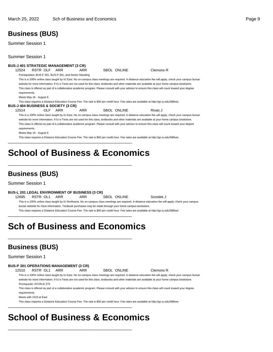### **Business (BUS)**

Summer Session 1

Summer Session 1

|               |                         |      |                                     | BUS-J 401 STRATEGIC MANAGEMENT (3 CR)                    |                    |                                                                                                                                                        |  |
|---------------|-------------------------|------|-------------------------------------|----------------------------------------------------------|--------------------|--------------------------------------------------------------------------------------------------------------------------------------------------------|--|
| 12524         | RSTR OLF                |      | ARR                                 | ARR                                                      | <b>SBOL ONLINE</b> | Clemons R                                                                                                                                              |  |
|               |                         |      |                                     | Prerequisites: BUS-F 301, BUS-P 301, and Senior Standing |                    |                                                                                                                                                        |  |
|               |                         |      |                                     |                                                          |                    | This is a 100% online class taught by IU East. No on-campus class meetings are required. A distance education fee will apply; check your campus bursar |  |
|               |                         |      |                                     |                                                          |                    | website for more information. If IU e-Texts are not used for this class, textbooks and other materials are available at your home campus bookstore.    |  |
|               |                         |      |                                     |                                                          |                    | This class is offered as part of a collaborative academic program. Please consult with your advisor to ensure this class will count toward your degree |  |
| requirements. |                         |      |                                     |                                                          |                    |                                                                                                                                                        |  |
|               | Meets May 16 - August 6 |      |                                     |                                                          |                    |                                                                                                                                                        |  |
|               |                         |      |                                     |                                                          |                    | This class requires a Distance Education Course Fee. The rate is \$50 per credit hour. Fee rates are available at http://go.iu.edu/SBfees              |  |
|               |                         |      | BUS-J 404 BUSINESS & SOCIETY (3 CR) |                                                          |                    |                                                                                                                                                        |  |
| 12514         |                         | OLF. | ARR                                 | ARR                                                      | SBOL ONLINE        | Rivas J                                                                                                                                                |  |
|               |                         |      |                                     |                                                          |                    | This is a 100% online class taught by IU East. No on-campus class meetings are required. A distance education fee will apply; check your campus bursar |  |
|               |                         |      |                                     |                                                          |                    | website for more information. If IU e-Texts are not used for this class, textbooks and other materials are available at your home campus bookstore.    |  |
|               |                         |      |                                     |                                                          |                    | This class is offered as part of a collaborative academic program. Please consult with your advisor to ensure this class will count toward your degree |  |
| requirements. |                         |      |                                     |                                                          |                    |                                                                                                                                                        |  |
|               | Meets May 16 - August 6 |      |                                     |                                                          |                    |                                                                                                                                                        |  |
|               |                         |      |                                     |                                                          |                    | This class requires a Distance Education Course Fee. The rate is \$50 per credit hour. Fee rates are available at http://go.iu.edu/SBfees              |  |
|               |                         |      |                                     |                                                          |                    |                                                                                                                                                        |  |

## **School of Business & Economics**

\_\_\_\_\_\_\_\_\_\_\_\_\_\_\_\_\_\_\_\_\_\_\_\_\_\_\_\_\_\_\_\_\_\_\_\_\_\_\_\_\_\_\_\_\_\_\_\_\_\_

### **Business (BUS)**

Summer Session 1

#### **BUS-L 201 LEGAL ENVIRONMENT OF BUSINESS (3 CR)**

12695 RSTR OL1 ARR ARR SBOL ONLINE Szostek J

This is a 100% online class taught by IU Northwest. No on-campus class meetings are required. A distance education fee will apply; check your campus bursar website for more information. Textbook purchases may be made through your home campus bookstore.

This class requires a Distance Education Course Fee. The rate is \$50 per credit hour. Fee rates are available at http://go.iu.edu/SBfees \_\_\_\_\_\_\_\_\_\_\_\_\_\_\_\_\_\_\_\_\_\_\_\_\_\_\_\_\_\_\_\_\_\_\_\_\_\_\_\_\_\_\_\_\_\_\_\_\_\_

## **Sch of Business and Economics**

\_\_\_\_\_\_\_\_\_\_\_\_\_\_\_\_\_\_\_\_\_\_\_\_\_\_\_\_\_\_\_\_\_\_\_\_\_\_\_\_\_\_\_\_\_\_\_\_\_\_

### **Business (BUS)**

Summer Session 1

#### **BUS-P 301 OPERATIONS MANAGEMENT (3 CR)**

12510 RSTR OL1 ARR ARR SBOL ONLINE Clemons R

This is a 100% online class taught by IU East. No on-campus class meetings are required. A distance education fee will apply; check your campus bursar website for more information. If IU e-Texts are not used for this class, textbooks and other materials are available at your home campus bookstore. Prerequisite: ECON-E 270

This class is offered as part of a collaborative academic program. Please consult with your advisor to ensure this class will count toward your degree requirements.

Meets with 1519 at East

This class requires a Distance Education Course Fee. The rate is \$50 per credit hour. Fee rates are available at http://go.iu.edu/SBfees \_\_\_\_\_\_\_\_\_\_\_\_\_\_\_\_\_\_\_\_\_\_\_\_\_\_\_\_\_\_\_\_\_\_\_\_\_\_\_\_\_\_\_\_\_\_\_\_\_\_

## **School of Business & Economics**

\_\_\_\_\_\_\_\_\_\_\_\_\_\_\_\_\_\_\_\_\_\_\_\_\_\_\_\_\_\_\_\_\_\_\_\_\_\_\_\_\_\_\_\_\_\_\_\_\_\_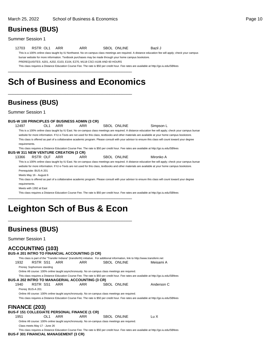### **Business (BUS)**

#### Summer Session 1

12703 RSTR OL1 ARR ARR SBOL ONLINE Bazil J This is a 100% online class taught by IU Northwest. No on-campus class meetings are required. A distance education fee will apply; check your campus bursar website for more information. Textbook purchases may be made through your home campus bookstore. PREREQUISITES: A201, A202, E103, E104, E270, M118 CSCI A106 AND 60 HOURS This class requires a Distance Education Course Fee. The rate is \$50 per credit hour. Fee rates are available at http://go.iu.edu/SBfees \_\_\_\_\_\_\_\_\_\_\_\_\_\_\_\_\_\_\_\_\_\_\_\_\_\_\_\_\_\_\_\_\_\_\_\_\_\_\_\_\_\_\_\_\_\_\_\_\_\_

## **Sch of Business and Economics**

\_\_\_\_\_\_\_\_\_\_\_\_\_\_\_\_\_\_\_\_\_\_\_\_\_\_\_\_\_\_\_\_\_\_\_\_\_\_\_\_\_\_\_\_\_\_\_\_\_\_

### **Business (BUS)**

Summer Session 1

|               |                         |     |     | <b>BUS-W 100 PRINCIPLES OF BUSINESS ADMIN (3 CR)</b> |                    |                                                                                                                                                        |  |
|---------------|-------------------------|-----|-----|------------------------------------------------------|--------------------|--------------------------------------------------------------------------------------------------------------------------------------------------------|--|
| 12497         |                         | OL1 | ARR | ARR                                                  | <b>SBOL ONLINE</b> | Simpson L                                                                                                                                              |  |
|               |                         |     |     |                                                      |                    | This is a 100% online class taught by IU East. No on-campus class meetings are required. A distance education fee will apply; check your campus bursar |  |
|               |                         |     |     |                                                      |                    | website for more information. If IU e-Texts are not used for this class, textbooks and other materials are available at your home campus bookstore.    |  |
|               |                         |     |     |                                                      |                    | This class is offered as part of a collaborative academic program. Please consult with your advisor to ensure this class will count toward your degree |  |
| requirements. |                         |     |     |                                                      |                    |                                                                                                                                                        |  |
|               |                         |     |     |                                                      |                    | This class requires a Distance Education Course Fee. The rate is \$50 per credit hour. Fee rates are available at http://qo.iu.edu/SBfees              |  |
|               |                         |     |     | <b>BUS-W 311 NEW VENTURE CREATION (3 CR)</b>         |                    |                                                                                                                                                        |  |
| 13366         | RSTR OLF ARR            |     |     | ARR                                                  | SBOL ONLINE        | Mironko A                                                                                                                                              |  |
|               |                         |     |     |                                                      |                    | This is a 100% online class taught by IU East. No on-campus class meetings are required. A distance education fee will apply; check your campus bursar |  |
|               |                         |     |     |                                                      |                    | website for more information. If IU e-Texts are not used for this class, textbooks and other materials are available at your home campus bookstore.    |  |
|               | Prerequisite: BUS-A 201 |     |     |                                                      |                    |                                                                                                                                                        |  |
|               | Meets May 16 - August 6 |     |     |                                                      |                    |                                                                                                                                                        |  |
|               |                         |     |     |                                                      |                    | This class is offered as part of a collaborative academic program. Please consult with your advisor to ensure this class will count toward your degree |  |
| requirements. |                         |     |     |                                                      |                    |                                                                                                                                                        |  |
|               | Meets with 1392 at East |     |     |                                                      |                    |                                                                                                                                                        |  |
|               |                         |     |     |                                                      |                    | This class requires a Distance Education Course Fee. The rate is \$50 per credit hour. Fee rates are available at http://qo.iu.edu/SBfees              |  |
|               |                         |     |     |                                                      |                    |                                                                                                                                                        |  |

## **Leighton Sch of Bus & Econ**

\_\_\_\_\_\_\_\_\_\_\_\_\_\_\_\_\_\_\_\_\_\_\_\_\_\_\_\_\_\_\_\_\_\_\_\_\_\_\_\_\_\_\_\_\_\_\_\_\_\_

### **Business (BUS)**

| <b>ACCOUNTING (103)</b>      |          |     | BUS-A 201 INTRO TO FINANCIAL ACCOUNTING (3 CR)                                                  |     |                                                                                                                                           |            |
|------------------------------|----------|-----|-------------------------------------------------------------------------------------------------|-----|-------------------------------------------------------------------------------------------------------------------------------------------|------------|
|                              |          |     |                                                                                                 |     | This class is part of the "Transfer Indiana" (transferIN) initiative. For additional information, link to http://www.transferin.net       |            |
| 1932                         | RSTR SS1 |     | ARR                                                                                             | ARR | <b>SBOL ONLINE</b>                                                                                                                        | Meisami A  |
| Prereg: Sophomore standing   |          |     |                                                                                                 |     |                                                                                                                                           |            |
|                              |          |     | Online All course: 100% online taught asynchronously. No on-campus class meetings are required. |     |                                                                                                                                           |            |
|                              |          |     |                                                                                                 |     | This class requires a Distance Education Course Fee. The rate is \$50 per credit hour. Fee rates are available at http://go.iu.edu/SBfees |            |
|                              |          |     | BUS-A 202 INTRO TO MANAGERIAL ACCOUNTING (3 CR)                                                 |     |                                                                                                                                           |            |
| 1940                         | RSTR SS1 |     | ARR                                                                                             | ARR | SBOL ONLINE                                                                                                                               | Anderson C |
| Prereg: BUS-A 201            |          |     |                                                                                                 |     |                                                                                                                                           |            |
|                              |          |     | Online All course: 100% online taught asynchronously. No on-campus class meetings are required. |     |                                                                                                                                           |            |
|                              |          |     |                                                                                                 |     | This class requires a Distance Education Course Fee. The rate is \$50 per credit hour. Fee rates are available at http://go.iu.edu/SBfees |            |
|                              |          |     |                                                                                                 |     |                                                                                                                                           |            |
| <b>FINANCE (203)</b>         |          |     |                                                                                                 |     |                                                                                                                                           |            |
|                              |          |     | <b>BUS-F 151 COLLEGIATE PERSONAL FINANCE (1 CR)</b>                                             |     |                                                                                                                                           |            |
|                              |          |     |                                                                                                 |     |                                                                                                                                           |            |
| 1951                         |          | OL1 | ARR                                                                                             | ARR | SBOL ONLINE                                                                                                                               | Lu X       |
|                              |          |     | Online All course: 100% online taught asynchronously. No on-campus class meetings are required. |     |                                                                                                                                           |            |
| Class meets May 17 - June 26 |          |     |                                                                                                 |     |                                                                                                                                           |            |
|                              |          |     |                                                                                                 |     | This class requires a Distance Education Course Fee. The rate is \$50 per credit hour. Fee rates are available at http://go.iu.edu/SBfees |            |
|                              |          |     | BUS-F 301 FINANCIAL MANAGEMENT (3 CR)                                                           |     |                                                                                                                                           |            |
|                              |          |     |                                                                                                 |     |                                                                                                                                           |            |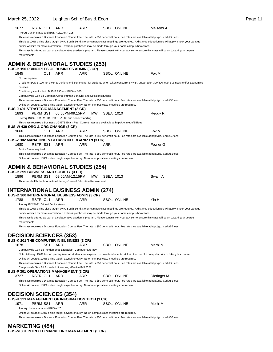| March 25, 2022                                                   | Leighton Sch of Bus & Econ                                                                        |                                                                                                                                           |                                                                                                                                                           | Page 11 |
|------------------------------------------------------------------|---------------------------------------------------------------------------------------------------|-------------------------------------------------------------------------------------------------------------------------------------------|-----------------------------------------------------------------------------------------------------------------------------------------------------------|---------|
| 1677<br>RSTR OL1<br>Prereq: Junior status and BUS-A 201 or A 205 | <b>ARR</b><br>ARR                                                                                 | SBOL ONLINE                                                                                                                               | Meisami A                                                                                                                                                 |         |
|                                                                  |                                                                                                   | This class requires a Distance Education Course Fee. The rate is \$50 per credit hour. Fee rates are available at http://go.iu.edu/SBfees | This is a 100% online class taught by IU South Bend. No on-campus class meetings are required. A distance education fee will apply; check your campus     |         |
|                                                                  |                                                                                                   | bursar website for more information. Textbook purchases may be made through your home campus bookstore.                                   |                                                                                                                                                           |         |
| requirements                                                     |                                                                                                   |                                                                                                                                           | This class is offered as part of a collaborative academic program. Please consult with your advisor to ensure this class will count toward your degree    |         |
|                                                                  |                                                                                                   |                                                                                                                                           |                                                                                                                                                           |         |
|                                                                  | <b>ADMIN &amp; BEHAVIORAL STUDIES (253)</b>                                                       |                                                                                                                                           |                                                                                                                                                           |         |
| 1845                                                             | <b>BUS-B 190 PRINCIPLES OF BUSINESS ADMIN (3 CR)</b><br>OL1 ARR<br><b>ARR</b>                     | SBOL ONLINE                                                                                                                               | Fox M                                                                                                                                                     |         |
| No prerequisite                                                  |                                                                                                   |                                                                                                                                           |                                                                                                                                                           |         |
| courses.                                                         |                                                                                                   |                                                                                                                                           | Credit for BUS-B 190 not given to Juniors and Seniors nor for students when taken concurrently with, and/or after 300/400 level Business and/or Economics |         |
|                                                                  | Credit not given for both BUS-B 190 and BUS-W 100.                                                |                                                                                                                                           |                                                                                                                                                           |         |
|                                                                  | Campuswide Gen Ed Common Core: Human Behavior and Social Institutions                             |                                                                                                                                           |                                                                                                                                                           |         |
|                                                                  | Online All course: 100% online taught asynchronously. No on-campus class meetings are required.   | This class requires a Distance Education Course Fee. The rate is \$50 per credit hour. Fee rates are available at http://go.iu.edu/SBfees |                                                                                                                                                           |         |
| <b>BUS-J 401 STRATEGIC MANAGEMENT (3 CR)</b>                     |                                                                                                   |                                                                                                                                           |                                                                                                                                                           |         |
| 1893                                                             | PERM SS1 06:00PM-09:15PM                                                                          | MW<br>SBEA 1010                                                                                                                           | Reddy R                                                                                                                                                   |         |
|                                                                  | Prereq: BUS-F 301, M 301, P 301, Z 302 and senior standing                                        | This class requires a Business UG ETS Exam Fee. Current rates are available at http://go.iu.edu/SBfees                                    |                                                                                                                                                           |         |
| BUS-W 430 ORG & ORG CHANGE (3 CR)                                |                                                                                                   |                                                                                                                                           |                                                                                                                                                           |         |
| OL1<br>3666                                                      | ARR<br>ARR.                                                                                       | <b>SBOL ONLINE</b>                                                                                                                        | Fox M                                                                                                                                                     |         |
|                                                                  | <b>BUS-Z 302 MANAGING &amp; BEHAVR IN ORGANIZTN (3 CR)</b>                                        | This class requires a Distance Education Course Fee. The rate is \$50 per credit hour. Fee rates are available at http://go.iu.edu/SBfees |                                                                                                                                                           |         |
| RSTR SS1<br>1680                                                 | ARR<br>ARR                                                                                        | ARR                                                                                                                                       | <b>Fowler G</b>                                                                                                                                           |         |
| Junior Status required                                           |                                                                                                   |                                                                                                                                           |                                                                                                                                                           |         |
|                                                                  | Online All course: 100% online taught asynchronously. No on-campus class meetings are required.   | This class requires a Distance Education Course Fee. The rate is \$50 per credit hour. Fee rates are available at http://go.iu.edu/SBfees |                                                                                                                                                           |         |
|                                                                  |                                                                                                   |                                                                                                                                           |                                                                                                                                                           |         |
|                                                                  | <b>ADMIN &amp; BEHAVIORAL STUDIES (254)</b>                                                       |                                                                                                                                           |                                                                                                                                                           |         |
| <b>BUS-B 399 BUSINESS AND SOCIETY (3 CR)</b><br>1896<br>PERM SS1 | 09:00AM-12:15PM                                                                                   | MW<br>SBEA 1013                                                                                                                           | Swain A                                                                                                                                                   |         |
|                                                                  | This class fulfills the Information Literacy General Education Requirement                        |                                                                                                                                           |                                                                                                                                                           |         |
|                                                                  |                                                                                                   |                                                                                                                                           |                                                                                                                                                           |         |
|                                                                  | <b>INTERNATIONAL BUSINESS ADMIN (274)</b><br><b>BUS-D 300 INTERNATIONAL BUSINESS ADMIN (3 CR)</b> |                                                                                                                                           |                                                                                                                                                           |         |
| 1788<br>RSTR OL1                                                 | ARR<br>ARR                                                                                        | <b>SBOL ONLINE</b>                                                                                                                        | Yin H                                                                                                                                                     |         |
| Prereq: ECON-E 104 and Junior status                             |                                                                                                   |                                                                                                                                           |                                                                                                                                                           |         |
|                                                                  |                                                                                                   | bursar website for more information. Textbook purchases may be made through your home campus bookstore.                                   | This is a 100% online class taught by IU South Bend. No on-campus class meetings are required. A distance education fee will apply; check your campus     |         |
|                                                                  |                                                                                                   |                                                                                                                                           | This class is offered as part of a collaborative academic program. Please consult with your advisor to ensure this class will count toward your degree    |         |
| requirements                                                     |                                                                                                   |                                                                                                                                           |                                                                                                                                                           |         |
|                                                                  |                                                                                                   | This class requires a Distance Education Course Fee. The rate is \$50 per credit hour. Fee rates are available at http://go.iu.edu/SBfees |                                                                                                                                                           |         |
| <b>DECISION SCIENCES (353)</b>                                   |                                                                                                   |                                                                                                                                           |                                                                                                                                                           |         |
|                                                                  | <b>BUS-K 201 THE COMPUTER IN BUSINESS (3 CR)</b>                                                  |                                                                                                                                           |                                                                                                                                                           |         |
| 1678<br>SS1                                                      | ARR<br>ARR<br>Campuswide Gen Ed Fundamental Literacies: Computer Literacy                         | <b>SBOL ONLINE</b>                                                                                                                        | Merhi M                                                                                                                                                   |         |
|                                                                  |                                                                                                   |                                                                                                                                           | Note: Although K201 has no prerequisite, all students are expected to have fundamental skills in the use of a computer prior to taking this course.       |         |
|                                                                  | Online All course: 100% online taught asynchronously. No on-campus class meetings are required.   |                                                                                                                                           |                                                                                                                                                           |         |
|                                                                  | Campuswide Gen Ed Extended Literacies, effective Fall 2021                                        | This class requires a Distance Education Course Fee. The rate is \$50 per credit hour. Fee rates are available at http://qo.iu.edu/SBfees |                                                                                                                                                           |         |
| <b>BUS-P 301 OPERATIONS MANAGEMENT (3 CR)</b>                    |                                                                                                   |                                                                                                                                           |                                                                                                                                                           |         |
| 3727<br>RSTR OL1                                                 | ARR<br>ARR                                                                                        | <b>SBOL ONLINE</b>                                                                                                                        | Dieringer M                                                                                                                                               |         |
|                                                                  | Online All course: 100% online taught asynchronously. No on-campus class meetings are required.   | This class requires a Distance Education Course Fee. The rate is \$50 per credit hour. Fee rates are available at http://go.iu.edu/SBfees |                                                                                                                                                           |         |
|                                                                  |                                                                                                   |                                                                                                                                           |                                                                                                                                                           |         |
| <b>DECISION SCIENCES (354)</b>                                   |                                                                                                   |                                                                                                                                           |                                                                                                                                                           |         |
| 1971<br>PERM SS1                                                 | <b>BUS-K 321 MANAGEMENT OF INFORMATION TECH (3 CR)</b><br>ARR<br>ARR                              | <b>SBOL ONLINE</b>                                                                                                                        | Merhi M                                                                                                                                                   |         |
| Prereq: Junior status and BUS-K 201                              |                                                                                                   |                                                                                                                                           |                                                                                                                                                           |         |
|                                                                  | Online All course: 100% online taught asynchronously. No on-campus class meetings are required.   |                                                                                                                                           |                                                                                                                                                           |         |
|                                                                  |                                                                                                   | This class requires a Distance Education Course Fee. The rate is \$50 per credit hour. Fee rates are available at http://go.iu.edu/SBfees |                                                                                                                                                           |         |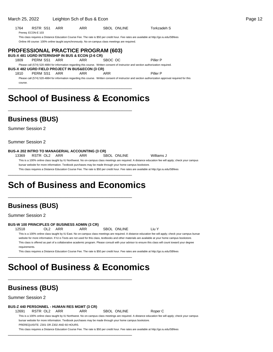March 25, 2022 Leighton Sch of Bus & Econ Page 12

| 1764 | RSTR SS1           | ARR | ARR | <b>SBOL ONLINE</b> | Torkzadeh S |
|------|--------------------|-----|-----|--------------------|-------------|
|      | Prerea: ECON-E 103 |     |     |                    |             |

This class requires a Distance Education Course Fee. The rate is \$50 per credit hour. Fee rates are available at http://go.iu.edu/SBfees Online All course: 100% online taught asynchronously. No on-campus class meetings are required.

#### **PROFESSIONAL PRACTICE PROGRAM (603) BUS-X 481 UGRD INTERNSHIP IN BUS & ECON (2-6 CR)** 1809 PERM SS1 ARR ARR SBOC OC Piller P Please call (574) 520-4884 for information regarding this course. Written consent of instructor and section authorization required. **BUS-X 482 UGRD FIELD PROJECT IN BUS&ECON (3 CR)** 1810 PERM SS1 ARR ARR ARR ARR Piller P

Please call (574) 520-4884 for information regarding this course. Written consent of instructor and section authorization approval required for this course.

## **School of Business & Economics**

\_\_\_\_\_\_\_\_\_\_\_\_\_\_\_\_\_\_\_\_\_\_\_\_\_\_\_\_\_\_\_\_\_\_\_\_\_\_\_\_\_\_\_\_\_\_\_\_\_\_

\_\_\_\_\_\_\_\_\_\_\_\_\_\_\_\_\_\_\_\_\_\_\_\_\_\_\_\_\_\_\_\_\_\_\_\_\_\_\_\_\_\_\_\_\_\_\_\_\_\_

### **Business (BUS)**

Summer Session 2

Summer Session 2

#### **BUS-A 202 INTRO TO MANAGERIAL ACCOUNTING (3 CR)**

13369 RSTR OL2 ARR ARR SBOL ONLINE Williams J This is a 100% online class taught by IU Northwest. No on-campus class meetings are required. A distance education fee will apply; check your campus bursar website for more information. Textbook purchases may be made through your home campus bookstore. This class requires a Distance Education Course Fee. The rate is \$50 per credit hour. Fee rates are available at http://go.iu.edu/SBfees \_\_\_\_\_\_\_\_\_\_\_\_\_\_\_\_\_\_\_\_\_\_\_\_\_\_\_\_\_\_\_\_\_\_\_\_\_\_\_\_\_\_\_\_\_\_\_\_\_\_

## **Sch of Business and Economics**

\_\_\_\_\_\_\_\_\_\_\_\_\_\_\_\_\_\_\_\_\_\_\_\_\_\_\_\_\_\_\_\_\_\_\_\_\_\_\_\_\_\_\_\_\_\_\_\_\_\_

### **Business (BUS)**

Summer Session 2

#### **BUS-W 100 PRINCIPLES OF BUSINESS ADMIN (3 CR)**

12518 OL2 ARR ARR SBOL ONLINE Liu Y This is a 100% online class taught by IU East. No on-campus class meetings are required. A distance education fee will apply; check your campus bursar website for more information. If IU e-Texts are not used for this class, textbooks and other materials are available at your home campus bookstore. This class is offered as part of a collaborative academic program. Please consult with your advisor to ensure this class will count toward your degree requirements.

This class requires a Distance Education Course Fee. The rate is \$50 per credit hour. Fee rates are available at http://go.iu.edu/SBfees

# **School of Business & Economics**

\_\_\_\_\_\_\_\_\_\_\_\_\_\_\_\_\_\_\_\_\_\_\_\_\_\_\_\_\_\_\_\_\_\_\_\_\_\_\_\_\_\_\_\_\_\_\_\_\_\_

\_\_\_\_\_\_\_\_\_\_\_\_\_\_\_\_\_\_\_\_\_\_\_\_\_\_\_\_\_\_\_\_\_\_\_\_\_\_\_\_\_\_\_\_\_\_\_\_\_\_

## **Business (BUS)**

Summer Session 2

### **BUS-Z 440 PERSONNEL - HUMAN RES MGMT (3 CR)**

12691 RSTR OL2 ARR ARR SBOL ONLINE Roper C

This is a 100% online class taught by IU Northwest. No on-campus class meetings are required. A distance education fee will apply; check your campus bursar website for more information. Textbook purchases may be made through your home campus bookstore. PREREQUISITE: Z301 OR Z302 AND 60 HOURS.

This class requires a Distance Education Course Fee. The rate is \$50 per credit hour. Fee rates are available at http://go.iu.edu/SBfees \_\_\_\_\_\_\_\_\_\_\_\_\_\_\_\_\_\_\_\_\_\_\_\_\_\_\_\_\_\_\_\_\_\_\_\_\_\_\_\_\_\_\_\_\_\_\_\_\_\_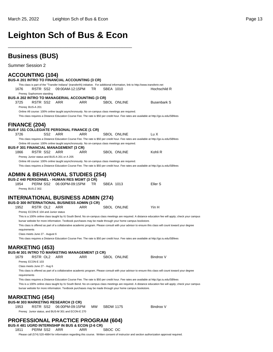# **Leighton Sch of Bus & Econ**

\_\_\_\_\_\_\_\_\_\_\_\_\_\_\_\_\_\_\_\_\_\_\_\_\_\_\_\_\_\_\_\_\_\_\_\_\_\_\_\_\_\_\_\_\_\_\_\_\_\_

| <b>Business (BUS)</b> |  |
|-----------------------|--|
|-----------------------|--|

|      | <b>Summer Session 2</b>                           |                 |                                                                                                                                                        |     |     |                  |                    |                                                                                                                                                        |  |
|------|---------------------------------------------------|-----------------|--------------------------------------------------------------------------------------------------------------------------------------------------------|-----|-----|------------------|--------------------|--------------------------------------------------------------------------------------------------------------------------------------------------------|--|
|      | <b>ACCOUNTING (104)</b>                           |                 | <b>BUS-A 201 INTRO TO FINANCIAL ACCOUNTING (3 CR)</b>                                                                                                  |     |     |                  |                    |                                                                                                                                                        |  |
| 1676 | RSTR SS2<br>Prereq: Sophomore standing            |                 | This class is part of the "Transfer Indiana" (transferIN) initiative. For additional information, link to http://www.transferin.net<br>09:00AM-12:15PM |     | TR  | SBEA 1010        |                    | Hochschild R                                                                                                                                           |  |
|      |                                                   |                 | BUS-A 202 INTRO TO MANAGERIAL ACCOUNTING (3 CR)                                                                                                        |     |     |                  |                    |                                                                                                                                                        |  |
| 3725 | RSTR SS2<br>Prereq: BUS-A 201                     |                 | ARR                                                                                                                                                    | ARR |     |                  | SBOL ONLINE        | <b>Busenbark S</b>                                                                                                                                     |  |
|      |                                                   |                 | Online All course: 100% online taught asynchronously. No on-campus class meetings are required.                                                        |     |     |                  |                    | This class requires a Distance Education Course Fee. The rate is \$50 per credit hour. Fee rates are available at http://go.iu.edu/SBfees              |  |
|      | <b>FINANCE (204)</b>                              |                 |                                                                                                                                                        |     |     |                  |                    |                                                                                                                                                        |  |
|      |                                                   |                 | <b>BUS-F 151 COLLEGIATE PERSONAL FINANCE (1 CR)</b>                                                                                                    |     |     |                  |                    |                                                                                                                                                        |  |
| 3726 |                                                   | SS <sub>2</sub> | ARR                                                                                                                                                    | ARR |     |                  | <b>SBOL ONLINE</b> | Lu X                                                                                                                                                   |  |
|      |                                                   |                 |                                                                                                                                                        |     |     |                  |                    | This class requires a Distance Education Course Fee. The rate is \$50 per credit hour. Fee rates are available at http://go.iu.edu/SBfees              |  |
|      |                                                   |                 | Online All course: 100% online taught asynchronously. No on-campus class meetings are required.<br><b>BUS-F 301 FINANCIAL MANAGEMENT (3 CR)</b>        |     |     |                  |                    |                                                                                                                                                        |  |
| 1866 | RSTR SS2                                          |                 | ARR                                                                                                                                                    | ARR |     |                  | <b>SBOL ONLINE</b> | Kohli R                                                                                                                                                |  |
|      |                                                   |                 | Prereq: Junior status and BUS-A 201 or A 205<br>Online All course: 100% online taught asynchronously. No on-campus class meetings are required.        |     |     |                  |                    |                                                                                                                                                        |  |
|      |                                                   |                 |                                                                                                                                                        |     |     |                  |                    | This class requires a Distance Education Course Fee. The rate is \$50 per credit hour. Fee rates are available at http://go.iu.edu/SBfees              |  |
|      |                                                   |                 |                                                                                                                                                        |     |     |                  |                    |                                                                                                                                                        |  |
|      |                                                   |                 | <b>ADMIN &amp; BEHAVIORAL STUDIES (254)</b><br><b>BUS-Z 440 PERSONNEL - HUMAN RES MGMT (3 CR)</b>                                                      |     |     |                  |                    |                                                                                                                                                        |  |
| 1854 | PERM SS2<br>Prereq: BUS-Z 302.                    |                 | 06:00PM-09:15PM                                                                                                                                        |     | TR. | <b>SBEA 1013</b> |                    | Eller <sub>S</sub>                                                                                                                                     |  |
|      |                                                   |                 | <b>INTERNATIONAL BUSINESS ADMIN (274)</b><br><b>BUS-D 300 INTERNATIONAL BUSINESS ADMIN (3 CR)</b>                                                      |     |     |                  |                    |                                                                                                                                                        |  |
| 1952 | RSTR OL2<br>Prereq: ECON-E 104 and Junior status  |                 | ARR                                                                                                                                                    | ARR |     |                  | <b>SBOL ONLINE</b> | Yin H                                                                                                                                                  |  |
|      |                                                   |                 |                                                                                                                                                        |     |     |                  |                    | This is a 100% online class taught by IU South Bend. No on-campus class meetings are required. A distance education fee will apply; check your campus  |  |
|      |                                                   |                 | bursar website for more information. Textbook purchases may be made through your home campus bookstore.                                                |     |     |                  |                    | This class is offered as part of a collaborative academic program. Please consult with your advisor to ensure this class will count toward your degree |  |
|      | requirements                                      |                 |                                                                                                                                                        |     |     |                  |                    |                                                                                                                                                        |  |
|      | Class meets June 27 - August 6                    |                 |                                                                                                                                                        |     |     |                  |                    | This class requires a Distance Education Course Fee. The rate is \$50 per credit hour. Fee rates are available at http://go.iu.edu/SBfees              |  |
|      | <b>MARKETING (453)</b>                            |                 |                                                                                                                                                        |     |     |                  |                    |                                                                                                                                                        |  |
| 1679 |                                                   | RSTR OL2 ARR    | <b>BUS-M 301 INTRO TO MARKETING MANAGEMENT (3 CR)</b>                                                                                                  | ARR |     |                  | <b>SBOL ONLINE</b> | Bindroo V                                                                                                                                              |  |
|      | Prereq: ECON-E 103<br>Class meets June 27 - Aug 6 |                 |                                                                                                                                                        |     |     |                  |                    |                                                                                                                                                        |  |
|      | requirements                                      |                 |                                                                                                                                                        |     |     |                  |                    | This class is offered as part of a collaborative academic program. Please consult with your advisor to ensure this class will count toward your degree |  |
|      |                                                   |                 |                                                                                                                                                        |     |     |                  |                    | This class requires a Distance Education Course Fee. The rate is \$50 per credit hour. Fee rates are available at http://go.iu.edu/SBfees              |  |
|      |                                                   |                 | bursar website for more information. Textbook purchases may be made through your home campus bookstore.                                                |     |     |                  |                    | This is a 100% online class taught by IU South Bend. No on-campus class meetings are required. A distance education fee will apply; check your campus  |  |
|      | <b>MARKETING (454)</b>                            |                 |                                                                                                                                                        |     |     |                  |                    |                                                                                                                                                        |  |
|      |                                                   |                 | <b>BUS-M 303 MARKETING RESEARCH (3 CR)</b>                                                                                                             |     |     |                  |                    |                                                                                                                                                        |  |
| 1953 | RSTR SS2                                          |                 | 06:00PM-09:15PM<br>Prereq: Junior status, and BUS-M 301 and ECON-E 270                                                                                 |     | MW. | <b>SBDW 1175</b> |                    | Bindroo V                                                                                                                                              |  |
|      |                                                   |                 | <b>PROFESSIONAL PRACTICE PROGRAM (604)</b>                                                                                                             |     |     |                  |                    |                                                                                                                                                        |  |

**BUS-X 481 UGRD INTERNSHIP IN BUS & ECON (2-6 CR)**<br>1811 PERM SS2 ARR ARR SBOC OC PERM SS2 ARR

Please call (574) 520-4884 for information regarding this course. Written consent of instructor and section authorization approval required.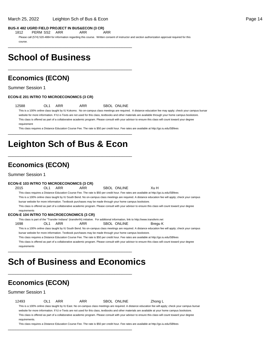**BUS-X 482 UGRD FIELD PROJECT IN BUS&ECON (3 CR)** 1812 PERM SS2 ARR ARR ARR

Please call (574) 520-4884 for information regarding this course. Written consent of instructor and section authorization approval required for this course.

## **School of Business**

### **Economics (ECON)**

Summer Session 1

#### **ECON-E 201 INTRO TO MICROECONOMICS (3 CR)**

12588 OL1 ARR ARR SBOL ONLINE

\_\_\_\_\_\_\_\_\_\_\_\_\_\_\_\_\_\_\_\_\_\_\_\_\_\_\_\_\_\_\_\_\_\_\_\_\_\_\_\_\_\_\_\_\_\_\_\_\_\_

\_\_\_\_\_\_\_\_\_\_\_\_\_\_\_\_\_\_\_\_\_\_\_\_\_\_\_\_\_\_\_\_\_\_\_\_\_\_\_\_\_\_\_\_\_\_\_\_\_\_

This is a 100% online class taught by IU Kokomo. No on-campus class meetings are required. A distance education fee may apply; check your campus bursar website for more information. If IU e-Texts are not used for this class, textbooks and other materials are available through your home campus bookstore. This class is offered as part of a collaborative academic program. Please consult with your advisor to ensure this class will count toward your degree requirement

This class requires a Distance Education Course Fee. The rate is \$50 per credit hour. Fee rates are available at http://go.iu.edu/SBfees

## **Leighton Sch of Bus & Econ**

\_\_\_\_\_\_\_\_\_\_\_\_\_\_\_\_\_\_\_\_\_\_\_\_\_\_\_\_\_\_\_\_\_\_\_\_\_\_\_\_\_\_\_\_\_\_\_\_\_\_

\_\_\_\_\_\_\_\_\_\_\_\_\_\_\_\_\_\_\_\_\_\_\_\_\_\_\_\_\_\_\_\_\_\_\_\_\_\_\_\_\_\_\_\_\_\_\_\_\_\_

### **Economics (ECON)**

Summer Session 1

#### **ECON-E 103 INTRO TO MICROECONOMICS (3 CR)**

2015 OL1 ARR ARR SBOL ONLINE Xu H This class requires a Distance Education Course Fee. The rate is \$50 per credit hour. Fee rates are available at http://go.iu.edu/SBfees This is a 100% online class taught by IU South Bend. No on-campus class meetings are required. A distance education fee will apply; check your campus bursar website for more information. Textbook purchases may be made through your home campus bookstore. This class is offered as part of a collaborative academic program. Please consult with your advisor to ensure this class will count toward your degree requirements

#### **ECON-E 104 INTRO TO MACROECONOMICS (3 CR)**

This class is part of the "Transfer Indiana" (transferIN) initiative. For additional information, link to http://www.transferin.net 1698 OL1 ARR ARR SBOL ONLINE Bregu K This is a 100% online class taught by IU South Bend. No on-campus class meetings are required. A distance education fee will apply; check your campus bursar website for more information. Textbook purchases may be made through your home campus bookstore. This class requires a Distance Education Course Fee. The rate is \$50 per credit hour. Fee rates are available at http://go.iu.edu/SBfees This class is offered as part of a collaborative academic program. Please consult with your advisor to ensure this class will count toward your degree requirements \_\_\_\_\_\_\_\_\_\_\_\_\_\_\_\_\_\_\_\_\_\_\_\_\_\_\_\_\_\_\_\_\_\_\_\_\_\_\_\_\_\_\_\_\_\_\_\_\_\_

## **Sch of Business and Economics**

\_\_\_\_\_\_\_\_\_\_\_\_\_\_\_\_\_\_\_\_\_\_\_\_\_\_\_\_\_\_\_\_\_\_\_\_\_\_\_\_\_\_\_\_\_\_\_\_\_\_

\_\_\_\_\_\_\_\_\_\_\_\_\_\_\_\_\_\_\_\_\_\_\_\_\_\_\_\_\_\_\_\_\_\_\_\_\_\_\_\_\_\_\_\_\_\_\_\_\_\_

### **Economics (ECON)**

#### Summer Session 1

12493 OL1 ARR ARR SBOL ONLINE Zhong L This is a 100% online class taught by IU East. No on-campus class meetings are required. A distance education fee will apply; check your campus bursar website for more information. If IU e-Texts are not used for this class, textbooks and other materials are available at your home campus bookstore. This class is offered as part of a collaborative academic program. Please consult with your advisor to ensure this class will count toward your degree requirements.

This class requires a Distance Education Course Fee. The rate is \$50 per credit hour. Fee rates are available at http://go.iu.edu/SBfees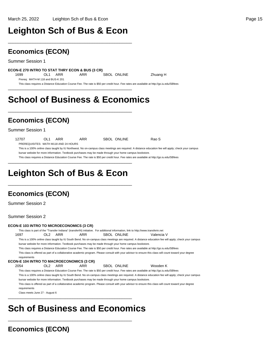\_\_\_\_\_\_\_\_\_\_\_\_\_\_\_\_\_\_\_\_\_\_\_\_\_\_\_\_\_\_\_\_\_\_\_\_\_\_\_\_\_\_\_\_\_\_\_\_\_\_

### **Economics (ECON)**

Summer Session 1

### **ECON-E 270 INTRO TO STAT THRY ECON & BUS (3 CR)**

1699 OL1 ARR ARR SBOL ONLINE Zhuang H Prereq: MATH-M 118 and BUS-K 201

This class requires a Distance Education Course Fee. The rate is \$50 per credit hour. Fee rates are available at http://go.iu.edu/SBfees \_\_\_\_\_\_\_\_\_\_\_\_\_\_\_\_\_\_\_\_\_\_\_\_\_\_\_\_\_\_\_\_\_\_\_\_\_\_\_\_\_\_\_\_\_\_\_\_\_\_

# **School of Business & Economics**

\_\_\_\_\_\_\_\_\_\_\_\_\_\_\_\_\_\_\_\_\_\_\_\_\_\_\_\_\_\_\_\_\_\_\_\_\_\_\_\_\_\_\_\_\_\_\_\_\_\_

## **Economics (ECON)**

Summer Session 1

12707 OL1 ARR ARR SBOL ONLINE Rao S

PREREQUISITES: MATH M118 AND 24 HOURS

This is a 100% online class taught by IU Northwest. No on-campus class meetings are required. A distance education fee will apply; check your campus bursar website for more information. Textbook purchases may be made through your home campus bookstore.

This class requires a Distance Education Course Fee. The rate is \$50 per credit hour. Fee rates are available at http://go.iu.edu/SBfees

# **Leighton Sch of Bus & Econ**

\_\_\_\_\_\_\_\_\_\_\_\_\_\_\_\_\_\_\_\_\_\_\_\_\_\_\_\_\_\_\_\_\_\_\_\_\_\_\_\_\_\_\_\_\_\_\_\_\_\_

\_\_\_\_\_\_\_\_\_\_\_\_\_\_\_\_\_\_\_\_\_\_\_\_\_\_\_\_\_\_\_\_\_\_\_\_\_\_\_\_\_\_\_\_\_\_\_\_\_\_

## **Economics (ECON)**

Summer Session 2

Summer Session 2

#### **ECON-E 103 INTRO TO MICROECONOMICS (3 CR)** This class is part of the "Transfer Indiana" (transferIN) initiative. For additional information, link to http://www.transferin.net 1697 OL2 ARR ARR SBOL ONLINE Valencia V This is a 100% online class taught by IU South Bend. No on-campus class meetings are required. A distance education fee will apply; check your campus bursar website for more information. Textbook purchases may be made through your home campus bookstore. This class requires a Distance Education Course Fee. The rate is \$50 per credit hour. Fee rates are available at http://go.iu.edu/SBfees This class is offered as part of a collaborative academic program. Please consult with your advisor to ensure this class will count toward your degree requirements **ECON-E 104 INTRO TO MACROECONOMICS (3 CR)** 2054 OL2 ARR ARR SBOL ONLINE Wooden K This class requires a Distance Education Course Fee. The rate is \$50 per credit hour. Fee rates are available at http://go.iu.edu/SBfees This is a 100% online class taught by IU South Bend. No on-campus class meetings are required. A distance education fee will apply; check your campus bursar website for more information. Textbook purchases may be made through your home campus bookstore. This class is offered as part of a collaborative academic program. Please consult with your advisor to ensure this class will count toward your degree requirements Class meets June 27 - August 6 \_\_\_\_\_\_\_\_\_\_\_\_\_\_\_\_\_\_\_\_\_\_\_\_\_\_\_\_\_\_\_\_\_\_\_\_\_\_\_\_\_\_\_\_\_\_\_\_\_\_

# **Sch of Business and Economics**

\_\_\_\_\_\_\_\_\_\_\_\_\_\_\_\_\_\_\_\_\_\_\_\_\_\_\_\_\_\_\_\_\_\_\_\_\_\_\_\_\_\_\_\_\_\_\_\_\_\_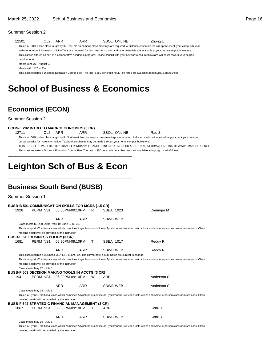### Summer Session 2

| 12501 | OL <sub>2</sub> |
|-------|-----------------|
|       |                 |

ARR ARR SBOL ONLINE Zhong L

This is a 100% online class taught by IU East. No on-campus class meetings are required. A distance education fee will apply; check your campus bursar website for more information. If IU e-Texts are not used for this class, textbooks and other materials are available at your home campus bookstore. This class is offered as part of a collaborative academic program. Please consult with your advisor to ensure this class will count toward your degree requirements. Meets June 27 - August 6.

Meets with 1426 at East

This class requires a Distance Education Course Fee. The rate is \$50 per credit hour. Fee rates are available at http://go.iu.edu/SBfees

## **School of Business & Economics**

\_\_\_\_\_\_\_\_\_\_\_\_\_\_\_\_\_\_\_\_\_\_\_\_\_\_\_\_\_\_\_\_\_\_\_\_\_\_\_\_\_\_\_\_\_\_\_\_\_\_

\_\_\_\_\_\_\_\_\_\_\_\_\_\_\_\_\_\_\_\_\_\_\_\_\_\_\_\_\_\_\_\_\_\_\_\_\_\_\_\_\_\_\_\_\_\_\_\_\_\_

### **Economics (ECON)**

Summer Session 2

#### **ECON-E 202 INTRO TO MACROECONOMICS (3 CR)**

12711 OL2 ARR ARR SBOL ONLINE Rao S

This is a 100% online class taught by IU Northwest. No on-campus class meetings are required. A distance education fee will apply; check your campus bursar website for more information. Textbook purchases may be made through your home campus bookstore. THIS COURSE IS PART OF THE "TRANSFER INDIANA" (TRANSFERIN) INITIATIVE. FOR ADDITIONAL INFORMATION, LINK TO WWW.TRANSFERIN.NET.

This class requires a Distance Education Course Fee. The rate is \$50 per credit hour. Fee rates are available at http://go.iu.edu/SBfees \_\_\_\_\_\_\_\_\_\_\_\_\_\_\_\_\_\_\_\_\_\_\_\_\_\_\_\_\_\_\_\_\_\_\_\_\_\_\_\_\_\_\_\_\_\_\_\_\_\_

**Leighton Sch of Bus & Econ**

\_\_\_\_\_\_\_\_\_\_\_\_\_\_\_\_\_\_\_\_\_\_\_\_\_\_\_\_\_\_\_\_\_\_\_\_\_\_\_\_\_\_\_\_\_\_\_\_\_\_

### **Business South Bend (BUSB)**

Summer Session 1

|      | <b>BUSB-B 501 COMMUNICATION SKILLS FOR MGRS (1.5 CR)</b>                                                |                          |            |              |                 |                                                                                                                                                           |
|------|---------------------------------------------------------------------------------------------------------|--------------------------|------------|--------------|-----------------|-----------------------------------------------------------------------------------------------------------------------------------------------------------|
| 1926 | PERM NS1                                                                                                | 06:30PM-09:10PM          |            | R            | SBEA 1023       | Dieringer M                                                                                                                                               |
|      |                                                                                                         | <b>ARR</b>               | <b>ARR</b> |              | SBWB WEB        |                                                                                                                                                           |
|      | Class meets R, 6:30-9:10p, May 19; June 2, 16; 30.                                                      |                          |            |              |                 |                                                                                                                                                           |
|      |                                                                                                         |                          |            |              |                 | This is a Hybrid-Traditional class which combines Asynchronous online or Synchronous live video instructions and some in-person classroom sessions. Class |
|      | meeting details will be provided by the instructor.                                                     |                          |            |              |                 |                                                                                                                                                           |
|      | <b>BUSB-E 510 BUSINESS POLICY (3 CR)</b>                                                                |                          |            |              |                 |                                                                                                                                                           |
| 1681 |                                                                                                         | PERM NS1 06:30PM-09:10PM |            | T.           | SBEA 1017       | Reddy R                                                                                                                                                   |
|      |                                                                                                         | <b>ARR</b>               | <b>ARR</b> |              | <b>SBWB WEB</b> | Reddy R                                                                                                                                                   |
|      | This class requires a Business MBA ETS Exam Fee. The current rate is \$38. Rates are subject to change. |                          |            |              |                 |                                                                                                                                                           |
|      |                                                                                                         |                          |            |              |                 | This is a Hybrid-Traditional class which combines Asynchronous online or Synchronous live video instructions and some in-person classroom sessions. Class |
|      | meeting details will be provided by the instructor.                                                     |                          |            |              |                 |                                                                                                                                                           |
|      | Class meets May 17 - July 5                                                                             |                          |            |              |                 |                                                                                                                                                           |
|      | <b>BUSB-F 503 DECISION MAKING TOOLS IN ACCTG (3 CR)</b>                                                 |                          |            |              |                 |                                                                                                                                                           |
| 1941 | PERM NS1                                                                                                | 06:30PM-09:10PM          |            | W            | <b>ARR</b>      | Anderson C                                                                                                                                                |
|      |                                                                                                         | <b>ARR</b>               | <b>ARR</b> |              | <b>SBWB WEB</b> | Anderson C                                                                                                                                                |
|      | Class meets May 18 - July 6.                                                                            |                          |            |              |                 |                                                                                                                                                           |
|      |                                                                                                         |                          |            |              |                 | This is a Hybrid-Traditional class which combines Asynchronous online or Synchronous live video instructions and some in-person classroom sessions. Class |
|      | meeting details will be provided by the instructor.                                                     |                          |            |              |                 |                                                                                                                                                           |
|      | <b>BUSB-F 542 STRATEGIC FINANCIAL MANAGEMENT (3 CR)</b>                                                 |                          |            |              |                 |                                                                                                                                                           |
| 1867 | PERM NS1                                                                                                | 06:30PM-09:10PM          |            | $\mathsf{T}$ | <b>ARR</b>      | Kohli R                                                                                                                                                   |
|      |                                                                                                         | <b>ARR</b>               | <b>ARR</b> |              | <b>SBWB WEB</b> | Kohli R                                                                                                                                                   |
|      | Class meets May 16 - July 5                                                                             |                          |            |              |                 |                                                                                                                                                           |

This is a Hybrid-Traditional class which combines Asynchronous online or Synchronous live video instructions and some in-person classroom sessions. Class meeting details will be provided by the instructor.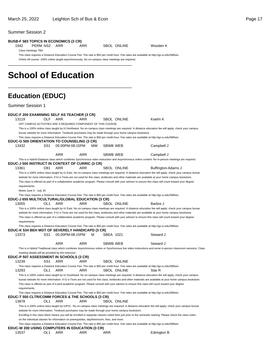Summer Session 2

### **BUSB-F 583 TOPICS IN ECONOMICS (3 CR)**

1942 PERM NS2 ARR ARR SBOL ONLINE Wooden K

Class meetings TBA This class requires a Distance Education Course Fee. The rate is \$50 per credit hour. Fee rates are available at http://go.iu.edu/SBfees

\_\_\_\_\_\_\_\_\_\_\_\_\_\_\_\_\_\_\_\_\_\_\_\_\_\_\_\_\_\_\_\_\_\_\_\_\_\_\_\_\_\_\_\_\_\_\_\_\_\_

Online All course: 100% online taught asynchronously. No on-campus class meetings are required. \_\_\_\_\_\_\_\_\_\_\_\_\_\_\_\_\_\_\_\_\_\_\_\_\_\_\_\_\_\_\_\_\_\_\_\_\_\_\_\_\_\_\_\_\_\_\_\_\_\_

## **School of Education**

### **Education (EDUC)**

| <b>Summer Session 1</b>                                  |                                                                                                                                                                                                      |                                                                                            |                 |           |                                                                                                                                                                                                                                                      |                                                                                                                                                                                                                                                                                                                    |  |  |  |  |
|----------------------------------------------------------|------------------------------------------------------------------------------------------------------------------------------------------------------------------------------------------------------|--------------------------------------------------------------------------------------------|-----------------|-----------|------------------------------------------------------------------------------------------------------------------------------------------------------------------------------------------------------------------------------------------------------|--------------------------------------------------------------------------------------------------------------------------------------------------------------------------------------------------------------------------------------------------------------------------------------------------------------------|--|--|--|--|
| EDUC-F 200 EXAMINING SELF AS TEACHER (3 CR)<br>13119     | OLF                                                                                                                                                                                                  | ARR<br>OFF CAMPUS ACTIVITIES ARE A REQUIRED COMPONENT OF THIS COURSE.                      | ARR             |           | <b>SBOL ONLINE</b>                                                                                                                                                                                                                                   | Koelm K<br>This is a 100% online class taught by IU Northwest. No on-campus class meetings are required. A distance education fee will apply; check your campus                                                                                                                                                    |  |  |  |  |
| <b>EDUC-G 500 ORIENTATION TO COUNSELING (3 CR)</b>       |                                                                                                                                                                                                      |                                                                                            |                 |           | bursar website for more information. Textbook purchases may be made through your home campus bookstore.<br>This class requires a Distance Education Course Fee. The rate is \$50 per credit hour. Fee rates are available at http://go.iu.edu/SBfees |                                                                                                                                                                                                                                                                                                                    |  |  |  |  |
| 13432                                                    | SS1                                                                                                                                                                                                  | 05:00PM-08:15PM                                                                            | MW.             | SBWB WEB  |                                                                                                                                                                                                                                                      | Campbell J                                                                                                                                                                                                                                                                                                         |  |  |  |  |
|                                                          |                                                                                                                                                                                                      | ARR                                                                                        | <b>ARR</b>      |           | SBWB WEB                                                                                                                                                                                                                                             | Campbell J                                                                                                                                                                                                                                                                                                         |  |  |  |  |
|                                                          | This is a Hybrid-Distance class which combines Synchronous video instruction and Asynchronous online content. No in-person meetings are required.<br>EDUC-J 500 INSTRUCT IN CONTEXT OF CURRIC (3 CR) |                                                                                            |                 |           |                                                                                                                                                                                                                                                      |                                                                                                                                                                                                                                                                                                                    |  |  |  |  |
| 13361                                                    | O81                                                                                                                                                                                                  | ARR                                                                                        | ARR             |           | <b>SBOL ONLINE</b>                                                                                                                                                                                                                                   | Buffington-Adams J                                                                                                                                                                                                                                                                                                 |  |  |  |  |
|                                                          |                                                                                                                                                                                                      |                                                                                            |                 |           |                                                                                                                                                                                                                                                      | This is a 100% online class taught by IU East. No on-campus class meetings are required. A distance education fee will apply; check your campus bursar                                                                                                                                                             |  |  |  |  |
|                                                          |                                                                                                                                                                                                      |                                                                                            |                 |           |                                                                                                                                                                                                                                                      | website for more information. If IU e-Texts are not used for this class, textbooks and other materials are available at your home campus bookstore.                                                                                                                                                                |  |  |  |  |
|                                                          |                                                                                                                                                                                                      |                                                                                            |                 |           |                                                                                                                                                                                                                                                      | This class is offered as part of a collaborative academic program. Please consult with your advisor to ensure this class will count toward your degree                                                                                                                                                             |  |  |  |  |
| requirements.<br>Meets June 6 - July 30                  |                                                                                                                                                                                                      |                                                                                            |                 |           |                                                                                                                                                                                                                                                      |                                                                                                                                                                                                                                                                                                                    |  |  |  |  |
|                                                          |                                                                                                                                                                                                      |                                                                                            |                 |           | This class requires a Distance Education Course Fee. The rate is \$50 per credit hour. Fee rates are available at http://go.iu.edu/SBfees                                                                                                            |                                                                                                                                                                                                                                                                                                                    |  |  |  |  |
| EDUC-J 655 MULTICULTURAL/GLOBAL EDUCATION (3 CR)         |                                                                                                                                                                                                      |                                                                                            |                 |           |                                                                                                                                                                                                                                                      |                                                                                                                                                                                                                                                                                                                    |  |  |  |  |
| 13055                                                    | OL1                                                                                                                                                                                                  | ARR                                                                                        | ARR             |           | SBOL ONLINE                                                                                                                                                                                                                                          | Barbre J                                                                                                                                                                                                                                                                                                           |  |  |  |  |
|                                                          |                                                                                                                                                                                                      |                                                                                            |                 |           |                                                                                                                                                                                                                                                      | This is a 100% online class taught by IU East. No on-campus class meetings are required. A distance education fee will apply; check your campus bursar                                                                                                                                                             |  |  |  |  |
|                                                          |                                                                                                                                                                                                      |                                                                                            |                 |           |                                                                                                                                                                                                                                                      | website for more information. If IU e-Texts are not used for this class, textbooks and other materials are available at your home campus bookstore.                                                                                                                                                                |  |  |  |  |
|                                                          |                                                                                                                                                                                                      |                                                                                            |                 |           |                                                                                                                                                                                                                                                      | This class is offered as part of a collaborative academic program. Please consult with your advisor to ensure this class will count toward your degree                                                                                                                                                             |  |  |  |  |
| requirements.                                            |                                                                                                                                                                                                      |                                                                                            |                 |           |                                                                                                                                                                                                                                                      |                                                                                                                                                                                                                                                                                                                    |  |  |  |  |
|                                                          |                                                                                                                                                                                                      |                                                                                            |                 |           | This class requires a Distance Education Course Fee. The rate is \$50 per credit hour. Fee rates are available at http://go.iu.edu/SBfees                                                                                                            |                                                                                                                                                                                                                                                                                                                    |  |  |  |  |
| EDUC-K 534 BEH MGT OF SEVERELY HANDICAPD (3 CR)<br>13373 | SS1                                                                                                                                                                                                  | 05:00PM-08:15PM                                                                            | м               | SBEA 1021 |                                                                                                                                                                                                                                                      | Seward J                                                                                                                                                                                                                                                                                                           |  |  |  |  |
|                                                          |                                                                                                                                                                                                      |                                                                                            |                 |           |                                                                                                                                                                                                                                                      |                                                                                                                                                                                                                                                                                                                    |  |  |  |  |
|                                                          |                                                                                                                                                                                                      | <b>ARR</b>                                                                                 | <b>ARR</b>      |           | <b>SBWB WEB</b>                                                                                                                                                                                                                                      | Seward J                                                                                                                                                                                                                                                                                                           |  |  |  |  |
|                                                          |                                                                                                                                                                                                      |                                                                                            |                 |           |                                                                                                                                                                                                                                                      | This is a Hybrid-Traditional class which combines Asynchronous online or Synchronous live video instructions and some in-person classroom sessions. Class                                                                                                                                                          |  |  |  |  |
|                                                          |                                                                                                                                                                                                      | meeting details will be provided by the instructor.                                        |                 |           |                                                                                                                                                                                                                                                      |                                                                                                                                                                                                                                                                                                                    |  |  |  |  |
| EDUC-P 507 ASSESSMENT IN SCHOOLS (3 CR)                  |                                                                                                                                                                                                      |                                                                                            |                 |           |                                                                                                                                                                                                                                                      |                                                                                                                                                                                                                                                                                                                    |  |  |  |  |
| 13239                                                    | SS1                                                                                                                                                                                                  | ARR                                                                                        | ARR             |           | <b>SBOL ONLINE</b>                                                                                                                                                                                                                                   |                                                                                                                                                                                                                                                                                                                    |  |  |  |  |
|                                                          |                                                                                                                                                                                                      |                                                                                            |                 |           | This class requires a Distance Education Course Fee. The rate is \$50 per credit hour. Fee rates are available at http://go.iu.edu/SBfees                                                                                                            |                                                                                                                                                                                                                                                                                                                    |  |  |  |  |
| 13293                                                    | OL1                                                                                                                                                                                                  | ARR                                                                                        | ARR             |           | <b>SBOL ONLINE</b>                                                                                                                                                                                                                                   | Star R                                                                                                                                                                                                                                                                                                             |  |  |  |  |
|                                                          |                                                                                                                                                                                                      |                                                                                            |                 |           |                                                                                                                                                                                                                                                      | This is a 100% online class taught by IU Southeast. No on-campus class meetings are required. A distance education fee will apply; check your campus<br>bursar website for more information. If IU e-Texts are not used for this class, textbooks and other materials are available at your home campus bookstore. |  |  |  |  |
|                                                          |                                                                                                                                                                                                      |                                                                                            |                 |           |                                                                                                                                                                                                                                                      | This class is offered as part of a joint academic program. Please consult with your advisor to ensure this class will count toward your degree                                                                                                                                                                     |  |  |  |  |
| requirements.                                            |                                                                                                                                                                                                      |                                                                                            |                 |           |                                                                                                                                                                                                                                                      |                                                                                                                                                                                                                                                                                                                    |  |  |  |  |
|                                                          |                                                                                                                                                                                                      |                                                                                            |                 |           | This class requires a Distance Education Course Fee. The rate is \$50 per credit hour. Fee rates are available at http://go.iu.edu/SBfees                                                                                                            |                                                                                                                                                                                                                                                                                                                    |  |  |  |  |
| EDUC-T 550 CLTR/COMM FORCES & THE SCHOOLS (3 CR)         |                                                                                                                                                                                                      |                                                                                            |                 |           |                                                                                                                                                                                                                                                      |                                                                                                                                                                                                                                                                                                                    |  |  |  |  |
| 13878                                                    | OL1 ARR                                                                                                                                                                                              |                                                                                            | ARR SBOL ONLINE |           |                                                                                                                                                                                                                                                      |                                                                                                                                                                                                                                                                                                                    |  |  |  |  |
|                                                          |                                                                                                                                                                                                      |                                                                                            |                 |           |                                                                                                                                                                                                                                                      | This is a 100% online class taught by IUPUI. No on-campus class meetings are required. A distance education fee will apply; check your campus bursar                                                                                                                                                               |  |  |  |  |
|                                                          |                                                                                                                                                                                                      |                                                                                            |                 |           | website for more information. Textbook purchases may be made through your home campus bookstore.                                                                                                                                                     |                                                                                                                                                                                                                                                                                                                    |  |  |  |  |
|                                                          |                                                                                                                                                                                                      |                                                                                            |                 |           |                                                                                                                                                                                                                                                      |                                                                                                                                                                                                                                                                                                                    |  |  |  |  |
|                                                          |                                                                                                                                                                                                      |                                                                                            |                 |           |                                                                                                                                                                                                                                                      | Enrolling in this class block means you will be enrolled in separate classes noted here just prior to the semester starting. Please check the class notes                                                                                                                                                          |  |  |  |  |
|                                                          |                                                                                                                                                                                                      | on the individual classes for information on prerequisites, day/time/room, fees, and more. |                 |           |                                                                                                                                                                                                                                                      |                                                                                                                                                                                                                                                                                                                    |  |  |  |  |
|                                                          |                                                                                                                                                                                                      |                                                                                            |                 |           | This class requires a Distance Education Course Fee. The rate is \$50 per credit hour. Fee rates are available at http://go.iu.edu/SBfees                                                                                                            |                                                                                                                                                                                                                                                                                                                    |  |  |  |  |
| <b>EDUC-W 200 USING COMPUTERS IN EDUCATION (3 CR)</b>    |                                                                                                                                                                                                      |                                                                                            | ARR             |           |                                                                                                                                                                                                                                                      |                                                                                                                                                                                                                                                                                                                    |  |  |  |  |
| 13537                                                    | OL1                                                                                                                                                                                                  | ARR                                                                                        |                 | ARR       |                                                                                                                                                                                                                                                      | Edrington B                                                                                                                                                                                                                                                                                                        |  |  |  |  |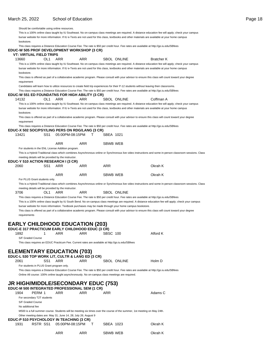| Should be comfortable using online resources.                   |     |                                                                                                   |            |                 |                                                                                                                                           |                                                                                                                                                           |
|-----------------------------------------------------------------|-----|---------------------------------------------------------------------------------------------------|------------|-----------------|-------------------------------------------------------------------------------------------------------------------------------------------|-----------------------------------------------------------------------------------------------------------------------------------------------------------|
|                                                                 |     |                                                                                                   |            |                 |                                                                                                                                           | This is a 100% online class taught by IU Southeast. No on-campus class meetings are required. A distance education fee will apply; check your campus      |
|                                                                 |     |                                                                                                   |            |                 |                                                                                                                                           | bursar website for more information. If IU e-Texts are not used for this class, textbooks and other materials are available at your home campus           |
| bookstore.                                                      |     |                                                                                                   |            |                 |                                                                                                                                           |                                                                                                                                                           |
|                                                                 |     |                                                                                                   |            |                 | This class requires a Distance Education Course Fee. The rate is \$50 per credit hour. Fee rates are available at http://go.iu.edu/SBfees |                                                                                                                                                           |
| <b>VT: VIRTUAL FIELD TRIPS</b>                                  |     | EDUC-W 505 PROF DEVELOPMENT WORKSHOP (3 CR)                                                       |            |                 |                                                                                                                                           |                                                                                                                                                           |
| 13660                                                           | OL1 | ARR                                                                                               | ARR        |                 | <b>SBOL ONLINE</b>                                                                                                                        | <b>Bratcher K</b>                                                                                                                                         |
|                                                                 |     |                                                                                                   |            |                 |                                                                                                                                           | This is a 100% online class taught by IU Southeast. No on-campus class meetings are required. A distance education fee will apply; check your campus      |
|                                                                 |     |                                                                                                   |            |                 |                                                                                                                                           | bursar website for more information. If IU e-Texts are not used for this class, textbooks and other materials are available at your home campus           |
| bookstore.                                                      |     |                                                                                                   |            |                 |                                                                                                                                           |                                                                                                                                                           |
| requirement                                                     |     |                                                                                                   |            |                 |                                                                                                                                           | This class is offered as part of a collaborative academic program. Please consult with your advisor to ensure this class will count toward your degree    |
|                                                                 |     |                                                                                                   |            |                 | Candidates will learn how to utilize resources to create field trip experiences for their P-12 students without leaving their classrooms. |                                                                                                                                                           |
|                                                                 |     |                                                                                                   |            |                 | This class requires a Distance Education Course Fee. The rate is \$50 per credit hour. Fee rates are available at http://go.iu.edu/SBfees |                                                                                                                                                           |
|                                                                 |     | <b>EDUC-W 551 ED FOUNDATNS FOR HIGH ABILITY (3 CR)</b>                                            |            |                 |                                                                                                                                           |                                                                                                                                                           |
| 14132                                                           | OL1 | ARR                                                                                               | ARR        |                 | SBOL ONLINE                                                                                                                               | Coffman A                                                                                                                                                 |
|                                                                 |     |                                                                                                   |            |                 |                                                                                                                                           | This is a 100% online class taught by IU Southeast. No on-campus class meetings are required. A distance education fee will apply; check your campus      |
|                                                                 |     |                                                                                                   |            |                 |                                                                                                                                           | bursar website for more information. If IU e-Texts are not used for this class, textbooks and other materials are available at your home campus           |
| bookstore.                                                      |     |                                                                                                   |            |                 |                                                                                                                                           |                                                                                                                                                           |
| requirement                                                     |     |                                                                                                   |            |                 |                                                                                                                                           | This class is offered as part of a collaborative academic program. Please consult with your advisor to ensure this class will count toward your degree    |
|                                                                 |     |                                                                                                   |            |                 | This class requires a Distance Education Course Fee. The rate is \$50 per credit hour. Fee rates are available at http://go.iu.edu/SBfees |                                                                                                                                                           |
|                                                                 |     | EDUC-X 502 SOC/PSY/LING PERS ON RDG/LANG (3 CR)                                                   |            |                 |                                                                                                                                           |                                                                                                                                                           |
| 13421                                                           | SS1 | 05:00PM-08:15PM                                                                                   | т          | SBEA 1021       |                                                                                                                                           |                                                                                                                                                           |
|                                                                 |     |                                                                                                   |            |                 |                                                                                                                                           |                                                                                                                                                           |
|                                                                 |     | ARR                                                                                               | ARR        | <b>SBWB WEB</b> |                                                                                                                                           |                                                                                                                                                           |
|                                                                 |     | For students in the ENL License Addition program.                                                 |            |                 |                                                                                                                                           |                                                                                                                                                           |
|                                                                 |     |                                                                                                   |            |                 |                                                                                                                                           | This is a Hybrid-Traditional class which combines Asynchronous online or Synchronous live video instructions and some in-person classroom sessions. Class |
| meeting details will be provided by the instructor.             |     |                                                                                                   |            |                 |                                                                                                                                           |                                                                                                                                                           |
|                                                                 |     | EDUC-Y 510 ACTION RESEARCH I (3 CR)                                                               |            |                 |                                                                                                                                           |                                                                                                                                                           |
| 2060                                                            | SS1 | ARR                                                                                               | ARR        | <b>ARR</b>      |                                                                                                                                           | Okrah K                                                                                                                                                   |
|                                                                 |     | ARR                                                                                               | <b>ARR</b> | <b>SBWB WEB</b> |                                                                                                                                           | Okrah K                                                                                                                                                   |
| For PLUS Grant students only.                                   |     |                                                                                                   |            |                 |                                                                                                                                           |                                                                                                                                                           |
|                                                                 |     |                                                                                                   |            |                 |                                                                                                                                           | This is a Hybrid-Traditional class which combines Asynchronous online or Synchronous live video instructions and some in-person classroom sessions. Class |
| meeting details will be provided by the instructor.             |     |                                                                                                   |            |                 |                                                                                                                                           |                                                                                                                                                           |
| 3706                                                            | OL1 | ARR                                                                                               | ARR        |                 | <b>SBOL ONLINE</b>                                                                                                                        |                                                                                                                                                           |
|                                                                 |     |                                                                                                   |            |                 | This class requires a Distance Education Course Fee. The rate is \$50 per credit hour. Fee rates are available at http://go.iu.edu/SBfees |                                                                                                                                                           |
|                                                                 |     |                                                                                                   |            |                 |                                                                                                                                           | This is a 100% online class taught by IU South Bend. No on-campus class meetings are required. A distance education fee will apply; check your campus     |
|                                                                 |     |                                                                                                   |            |                 | bursar website for more information. Textbook purchases may be made through your home campus bookstore.                                   |                                                                                                                                                           |
|                                                                 |     |                                                                                                   |            |                 |                                                                                                                                           | This class is offered as part of a collaborative academic program. Please consult with your advisor to ensure this class will count toward your degree    |
| requirements                                                    |     |                                                                                                   |            |                 |                                                                                                                                           |                                                                                                                                                           |
|                                                                 |     |                                                                                                   |            |                 |                                                                                                                                           |                                                                                                                                                           |
|                                                                 |     | <b>EARLY CHILDHOOD EDUCATION (203)</b>                                                            |            |                 |                                                                                                                                           |                                                                                                                                                           |
|                                                                 |     | EDUC-E 317 PRACTICUM EARLY CHILDHOOD EDUC (3 CR)                                                  |            |                 |                                                                                                                                           |                                                                                                                                                           |
| 1892                                                            | 1   | ARR                                                                                               | ARR        | SBSC 100        |                                                                                                                                           | Alford K                                                                                                                                                  |
| S/F Graded Course                                               |     |                                                                                                   |            |                 |                                                                                                                                           |                                                                                                                                                           |
|                                                                 |     | This class requires an EDUC Practicum Fee. Current rates are available at http://go.iu.edu/SBfees |            |                 |                                                                                                                                           |                                                                                                                                                           |
|                                                                 |     |                                                                                                   |            |                 |                                                                                                                                           |                                                                                                                                                           |
|                                                                 |     | <b>ELEMENTARY EDUCATION (703)</b>                                                                 |            |                 |                                                                                                                                           |                                                                                                                                                           |
|                                                                 |     | EDUC-L 530 TOP WORK LIT, CULTR & LANG ED (3 CR)                                                   |            |                 |                                                                                                                                           |                                                                                                                                                           |
| 2061                                                            | SS1 | ARR                                                                                               | ARR        |                 | SBOL ONLINE                                                                                                                               | Holm D                                                                                                                                                    |
| For students in PLUS Grant program only.                        |     |                                                                                                   |            |                 |                                                                                                                                           |                                                                                                                                                           |
|                                                                 |     |                                                                                                   |            |                 | This class requires a Distance Education Course Fee. The rate is \$50 per credit hour. Fee rates are available at http://go.iu.edu/SBfees |                                                                                                                                                           |
|                                                                 |     | Online All course: 100% online taught asynchronously. No on-campus class meetings are required.   |            |                 |                                                                                                                                           |                                                                                                                                                           |
|                                                                 |     |                                                                                                   |            |                 |                                                                                                                                           |                                                                                                                                                           |
|                                                                 |     | <b>JR HIGH/MIDDLE/SECONDARY EDUC (753)</b>                                                        |            |                 |                                                                                                                                           |                                                                                                                                                           |
|                                                                 |     | EDUC-M 500 INTEGRATED PROFESSIONAL SEM (1 CR)                                                     |            |                 |                                                                                                                                           |                                                                                                                                                           |
| 1904<br>PERM 1                                                  |     | ARR                                                                                               | ARR        | ARR             |                                                                                                                                           | Adams C                                                                                                                                                   |
| For secondary T2T students                                      |     |                                                                                                   |            |                 |                                                                                                                                           |                                                                                                                                                           |
| S/F Graded Course<br>No additional fee                          |     |                                                                                                   |            |                 |                                                                                                                                           |                                                                                                                                                           |
|                                                                 |     |                                                                                                   |            |                 | M500 is a full summer course. Students will be meeting six times over the course of the summer, 1st meeting on May 24th.                  |                                                                                                                                                           |
| Other meeting dates are: May 31; June 14, 28; July 26; August 9 |     |                                                                                                   |            |                 |                                                                                                                                           |                                                                                                                                                           |
|                                                                 |     |                                                                                                   |            |                 |                                                                                                                                           |                                                                                                                                                           |
|                                                                 |     |                                                                                                   |            |                 |                                                                                                                                           |                                                                                                                                                           |
| 1931<br>RSTR SS1                                                |     | EDUC-P 510 PSYCHOLOGY IN TEACHING (3 CR)<br>05:00PM-08:15PM                                       | T          | SBEA 1023       |                                                                                                                                           | Okrah K                                                                                                                                                   |
|                                                                 |     |                                                                                                   |            |                 |                                                                                                                                           |                                                                                                                                                           |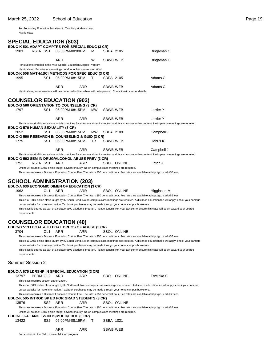For Secondary Education Transition to Teaching students only. Hybrid class

|                                                                                     |              |          |      | <b>SPECIAL EDUCATION (803)</b><br>EDUC-K 501 ADAPT COMPTRS FOR SPECIAL EDUC (3 CR)              |            |    |           |                                                                                                                                           |                                                                                                                                                        |
|-------------------------------------------------------------------------------------|--------------|----------|------|-------------------------------------------------------------------------------------------------|------------|----|-----------|-------------------------------------------------------------------------------------------------------------------------------------------|--------------------------------------------------------------------------------------------------------------------------------------------------------|
| 1903                                                                                |              | RSTR SS1 |      | 05:30PM-08:00PM                                                                                 |            | м  | SBEA 2105 |                                                                                                                                           | Bingaman C                                                                                                                                             |
|                                                                                     |              |          |      | ARR<br>For students enrolled in the MAT Special Education Degree Program                        |            | W  | SBWB WEB  |                                                                                                                                           | Bingaman C                                                                                                                                             |
|                                                                                     |              |          |      | Hybrid class. Face-to-face meetings on Mon, online sessions on Wed.                             |            |    |           |                                                                                                                                           |                                                                                                                                                        |
| 1995                                                                                |              |          | SS1  | EDUC-K 508 MATH&SCI METHODS FOR SPEC EDUC (3 CR)<br>05:00PM-08:15PM                             |            | т  | SBEA 2105 |                                                                                                                                           | Adams C                                                                                                                                                |
|                                                                                     |              |          |      | ARR                                                                                             | ARR        |    | SBWB WEB  |                                                                                                                                           | Adams C                                                                                                                                                |
|                                                                                     |              |          |      |                                                                                                 |            |    |           | Hybrid class, some sessions will be conducted online, others will be in-person. Contact instructor for details.                           |                                                                                                                                                        |
|                                                                                     |              |          |      | <b>COUNSELOR EDUCATION (903)</b>                                                                |            |    |           |                                                                                                                                           |                                                                                                                                                        |
|                                                                                     |              |          |      | <b>EDUC-G 500 ORIENTATION TO COUNSELING (3 CR)</b>                                              |            |    |           |                                                                                                                                           |                                                                                                                                                        |
| 1797                                                                                |              |          | SS1  | 05:00PM-08:15PM                                                                                 |            | МW | SBWB WEB  |                                                                                                                                           | Larrier Y                                                                                                                                              |
|                                                                                     |              |          |      | <b>ARR</b>                                                                                      | ARR        |    | SBWB WEB  |                                                                                                                                           | Larrier Y                                                                                                                                              |
|                                                                                     |              |          |      | EDUC-G 570 HUMAN SEXUALITY (3 CR)                                                               |            |    |           |                                                                                                                                           | This is a Hybrid-Distance class which combines Synchronous video instruction and Asynchronous online content. No in-person meetings are required.      |
| 2052                                                                                |              |          | SS1  | 05:00PM-08:15PM                                                                                 |            | МW | SBEA 2109 |                                                                                                                                           | Campbell J                                                                                                                                             |
|                                                                                     |              |          |      | EDUC-G 590 RESEARCH IN COUNSELING & GUID (3 CR)                                                 |            |    |           |                                                                                                                                           |                                                                                                                                                        |
| 1775                                                                                |              |          | SS1. | 05:00PM-08:15PM                                                                                 |            | TR | SBWB WEB  |                                                                                                                                           | Hanus K                                                                                                                                                |
|                                                                                     |              |          |      | <b>ARR</b>                                                                                      | <b>ARR</b> |    | SBWB WEB  |                                                                                                                                           | Campbell J                                                                                                                                             |
|                                                                                     |              |          |      |                                                                                                 |            |    |           |                                                                                                                                           | This is a Hybrid-Distance class which combines Synchronous video instruction and Asynchronous online content. No in-person meetings are required.      |
| 1751                                                                                |              | RSTR SS1 |      | EDUC-G 592 SEM IN DRUG/ALCOHOL ABUSE PREV (3 CR)<br>ARR                                         | ARR        |    |           | <b>SBOL ONLINE</b>                                                                                                                        | Linton J                                                                                                                                               |
|                                                                                     |              |          |      | Online All course: 100% online taught asynchronously. No on-campus class meetings are required. |            |    |           |                                                                                                                                           |                                                                                                                                                        |
|                                                                                     |              |          |      |                                                                                                 |            |    |           | This class requires a Distance Education Course Fee. The rate is \$50 per credit hour. Fee rates are available at http://go.iu.edu/SBfees |                                                                                                                                                        |
| <b>SCHOOL ADMINISTRATION (203)</b><br>EDUC-A 630 ECONOMIC DIMEN OF EDUCATION (3 CR) |              |          |      |                                                                                                 |            |    |           |                                                                                                                                           |                                                                                                                                                        |
| 1962                                                                                |              |          | OL1  | ARR                                                                                             | ARR        |    |           | SBOL ONLINE                                                                                                                               | Higginson M                                                                                                                                            |
|                                                                                     |              |          |      |                                                                                                 |            |    |           | This class requires a Distance Education Course Fee. The rate is \$50 per credit hour. Fee rates are available at http://go.iu.edu/SBfees |                                                                                                                                                        |
|                                                                                     |              |          |      |                                                                                                 |            |    |           |                                                                                                                                           | This is a 100% online class taught by IU South Bend. No on-campus class meetings are required. A distance education fee will apply; check your campus  |
|                                                                                     | requirements |          |      |                                                                                                 |            |    |           | bursar website for more information. Textbook purchases may be made through your home campus bookstore.                                   | This class is offered as part of a collaborative academic program. Please consult with your advisor to ensure this class will count toward your degree |
|                                                                                     |              |          |      |                                                                                                 |            |    |           |                                                                                                                                           |                                                                                                                                                        |
|                                                                                     |              |          |      | <b>COUNSELOR EDUCATION (40)</b><br>EDUC-G 513 LEGAL & ILLEGAL DRUGS OF ABUSE (3 CR)             |            |    |           |                                                                                                                                           |                                                                                                                                                        |
| 3704                                                                                |              |          | OL1  | <b>ARR</b>                                                                                      | ARR        |    |           | <b>SBOL ONLINE</b>                                                                                                                        |                                                                                                                                                        |
|                                                                                     |              |          |      |                                                                                                 |            |    |           | This class requires a Distance Education Course Fee. The rate is \$50 per credit hour. Fee rates are available at http://go.iu.edu/SBfees |                                                                                                                                                        |
|                                                                                     |              |          |      |                                                                                                 |            |    |           |                                                                                                                                           | This is a 100% online class taught by IU South Bend. No on-campus class meetings are required. A distance education fee will apply; check your campus  |
|                                                                                     |              |          |      |                                                                                                 |            |    |           | bursar website for more information. Textbook purchases may be made through your home campus bookstore.                                   |                                                                                                                                                        |
|                                                                                     | requirements |          |      |                                                                                                 |            |    |           |                                                                                                                                           | This class is offered as part of a collaborative academic program. Please consult with your advisor to ensure this class will count toward your degree |
| <b>Summer Session 2</b>                                                             |              |          |      |                                                                                                 |            |    |           |                                                                                                                                           |                                                                                                                                                        |
|                                                                                     | 13797        | PERM OL2 |      | EDUC-A 675 LDRSHP IN SPECIAL EDUCATION (3 CR)<br>ARR                                            | ARR        |    |           | SBOL ONLINE                                                                                                                               | Trzcinka S                                                                                                                                             |
|                                                                                     |              |          |      | This class requires section authorization.                                                      |            |    |           |                                                                                                                                           |                                                                                                                                                        |
|                                                                                     |              |          |      |                                                                                                 |            |    |           |                                                                                                                                           | This is a 100% online class taught by IU Northwest. No on-campus class meetings are required. A distance education fee will apply; check your campus   |
|                                                                                     |              |          |      |                                                                                                 |            |    |           | bursar website for more information. Textbook purchases may be made through your home campus bookstore.                                   |                                                                                                                                                        |
|                                                                                     |              |          |      | <b>EDUC-K 505 INTROD SP ED FOR GRAD STUDENTS (3 CR)</b>                                         |            |    |           | This class requires a Distance Education Course Fee. The rate is \$50 per credit hour. Fee rates are available at http://go.iu.edu/SBfees |                                                                                                                                                        |
|                                                                                     | 13576        |          | SS2  | ARR                                                                                             | ARR        |    |           | SBOL ONLINE                                                                                                                               |                                                                                                                                                        |
|                                                                                     |              |          |      |                                                                                                 |            |    |           | This class requires a Distance Education Course Fee. The rate is \$50 per credit hour. Fee rates are available at http://go.iu.edu/SBfees |                                                                                                                                                        |
|                                                                                     |              |          |      | Online All course: 100% online taught asynchronously. No on-campus class meetings are required. |            |    |           |                                                                                                                                           |                                                                                                                                                        |
|                                                                                     | 13422        |          | SS2  | EDUC-L 524 LANG ISS IN BI/MULTI/EDUC (3 CR)<br>05:00PM-08:15PM                                  |            | Τ  | SBEA 1021 |                                                                                                                                           |                                                                                                                                                        |
|                                                                                     |              |          |      | ARR                                                                                             | ARR        |    | SBWB WEB  |                                                                                                                                           |                                                                                                                                                        |

For students in the ENL License Addition program.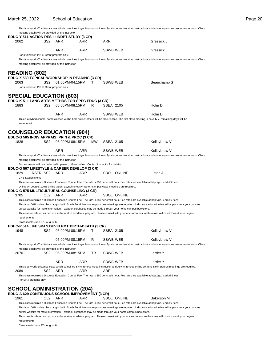March 25, 2022 School of Education Page 20 This is a Hybrid-Traditional class which combines Asynchronous online or Synchronous live video instructions and some in-person classroom sessions. Class meeting details will be provided by the instructor. **EDUC-Y 511 ACTION RES II: INDPT STUDY (3 CR)** 2062 SS2 ARR ARR ARR Gressick J ARR ARR SBWB WEB Gressick J For students in PLUS Grant program only. This is a Hybrid-Traditional class which combines Asynchronous online or Synchronous live video instructions and some in-person classroom sessions. Class meeting details will be provided by the instructor. **READING (802) EDUC-X 530 TOPICAL WORKSHOP IN READING (3 CR)** 2063 SS2 01:00PM-04:15PM T SBWB WEB Beauchamp S For students in PLUS Grant program only. **SPECIAL EDUCATION (803) EDUC-K 511 LANG ARTS METHDS FOR SPEC EDUC (3 CR)** 1883 SS2 05:00PM-08:15PM R SBEA 2105 Holm D ARR ARR SBWB WEB Holm D This is a hybrid course, some classes wlll be held online; others will be face-to-face. The first class meeting is on July 7, remaining days will be announced. **COUNSELOR EDUCATION (904) EDUC-G 505 INDIV APPRAIS: PRIN & PROC (3 CR)** 1828 SS2 05:00PM-08:15PM MW SBEA 2105 Kelleybrew V ARR ARR SBWB WEB Kelleybrew V This is a Hybrid-Traditional class which combines Asynchronous online or Synchronous live video instructions and some in-person classroom sessions. Class meeting details will be provided by the instructor. Some classes will be conducted in person, others online. Contact instructor for details. **EDUC-G 507 LIFESTYLE & CAREER DEVELOP (3 CR)** 1829 RSTR SS2 ARR ARR SBOL ONLINE Linton J CHS Students only This class requires a Distance Education Course Fee. The rate is \$50 per credit hour. Fee rates are available at http://go.iu.edu/SBfees Online All course: 100% online taught asynchronously. No on-campus class meetings are required. **EDUC-G 575 MULTICULTURAL COUNSELING (3 CR)** 3705 OL2 ARR ARR SBOL ONLINE This class requires a Distance Education Course Fee. The rate is \$50 per credit hour. Fee rates are available at http://go.iu.edu/SBfees This is a 100% online class taught by IU South Bend. No on-campus class meetings are required. A distance education fee will apply; check your campus bursar website for more information. Textbook purchases may be made through your home campus bookstore. This class is offered as part of a collaborative academic program. Please consult with your advisor to ensure this class will count toward your degree requirements Class meets June 27 - August 6 **EDUC-P 514 LIFE SPAN DEVELPMT:BIRTH-DEATH (3 CR)** 1948 SS2 05:00PM-08:15PM T SBEA 2105 Kelleybrew V 05:00PM-08:15PM R SBWB WEB Kelleybrew V This is a Hybrid-Traditional class which combines Asynchronous online or Synchronous live video instructions and some in-person classroom sessions. Class meeting details will be provided by the instructor. 2070 SS2 05:00PM-08:15PM TR SBWB WEB Larrier Y ARR ARR SBWB WEB Larrier Y This is a Hybrid-Distance class which combines Synchronous video instruction and Asynchronous online content. No in-person meetings are required. 2089 SS2 ARR ARR ARR This class requires a Distance Education Course Fee. The rate is \$50 per credit hour. Fee rates are available at http://go.iu.edu/SBfees For MAT students only. **SCHOOL ADMINISTRATION (204) EDUC-A 629 CONTINUOUS SCHOOL IMPROVEMENT (3 CR)** 1961 OL2 ARR ARR SBOL ONLINE Bakerson M This class requires a Distance Education Course Fee. The rate is \$50 per credit hour. Fee rates are available at http://go.iu.edu/SBfees This is a 100% online class taught by IU South Bend. No on-campus class meetings are required. A distance education fee will apply; check your campus

bursar website for more information. Textbook purchases may be made through your home campus bookstore.

\_\_\_\_\_\_\_\_\_\_\_\_\_\_\_\_\_\_\_\_\_\_\_\_\_\_\_\_\_\_\_\_\_\_\_\_\_\_\_\_\_\_\_\_\_\_\_\_\_\_

This class is offered as part of a collaborative academic program. Please consult with your advisor to ensure this class will count toward your degree requirements

Class meets June 27 - August 6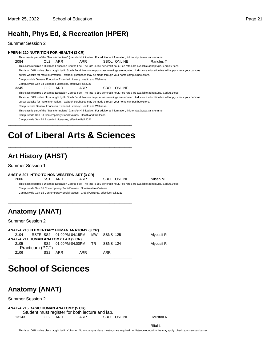### **Health, Phys Ed, & Recreation (HPER)**

#### Summer Session 2

#### **HPER-N 220 NUTRITION FOR HEALTH (3 CR)**

This class is part of the "Transfer Indiana" (transferIN) initiative. For additional information, link to http://www.transferin.net 2084 OL2 ARR ARR SBOL ONLINE Randles T This class requires a Distance Education Course Fee. The rate is \$50 per credit hour. Fee rates are available at http://go.iu.edu/SBfees This is a 100% online class taught by IU South Bend. No on-campus class meetings are required. A distance education fee will apply; check your campus bursar website for more information. Textbook purchases may be made through your home campus bookstore. Campus-wide General Education Extended Literacy: Health and Wellness. Campuswide Gen Ed Extended Literacies, effective Fall 2021 3345 OL2 ARR ARR SBOL ONLINE This class requires a Distance Education Course Fee. The rate is \$50 per credit hour. Fee rates are available at http://go.iu.edu/SBfees This is a 100% online class taught by IU South Bend. No on-campus class meetings are required. A distance education fee will apply; check your campus bursar website for more information. Textbook purchases may be made through your home campus bookstore. Campus-wide General Education Extended Literacy: Health and Wellness. This class is part of the "Transfer Indiana" (transferIN) initiative. For additional information, link to http://www.transferin.net Campuswide Gen Ed Contemporary Social Values: Health and Wellness Campuswide Gen Ed Extended Literacies, effective Fall 2021 \_\_\_\_\_\_\_\_\_\_\_\_\_\_\_\_\_\_\_\_\_\_\_\_\_\_\_\_\_\_\_\_\_\_\_\_\_\_\_\_\_\_\_\_\_\_\_\_\_\_

### **Col of Liberal Arts & Sciences** \_\_\_\_\_\_\_\_\_\_\_\_\_\_\_\_\_\_\_\_\_\_\_\_\_\_\_\_\_\_\_\_\_\_\_\_\_\_\_\_\_\_\_\_\_\_\_\_\_\_

### **Art History (AHST)**

Summer Session 1

#### **AHST-A 307 INTRO TO NON-WESTERN ART (3 CR)**

2006 SS1 ARR ARR SBOL ONLINE Nilsen M This class requires a Distance Education Course Fee. The rate is \$50 per credit hour. Fee rates are available at http://go.iu.edu/SBfees Campuswide Gen Ed Contemporary Social Values: Non-Western Cultures Campuswide Gen Ed Contemporary Social Values: Global Cultures, effective Fall 2021

\_\_\_\_\_\_\_\_\_\_\_\_\_\_\_\_\_\_\_\_\_\_\_\_\_\_\_\_\_\_\_\_\_\_\_\_\_\_\_\_\_\_\_\_\_\_\_\_\_\_

### **Anatomy (ANAT)**

Summer Session 2

|      | ANAT-A 210 ELEMENTARY HUMAN ANATOMY (3 CR) |                        |           |                 |            |
|------|--------------------------------------------|------------------------|-----------|-----------------|------------|
| 2104 | RSTR SS2 01:00PM-04:15PM                   |                        | <b>MW</b> | SBNS 125        | Alyousif R |
|      | ANAT-A 211 HUMAN ANATOMY LAB (2 CR)        |                        |           |                 |            |
| 2105 |                                            | SS2 01:00PM-04:00PM TR |           | <b>SBNS 124</b> | Alyousif R |
|      | Practicum (PCT)                            |                        |           |                 |            |
| 2106 | SS2 ARR                                    | ARR                    |           | ARR             |            |
|      |                                            |                        |           |                 |            |

## **School of Sciences**

### **Anatomy (ANAT)**

Summer Session 2

**ANAT-A 215 BASIC HUMAN ANATOMY (5 CR)**

|       |         | Student must register for both lecture and lab. |             |           |
|-------|---------|-------------------------------------------------|-------------|-----------|
| 13143 | OL2 ARR | ARR                                             | SBOL ONLINE | Houston N |

\_\_\_\_\_\_\_\_\_\_\_\_\_\_\_\_\_\_\_\_\_\_\_\_\_\_\_\_\_\_\_\_\_\_\_\_\_\_\_\_\_\_\_\_\_\_\_\_\_\_

Rifai L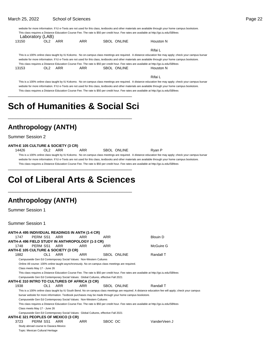|  |  | Ω<br>ıc |  |
|--|--|---------|--|
|--|--|---------|--|

|       | Laboratory (LAB) |     |            |                    | website for more information. If IU e-Texts are not used for this class, textbooks and other materials are available through your home campus bookstore.<br>This class requires a Distance Education Course Fee. The rate is \$50 per credit hour. Fee rates are available at http://go.iu.edu/SBfees                                                                                                                                                            |
|-------|------------------|-----|------------|--------------------|------------------------------------------------------------------------------------------------------------------------------------------------------------------------------------------------------------------------------------------------------------------------------------------------------------------------------------------------------------------------------------------------------------------------------------------------------------------|
| 13150 | OL <sub>2</sub>  | ARR | <b>ARR</b> | <b>SBOL ONLINE</b> | Houston N                                                                                                                                                                                                                                                                                                                                                                                                                                                        |
|       |                  |     |            |                    | Rifai L                                                                                                                                                                                                                                                                                                                                                                                                                                                          |
|       |                  |     |            |                    | This is a 100% online class taught by IU Kokomo. No on-campus class meetings are required. A distance education fee may apply; check your campus bursar<br>website for more information. If IU e-Texts are not used for this class, textbooks and other materials are available through your home campus bookstore.<br>This class requires a Distance Education Course Fee. The rate is \$50 per credit hour. Fee rates are available at http://qo.iu.edu/SBfees |
| 13153 | OL2              | ARR | ARR        | SBOL ONLINE        | Houston N                                                                                                                                                                                                                                                                                                                                                                                                                                                        |
|       |                  |     |            |                    | Rifai L                                                                                                                                                                                                                                                                                                                                                                                                                                                          |
|       |                  |     |            |                    | This is a 100% online class taught by IU Kokomo. No on-campus class meetings are required. A distance education fee may apply; check your campus bursar<br>website for more information. If IU e-Texts are not used for this class, textbooks and other materials are available through your home campus bookstore.                                                                                                                                              |
|       |                  |     |            |                    | This class requires a Distance Education Course Fee. The rate is \$50 per credit hour. Fee rates are available at http://qo.iu.edu/SBfees                                                                                                                                                                                                                                                                                                                        |

## **Sch of Humanities & Social Sci**

\_\_\_\_\_\_\_\_\_\_\_\_\_\_\_\_\_\_\_\_\_\_\_\_\_\_\_\_\_\_\_\_\_\_\_\_\_\_\_\_\_\_\_\_\_\_\_\_\_\_

### **Anthropology (ANTH)**

Summer Session 2

#### **ANTH-E 105 CULTURE & SOCIETY (3 CR)**

14426 OL2 ARR ARR SBOL ONLINE Ryan P This is a 100% online class taught by IU Kokomo. No on-campus class meetings are required. A distance education fee may apply; check your campus bursar website for more information. If IU e-Texts are not used for this class, textbooks and other materials are available through your home campus bookstore. This class requires a Distance Education Course Fee. The rate is \$50 per credit hour. Fee rates are available at http://go.iu.edu/SBfees \_\_\_\_\_\_\_\_\_\_\_\_\_\_\_\_\_\_\_\_\_\_\_\_\_\_\_\_\_\_\_\_\_\_\_\_\_\_\_\_\_\_\_\_\_\_\_\_\_\_

## **Col of Liberal Arts & Sciences**

\_\_\_\_\_\_\_\_\_\_\_\_\_\_\_\_\_\_\_\_\_\_\_\_\_\_\_\_\_\_\_\_\_\_\_\_\_\_\_\_\_\_\_\_\_\_\_\_\_\_

### **Anthropology (ANTH)**

Summer Session 1

|                                                                                    | ANTH-A 495 INDIVIDUAL READINGS IN ANTH (1-4 CR)                                                                                           |            |            |                                                                                                         |                                                                                                                                                       |  |  |  |  |
|------------------------------------------------------------------------------------|-------------------------------------------------------------------------------------------------------------------------------------------|------------|------------|---------------------------------------------------------------------------------------------------------|-------------------------------------------------------------------------------------------------------------------------------------------------------|--|--|--|--|
| 1747                                                                               | PERM SS1                                                                                                                                  | ARR        | ARR        | ARR                                                                                                     | Blouin D                                                                                                                                              |  |  |  |  |
|                                                                                    | ANTH-A 496 FIELD STUDY IN ANTHROPOLOGY (1-3 CR)                                                                                           |            |            |                                                                                                         |                                                                                                                                                       |  |  |  |  |
| 1748                                                                               | PERM SS1                                                                                                                                  | ARR        | <b>ARR</b> | ARR                                                                                                     | McGuire G                                                                                                                                             |  |  |  |  |
|                                                                                    | ANTH-E 105 CULTURE & SOCIETY (3 CR)                                                                                                       |            |            |                                                                                                         |                                                                                                                                                       |  |  |  |  |
| 1882                                                                               | OL <sub>1</sub>                                                                                                                           | <b>ARR</b> | ARR        | SBOL ONLINE                                                                                             | Randall T                                                                                                                                             |  |  |  |  |
|                                                                                    | Campuswide Gen Ed Contemporary Social Values: Non-Western Cultures                                                                        |            |            |                                                                                                         |                                                                                                                                                       |  |  |  |  |
|                                                                                    |                                                                                                                                           |            |            | Online All course: 100% online taught asynchronously. No on-campus class meetings are required.         |                                                                                                                                                       |  |  |  |  |
|                                                                                    | Class meets May 17 - June 26                                                                                                              |            |            |                                                                                                         |                                                                                                                                                       |  |  |  |  |
|                                                                                    | This class requires a Distance Education Course Fee. The rate is \$50 per credit hour. Fee rates are available at http://qo.iu.edu/SBfees |            |            |                                                                                                         |                                                                                                                                                       |  |  |  |  |
| Campuswide Gen Ed Contemporary Social Values: Global Cultures, effective Fall 2021 |                                                                                                                                           |            |            |                                                                                                         |                                                                                                                                                       |  |  |  |  |
| ANTH-E 310 INTRO TO CULTURES OF AFRICA (3 CR)                                      |                                                                                                                                           |            |            |                                                                                                         |                                                                                                                                                       |  |  |  |  |
|                                                                                    |                                                                                                                                           |            |            |                                                                                                         |                                                                                                                                                       |  |  |  |  |
| 1938                                                                               | OL1                                                                                                                                       | <b>ARR</b> | ARR        | <b>SBOL ONLINE</b>                                                                                      | Randall T                                                                                                                                             |  |  |  |  |
|                                                                                    |                                                                                                                                           |            |            |                                                                                                         | This is a 100% online class taught by IU South Bend. No on-campus class meetings are required. A distance education fee will apply; check your campus |  |  |  |  |
|                                                                                    |                                                                                                                                           |            |            | bursar website for more information. Textbook purchases may be made through your home campus bookstore. |                                                                                                                                                       |  |  |  |  |
|                                                                                    | Campuswide Gen Ed Contemporary Social Values: Non-Western Cultures                                                                        |            |            |                                                                                                         |                                                                                                                                                       |  |  |  |  |
|                                                                                    |                                                                                                                                           |            |            |                                                                                                         | This class requires a Distance Education Course Fee. The rate is \$50 per credit hour. Fee rates are available at http://qo.iu.edu/SBfees             |  |  |  |  |
|                                                                                    | Class meets May 17 - June 26                                                                                                              |            |            |                                                                                                         |                                                                                                                                                       |  |  |  |  |
|                                                                                    | Campuswide Gen Ed Contemporary Social Values: Global Cultures, effective Fall 2021                                                        |            |            |                                                                                                         |                                                                                                                                                       |  |  |  |  |
|                                                                                    | ANTH-E 321 PEOPLES OF MEXICO (3 CR)                                                                                                       |            |            |                                                                                                         |                                                                                                                                                       |  |  |  |  |
| 3723                                                                               | PERM SS1                                                                                                                                  | ARR        | ARR        | SBOC OC                                                                                                 | VanderVeen J                                                                                                                                          |  |  |  |  |
|                                                                                    | Study abroad course to Oaxaca Mexico                                                                                                      |            |            |                                                                                                         |                                                                                                                                                       |  |  |  |  |
|                                                                                    | Topic: Mexican Cultural Heritage                                                                                                          |            |            |                                                                                                         |                                                                                                                                                       |  |  |  |  |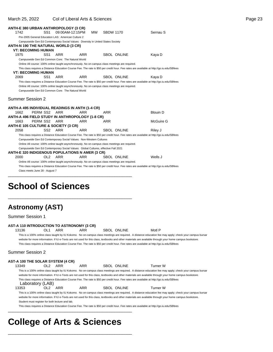### March 25, 2022 Col of Liberal Arts & Sciences **Page 23** Page 23

| <b>ANTH-E 380 URBAN ANTHROPOLOGY (3 CR)</b>            |                                                                                                 |            |                 |           |                  |                    |                                                                                                                                           |
|--------------------------------------------------------|-------------------------------------------------------------------------------------------------|------------|-----------------|-----------|------------------|--------------------|-------------------------------------------------------------------------------------------------------------------------------------------|
| 1742                                                   | SS <sub>1</sub>                                                                                 |            | 09:00AM-12:15PM | <b>MW</b> | <b>SBDW 1170</b> |                    | Sernau S                                                                                                                                  |
|                                                        | Pre-2005 General Education LAS: American Culture 2                                              |            |                 |           |                  |                    |                                                                                                                                           |
|                                                        | Campuswide Gen Ed Contemporary Social Values: Diversity in United States Society                |            |                 |           |                  |                    |                                                                                                                                           |
| <b>ANTH-N 190 THE NATURAL WORLD (3 CR)</b>             |                                                                                                 |            |                 |           |                  |                    |                                                                                                                                           |
|                                                        | <b>VT: BECOMING HUMAN</b>                                                                       |            |                 |           |                  |                    |                                                                                                                                           |
| 1975                                                   | SS <sub>1</sub>                                                                                 | <b>ARR</b> | <b>ARR</b>      |           |                  | <b>SBOL ONLINE</b> | Kaya D                                                                                                                                    |
|                                                        | Campuswide Gen Ed Common Core: The Natural World                                                |            |                 |           |                  |                    |                                                                                                                                           |
|                                                        | Online All course: 100% online taught asynchronously. No on-campus class meetings are required. |            |                 |           |                  |                    |                                                                                                                                           |
|                                                        |                                                                                                 |            |                 |           |                  |                    | This class requires a Distance Education Course Fee. The rate is \$50 per credit hour. Fee rates are available at http://go.iu.edu/SBfees |
|                                                        | <b>VT: BECOMING HUMAN</b>                                                                       |            |                 |           |                  |                    |                                                                                                                                           |
| 2069                                                   | SS <sub>1</sub>                                                                                 | <b>ARR</b> | <b>ARR</b>      |           |                  | <b>SBOL ONLINE</b> | Kaya D                                                                                                                                    |
|                                                        |                                                                                                 |            |                 |           |                  |                    | This class requires a Distance Education Course Fee. The rate is \$50 per credit hour. Fee rates are available at http://go.iu.edu/SBfees |
|                                                        | Online All course: 100% online taught asynchronously. No on-campus class meetings are required. |            |                 |           |                  |                    |                                                                                                                                           |
|                                                        | Campuswide Gen Ed Common Core: The Natural World                                                |            |                 |           |                  |                    |                                                                                                                                           |
| <b>Summer Session 2</b>                                |                                                                                                 |            |                 |           |                  |                    |                                                                                                                                           |
|                                                        |                                                                                                 |            |                 |           |                  |                    |                                                                                                                                           |
| ANTH-A 495 INDIVIDUAL READINGS IN ANTH (1-4 CR)        |                                                                                                 |            |                 |           |                  |                    |                                                                                                                                           |
| 1662                                                   | PERM SS2                                                                                        | <b>ARR</b> | <b>ARR</b>      |           | ARR              |                    | <b>Blouin D</b>                                                                                                                           |
| ANTH-A 496 FIELD STUDY IN ANTHROPOLOGY (1-8 CR)        |                                                                                                 |            |                 |           |                  |                    |                                                                                                                                           |
| 1663                                                   | PERM SS2                                                                                        | ARR        | <b>ARR</b>      |           | <b>ARR</b>       |                    | McGuire G                                                                                                                                 |
| <b>ANTH-E 105 CULTURE &amp; SOCIETY (3 CR)</b>         |                                                                                                 |            |                 |           |                  |                    |                                                                                                                                           |
| 2058                                                   | SS <sub>2</sub>                                                                                 | <b>ARR</b> | <b>ARR</b>      |           |                  | <b>SBOL ONLINE</b> | Riley J                                                                                                                                   |
|                                                        |                                                                                                 |            |                 |           |                  |                    | This class requires a Distance Education Course Fee. The rate is \$50 per credit hour. Fee rates are available at http://go.iu.edu/SBfees |
|                                                        | Campuswide Gen Ed Contemporary Social Values: Non-Western Cultures                              |            |                 |           |                  |                    |                                                                                                                                           |
|                                                        | Online All course: 100% online taught asynchronously. No on-campus class meetings are required. |            |                 |           |                  |                    |                                                                                                                                           |
|                                                        | Campuswide Gen Ed Contemporary Social Values: Global Cultures, effective Fall 2021              |            |                 |           |                  |                    |                                                                                                                                           |
| <b>ANTH-E 320 INDIGENOUS POPULATIONS N AMER (3 CR)</b> |                                                                                                 |            |                 |           |                  |                    |                                                                                                                                           |
| 2000                                                   | OL <sub>2</sub>                                                                                 | <b>ARR</b> | <b>ARR</b>      |           |                  | <b>SBOL ONLINE</b> | Wells J                                                                                                                                   |
|                                                        | Online All course: 100% online taught asynchronously. No on-campus class meetings are required. |            |                 |           |                  |                    |                                                                                                                                           |
|                                                        |                                                                                                 |            |                 |           |                  |                    | This class requires a Distance Education Course Fee. The rate is \$50 per credit hour. Fee rates are available at http://go.iu.edu/SBfees |
|                                                        | Class meets June 28 - August 7                                                                  |            |                 |           |                  |                    |                                                                                                                                           |
|                                                        |                                                                                                 |            |                 |           |                  |                    |                                                                                                                                           |

## **School of Sciences**

\_\_\_\_\_\_\_\_\_\_\_\_\_\_\_\_\_\_\_\_\_\_\_\_\_\_\_\_\_\_\_\_\_\_\_\_\_\_\_\_\_\_\_\_\_\_\_\_\_\_

## **Astronomy (AST)**

| Summer Session 1                                |                 |     |            |             |                                                                                                                                                                                                                                                                                                                     |
|-------------------------------------------------|-----------------|-----|------------|-------------|---------------------------------------------------------------------------------------------------------------------------------------------------------------------------------------------------------------------------------------------------------------------------------------------------------------------|
| AST-A 110 INTRODUCTION TO ASTRONOMY (3 CR)      |                 |     |            |             |                                                                                                                                                                                                                                                                                                                     |
| 13136                                           | OL <sub>1</sub> | ARR | ARR        | SBOL ONLINE | Motl P                                                                                                                                                                                                                                                                                                              |
|                                                 |                 |     |            |             | This is a 100% online class taught by IU Kokomo. No on-campus class meetings are required. A distance education fee may apply; check your campus bursar<br>website for more information. If IU e-Texts are not used for this class, textbooks and other materials are available through your home campus bookstore. |
|                                                 |                 |     |            |             | This class requires a Distance Education Course Fee. The rate is \$50 per credit hour. Fee rates are available at http://go.iu.edu/SBfees                                                                                                                                                                           |
| Summer Session 2                                |                 |     |            |             |                                                                                                                                                                                                                                                                                                                     |
| AST-A 100 THE SOLAR SYSTEM (4 CR)               |                 |     |            |             |                                                                                                                                                                                                                                                                                                                     |
| 13349                                           | OL <sub>2</sub> | ARR | <b>ARR</b> | SBOL ONLINE | Turner W                                                                                                                                                                                                                                                                                                            |
|                                                 |                 |     |            |             | This is a 100% online class taught by IU Kokomo. No on-campus class meetings are required. A distance education fee may apply; check your campus bursar                                                                                                                                                             |
|                                                 |                 |     |            |             | website for more information. If IU e-Texts are not used for this class, textbooks and other materials are available through your home campus bookstore.                                                                                                                                                            |
| Laboratory (LAB)                                |                 |     |            |             | This class requires a Distance Education Course Fee. The rate is \$50 per credit hour. Fee rates are available at http://go.iu.edu/SBfees                                                                                                                                                                           |
| 13353                                           | OL <sub>2</sub> | ARR | ARR        | SBOL ONLINE | Turner W                                                                                                                                                                                                                                                                                                            |
|                                                 |                 |     |            |             | This is a 100% online class taught by IU Kokomo. No on-campus class meetings are required. A distance education fee may apply; check your campus bursar                                                                                                                                                             |
|                                                 |                 |     |            |             | website for more information. If IU e-Texts are not used for this class, textbooks and other materials are available through your home campus bookstore.                                                                                                                                                            |
| Student must register for both lecture and lab. |                 |     |            |             |                                                                                                                                                                                                                                                                                                                     |
|                                                 |                 |     |            |             | This class requires a Distance Education Course Fee. The rate is \$50 per credit hour. Fee rates are available at http://go.iu.edu/SBfees                                                                                                                                                                           |
|                                                 |                 |     |            |             |                                                                                                                                                                                                                                                                                                                     |

## **College of Arts & Sciences**

\_\_\_\_\_\_\_\_\_\_\_\_\_\_\_\_\_\_\_\_\_\_\_\_\_\_\_\_\_\_\_\_\_\_\_\_\_\_\_\_\_\_\_\_\_\_\_\_\_\_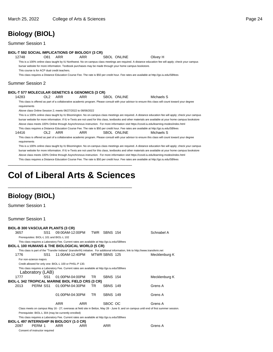## **Biology (BIOL)**

Summer Session 1

#### **BIOL-T 592 SOCIAL IMPLICATIONS OF BIOLOGY (3 CR)**

12748 O81 ARR ARR SBOL ONLINE Olivey H This is a 100% online class taught by IU Northwest. No on-campus class meetings are required. A distance education fee will apply; check your campus bursar website for more information. Textbook purchases may be made through your home campus bookstore. This course is for ACP dual credit teachers.

This class requires a Distance Education Course Fee. The rate is \$50 per credit hour. Fee rates are available at http://go.iu.edu/SBfees

#### Summer Session 2

#### **BIOL-T 577 MOLECULAR GENETICS & GENOMICS (3 CR)**

14283 OL2 ARR ARR SBOL ONLINE Michaels S This class is offered as part of a collaborative academic program. Please consult with your advisor to ensure this class will count toward your degree requirements

Above class Online Session 2; meets 06/27/2022 to 08/06/2022

This is a 100% online class taught by IU Bloomington. No on-campus class meetings are required. A distance education fee will apply; check your campus bursar website for more information. If IU e-Texts are not used for this class, textbooks and other materials are available at your home campus bookstore Above class meets 100% Online through Asynchronous instruction. For more information visit https://covid.iu.edu/learning-modes/index.html

This class requires a Distance Education Course Fee. The rate is \$50 per credit hour. Fee rates are available at http://go.iu.edu/SBfees 14416 OL2 ARR ARR SBOL ONLINE Michaels S

This class is offered as part of a collaborative academic program. Please consult with your advisor to ensure this class will count toward your degree requirements

This is a 100% online class taught by IU Bloomington. No on-campus class meetings are required. A distance education fee will apply; check your campus bursar website for more information. If IU e-Texts are not used for this class, textbooks and other materials are available at your home campus bookstore Above class meets 100% Online through Asynchronous instruction. For more information visit https://covid.iu.edu/learning-modes/index.html This class requires a Distance Education Course Fee. The rate is \$50 per credit hour. Fee rates are available at http://go.iu.edu/SBfees \_\_\_\_\_\_\_\_\_\_\_\_\_\_\_\_\_\_\_\_\_\_\_\_\_\_\_\_\_\_\_\_\_\_\_\_\_\_\_\_\_\_\_\_\_\_\_\_\_\_

## **Col of Liberal Arts & Sciences**

\_\_\_\_\_\_\_\_\_\_\_\_\_\_\_\_\_\_\_\_\_\_\_\_\_\_\_\_\_\_\_\_\_\_\_\_\_\_\_\_\_\_\_\_\_\_\_\_\_\_

### **Biology (BIOL)**

Summer Session 1

| <b>BIOL-B 300 VASCULAR PLANTS (3 CR)</b> |                                                 |                 |                                                                                              |            |    |                 |                                                                                                                                        |               |  |
|------------------------------------------|-------------------------------------------------|-----------------|----------------------------------------------------------------------------------------------|------------|----|-----------------|----------------------------------------------------------------------------------------------------------------------------------------|---------------|--|
| 3657                                     |                                                 | SS1.            | 09:00AM-12:00PM                                                                              |            |    | TWR SBNS 154    |                                                                                                                                        | Schnabel A    |  |
|                                          | Prerequisites: BIOL-L 101 and BIOL-L 102        |                 |                                                                                              |            |    |                 |                                                                                                                                        |               |  |
|                                          |                                                 |                 | This class requires a Laboratory Fee. Current rates are available at http://go.iu.edu/SBfees |            |    |                 |                                                                                                                                        |               |  |
|                                          | BIOL-L 100 HUMANS & THE BIOLOGICAL WORLD (5 CR) |                 |                                                                                              |            |    |                 |                                                                                                                                        |               |  |
|                                          |                                                 |                 |                                                                                              |            |    |                 | This class is part of the "Transfer Indiana" (transferIN) initiative. For additional information, link to http://www.transferin.net    |               |  |
| 1776                                     |                                                 | SS1             | 11:00AM-12:40PM                                                                              |            |    | MTWR SBNS 125   |                                                                                                                                        | Mecklenburg K |  |
|                                          | For non-science majors                          |                 |                                                                                              |            |    |                 |                                                                                                                                        |               |  |
|                                          |                                                 |                 | Credit allowed for only one: BIOL-L 100 or PHSL-P 130.                                       |            |    |                 |                                                                                                                                        |               |  |
|                                          | Laboratory (LAB)                                |                 | This class requires a Laboratory Fee. Current rates are available at http://go.iu.edu/SBfees |            |    |                 |                                                                                                                                        |               |  |
| 1777                                     |                                                 | SS <sub>1</sub> | 01:00PM-04:00PM                                                                              |            | TR | <b>SBNS 154</b> |                                                                                                                                        | Mecklenburg K |  |
|                                          |                                                 |                 | <b>BIOL-L 342 TROPICAL MARINE BIOL FIELD CRS (3 CR)</b>                                      |            |    |                 |                                                                                                                                        |               |  |
| 2013                                     | PERM SS1                                        |                 | 01:00PM-04:30PM                                                                              |            | TR | <b>SBNS 149</b> |                                                                                                                                        | Grens A       |  |
|                                          |                                                 |                 |                                                                                              |            |    |                 |                                                                                                                                        |               |  |
|                                          |                                                 |                 | 01:00PM-04:30PM                                                                              |            | TR | <b>SBNS 149</b> |                                                                                                                                        | Grens A       |  |
|                                          |                                                 |                 | <b>ARR</b>                                                                                   | <b>ARR</b> |    | SBOC OC         |                                                                                                                                        | Grens A       |  |
|                                          |                                                 |                 |                                                                                              |            |    |                 | Class meets on campus May 16 - 27; overseas at field site in Belize, May 28 - June 9; and on campus until end of first summer session. |               |  |
|                                          |                                                 |                 | Prerequisite: BIOL-L 304 (may be currently enrolled)                                         |            |    |                 |                                                                                                                                        |               |  |
|                                          |                                                 |                 | This class requires a Laboratory Fee. Current rates are available at http://go.iu.edu/SBfees |            |    |                 |                                                                                                                                        |               |  |
|                                          |                                                 |                 | <b>RIOL-LA97 INTERNSHIP IN RIOLOGY (1-3 CR)</b>                                              |            |    |                 |                                                                                                                                        |               |  |

| 2097 | PFRM 1                         | ARR | ARR | ARR | Grens A |
|------|--------------------------------|-----|-----|-----|---------|
|      | Consent of instructor required |     |     |     |         |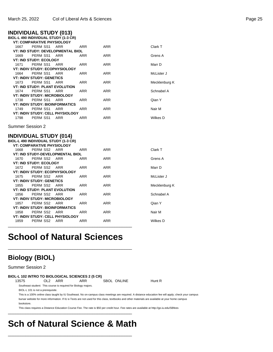|      | <b>INDIVIDUAL STUDY (013)</b>            |     |            |                |               |
|------|------------------------------------------|-----|------------|----------------|---------------|
|      | BIOL-L 490 INDIVIDUAL STUDY (1-3 CR)     |     |            |                |               |
|      | <b>VT: COMPARATIVE PHYSIOLOGY</b>        |     |            |                |               |
| 1667 | PERM SS1 ARR                             |     | <b>ARR</b> | <b>ARR</b>     | Clark T       |
|      | <b>VT: IND STUDY: DEVELOPMENTAL BIOL</b> |     |            |                |               |
| 1669 | PERM SS1 ARR                             |     | <b>ARR</b> | <b>ARR</b>     | Grens A       |
|      | <b>VT: IND STUDY: ECOLOGY</b>            |     |            |                |               |
|      | 1671 PERM SS1 ARR                        |     | <b>ARR</b> | <b>ARR</b>     | Marr D        |
|      | <b>VT: INDIV STUDY: ECOPHYSIOLOGY</b>    |     |            |                |               |
|      | 1664 PERM SS1 ARR                        |     | <b>ARR</b> | <b>ARR</b>     | McLister J    |
|      | <b>VT: INDIV STUDY: GENETICS</b>         |     |            |                |               |
| 1673 | PERM SS1                                 | ARR | <b>ARR</b> | <b>ARR</b>     | Mecklenburg K |
|      | <b>VT: IND STUDY: PLANT EVOLUTION</b>    |     |            |                |               |
| 1674 | PERM SS1 ARR                             |     | <b>ARR</b> | <b>ARR</b>     | Schnabel A    |
|      | <b>VT: INDIV STUDY: MICROBIOLOGY</b>     |     |            |                |               |
| 1738 | PERM SS1                                 | ARR | <b>ARR</b> | <b>ARR</b>     | Qian Y        |
|      | <b>VT: INDIV STUDY: BIOINFORMATICS</b>   |     |            |                |               |
| 1749 | PERM SS1 ARR                             |     | <b>ARR</b> | <b>ARR</b>     | Nair M        |
|      | VT: INDIV STUDY: CELL PHYSIOLOGY         |     |            |                |               |
| 1798 | PERM SS1 ARR                             |     | <b>ARR</b> | <b>ARR</b>     | Wilkes D      |
|      | <b>Summer Session 2</b>                  |     |            |                |               |
|      | <b>INDIVIDUAL STUDY (014)</b>            |     |            |                |               |
|      | BIOL-L 490 INDIVIDUAL STUDY (1-3 CR)     |     |            |                |               |
|      | <b>VT: COMPARATIVE PHYSIOLOGY</b>        |     |            |                |               |
| 1668 | PERM SS2 ARR                             |     | <b>ARR</b> | <b>ARR</b>     | Clark T       |
|      | <b>VT: IND STUDY-DEVELOPMENTAL BIOL</b>  |     |            |                |               |
| 1670 | PERM SS2 ARR                             |     | ARR        | <b>ARR</b>     | Grens A       |
|      | <b>VT: IND STUDY: ECOLOGY</b>            |     |            |                |               |
|      | 1672 PERM SS2 ARR                        |     | ARR.       | $\triangle PR$ | Marr D        |

1672 PERM SS2 ARR ARR ARR Marr D **VT: INDIV STUDY: ECOPHYSIOLOGY** 1675 PERM SS2 ARR ARR ARR McLister J **VT: INDIV STUDY: GENETICS** 1855 PERM SS2 ARR ARR ARR ARR Mecklenburg K **VT: IND STUDY: PLANT EVOLUTION** 1856 PERM SS2 ARR ARR ARR Schnabel A **VT: INDIV STUDY: MICROBIOLOGY** 1857 PERM SS2 ARR ARR ARR Qian Y **VT: INDIV STUDY: BIOINFORMATICS** 1858 PERM SS2 ARR ARR ARR ARR Nair M **VT: INDIV STUDY: CELL PHYSIOLOGY** 1859 PERM SS2 ARR ARR ARR ARR Wilkes D

# **School of Natural Sciences**

\_\_\_\_\_\_\_\_\_\_\_\_\_\_\_\_\_\_\_\_\_\_\_\_\_\_\_\_\_\_\_\_\_\_\_\_\_\_\_\_\_\_\_\_\_\_\_\_\_\_

\_\_\_\_\_\_\_\_\_\_\_\_\_\_\_\_\_\_\_\_\_\_\_\_\_\_\_\_\_\_\_\_\_\_\_\_\_\_\_\_\_\_\_\_\_\_\_\_\_\_

## **Biology (BIOL)**

Summer Session 2

**BIOL-L 102 INTRO TO BIOLOGICAL SCIENCES 2 (5 CR)** 13575 OL2 ARR ARR SBOL ONLINE Hunt R Southeast student: This course is required for Biology majors. BIOL-L 101 is not a prerequisite. This is a 100% online class taught by IU Southeast. No on-campus class meetings are required. A distance education fee will apply; check your campus bursar website for more information. If IU e-Texts are not used for this class, textbooks and other materials are available at your home campus bookstore. This class requires a Distance Education Course Fee. The rate is \$50 per credit hour. Fee rates are available at http://go.iu.edu/SBfees \_\_\_\_\_\_\_\_\_\_\_\_\_\_\_\_\_\_\_\_\_\_\_\_\_\_\_\_\_\_\_\_\_\_\_\_\_\_\_\_\_\_\_\_\_\_\_\_\_\_

# **Sch of Natural Science & Math**

\_\_\_\_\_\_\_\_\_\_\_\_\_\_\_\_\_\_\_\_\_\_\_\_\_\_\_\_\_\_\_\_\_\_\_\_\_\_\_\_\_\_\_\_\_\_\_\_\_\_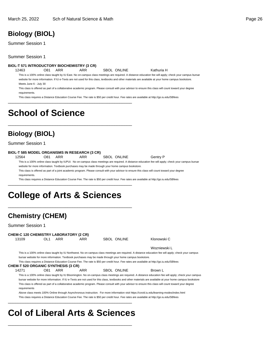## **Biology (BIOL)**

Summer Session 1

Summer Session 1

#### **BIOL-T 571 INTRODUCTORY BIOCHEMISTRY (3 CR)**

12463 O81 ARR ARR SBOL ONLINE Kathuria H

This is a 100% online class taught by IU East. No on-campus class meetings are required. A distance education fee will apply; check your campus bursar website for more information. If IU e-Texts are not used for this class, textbooks and other materials are available at your home campus bookstore. Meets June 6 - July 30

This class is offered as part of a collaborative academic program. Please consult with your advisor to ensure this class will count toward your degree requirements.

This class requires a Distance Education Course Fee. The rate is \$50 per credit hour. Fee rates are available at http://go.iu.edu/SBfees \_\_\_\_\_\_\_\_\_\_\_\_\_\_\_\_\_\_\_\_\_\_\_\_\_\_\_\_\_\_\_\_\_\_\_\_\_\_\_\_\_\_\_\_\_\_\_\_\_\_

## **School of Science**

## **Biology (BIOL)**

Summer Session 1

#### **BIOL-T 585 MODEL ORGANISMS IN RESEARCH (3 CR)**

12564 O81 ARR ARR SBOL ONLINE Gentry P

\_\_\_\_\_\_\_\_\_\_\_\_\_\_\_\_\_\_\_\_\_\_\_\_\_\_\_\_\_\_\_\_\_\_\_\_\_\_\_\_\_\_\_\_\_\_\_\_\_\_

This is a 100% online class taught by IUPUI. No on-campus class meetings are required. A distance education fee will apply; check your campus bursar website for more information. Textbook purchases may be made through your home campus bookstore.

This class is offered as part of a joint academic program. Please consult with your advisor to ensure this class will count toward your degree requirements.

This class requires a Distance Education Course Fee. The rate is \$50 per credit hour. Fee rates are available at http://go.iu.edu/SBfees

## **College of Arts & Sciences**

\_\_\_\_\_\_\_\_\_\_\_\_\_\_\_\_\_\_\_\_\_\_\_\_\_\_\_\_\_\_\_\_\_\_\_\_\_\_\_\_\_\_\_\_\_\_\_\_\_\_

\_\_\_\_\_\_\_\_\_\_\_\_\_\_\_\_\_\_\_\_\_\_\_\_\_\_\_\_\_\_\_\_\_\_\_\_\_\_\_\_\_\_\_\_\_\_\_\_\_\_

## **Chemistry (CHEM)**

| Summer Session 1 |  |
|------------------|--|
|                  |  |

### **CHEM-C 120 CHEMISTRY LABORATORY (2 CR)**

13109 OL1 ARR ARR SBOL ONLINE Klonowski C

Wozniewski L

This is a 100% online class taught by IU Northwest. No on-campus class meetings are required. A distance education fee will apply; check your campus bursar website for more information. Textbook purchases may be made through your home campus bookstore.

This class requires a Distance Education Course Fee. The rate is \$50 per credit hour. Fee rates are available at http://go.iu.edu/SBfees

**CHEM-T 520 ORGANIC SYNTHESIS (3 CR)**

14271 O81 ARR ARR SBOL ONLINE Brown L

This is a 100% online class taught by IU Bloomington. No on-campus class meetings are required. A distance education fee will apply; check your campus bursar website for more information. If IU e-Texts are not used for this class, textbooks and other materials are available at your home campus bookstore This class is offered as part of a collaborative academic program. Please consult with your advisor to ensure this class will count toward your degree requirements

Above class meets 100% Online through Asynchronous instruction. For more information visit https://covid.iu.edu/learning-modes/index.html This class requires a Distance Education Course Fee. The rate is \$50 per credit hour. Fee rates are available at http://go.iu.edu/SBfees

## **Col of Liberal Arts & Sciences**

\_\_\_\_\_\_\_\_\_\_\_\_\_\_\_\_\_\_\_\_\_\_\_\_\_\_\_\_\_\_\_\_\_\_\_\_\_\_\_\_\_\_\_\_\_\_\_\_\_\_

\_\_\_\_\_\_\_\_\_\_\_\_\_\_\_\_\_\_\_\_\_\_\_\_\_\_\_\_\_\_\_\_\_\_\_\_\_\_\_\_\_\_\_\_\_\_\_\_\_\_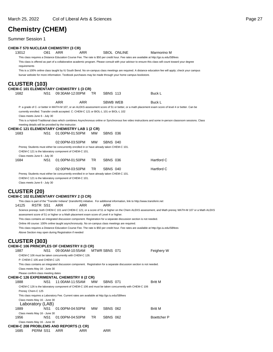## **Chemistry (CHEM)**

| <b>CHEM-T 570 NUCLEAR CHEMISTRY (3 CR)</b>                                    |          |                                                                                                 |           |                 |                                                                                                                                           |                                                                                                                                                           |
|-------------------------------------------------------------------------------|----------|-------------------------------------------------------------------------------------------------|-----------|-----------------|-------------------------------------------------------------------------------------------------------------------------------------------|-----------------------------------------------------------------------------------------------------------------------------------------------------------|
| 13012                                                                         | O81      | ARR<br>ARR                                                                                      |           |                 | <b>SBOL ONLINE</b>                                                                                                                        | Marmorino M                                                                                                                                               |
|                                                                               |          |                                                                                                 |           |                 | This class requires a Distance Education Course Fee. The rate is \$50 per credit hour. Fee rates are available at http://go.iu.edu/SBfees |                                                                                                                                                           |
| requirements                                                                  |          |                                                                                                 |           |                 |                                                                                                                                           | This class is offered as part of a collaborative academic program. Please consult with your advisor to ensure this class will count toward your degree    |
|                                                                               |          |                                                                                                 |           |                 |                                                                                                                                           | This is a 100% online class taught by IU South Bend. No on-campus class meetings are required. A distance education fee will apply; check your campus     |
|                                                                               |          |                                                                                                 |           |                 | bursar website for more information. Textbook purchases may be made through your home campus bookstore.                                   |                                                                                                                                                           |
|                                                                               |          |                                                                                                 |           |                 |                                                                                                                                           |                                                                                                                                                           |
| <b>CLUSTER (103)</b>                                                          |          |                                                                                                 |           |                 |                                                                                                                                           |                                                                                                                                                           |
| CHEM-C 101 ELEMENTARY CHEMISTRY 1 (3 CR)                                      |          |                                                                                                 |           |                 |                                                                                                                                           |                                                                                                                                                           |
| 1682                                                                          | NS1      | 09:30AM-12:00PM                                                                                 | TR        | <b>SBNS 113</b> |                                                                                                                                           | Buck L                                                                                                                                                    |
|                                                                               |          | <b>ARR</b><br><b>ARR</b>                                                                        |           | <b>SBWB WEB</b> |                                                                                                                                           | <b>Buck L</b>                                                                                                                                             |
|                                                                               |          |                                                                                                 |           |                 |                                                                                                                                           | P: a grade of C- or better in MATH-M 107, or an ALEKS assessment score of 51 or better, or a math placement exam score of level 4 or better. Can be       |
|                                                                               |          | currently enrolled. Transfer credit accepted. C: CHEM-C 121 or BIOL-L 101 or BIOL-L 102         |           |                 |                                                                                                                                           |                                                                                                                                                           |
| Class meets June 6 - July 30                                                  |          |                                                                                                 |           |                 |                                                                                                                                           |                                                                                                                                                           |
|                                                                               |          |                                                                                                 |           |                 |                                                                                                                                           | This is a Hybrid-Traditional class which combines Asynchronous online or Synchronous live video instructions and some in-person classroom sessions. Class |
|                                                                               |          | meeting details will be provided by the instructor.                                             |           |                 |                                                                                                                                           |                                                                                                                                                           |
| <b>CHEM-C 121 ELEMENTARY CHEMISTRY LAB 1 (2 CR)</b>                           |          |                                                                                                 |           |                 |                                                                                                                                           |                                                                                                                                                           |
| 1683                                                                          | NS1      | 01:00PM-01:50PM                                                                                 | MW.       | <b>SBNS 036</b> |                                                                                                                                           |                                                                                                                                                           |
|                                                                               |          | 02:00PM-03:50PM                                                                                 | MW        | <b>SBNS 040</b> |                                                                                                                                           |                                                                                                                                                           |
|                                                                               |          | Prereq: Students must either be concurrently enrolled in or have already taken CHEM-C 101.      |           |                 |                                                                                                                                           |                                                                                                                                                           |
|                                                                               |          | CHEM-C 121 is the laboratory component of CHEM-C 101.                                           |           |                 |                                                                                                                                           |                                                                                                                                                           |
| Class meets June 6 - July 30                                                  |          |                                                                                                 |           |                 |                                                                                                                                           |                                                                                                                                                           |
| 1684                                                                          | NS1      | 01:00PM-01:50PM                                                                                 | TR        | <b>SBNS 036</b> |                                                                                                                                           | <b>Hartford C</b>                                                                                                                                         |
|                                                                               |          |                                                                                                 |           |                 |                                                                                                                                           |                                                                                                                                                           |
|                                                                               |          | 02:00PM-03:50PM                                                                                 | <b>TR</b> | <b>SBNS 040</b> |                                                                                                                                           | <b>Hartford C</b>                                                                                                                                         |
|                                                                               |          | Prereq: Students must either be concurrently enrolled in or have already taken CHEM-C 101.      |           |                 |                                                                                                                                           |                                                                                                                                                           |
| Class meets June 6 - July 30                                                  |          | CHEM-C 121 is the laboratory component of CHEM-C 101.                                           |           |                 |                                                                                                                                           |                                                                                                                                                           |
|                                                                               |          |                                                                                                 |           |                 |                                                                                                                                           |                                                                                                                                                           |
|                                                                               |          |                                                                                                 |           |                 |                                                                                                                                           |                                                                                                                                                           |
|                                                                               |          |                                                                                                 |           |                 |                                                                                                                                           |                                                                                                                                                           |
| <b>CLUSTER (20)</b><br><b>CHEM-C 102 ELEMENTARY CHEMISTRY 2 (3 CR)</b>        |          |                                                                                                 |           |                 |                                                                                                                                           |                                                                                                                                                           |
|                                                                               |          |                                                                                                 |           |                 | This class is part of the "Transfer Indiana" (transferIN) initiative. For additional information, link to http://www.transferin.net       |                                                                                                                                                           |
| 14125                                                                         | RSTR SS1 | ARR<br>ARR                                                                                      |           | ARR             |                                                                                                                                           |                                                                                                                                                           |
|                                                                               |          |                                                                                                 |           |                 |                                                                                                                                           | Science prereqs: both CHEM-C 101 and CHEM-C 121; or a score of 51 or higher on the Chem ALEKS assessment, and Math prereq: MATH-M 107 or a Math ALEKS     |
|                                                                               |          | assessment score of 51 or higher or a Math placement exam score of Level 4 or higher.           |           |                 |                                                                                                                                           |                                                                                                                                                           |
|                                                                               |          |                                                                                                 |           |                 | This class contains an integrated discussion component. Registration for a separate discussion section is not needed.                     |                                                                                                                                                           |
|                                                                               |          | Online All course: 100% online taught asynchronously. No on-campus class meetings are required. |           |                 |                                                                                                                                           |                                                                                                                                                           |
|                                                                               |          |                                                                                                 |           |                 | This class requires a Distance Education Course Fee. The rate is \$50 per credit hour. Fee rates are available at http://go.iu.edu/SBfees |                                                                                                                                                           |
|                                                                               |          | Above Section may open during Registration if needed                                            |           |                 |                                                                                                                                           |                                                                                                                                                           |
|                                                                               |          |                                                                                                 |           |                 |                                                                                                                                           |                                                                                                                                                           |
| <b>CLUSTER (303)</b><br>CHEM-C 106 PRINCIPLES OF CHEMISTRY II (3 CR)          |          |                                                                                                 |           |                 |                                                                                                                                           |                                                                                                                                                           |
| 1887                                                                          | NS1      | 09:00AM-10:55AM                                                                                 |           | MTWR SBNS 071   |                                                                                                                                           | Feighery W                                                                                                                                                |
|                                                                               |          | CHEM-C 106 must be taken concurrently with CHEM-C 126.                                          |           |                 |                                                                                                                                           |                                                                                                                                                           |
| P: CHEM-C 105 and CHEM-C 125                                                  |          |                                                                                                 |           |                 |                                                                                                                                           |                                                                                                                                                           |
|                                                                               |          |                                                                                                 |           |                 | This class contains an integrated discussion component. Registration for a separate discussion section is not needed.                     |                                                                                                                                                           |
| Class meets May 16 - June 30                                                  |          |                                                                                                 |           |                 |                                                                                                                                           |                                                                                                                                                           |
| Please confirm class meeting dates                                            |          |                                                                                                 |           |                 |                                                                                                                                           |                                                                                                                                                           |
| <b>CHEM-C 126 EXPERIMENTAL CHEMISTRY II (2 CR)</b>                            |          |                                                                                                 |           |                 |                                                                                                                                           |                                                                                                                                                           |
| 1888                                                                          | NS1      | 11:00AM-11:55AM                                                                                 | <b>MW</b> | SBNS 071        |                                                                                                                                           | <b>Britt M</b>                                                                                                                                            |
| Prereq: Chem-C 125                                                            |          |                                                                                                 |           |                 | CHEM-C 126 is the laboratory component of CHEM-C 106 and must be taken concurrently with CHEM-C 106                                       |                                                                                                                                                           |
|                                                                               |          | This class requires a Laboratory Fee. Current rates are available at http://go.iu.edu/SBfees    |           |                 |                                                                                                                                           |                                                                                                                                                           |
| Class meets May 16 - June 30                                                  |          |                                                                                                 |           |                 |                                                                                                                                           |                                                                                                                                                           |
| Laboratory (LAB)                                                              |          |                                                                                                 |           |                 |                                                                                                                                           |                                                                                                                                                           |
| 1889                                                                          | NS1      | 01:00PM-04:50PM                                                                                 | МW        | <b>SBNS 062</b> |                                                                                                                                           | <b>Britt M</b>                                                                                                                                            |
| Class meets May 16 - June 30                                                  |          |                                                                                                 |           |                 |                                                                                                                                           |                                                                                                                                                           |
| 1956                                                                          | NS1      | 01:00PM-04:50PM                                                                                 | TR        | <b>SBNS 062</b> |                                                                                                                                           | <b>Boettcher P</b>                                                                                                                                        |
| Class meets May 16 - June 30<br><b>CHEM-C 208 PROBLEMS AND REPORTS (1 CR)</b> |          |                                                                                                 |           |                 |                                                                                                                                           |                                                                                                                                                           |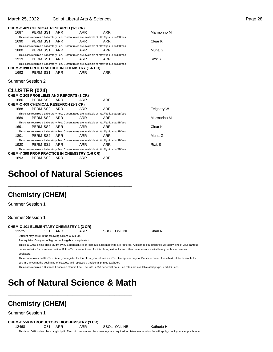**CHEM-C 409 CHEMICAL RESEARCH (1-3 CR)**

|      | <b>CHEM-C 409 CHEMICAL RESEARCH (1-3 CR)</b> |     |                                                       |                                                                                              |             |
|------|----------------------------------------------|-----|-------------------------------------------------------|----------------------------------------------------------------------------------------------|-------------|
| 1687 | PERM SS1 ARR                                 |     | ARR                                                   | ARR                                                                                          | Marmorino M |
|      |                                              |     |                                                       | This class requires a Laboratory Fee. Current rates are available at http://go.iu.edu/SBfees |             |
| 1690 | PERM SS1                                     | ARR | ARR                                                   | ARR                                                                                          | Clear K     |
|      |                                              |     |                                                       | This class requires a Laboratory Fee. Current rates are available at http://go.iu.edu/SBfees |             |
| 1800 | PERM SS1                                     | ARR | ARR                                                   | ARR                                                                                          | Muna G      |
|      |                                              |     |                                                       | This class requires a Laboratory Fee. Current rates are available at http://go.iu.edu/SBfees |             |
| 1919 | PERM SS1                                     | ARR | ARR                                                   | ARR                                                                                          | Rizk S      |
|      |                                              |     |                                                       | This class requires a Laboratory Fee. Current rates are available at http://go.iu.edu/SBfees |             |
|      |                                              |     | <b>CHEM-Y 398 PROF PRACTICE IN CHEMISTRY (1-6 CR)</b> |                                                                                              |             |
| 1692 | PERM SS1                                     | ARR | ARR                                                   | ARR                                                                                          |             |

Summer Session 2

### **CLUSTER (024)**

|      | <b>CHEM-C 208 PROBLEMS AND REPORTS (1 CR)</b> |                                                       |                                                                                              |               |
|------|-----------------------------------------------|-------------------------------------------------------|----------------------------------------------------------------------------------------------|---------------|
| 1686 | PERM SS2 ARR                                  | ARR                                                   | <b>ARR</b>                                                                                   |               |
|      | <b>CHEM-C 409 CHEMICAL RESEARCH (1-3 CR)</b>  |                                                       |                                                                                              |               |
| 1688 | PERM SS2 ARR                                  | ARR                                                   | ARR                                                                                          | Feighery W    |
|      |                                               |                                                       | This class requires a Laboratory Fee. Current rates are available at http://go.iu.edu/SBfees |               |
| 1689 | PERM SS2 ARR                                  | ARR                                                   | ARR                                                                                          | Marmorino M   |
|      |                                               |                                                       | This class requires a Laboratory Fee. Current rates are available at http://go.iu.edu/SBfees |               |
| 1691 | PERM SS2 ARR                                  | ARR                                                   | ARR                                                                                          | Clear K       |
|      |                                               |                                                       | This class requires a Laboratory Fee. Current rates are available at http://go.iu.edu/SBfees |               |
| 1801 | PERM SS2 ARR                                  | ARR                                                   | ARR                                                                                          | Muna G        |
|      |                                               |                                                       | This class requires a Laboratory Fee. Current rates are available at http://go.iu.edu/SBfees |               |
| 1920 | PERM SS2 ARR                                  | ARR                                                   | ARR                                                                                          | <b>Rizk S</b> |
|      |                                               |                                                       | This class requires a Laboratory Fee. Current rates are available at http://go.iu.edu/SBfees |               |
|      |                                               | <b>CHEM-Y 398 PROF PRACTICE IN CHEMISTRY (1-6 CR)</b> |                                                                                              |               |
| 1693 | PERM SS2 ARR                                  | ARR                                                   | ARR                                                                                          |               |

| Feighery W  |
|-------------|
| Marmorino M |
| Clear K     |
| Muna G      |
| Rizk S      |
|             |

## **School of Natural Sciences**

\_\_\_\_\_\_\_\_\_\_\_\_\_\_\_\_\_\_\_\_\_\_\_\_\_\_\_\_\_\_\_\_\_\_\_\_\_\_\_\_\_\_\_\_\_\_\_\_\_\_

### **Chemistry (CHEM)**

Summer Session 1

Summer Session 1

#### **CHEM-C 101 ELEMENTARY CHEMISTRY 1 (3 CR)**

13525 OL1 ARR ARR SBOL ONLINE Shah N

Student may enroll in the following CHEM-C 121 lab. Prerequisite: One year of high school algebra or equivalent.

This is a 100% online class taught by IU Southeast. No on-campus class meetings are required. A distance education fee will apply; check your campus bursar website for more information. If IU e-Texts are not used for this class, textbooks and other materials are available at your home campus

bookstore.

This course uses an IU eText. After you register for this class, you will see an eText fee appear on your Bursar account. The eText will be available for you in Canvas at the beginning of classes, and replaces a traditional printed textbook.

This class requires a Distance Education Course Fee. The rate is \$50 per credit hour. Fee rates are available at http://go.iu.edu/SBfees

## **Sch of Natural Science & Math**

\_\_\_\_\_\_\_\_\_\_\_\_\_\_\_\_\_\_\_\_\_\_\_\_\_\_\_\_\_\_\_\_\_\_\_\_\_\_\_\_\_\_\_\_\_\_\_\_\_\_

\_\_\_\_\_\_\_\_\_\_\_\_\_\_\_\_\_\_\_\_\_\_\_\_\_\_\_\_\_\_\_\_\_\_\_\_\_\_\_\_\_\_\_\_\_\_\_\_\_\_

### **Chemistry (CHEM)**

#### Summer Session 1

**CHEM-T 550 INTRODUCTORY BIOCHEMISTRY (3 CR)** 12468 O81 ARR ARR SBOL ONLINE Kathuria H This is a 100% online class taught by IU East. No on-campus class meetings are required. A distance education fee will apply; check your campus bursar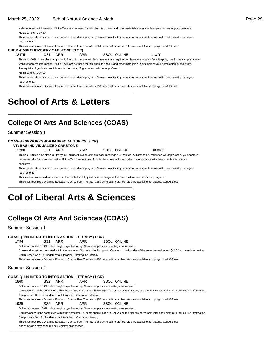website for more information. If IU e-Texts are not used for this class, textbooks and other materials are available at your home campus bookstore. Meets June 6 - July 30

This class is offered as part of a collaborative academic program. Please consult with your advisor to ensure this class will count toward your degree requirements.

This class requires a Distance Education Course Fee. The rate is \$50 per credit hour. Fee rates are available at http://go.iu.edu/SBfees

### **CHEM-T 590 CHEMISTRY CAPSTONE (3 CR)**

12475 O81 ARR ARR SBOL ONLINE Law Y

This is a 100% online class taught by IU East. No on-campus class meetings are required. A distance education fee will apply; check your campus bursar website for more information. If IU e-Texts are not used for this class, textbooks and other materials are available at your home campus bookstore. Prerequisite: 9 graduate credit hours in chemistry; 12 graduate credit hours preferred. Meets June 6 - July 30

This class is offered as part of a collaborative academic program. Please consult with your advisor to ensure this class will count toward your degree requirements.

This class requires a Distance Education Course Fee. The rate is \$50 per credit hour. Fee rates are available at http://go.iu.edu/SBfees

## **School of Arts & Letters**

### **College Of Arts And Sciences (COAS)**

\_\_\_\_\_\_\_\_\_\_\_\_\_\_\_\_\_\_\_\_\_\_\_\_\_\_\_\_\_\_\_\_\_\_\_\_\_\_\_\_\_\_\_\_\_\_\_\_\_\_

\_\_\_\_\_\_\_\_\_\_\_\_\_\_\_\_\_\_\_\_\_\_\_\_\_\_\_\_\_\_\_\_\_\_\_\_\_\_\_\_\_\_\_\_\_\_\_\_\_\_

Summer Session 1

#### **COAS-S 400 WORKSHOP IN SPECIAL TOPICS (3 CR) VT: BAS INDIVIDUALIZED CAPSTONE**

13280 OL1 ARR ARR SBOL ONLINE Earley S

This is a 100% online class taught by IU Southeast. No on-campus class meetings are required. A distance education fee will apply; check your campus bursar website for more information. If IU e-Texts are not used for this class, textbooks and other materials are available at your home campus bookstore.

This class is offered as part of a collaborative academic program. Please consult with your advisor to ensure this class will count toward your degree requirements

This section is reserved for students in the Bachelor of Applied Science program. It is the capstone course for that program.

This class requires a Distance Education Course Fee. The rate is \$50 per credit hour. Fee rates are available at http://go.iu.edu/SBfees \_\_\_\_\_\_\_\_\_\_\_\_\_\_\_\_\_\_\_\_\_\_\_\_\_\_\_\_\_\_\_\_\_\_\_\_\_\_\_\_\_\_\_\_\_\_\_\_\_\_

## **Col of Liberal Arts & Sciences**

\_\_\_\_\_\_\_\_\_\_\_\_\_\_\_\_\_\_\_\_\_\_\_\_\_\_\_\_\_\_\_\_\_\_\_\_\_\_\_\_\_\_\_\_\_\_\_\_\_\_

### **College Of Arts And Sciences (COAS)**

Summer Session 1

#### **COAS-Q 110 INTRO TO INFORMATION LITERACY (1 CR)**

1794 SS1 ARR ARR SBOL ONLINE

Online All course: 100% online taught asynchronously. No on-campus class meetings are required.

Cursework must be completed within the semester. Students should logon to Canvas on the first day of the semester and select Q110 for course information. Campuswide Gen Ed Fundamental Literacies: Information Literacy

This class requires a Distance Education Course Fee. The rate is \$50 per credit hour. Fee rates are available at http://go.iu.edu/SBfees

| COAS-Q 110 INTRO TO INFORMATION LITERACY (1 CR)      |     |     |                                                                                                 |                                                                                                                                                                 |  |
|------------------------------------------------------|-----|-----|-------------------------------------------------------------------------------------------------|-----------------------------------------------------------------------------------------------------------------------------------------------------------------|--|
| 1860                                                 | SS2 | ARR | ARR                                                                                             | SBOL ONLINE                                                                                                                                                     |  |
|                                                      |     |     | Online All course: 100% online taught asynchronously. No on-campus class meetings are required. |                                                                                                                                                                 |  |
|                                                      |     |     |                                                                                                 | Coursework must be completed within the semester. Students should logon to Canvas on the first day of the semester and select Q110 for course information       |  |
|                                                      |     |     | Campuswide Gen Ed Fundamental Literacies: Information Literacy                                  |                                                                                                                                                                 |  |
| 1925                                                 | SS2 | ARR | ARR                                                                                             | This class requires a Distance Education Course Fee. The rate is \$50 per credit hour. Fee rates are available at http://go.iu.edu/SBfees<br><b>SBOL ONLINE</b> |  |
|                                                      |     |     | Online All course: 100% online taught asynchronously. No on-campus class meetings are required. |                                                                                                                                                                 |  |
|                                                      |     |     |                                                                                                 | Coursework must be completed within the semester. Students should logon to Canvas on the first day of the semester and select Q110 for course information       |  |
|                                                      |     |     | Campuswide Gen Ed Fundamental Literacies: Information Literacy                                  |                                                                                                                                                                 |  |
|                                                      |     |     |                                                                                                 | This class requires a Distance Education Course Fee. The rate is \$50 per credit hour. Fee rates are available at http://go.iu.edu/SBfees                       |  |
| Above Section may open during Registration if needed |     |     |                                                                                                 |                                                                                                                                                                 |  |
|                                                      |     |     |                                                                                                 |                                                                                                                                                                 |  |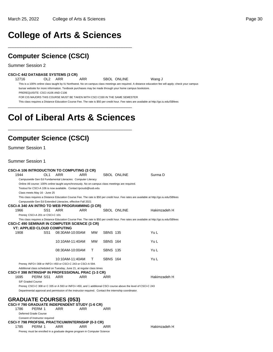## **College of Arts & Sciences**

\_\_\_\_\_\_\_\_\_\_\_\_\_\_\_\_\_\_\_\_\_\_\_\_\_\_\_\_\_\_\_\_\_\_\_\_\_\_\_\_\_\_\_\_\_\_\_\_\_\_

### **Computer Science (CSCI)**

Summer Session 2

#### **CSCI-C 442 DATABASE SYSTEMS (3 CR)**

12716 OL2 ARR ARR SBOL ONLINE Wang J

This is a 100% online class taught by IU Northwest. No on-campus class meetings are required. A distance education fee will apply; check your campus bursar website for more information. Textbook purchases may be made through your home campus bookstore. PREREQUISITE: CSCI A106 AND C106

FOR CIS MAJORS THIS COURSE MUST BE TAKEN WITH CSCI C330 IN THE SAME SEMESTER

This class requires a Distance Education Course Fee. The rate is \$50 per credit hour. Fee rates are available at http://go.iu.edu/SBfees

## **Col of Liberal Arts & Sciences**

\_\_\_\_\_\_\_\_\_\_\_\_\_\_\_\_\_\_\_\_\_\_\_\_\_\_\_\_\_\_\_\_\_\_\_\_\_\_\_\_\_\_\_\_\_\_\_\_\_\_

\_\_\_\_\_\_\_\_\_\_\_\_\_\_\_\_\_\_\_\_\_\_\_\_\_\_\_\_\_\_\_\_\_\_\_\_\_\_\_\_\_\_\_\_\_\_\_\_\_\_

### **Computer Science (CSCI)**

Summer Session 1

Summer Session 1

|                       | <b>CSCI-A 106 INTRODUCTION TO COMPUTING (3 CR)</b>                     |            |                 |            |           |                 |                                                                                                                                           |              |
|-----------------------|------------------------------------------------------------------------|------------|-----------------|------------|-----------|-----------------|-------------------------------------------------------------------------------------------------------------------------------------------|--------------|
| 1944                  | OL <sub>1</sub>                                                        | ARR        |                 | ARR        |           |                 | <b>SBOL ONLINE</b>                                                                                                                        | Surma D      |
|                       | Campuswide Gen Ed Fundamental Literacies: Computer Literacy            |            |                 |            |           |                 |                                                                                                                                           |              |
|                       |                                                                        |            |                 |            |           |                 | Online All course: 100% online taught asynchronously. No on-campus class meetings are required.                                           |              |
|                       | Testout for CSCI-A 106 is now available. Contact tpciusb@iusb.edu      |            |                 |            |           |                 |                                                                                                                                           |              |
|                       | Class meets May 16 - June 25                                           |            |                 |            |           |                 |                                                                                                                                           |              |
|                       |                                                                        |            |                 |            |           |                 | This class requires a Distance Education Course Fee. The rate is \$50 per credit hour. Fee rates are available at http://go.iu.edu/SBfees |              |
|                       | Campuswide Gen Ed Extended Literacies, effective Fall 2021             |            |                 |            |           |                 |                                                                                                                                           |              |
|                       | <b>CSCI-A 340 AN INTRO TO WEB PROGRAMMING (3 CR)</b>                   |            |                 |            |           |                 |                                                                                                                                           |              |
| 1966                  | SS <sub>1</sub>                                                        | <b>ARR</b> |                 | <b>ARR</b> |           |                 | <b>SBOL ONLINE</b>                                                                                                                        | Hakimzadeh H |
|                       | Prereq: CSCI-A 201 or CSCI-C 101                                       |            |                 |            |           |                 |                                                                                                                                           |              |
|                       |                                                                        |            |                 |            |           |                 | This class requires a Distance Education Course Fee. The rate is \$50 per credit hour. Fee rates are available at http://go.iu.edu/SBfees |              |
|                       | <b>CSCI-C 490 SEMINAR IN COMPUTER SCIENCE (3 CR)</b>                   |            |                 |            |           |                 |                                                                                                                                           |              |
|                       | <b>VT: APPLIED CLOUD COMPUTING</b>                                     |            |                 |            |           |                 |                                                                                                                                           |              |
| 1908                  | SS1                                                                    |            | 08:30AM-10:00AM |            | <b>MW</b> | <b>SBNS 135</b> |                                                                                                                                           | Yu L         |
|                       |                                                                        |            | 10:10AM-11:40AM |            | <b>MW</b> | <b>SBNS 164</b> |                                                                                                                                           | Yu L         |
|                       |                                                                        |            |                 |            |           |                 |                                                                                                                                           |              |
|                       |                                                                        |            | 08:30AM-10:00AM |            | т         | <b>SBNS 135</b> |                                                                                                                                           | Yu L         |
|                       |                                                                        |            |                 |            |           |                 |                                                                                                                                           |              |
|                       |                                                                        |            | 10:10AM-11:40AM |            | т         | <b>SBNS 164</b> |                                                                                                                                           | Yu L         |
|                       | Prereq: INFO-I 308 or INFO-I 450 or CSCI-C 243 or CSCI-A 594.          |            |                 |            |           |                 |                                                                                                                                           |              |
|                       | Additional class scheduled on Tuesday, June 21, at regular class times |            |                 |            |           |                 |                                                                                                                                           |              |
|                       | CSCI-Y 398 INTRNSHP IN PROFESSIONAL PRAC (1-3 CR)                      |            |                 |            |           |                 |                                                                                                                                           |              |
| 1695                  | PERM SS1                                                               | <b>ARR</b> |                 | <b>ARR</b> |           | ARR             |                                                                                                                                           | Hakimzadeh H |
| S/F Graded Course     |                                                                        |            |                 |            |           |                 |                                                                                                                                           |              |
|                       |                                                                        |            |                 |            |           |                 | Prereq: CSCI-C 308 or C 335 or A 593 or INFO-I 450, and 1 additional CSCI course above the level of CSCI-C 243                            |              |
|                       |                                                                        |            |                 |            |           |                 | Departmental approval and permission of the instructor required. Contact the internship coordinator.                                      |              |
|                       |                                                                        |            |                 |            |           |                 |                                                                                                                                           |              |
|                       | <b>GRADUATE COURSES (053)</b>                                          |            |                 |            |           |                 |                                                                                                                                           |              |
|                       | <b>CSCI-Y 790 GRADUATE INDEPENDENT STUDY (1-6 CR)</b>                  |            |                 |            |           |                 |                                                                                                                                           |              |
| 1786                  | PERM 1                                                                 |            | <b>ARR</b>      | <b>ARR</b> |           | <b>ARR</b>      |                                                                                                                                           |              |
| Deferred Grade Course |                                                                        |            |                 |            |           |                 |                                                                                                                                           |              |
|                       | Consent of Instructor required                                         |            |                 |            |           |                 |                                                                                                                                           |              |
|                       | <b>CSCI-Y 798 PROFSNL PRACTICUM/INTERNSHP (0-3 CR)</b>                 |            |                 |            |           |                 |                                                                                                                                           |              |
| 1785                  | PERM 1                                                                 | <b>ARR</b> |                 | <b>ARR</b> |           | ARR             |                                                                                                                                           | Hakimzadeh H |

Prereq: must be enrolled in a graduate degree program in Computer Science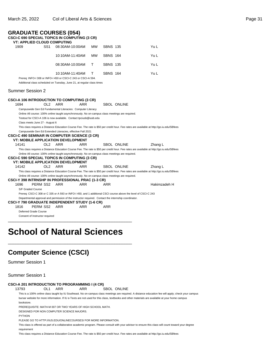### **GRADUATE COURSES (054)**

|                         |                                           | <b>CSCI-C 690 SPECIAL TOPICS IN COMPUTING (3 CR)</b>                                                                                                          |     |           |                 |                    |                                                                                                                                           |
|-------------------------|-------------------------------------------|---------------------------------------------------------------------------------------------------------------------------------------------------------------|-----|-----------|-----------------|--------------------|-------------------------------------------------------------------------------------------------------------------------------------------|
| 1909                    | <b>VT: APPLIED CLOUD COMPUTING</b><br>SS1 | 08:30AM-10:00AM                                                                                                                                               |     | MW.       | <b>SBNS 135</b> |                    | Yu L                                                                                                                                      |
|                         |                                           |                                                                                                                                                               |     |           |                 |                    |                                                                                                                                           |
|                         |                                           | 10:10AM-11:40AM                                                                                                                                               |     | <b>MW</b> | <b>SBNS 164</b> |                    | Yu L                                                                                                                                      |
|                         |                                           | 08:30AM-10:00AM                                                                                                                                               |     | т         | <b>SBNS 135</b> |                    | Yu L                                                                                                                                      |
|                         |                                           | 10:10AM-11:40AM<br>Prereq: INFO-I 308 or INFO-I 450 or CSCI-C 243 or CSCI-A 594.                                                                              |     | т         | <b>SBNS 164</b> |                    | Yu L                                                                                                                                      |
|                         |                                           | Additional class scheduled on Tuesday, June 21, at regular class times                                                                                        |     |           |                 |                    |                                                                                                                                           |
| <b>Summer Session 2</b> |                                           |                                                                                                                                                               |     |           |                 |                    |                                                                                                                                           |
| 1694                    | OL2                                       | <b>CSCI-A 106 INTRODUCTION TO COMPUTING (3 CR)</b><br>ARR                                                                                                     | ARR |           |                 | SBOL ONLINE        |                                                                                                                                           |
|                         |                                           | Campuswide Gen Ed Fundamental Literacies: Computer Literacy                                                                                                   |     |           |                 |                    |                                                                                                                                           |
|                         |                                           | Online All course: 100% online taught asynchronously. No on-campus class meetings are required.                                                               |     |           |                 |                    |                                                                                                                                           |
|                         |                                           | Testout for CSCI-A 106 is now available. Contact tpciusb@iusb.edu                                                                                             |     |           |                 |                    |                                                                                                                                           |
|                         | Class meets June 27 - August 6            |                                                                                                                                                               |     |           |                 |                    |                                                                                                                                           |
|                         |                                           |                                                                                                                                                               |     |           |                 |                    | This class requires a Distance Education Course Fee. The rate is \$50 per credit hour. Fee rates are available at http://go.iu.edu/SBfees |
|                         |                                           | Campuswide Gen Ed Extended Literacies, effective Fall 2021                                                                                                    |     |           |                 |                    |                                                                                                                                           |
|                         |                                           | <b>CSCI-C 490 SEMINAR IN COMPUTER SCIENCE (3 CR)</b>                                                                                                          |     |           |                 |                    |                                                                                                                                           |
|                         |                                           | <b>VT: MOBILE APPLICATION DEVELOPMENT</b>                                                                                                                     |     |           |                 |                    |                                                                                                                                           |
| 14141                   | OL2                                       | <b>ARR</b>                                                                                                                                                    | ARR |           |                 | <b>SBOL ONLINE</b> | Zhang L                                                                                                                                   |
|                         |                                           |                                                                                                                                                               |     |           |                 |                    | This class requires a Distance Education Course Fee. The rate is \$50 per credit hour. Fee rates are available at http://go.iu.edu/SBfees |
|                         |                                           | Online All course: 100% online taught asynchronously. No on-campus class meetings are required.                                                               |     |           |                 |                    |                                                                                                                                           |
|                         |                                           | <b>CSCI-C 590 SPECIAL TOPICS IN COMPUTING (3 CR)</b><br><b>VT: MOBILE APPLICATION DEVELOPMENT</b>                                                             |     |           |                 |                    |                                                                                                                                           |
| 14142                   | OL2                                       | ARR                                                                                                                                                           | ARR |           |                 | <b>SBOL ONLINE</b> | Zhang L                                                                                                                                   |
|                         |                                           |                                                                                                                                                               |     |           |                 |                    | This class requires a Distance Education Course Fee. The rate is \$50 per credit hour. Fee rates are available at http://go.iu.edu/SBfees |
|                         |                                           | Online All course: 100% online taught asynchronously. No on-campus class meetings are required.                                                               |     |           |                 |                    |                                                                                                                                           |
|                         |                                           | CSCI-Y 398 INTRNSHP IN PROFESSIONAL PRAC (1-3 CR)                                                                                                             |     |           |                 |                    |                                                                                                                                           |
| 1696                    | PERM SS2                                  | ARR                                                                                                                                                           | ARR |           | ARR             |                    | Hakimzadeh H                                                                                                                              |
| S/F Graded Course       |                                           |                                                                                                                                                               |     |           |                 |                    |                                                                                                                                           |
|                         |                                           | Prereq: CSCI-C 308 or C 335 or A 593 or INFO-I 450, and 1 additional CSCI course above the level of CSCI-C 243                                                |     |           |                 |                    |                                                                                                                                           |
|                         |                                           | Departmental approval and permission of the instructor required. Contact the internship coordinator.<br><b>CSCI-Y 790 GRADUATE INDEPENDENT STUDY (1-6 CR)</b> |     |           |                 |                    |                                                                                                                                           |
| 1816                    | PERM SS2                                  | ARR                                                                                                                                                           | ARR |           | ARR             |                    |                                                                                                                                           |
| Deferred Grade Course   |                                           |                                                                                                                                                               |     |           |                 |                    |                                                                                                                                           |
|                         | Consent of Instructor required            |                                                                                                                                                               |     |           |                 |                    |                                                                                                                                           |

## **School of Natural Sciences**

\_\_\_\_\_\_\_\_\_\_\_\_\_\_\_\_\_\_\_\_\_\_\_\_\_\_\_\_\_\_\_\_\_\_\_\_\_\_\_\_\_\_\_\_\_\_\_\_\_\_

\_\_\_\_\_\_\_\_\_\_\_\_\_\_\_\_\_\_\_\_\_\_\_\_\_\_\_\_\_\_\_\_\_\_\_\_\_\_\_\_\_\_\_\_\_\_\_\_\_\_

### **Computer Science (CSCI)**

Summer Session 1

#### Summer Session 1

#### **CSCI-A 201 INTRODUCTION TO PROGRAMMING I (4 CR)** 13793 OL1 ARR ARR SBOL ONLINE This is a 100% online class taught by IU Southeast. No on-campus class meetings are required. A distance education fee will apply; check your campus bursar website for more information. If IU e-Texts are not used for this class, textbooks and other materials are available at your home campus

bookstore.

PREREQUISITE: MATH-M 007 OR TWO YEARS OF HIGH SCHOOL MATH.

DESIGNED FOR NON COMPUTER SCIENCE MAJORS.

PYTHON

PLEASE GO TO HTTP://IUS.EDU/ONLINECOURSES/ FOR MORE INFORMATION.

This class is offered as part of a collaborative academic program. Please consult with your advisor to ensure this class will count toward your degree requirement

This class requires a Distance Education Course Fee. The rate is \$50 per credit hour. Fee rates are available at http://go.iu.edu/SBfees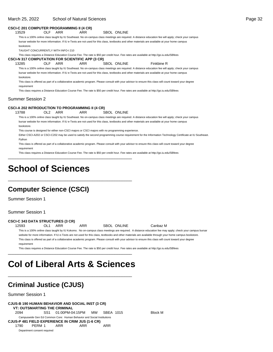#### **CSCI-C 201 COMPUTER PROGRAMMING II (4 CR)** 13529 OLF ARR ARR SBOL ONLINE

This is a 100% online class taught by IU Southeast. No on-campus class meetings are required. A distance education fee will apply; check your campus bursar website for more information. If IU e-Texts are not used for this class, textbooks and other materials are available at your home campus bookstore.

TAUGHT CONCURRENTLY WITH INFO-I 210

This class requires a Distance Education Course Fee. The rate is \$50 per credit hour. Fee rates are available at http://go.iu.edu/SBfees

**CSCI-N 317 COMPUTATION FOR SCIENTIFIC APP (3 CR)**

13285 OLF ARR ARR SBOL ONLINE Finkbine R

This is a 100% online class taught by IU Southeast. No on-campus class meetings are required. A distance education fee will apply; check your campus bursar website for more information. If IU e-Texts are not used for this class, textbooks and other materials are available at your home campus

bookstore.

This class is offered as part of a collaborative academic program. Please consult with your advisor to ensure this class will count toward your degree requirement

This class requires a Distance Education Course Fee. The rate is \$50 per credit hour. Fee rates are available at http://go.iu.edu/SBfees

#### Summer Session 2

#### **CSCI-A 202 INTRODUCTION TO PROGRAMMING II (4 CR)**

13788 OL2 ARR ARR SBOL ONLINE This is a 100% online class taught by IU Southeast. No on-campus class meetings are required. A distance education fee will apply; check your campus bursar website for more information. If IU e-Texts are not used for this class, textbooks and other materials are available at your home campus bookstore.

This course is designed for either non-CSCI majors or CSCI majors with no programming experience.

\_\_\_\_\_\_\_\_\_\_\_\_\_\_\_\_\_\_\_\_\_\_\_\_\_\_\_\_\_\_\_\_\_\_\_\_\_\_\_\_\_\_\_\_\_\_\_\_\_\_

\_\_\_\_\_\_\_\_\_\_\_\_\_\_\_\_\_\_\_\_\_\_\_\_\_\_\_\_\_\_\_\_\_\_\_\_\_\_\_\_\_\_\_\_\_\_\_\_\_\_

Either CSCI-A202 or CSCI-C202 may be used to satisfy the second programming course requirement for the Information Technology Certificate at IU Southeast. Python

This class is offered as part of a collaborative academic program. Please consult with your advisor to ensure this class will count toward your degree requirement

This class requires a Distance Education Course Fee. The rate is \$50 per credit hour. Fee rates are available at http://go.iu.edu/SBfees

## **School of Sciences**

### **Computer Science (CSCI)**

Summer Session 1

Summer Session 1

#### **CSCI-C 343 DATA STRUCTURES (3 CR)**

#### 12593 OL1 ARR ARR SBOL ONLINE Canbaz M

This is a 100% online class taught by IU Kokomo. No on-campus class meetings are required. A distance education fee may apply; check your campus bursar website for more information. If IU e-Texts are not used for this class, textbooks and other materials are available through your home campus bookstore. This class is offered as part of a collaborative academic program. Please consult with your advisor to ensure this class will count toward your degree requirement

This class requires a Distance Education Course Fee. The rate is \$50 per credit hour. Fee rates are available at http://go.iu.edu/SBfees

## **Col of Liberal Arts & Sciences**

\_\_\_\_\_\_\_\_\_\_\_\_\_\_\_\_\_\_\_\_\_\_\_\_\_\_\_\_\_\_\_\_\_\_\_\_\_\_\_\_\_\_\_\_\_\_\_\_\_\_

\_\_\_\_\_\_\_\_\_\_\_\_\_\_\_\_\_\_\_\_\_\_\_\_\_\_\_\_\_\_\_\_\_\_\_\_\_\_\_\_\_\_\_\_\_\_\_\_\_\_

### **Criminal Justice (CJUS)**

Summer Session 1

### **CJUS-B 190 HUMAN BEHAVIOR AND SOCIAL INST (3 CR)**

**VT: OUTSMARTING THE CRIMINAL**<br>2094 6S51 01:00PM-04 2094 SS1 01:00PM-04:15PM MW SBEA 1015 Block M Campuswide Gen Ed Common Core: Human Behavior and Social Institutions **CJUS-P 481 FIELD EXPERIENCE IN CRIM JUS (1-6 CR)** 1790 PERM 1 ARR ARR ARR Department consent required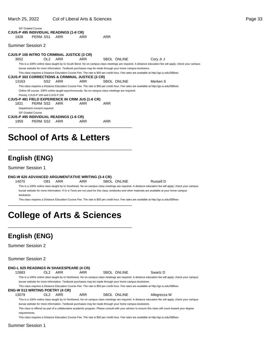|                  | S/F Graded Course                                |            |            |                                                                                                                                           |                                                                                                                                                       |  |
|------------------|--------------------------------------------------|------------|------------|-------------------------------------------------------------------------------------------------------------------------------------------|-------------------------------------------------------------------------------------------------------------------------------------------------------|--|
|                  | CJUS-P 495 INDIVIDUAL READINGS (1-6 CR)          |            |            |                                                                                                                                           |                                                                                                                                                       |  |
| 1928             | PERM SS1                                         | ARR        | ARR        | ARR                                                                                                                                       |                                                                                                                                                       |  |
| Summer Session 2 |                                                  |            |            |                                                                                                                                           |                                                                                                                                                       |  |
|                  | CJUS-P 100 INTRO TO CRIMINAL JUSTICE (3 CR)      |            |            |                                                                                                                                           |                                                                                                                                                       |  |
| 3652             | OL2                                              | ARR        | ARR        | <b>SBOL ONLINE</b>                                                                                                                        | Cory Jr J                                                                                                                                             |  |
|                  |                                                  |            |            |                                                                                                                                           | This is a 100% online class taught by IU South Bend. No on-campus class meetings are required. A distance education fee will apply; check your campus |  |
|                  |                                                  |            |            | bursar website for more information. Textbook purchases may be made through your home campus bookstore.                                   |                                                                                                                                                       |  |
|                  | CJUS-P 303 CORRECTIONS & CRIMINAL JUSTICE (3 CR) |            |            | This class requires a Distance Education Course Fee. The rate is \$50 per credit hour. Fee rates are available at http://go.iu.edu/SBfees |                                                                                                                                                       |  |
| 13163            | SS <sub>2</sub>                                  | <b>ARR</b> | ARR        | SBOL ONLINE                                                                                                                               | Merken S                                                                                                                                              |  |
|                  |                                                  |            |            |                                                                                                                                           | This class requires a Distance Education Course Fee. The rate is \$50 per credit hour. Fee rates are available at http://go.iu.edu/SBfees             |  |
|                  |                                                  |            |            | Online All course: 100% online taught asynchronously. No on-campus class meetings are required.                                           |                                                                                                                                                       |  |
|                  | Prereq: CJUS-P 100 and CJUS-P 200                |            |            |                                                                                                                                           |                                                                                                                                                       |  |
|                  | CJUS-P 481 FIELD EXPERIENCE IN CRIM JUS (1-6 CR) |            |            |                                                                                                                                           |                                                                                                                                                       |  |
| 1821             | PERM SS2                                         | ARR        | ARR        | ARR                                                                                                                                       |                                                                                                                                                       |  |
|                  | Department consent required                      |            |            |                                                                                                                                           |                                                                                                                                                       |  |
|                  | S/F Graded Course                                |            |            |                                                                                                                                           |                                                                                                                                                       |  |
|                  | CJUS-P 495 INDIVIDUAL READINGS (1-6 CR)          |            |            |                                                                                                                                           |                                                                                                                                                       |  |
| 1959             | PERM SS2                                         | ARR        | <b>ARR</b> | ARR                                                                                                                                       |                                                                                                                                                       |  |
|                  |                                                  |            |            |                                                                                                                                           |                                                                                                                                                       |  |

## **School of Arts & Letters**

\_\_\_\_\_\_\_\_\_\_\_\_\_\_\_\_\_\_\_\_\_\_\_\_\_\_\_\_\_\_\_\_\_\_\_\_\_\_\_\_\_\_\_\_\_\_\_\_\_\_

### **English (ENG)**

Summer Session 1

#### **ENG-W 620 ADVANCED ARGUMENTATIVE WRITING (3-4 CR)**

14070 O81 ARR ARR SBOL ONLINE Russell D

This is a 100% online class taught by IU Southeast. No on-campus class meetings are required. A distance education fee will apply; check your campus bursar website for more information. If IU e-Texts are not used for this class, textbooks and other materials are available at your home campus bookstore.

This class requires a Distance Education Course Fee. The rate is \$50 per credit hour. Fee rates are available at http://go.iu.edu/SBfees

## **College of Arts & Sciences**

\_\_\_\_\_\_\_\_\_\_\_\_\_\_\_\_\_\_\_\_\_\_\_\_\_\_\_\_\_\_\_\_\_\_\_\_\_\_\_\_\_\_\_\_\_\_\_\_\_\_

\_\_\_\_\_\_\_\_\_\_\_\_\_\_\_\_\_\_\_\_\_\_\_\_\_\_\_\_\_\_\_\_\_\_\_\_\_\_\_\_\_\_\_\_\_\_\_\_\_\_

### **English (ENG)**

Summer Session 2

Summer Session 2

| <b>ENG-L 625 READINGS IN SHAKESPEARE (4 CR)</b> |                 |     |                                                                                                         |             |                                                                                                                                                      |
|-------------------------------------------------|-----------------|-----|---------------------------------------------------------------------------------------------------------|-------------|------------------------------------------------------------------------------------------------------------------------------------------------------|
| 12683                                           | OL <sub>2</sub> | ARR | ARR                                                                                                     | SBOL ONLINE | Swartz D                                                                                                                                             |
|                                                 |                 |     |                                                                                                         |             | This is a 100% online class taught by IU Northwest. No on-campus class meetings are required. A distance education fee will apply; check your campus |
|                                                 |                 |     | bursar website for more information. Textbook purchases may be made through your home campus bookstore. |             |                                                                                                                                                      |
|                                                 |                 |     |                                                                                                         |             | This class requires a Distance Education Course Fee. The rate is \$50 per credit hour. Fee rates are available at http://go.iu.edu/SBfees            |
| <b>ENG-W 513 WRITING POETRY (4 CR)</b>          |                 |     |                                                                                                         |             |                                                                                                                                                      |
| 13079                                           | OL <sub>2</sub> | ARR | ARR                                                                                                     | SBOL ONLINE | Allegrezza W                                                                                                                                         |
|                                                 |                 |     |                                                                                                         |             | This is a 100% online class taught by IU Northwest. No on-campus class meetings are required. A distance education fee will apply; check your campus |
|                                                 |                 |     | bursar website for more information. Textbook purchases may be made through your home campus bookstore. |             |                                                                                                                                                      |

This class is offered as part of a collaborative academic program. Please consult with your advisor to ensure this class will count toward your degree requirements.

This class requires a Distance Education Course Fee. The rate is \$50 per credit hour. Fee rates are available at http://go.iu.edu/SBfees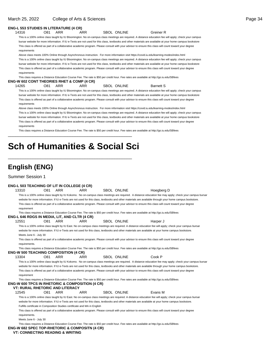### **ENG-L 553 STUDIES IN LITERATURE (4 CR)**

14316 O81 ARR ARR SBOL ONLINE Greiner R This is a 100% online class taught by IU Bloomington. No on-campus class meetings are required. A distance education fee will apply; check your campus

bursar website for more information. If IU e-Texts are not used for this class, textbooks and other materials are available at your home campus bookstore This class is offered as part of a collaborative academic program. Please consult with your advisor to ensure this class will count toward your degree requirements

Above class meets 100% Online through Asynchronous instruction. For more information visit https://covid.iu.edu/learning-modes/index.html This is a 100% online class taught by IU Bloomington. No on-campus class meetings are required. A distance education fee will apply; check your campus bursar website for more information. If IU e-Texts are not used for this class, textbooks and other materials are available at your home campus bookstore This class is offered as part of a collaborative academic program. Please consult with your advisor to ensure this class will count toward your degree requirements

This class requires a Distance Education Course Fee. The rate is \$50 per credit hour. Fee rates are available at http://go.iu.edu/SBfees **ENG-W 602 CONT THEORIES RHET & COMP (4 CR)**

#### 14265 O81 ARR ARR SBOL ONLINE Barnett S

This is a 100% online class taught by IU Bloomington. No on-campus class meetings are required. A distance education fee will apply; check your campus bursar website for more information. If IU e-Texts are not used for this class, textbooks and other materials are available at your home campus bookstore This class is offered as part of a collaborative academic program. Please consult with your advisor to ensure this class will count toward your degree requirements

Above class meets 100% Online through Asynchronous instruction. For more information visit https://covid.iu.edu/learning-modes/index.html This is a 100% online class taught by IU Bloomington. No on-campus class meetings are required. A distance education fee will apply; check your campus bursar website for more information. If IU e-Texts are not used for this class, textbooks and other materials are available at your home campus bookstore This class is offered as part of a collaborative academic program. Please consult with your advisor to ensure this class will count toward your degree requirements

This class requires a Distance Education Course Fee. The rate is \$50 per credit hour. Fee rates are available at http://go.iu.edu/SBfees

## **Sch of Humanities & Social Sci**

\_\_\_\_\_\_\_\_\_\_\_\_\_\_\_\_\_\_\_\_\_\_\_\_\_\_\_\_\_\_\_\_\_\_\_\_\_\_\_\_\_\_\_\_\_\_\_\_\_\_

\_\_\_\_\_\_\_\_\_\_\_\_\_\_\_\_\_\_\_\_\_\_\_\_\_\_\_\_\_\_\_\_\_\_\_\_\_\_\_\_\_\_\_\_\_\_\_\_\_\_

## **English (ENG)**

|       |                                                                                                                                                        |     | <b>ENG-L 503 TEACHING OF LIT IN COLLEGE (4 CR)</b> |                                                            |  |                    |                                                                                                                                                          |  |  |
|-------|--------------------------------------------------------------------------------------------------------------------------------------------------------|-----|----------------------------------------------------|------------------------------------------------------------|--|--------------------|----------------------------------------------------------------------------------------------------------------------------------------------------------|--|--|
| 13310 |                                                                                                                                                        | O81 | ARR                                                | <b>ARR</b>                                                 |  | <b>SBOL ONLINE</b> | Hoegberg D                                                                                                                                               |  |  |
|       |                                                                                                                                                        |     |                                                    |                                                            |  |                    | This is a 100% online class taught by IU Kokomo. No on-campus class meetings are required. A distance education fee may apply; check your campus bursar  |  |  |
|       |                                                                                                                                                        |     |                                                    |                                                            |  |                    | website for more information. If IU e-Texts are not used for this class, textbooks and other materials are available through your home campus bookstore. |  |  |
|       |                                                                                                                                                        |     |                                                    |                                                            |  |                    | This class is offered as part of a collaborative academic program. Please consult with your advisor to ensure this class will count toward your degree   |  |  |
|       | requirement                                                                                                                                            |     |                                                    |                                                            |  |                    |                                                                                                                                                          |  |  |
|       |                                                                                                                                                        |     | ENG-L 646 RDGS IN MEDIA, LIT, AND CLTR (4 CR)      |                                                            |  |                    | This class requires a Distance Education Course Fee. The rate is \$50 per credit hour. Fee rates are available at http://go.iu.edu/SBfees                |  |  |
| 12551 |                                                                                                                                                        | O81 | ARR                                                | <b>ARR</b>                                                 |  | <b>SBOL ONLINE</b> | Harper J                                                                                                                                                 |  |  |
|       |                                                                                                                                                        |     |                                                    |                                                            |  |                    | This is a 100% online class taught by IU East. No on-campus class meetings are required. A distance education fee will apply; check your campus bursar   |  |  |
|       |                                                                                                                                                        |     |                                                    |                                                            |  |                    | website for more information. If IU e-Texts are not used for this class, textbooks and other materials are available at your home campus bookstore.      |  |  |
|       | Meets June 6 - July 30                                                                                                                                 |     |                                                    |                                                            |  |                    |                                                                                                                                                          |  |  |
|       | requirements.                                                                                                                                          |     |                                                    |                                                            |  |                    | This class is offered as part of a collaborative academic program. Please consult with your advisor to ensure this class will count toward your degree   |  |  |
|       |                                                                                                                                                        |     |                                                    |                                                            |  |                    | This class requires a Distance Education Course Fee. The rate is \$50 per credit hour. Fee rates are available at http://go.iu.edu/SBfees                |  |  |
|       |                                                                                                                                                        |     | <b>ENG-W 500 TEACHING COMPOSITION (4 CR)</b>       |                                                            |  |                    |                                                                                                                                                          |  |  |
| 13304 |                                                                                                                                                        | O81 | <b>ARR</b>                                         | ARR                                                        |  | <b>SBOL ONLINE</b> | Cook P                                                                                                                                                   |  |  |
|       |                                                                                                                                                        |     |                                                    |                                                            |  |                    | This is a 100% online class taught by IU Kokomo. No on-campus class meetings are required. A distance education fee may apply; check your campus bursar  |  |  |
|       |                                                                                                                                                        |     |                                                    |                                                            |  |                    | website for more information. If IU e-Texts are not used for this class, textbooks and other materials are available through your home campus bookstore. |  |  |
|       | requirement                                                                                                                                            |     |                                                    |                                                            |  |                    | This class is offered as part of a collaborative academic program. Please consult with your advisor to ensure this class will count toward your degree   |  |  |
|       |                                                                                                                                                        |     |                                                    | <b>ENG-W 600 TPCS IN RHETORIC &amp; COMPOSITION (4 CR)</b> |  |                    | This class requires a Distance Education Course Fee. The rate is \$50 per credit hour. Fee rates are available at http://go.iu.edu/SBfees                |  |  |
|       |                                                                                                                                                        |     | <b>VT: RURAL RHETORIC AND LITERACY</b>             |                                                            |  |                    |                                                                                                                                                          |  |  |
| 12545 |                                                                                                                                                        | O81 | ARR                                                | <b>ARR</b>                                                 |  | SBOL ONLINE        | Evans M                                                                                                                                                  |  |  |
|       |                                                                                                                                                        |     |                                                    |                                                            |  |                    | This is a 100% online class taught by IU East. No on-campus class meetings are required. A distance education fee will apply; check your campus bursar   |  |  |
|       |                                                                                                                                                        |     |                                                    |                                                            |  |                    | website for more information. If IU e-Texts are not used for this class, textbooks and other materials are available at your home campus bookstore.      |  |  |
|       | Fulfills certificate in Composition Studies certificate and MA in English                                                                              |     |                                                    |                                                            |  |                    |                                                                                                                                                          |  |  |
|       | This class is offered as part of a collaborative academic program. Please consult with your advisor to ensure this class will count toward your degree |     |                                                    |                                                            |  |                    |                                                                                                                                                          |  |  |
|       | requirements.                                                                                                                                          |     |                                                    |                                                            |  |                    |                                                                                                                                                          |  |  |
|       | Meets June 6 - July 30                                                                                                                                 |     |                                                    |                                                            |  |                    |                                                                                                                                                          |  |  |
|       | This class requires a Distance Education Course Fee. The rate is \$50 per credit hour. Fee rates are available at http://go.iu.edu/SBfees              |     |                                                    |                                                            |  |                    |                                                                                                                                                          |  |  |
|       | ENG-W 682 SPEC TOP-RHETORIC & COMPOSITN (4 CR)                                                                                                         |     |                                                    |                                                            |  |                    |                                                                                                                                                          |  |  |
|       |                                                                                                                                                        |     | VT: CONNECTING READING & WRITING                   |                                                            |  |                    |                                                                                                                                                          |  |  |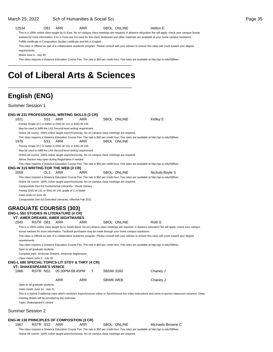#### 12534 O81 ARR ARR SBOL ONLINE Helton E

This is a 100% online class taught by IU East. No on-campus class meetings are required. A distance education fee will apply; check your campus bursar website for more information. If IU e-Texts are not used for this class, textbooks and other materials are available at your home campus bookstore.

Fulfills certificate in Composition Studies certificate and MA in English

This class is offered as part of a collaborative academic program. Please consult with your advisor to ensure this class will count toward your degree requirements.

Meets June 6 - July 30

This class requires a Distance Education Course Fee. The rate is \$50 per credit hour. Fee rates are available at http://go.iu.edu/SBfees

## **Col of Liberal Arts & Sciences**

\_\_\_\_\_\_\_\_\_\_\_\_\_\_\_\_\_\_\_\_\_\_\_\_\_\_\_\_\_\_\_\_\_\_\_\_\_\_\_\_\_\_\_\_\_\_\_\_\_\_

\_\_\_\_\_\_\_\_\_\_\_\_\_\_\_\_\_\_\_\_\_\_\_\_\_\_\_\_\_\_\_\_\_\_\_\_\_\_\_\_\_\_\_\_\_\_\_\_\_\_

### **English (ENG)**

Summer Session 1

**ENG-W 231 PROFESSIONAL WRITING SKILLS (3 CR)** 1921 SS1 ARR ARR SBOL ONLINE Kelley E Prereq: Grade of C or better in ENG-W 131 or ENG-W 140 May be used to fulfill the LAS Second-level writing requirement Online All course: 100% online taught asynchronously. No on-campus class meetings are required. This class requires a Distance Education Course Fee. The rate is \$50 per credit hour. Fee rates are available at http://go.iu.edu/SBfees 1976 SS1 ARR ARR SBOL ONLINE Prereq: Grade of C or better in ENG-W 131 or ENG-W 140 May be used to fulfill the LAS Second-level writing requirement Online All course: 100% online taught asynchronously. No on-campus class meetings are required. Above Section may open during Registration if needed This class requires a Distance Education Course Fee. The rate is \$50 per credit hour. Fee rates are available at http://go.iu.edu/SBfees **ENG-W 315 WRITING FOR THE WEB (3 CR)** 2059 OL1 ARR ARR SBOL ONLINE Nichols-Boyle S This class requires a Distance Education Course Fee. The rate is \$50 per credit hour. Fee rates are available at http://go.iu.edu/SBfees Online All course: 100% online taught asynchronously. No on-campus class meetings are required. Campuswide Gen Ed Fundamental Literacies: Visual Literacy Prereq: ENG-W 131 or ENG-W 140, grade of C or better Class ends on June 26 Campuswide Gen Ed Extended Literacies, effective Fall 2021 **GRADUATE COURSES (303) ENG-L 553 STUDIES IN LITERATURE (4 CR) VT: AMER DREAMS, AMER NIGHTMARES** 2043 RSTR O81 ARR ARR SBOL ONLINE Roth E This is a 100% online class taught by IU South Bend. No on-campus class meetings are required. A distance education fee will apply; check your campus bursar website for more information. Textbook purchases may be made through your home campus bookstore. This class is offered as part of a collaborative academic program. Please consult with your advisor to ensure this class will count toward your degree requirements This class requires a Distance Education Course Fee. The rate is \$50 per credit hour. Fee rates are available at http://go.iu.edu/SBfees Open to all graduate students Complete topic: American Dreams, American Nightmares Class meets June 6 - July 30 **ENG-L 680 SPECIAL TOPICS-LIT STDY & THRY (4 CR) VT: SHAKESPEARE'S VENICE** 1886 RSTR NS1 05:30PM-08:45PM T SBDW 3160 Chaney J ARR ARR SBWB WEB Chaney J Open to all graduate students. Class meets June 14 - July 21 This is a Hybrid-Traditional class which combines Asynchronous online or Synchronous live video instructions and some in-person classroom sessions. Class meeting details will be provided by the instructor. Topic: Shakespeare's Venice Summer Session 2 **ENG-W 130 PRINCIPLES OF COMPOSITION (3 CR)** 1967 RSTR SS2 ARR ARR SBOL ONLINE Michaels-Browne C This class requires a Distance Education Course Fee. The rate is \$50 per credit hour. Fee rates are available at http://go.iu.edu/SBfees Online All course: 100% online taught asynchronously. No on-campus class meetings are required.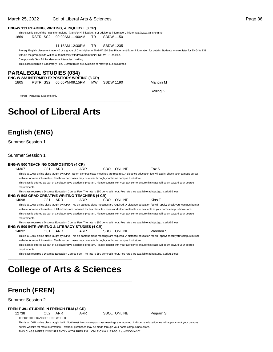#### March 25, 2022 Col of Liberal Arts & Sciences Page 36

#### **ENG-W 131 READING, WRITING, & INQUIRY I (3 CR)**

This class is part of the "Transfer Indiana" (transferIN) initiative. For additional information, link to http://www.transferin.net

1869 RSTR SS2 09:00AM-11:00AM TR SBDW 1150

11:15AM-12:30PM TR SBDW 1235

Prereq: English placement level 40 or a grade of C or higher in ENG-W 130. See Placement Exam information for details. Students who register for ENG-W 131 without the prerequisite will be automatically withdrawn from their ENG-W 131 section. Campuswide Gen Ed Fundamental Literacies: Writing

This class requires a Laboratory Fee. Current rates are available at http://go.iu.edu/SBfees

#### **PARALEGAL STUDIES (034)**

**ENG-W 233 INTERMED EXPOSITORY WRITING (3 CR)** 1805 RSTR SS2 06:00PM-09:15PM MW SBDW 1190 Mancini M

\_\_\_\_\_\_\_\_\_\_\_\_\_\_\_\_\_\_\_\_\_\_\_\_\_\_\_\_\_\_\_\_\_\_\_\_\_\_\_\_\_\_\_\_\_\_\_\_\_\_

Railing K

Prereq: Paralegal Students only \_\_\_\_\_\_\_\_\_\_\_\_\_\_\_\_\_\_\_\_\_\_\_\_\_\_\_\_\_\_\_\_\_\_\_\_\_\_\_\_\_\_\_\_\_\_\_\_\_\_

## **School of Liberal Arts**

### **English (ENG)**

Summer Session 1

Summer Session 1

|       |                                                                                                  |     | <b>ENG-W 500 TEACHING COMPOSITION (4 CR)</b>               |     |  |                                                                                                                                           |                                                                                                                                                        |  |  |  |  |
|-------|--------------------------------------------------------------------------------------------------|-----|------------------------------------------------------------|-----|--|-------------------------------------------------------------------------------------------------------------------------------------------|--------------------------------------------------------------------------------------------------------------------------------------------------------|--|--|--|--|
| 14307 |                                                                                                  | O81 | ARR                                                        | ARR |  | <b>SBOL ONLINE</b>                                                                                                                        | Fox S                                                                                                                                                  |  |  |  |  |
|       |                                                                                                  |     |                                                            |     |  |                                                                                                                                           | This is a 100% online class taught by IUPUI. No on-campus class meetings are required. A distance education fee will apply; check your campus bursar   |  |  |  |  |
|       | website for more information. Textbook purchases may be made through your home campus bookstore. |     |                                                            |     |  |                                                                                                                                           |                                                                                                                                                        |  |  |  |  |
|       |                                                                                                  |     |                                                            |     |  |                                                                                                                                           | This class is offered as part of a collaborative academic program. Please consult with your advisor to ensure this class will count toward your degree |  |  |  |  |
|       | requirements.                                                                                    |     |                                                            |     |  |                                                                                                                                           |                                                                                                                                                        |  |  |  |  |
|       |                                                                                                  |     |                                                            |     |  | This class requires a Distance Education Course Fee. The rate is \$50 per credit hour. Fee rates are available at http://go.iu.edu/SBfees |                                                                                                                                                        |  |  |  |  |
|       |                                                                                                  |     | <b>ENG-W 508 GRAD CREATIVE WRITING-TEACHERS (4 CR)</b>     |     |  |                                                                                                                                           |                                                                                                                                                        |  |  |  |  |
| 14098 |                                                                                                  | O81 | ARR                                                        | ARR |  | SBOL ONLINE                                                                                                                               | Kirts T                                                                                                                                                |  |  |  |  |
|       |                                                                                                  |     |                                                            |     |  |                                                                                                                                           | This is a 100% online class taught by IUPUI. No on-campus class meetings are required. A distance education fee will apply; check your campus bursar   |  |  |  |  |
|       |                                                                                                  |     |                                                            |     |  |                                                                                                                                           | website for more information. If IU e-Texts are not used for this class, textbooks and other materials are available at your home campus bookstore.    |  |  |  |  |
|       |                                                                                                  |     |                                                            |     |  |                                                                                                                                           | This class is offered as part of a collaborative academic program. Please consult with your advisor to ensure this class will count toward your degree |  |  |  |  |
|       | requirements.                                                                                    |     |                                                            |     |  |                                                                                                                                           |                                                                                                                                                        |  |  |  |  |
|       |                                                                                                  |     |                                                            |     |  | This class requires a Distance Education Course Fee. The rate is \$50 per credit hour. Fee rates are available at http://go.iu.edu/SBfees |                                                                                                                                                        |  |  |  |  |
|       |                                                                                                  |     | <b>ENG-W 509 INTR:WRITNG &amp; LITERACY STUDIES (4 CR)</b> |     |  |                                                                                                                                           |                                                                                                                                                        |  |  |  |  |
| 14092 |                                                                                                  | O81 | ARR                                                        | ARR |  | <b>SBOL ONLINE</b>                                                                                                                        | Weeden S                                                                                                                                               |  |  |  |  |
|       |                                                                                                  |     |                                                            |     |  |                                                                                                                                           | This is a 100% online class taught by IUPUI. No on-campus class meetings are required. A distance education fee will apply; check your campus bursar   |  |  |  |  |
|       |                                                                                                  |     |                                                            |     |  | website for more information. Textbook purchases may be made through your home campus bookstore.                                          |                                                                                                                                                        |  |  |  |  |
|       |                                                                                                  |     |                                                            |     |  |                                                                                                                                           | This class is offered as part of a collaborative academic program. Please consult with your advisor to ensure this class will count toward your degree |  |  |  |  |
|       | requirements.                                                                                    |     |                                                            |     |  |                                                                                                                                           |                                                                                                                                                        |  |  |  |  |
|       |                                                                                                  |     |                                                            |     |  | This class requires a Distance Education Course Fee. The rate is \$50 per credit hour. Fee rates are available at http://go.iu.edu/SBfees |                                                                                                                                                        |  |  |  |  |
|       |                                                                                                  |     |                                                            |     |  |                                                                                                                                           |                                                                                                                                                        |  |  |  |  |

## **College of Arts & Sciences**

\_\_\_\_\_\_\_\_\_\_\_\_\_\_\_\_\_\_\_\_\_\_\_\_\_\_\_\_\_\_\_\_\_\_\_\_\_\_\_\_\_\_\_\_\_\_\_\_\_\_

### **French (FREN)**

Summer Session 2

#### **FREN-F 391 STUDIES IN FRENCH FILM (3 CR)**

TOPIC: THE FRANCOPHONE WORLD

12738 OL2 ARR ARR SBOL ONLINE Pegram S

This is a 100% online class taught by IU Northwest. No on-campus class meetings are required. A distance education fee will apply; check your campus bursar website for more information. Textbook purchases may be made through your home campus bookstore. THIS CLASS MEETS CONCURRENTLY WITH FREN F311, CMLT-C340, LIBS-D511 and WGS-W302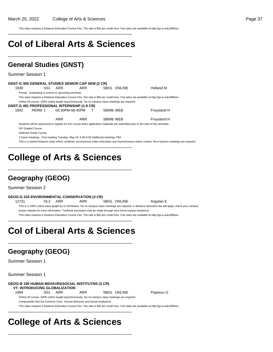This class requires a Distance Education Course Fee. The rate is \$50 per credit hour. Fee rates are available at http://go.iu.edu/SBfees

## **Col of Liberal Arts & Sciences**

\_\_\_\_\_\_\_\_\_\_\_\_\_\_\_\_\_\_\_\_\_\_\_\_\_\_\_\_\_\_\_\_\_\_\_\_\_\_\_\_\_\_\_\_\_\_\_\_\_\_

\_\_\_\_\_\_\_\_\_\_\_\_\_\_\_\_\_\_\_\_\_\_\_\_\_\_\_\_\_\_\_\_\_\_\_\_\_\_\_\_\_\_\_\_\_\_\_\_\_\_

### **General Studies (GNST)**

Summer Session 1

|      |                                                     |                 | <b>GNST-G 400 GENERAL STUDIES SENIOR CAP SEM (2 CR)</b> |                                                                                                                                           |                                                                                                                                                   |  |
|------|-----------------------------------------------------|-----------------|---------------------------------------------------------|-------------------------------------------------------------------------------------------------------------------------------------------|---------------------------------------------------------------------------------------------------------------------------------------------------|--|
| 1830 | SS1                                                 | ARR             | ARR                                                     | SBOL ONLINE                                                                                                                               | Holland M                                                                                                                                         |  |
|      | Prereq: Graduating in current or upcoming semester. |                 |                                                         |                                                                                                                                           |                                                                                                                                                   |  |
|      |                                                     |                 |                                                         | This class requires a Distance Education Course Fee. The rate is \$50 per credit hour. Fee rates are available at http://qo.iu.edu/SBfees |                                                                                                                                                   |  |
|      |                                                     |                 |                                                         | Online All course: 100% online taught asynchronously. No on-campus class meetings are required.                                           |                                                                                                                                                   |  |
|      |                                                     |                 | <b>GNST-G 481 PROFESSIONAL INTERNSHIP (1-6 CR)</b>      |                                                                                                                                           |                                                                                                                                                   |  |
| 1842 | PERM 1                                              | 05:30PM-06:45PM |                                                         | SBWB WEB                                                                                                                                  | Froysland H                                                                                                                                       |  |
|      |                                                     | <b>ARR</b>      | <b>ARR</b>                                              | SBWB WEB                                                                                                                                  | Froysland H                                                                                                                                       |  |
|      |                                                     |                 |                                                         | Students will be authorized to register for this course when application materials are submitted prior to the start of the semester.      |                                                                                                                                                   |  |
|      | S/F Graded Course                                   |                 |                                                         |                                                                                                                                           |                                                                                                                                                   |  |
|      | Deferred Grade Course                               |                 |                                                         |                                                                                                                                           |                                                                                                                                                   |  |
|      |                                                     |                 |                                                         | 3 Zoom meetings. First meeting Tuesday, May 24; 5:30-6:45 Additional meetings TBA                                                         |                                                                                                                                                   |  |
|      |                                                     |                 |                                                         |                                                                                                                                           | This is a Hybrid-Distance class which combines Synchronous video instruction and Asynchronous online content. No in-person meetings are required. |  |
|      |                                                     |                 |                                                         |                                                                                                                                           |                                                                                                                                                   |  |

## **College of Arts & Sciences**

\_\_\_\_\_\_\_\_\_\_\_\_\_\_\_\_\_\_\_\_\_\_\_\_\_\_\_\_\_\_\_\_\_\_\_\_\_\_\_\_\_\_\_\_\_\_\_\_\_\_

### **Geography (GEOG)**

Summer Session 2

#### **GEOG-G 315 ENVIRONMENTAL CONSERVATION (3 CR)**

12731 OL2 ARR ARR SBOL ONLINE Argyilan E This is a 100% online class taught by IU Northwest. No on-campus class meetings are required. A distance education fee will apply; check your campus bursar website for more information. Textbook purchases may be made through your home campus bookstore. This class requires a Distance Education Course Fee. The rate is \$50 per credit hour. Fee rates are available at http://go.iu.edu/SBfees \_\_\_\_\_\_\_\_\_\_\_\_\_\_\_\_\_\_\_\_\_\_\_\_\_\_\_\_\_\_\_\_\_\_\_\_\_\_\_\_\_\_\_\_\_\_\_\_\_\_

## **Col of Liberal Arts & Sciences**

\_\_\_\_\_\_\_\_\_\_\_\_\_\_\_\_\_\_\_\_\_\_\_\_\_\_\_\_\_\_\_\_\_\_\_\_\_\_\_\_\_\_\_\_\_\_\_\_\_\_

### **Geography (GEOG)**

Summer Session 1

Summer Session 1

#### **GEOG-B 190 HUMAN BEHAVR&SOCIAL INSTITUTNS (3 CR)**

#### **VT: INTRODUCING GLOBALIZATION**

1964 SS1 ARR ARR SBOL ONLINE Popescu G

\_\_\_\_\_\_\_\_\_\_\_\_\_\_\_\_\_\_\_\_\_\_\_\_\_\_\_\_\_\_\_\_\_\_\_\_\_\_\_\_\_\_\_\_\_\_\_\_\_\_

\_\_\_\_\_\_\_\_\_\_\_\_\_\_\_\_\_\_\_\_\_\_\_\_\_\_\_\_\_\_\_\_\_\_\_\_\_\_\_\_\_\_\_\_\_\_\_\_\_\_

Online All course: 100% online taught asynchronously. No on-campus class meetings are required. Campuswide Gen Ed Common Core: Human Behavior and Social Institutions This class requires a Distance Education Course Fee. The rate is \$50 per credit hour. Fee rates are available at http://go.iu.edu/SBfees

## **College of Arts & Sciences**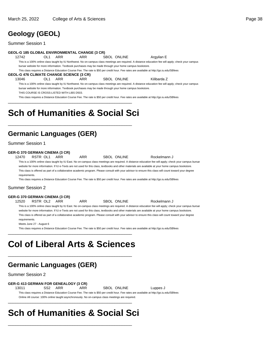## **Geology (GEOL)**

Summer Session 1

#### **GEOL-G 185 GLOBAL ENVIRONMENTAL CHANGE (3 CR)**

12742 OL1 ARR ARR SBOL ONLINE Argyilan E

This is a 100% online class taught by IU Northwest. No on-campus class meetings are required. A distance education fee will apply; check your campus bursar website for more information. Textbook purchases may be made through your home campus bookstore.

This class requires a Distance Education Course Fee. The rate is \$50 per credit hour. Fee rates are available at http://go.iu.edu/SBfees

#### **GEOL-G 476 CLIMATE CHANGE SCIENCE (3 CR)**

13046 OL1 ARR ARR SBOL ONLINE Kilibarda Z

This is a 100% online class taught by IU Northwest. No on-campus class meetings are required. A distance education fee will apply; check your campus bursar website for more information. Textbook purchases may be made through your home campus bookstore. THIS COURSE IS CROSS-LISTED WITH LIBS D503.

This class requires a Distance Education Course Fee. The rate is \$50 per credit hour. Fee rates are available at http://go.iu.edu/SBfees \_\_\_\_\_\_\_\_\_\_\_\_\_\_\_\_\_\_\_\_\_\_\_\_\_\_\_\_\_\_\_\_\_\_\_\_\_\_\_\_\_\_\_\_\_\_\_\_\_\_

## **Sch of Humanities & Social Sci**

\_\_\_\_\_\_\_\_\_\_\_\_\_\_\_\_\_\_\_\_\_\_\_\_\_\_\_\_\_\_\_\_\_\_\_\_\_\_\_\_\_\_\_\_\_\_\_\_\_\_

### **Germanic Languages (GER)**

Summer Session 1

#### **GER-G 370 GERMAN CINEMA (3 CR)**

12470 RSTR OL1 ARR ARR SBOL ONLINE Rockelmann J

This is a 100% online class taught by IU East. No on-campus class meetings are required. A distance education fee will apply; check your campus bursar website for more information. If IU e-Texts are not used for this class, textbooks and other materials are available at your home campus bookstore. This class is offered as part of a collaborative academic program. Please consult with your advisor to ensure this class will count toward your degree requirements.

This class requires a Distance Education Course Fee. The rate is \$50 per credit hour. Fee rates are available at http://go.iu.edu/SBfees

#### Summer Session 2

#### **GER-G 370 GERMAN CINEMA (3 CR)**

12520 RSTR OL2 ARR ARR SBOL ONLINE Rockelmann J This is a 100% online class taught by IU East. No on-campus class meetings are required. A distance education fee will apply; check your campus bursar website for more information. If IU e-Texts are not used for this class, textbooks and other materials are available at your home campus bookstore. This class is offered as part of a collaborative academic program. Please consult with your advisor to ensure this class will count toward your degree requirements.

Meets June 27 - August 6

This class requires a Distance Education Course Fee. The rate is \$50 per credit hour. Fee rates are available at http://go.iu.edu/SBfees

## **Col of Liberal Arts & Sciences**

\_\_\_\_\_\_\_\_\_\_\_\_\_\_\_\_\_\_\_\_\_\_\_\_\_\_\_\_\_\_\_\_\_\_\_\_\_\_\_\_\_\_\_\_\_\_\_\_\_\_

\_\_\_\_\_\_\_\_\_\_\_\_\_\_\_\_\_\_\_\_\_\_\_\_\_\_\_\_\_\_\_\_\_\_\_\_\_\_\_\_\_\_\_\_\_\_\_\_\_\_

### **Germanic Languages (GER)**

Summer Session 2

#### **GER-G 413 GERMAN FOR GENEALOGY (3 CR)**

13011 SS2 ARR ARR SBOL ONLINE Luppes J This class requires a Distance Education Course Fee. The rate is \$50 per credit hour. Fee rates are available at http://go.iu.edu/SBfees

#### Online All course: 100% online taught asynchronously. No on-campus class meetings are required. \_\_\_\_\_\_\_\_\_\_\_\_\_\_\_\_\_\_\_\_\_\_\_\_\_\_\_\_\_\_\_\_\_\_\_\_\_\_\_\_\_\_\_\_\_\_\_\_\_\_

## **Sch of Humanities & Social Sci**

\_\_\_\_\_\_\_\_\_\_\_\_\_\_\_\_\_\_\_\_\_\_\_\_\_\_\_\_\_\_\_\_\_\_\_\_\_\_\_\_\_\_\_\_\_\_\_\_\_\_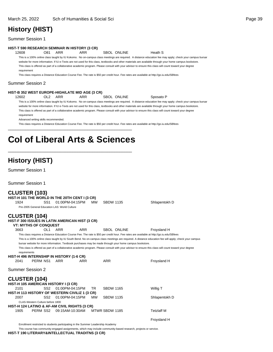### **History (HIST)**

Summer Session 1

#### **HIST-T 590 RESEARCH SEMINAR IN HISTORY (3 CR)**

12608 O81 ARR ARR SBOL ONLINE Heath S This is a 100% online class taught by IU Kokomo. No on-campus class meetings are required. A distance education fee may apply; check your campus bursar website for more information. If IU e-Texts are not used for this class, textbooks and other materials are available through your home campus bookstore. This class is offered as part of a collaborative academic program. Please consult with your advisor to ensure this class will count toward your degree requirement

This class requires a Distance Education Course Fee. The rate is \$50 per credit hour. Fee rates are available at http://go.iu.edu/SBfees

#### Summer Session 2

#### **HIST-B 352 WEST EUROPE-HIGH/LATE MID AGE (3 CR)**

12602 OL2 ARR ARR SBOL ONLINE Sposato P This is a 100% online class taught by IU Kokomo. No on-campus class meetings are required. A distance education fee may apply; check your campus bursar website for more information. If IU e-Texts are not used for this class, textbooks and other materials are available through your home campus bookstore. This class is offered as part of a collaborative academic program. Please consult with your advisor to ensure this class will count toward your degree requirement

Advanced writing skills recommended.

This class requires a Distance Education Course Fee. The rate is \$50 per credit hour. Fee rates are available at http://go.iu.edu/SBfees

## **Col of Liberal Arts & Sciences**

\_\_\_\_\_\_\_\_\_\_\_\_\_\_\_\_\_\_\_\_\_\_\_\_\_\_\_\_\_\_\_\_\_\_\_\_\_\_\_\_\_\_\_\_\_\_\_\_\_\_

\_\_\_\_\_\_\_\_\_\_\_\_\_\_\_\_\_\_\_\_\_\_\_\_\_\_\_\_\_\_\_\_\_\_\_\_\_\_\_\_\_\_\_\_\_\_\_\_\_\_

### **History (HIST)**

Summer Session 1

Summer Session 1

### **CLUSTER (103)**

|                      | ▽느▽▽ ' 느'ヽ \ ' ▽▽ /                           | HIST-H 101 THE WORLD IN THE 20TH CENT I (3 CR)                                   |            |                                                                                                         |                                                                                                                                                        |
|----------------------|-----------------------------------------------|----------------------------------------------------------------------------------|------------|---------------------------------------------------------------------------------------------------------|--------------------------------------------------------------------------------------------------------------------------------------------------------|
| 1924                 | SS <sub>1</sub>                               | 01:00PM-04:15PM                                                                  | <b>MW</b>  | <b>SBDW 1135</b>                                                                                        | Shlapentokh D                                                                                                                                          |
|                      | Pre-2005 General Education LAS: World Culture |                                                                                  |            |                                                                                                         |                                                                                                                                                        |
| <b>CLUSTER (104)</b> |                                               | HIST-F 300 ISSUES IN LATIN AMERICAN HIST (3 CR)                                  |            |                                                                                                         |                                                                                                                                                        |
|                      | <b>VT: MYTHS OF CONQUEST</b>                  |                                                                                  |            |                                                                                                         |                                                                                                                                                        |
| 3663                 | OL <sub>1</sub>                               | ARR                                                                              | <b>ARR</b> | <b>SBOL ONLINE</b>                                                                                      | Froysland H                                                                                                                                            |
|                      |                                               |                                                                                  |            |                                                                                                         | This class requires a Distance Education Course Fee. The rate is \$50 per credit hour. Fee rates are available at http://go.iu.edu/SBfees              |
|                      |                                               |                                                                                  |            |                                                                                                         | This is a 100% online class taught by IU South Bend. No on-campus class meetings are required. A distance education fee will apply; check your campus  |
|                      |                                               |                                                                                  |            | bursar website for more information. Textbook purchases may be made through your home campus bookstore. |                                                                                                                                                        |
|                      |                                               |                                                                                  |            |                                                                                                         | This class is offered as part of a collaborative academic program. Please consult with your advisor to ensure this class will count toward your degree |
| requirements         |                                               |                                                                                  |            |                                                                                                         |                                                                                                                                                        |
|                      |                                               | HIST-H 496 INTERNSHIP IN HISTORY (1-6 CR)                                        |            |                                                                                                         |                                                                                                                                                        |
| 2041                 | PERM NS1                                      | <b>ARR</b>                                                                       | <b>ARR</b> | <b>ARR</b>                                                                                              | Froysland H                                                                                                                                            |
| Summer Session 2     |                                               |                                                                                  |            |                                                                                                         |                                                                                                                                                        |
| <b>CLUSTER (104)</b> |                                               |                                                                                  |            |                                                                                                         |                                                                                                                                                        |
|                      | HIST-H 105 AMERICAN HISTORY I (3 CR)          |                                                                                  |            |                                                                                                         |                                                                                                                                                        |
| 2101                 | SS2                                           | 01:00PM-04:15PM                                                                  | TR.        | <b>SBDW 1165</b>                                                                                        | Willig T                                                                                                                                               |
|                      |                                               | HIST-H 113 HISTORY OF WESTERN CIVILIZ 1 (3 CR)                                   |            |                                                                                                         |                                                                                                                                                        |
| 2007                 | SS2                                           | 01:00PM-04:15PM                                                                  | <b>MW</b>  | <b>SBDW 1135</b>                                                                                        | Shlapentokh D                                                                                                                                          |
|                      | CLAS-Western Culture before 1800              |                                                                                  |            |                                                                                                         |                                                                                                                                                        |
|                      |                                               | HIST-H 124 LATINO & AF-AM CIVIL RIGHTS (3 CR)                                    |            |                                                                                                         |                                                                                                                                                        |
| 1905                 | PERM SS2                                      | 09:15AM-10:30AM                                                                  |            | MTWR SBDW 1185                                                                                          | <b>Tetzlaff M</b>                                                                                                                                      |
|                      |                                               |                                                                                  |            |                                                                                                         | Froysland H                                                                                                                                            |
|                      |                                               | Enrollment restricted to students participating in the Summer Leadership Academy |            |                                                                                                         |                                                                                                                                                        |

This course has community-engaged assignments, which may include community-based research, projects or service.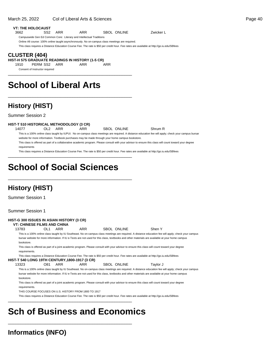#### March 25, 2022 Col of Liberal Arts & Sciences Page 40

#### **VT: THE HOLOCAUST**

3662 SS2 ARR ARR SBOL ONLINE Zwicker L

Campuswide Gen Ed Common Core: Literary and Intellectual Traditions

Online All course: 100% online taught asynchronously. No on-campus class meetings are required.

\_\_\_\_\_\_\_\_\_\_\_\_\_\_\_\_\_\_\_\_\_\_\_\_\_\_\_\_\_\_\_\_\_\_\_\_\_\_\_\_\_\_\_\_\_\_\_\_\_\_

This class requires a Distance Education Course Fee. The rate is \$50 per credit hour. Fee rates are available at http://go.iu.edu/SBfees

### **CLUSTER (404)**

**HIST-H 575 GRADUATE READINGS IN HISTORY (1-5 CR)**

1910 PERM SS2 ARR ARR ARR

Consent of Instructor required \_\_\_\_\_\_\_\_\_\_\_\_\_\_\_\_\_\_\_\_\_\_\_\_\_\_\_\_\_\_\_\_\_\_\_\_\_\_\_\_\_\_\_\_\_\_\_\_\_\_

## **School of Liberal Arts**

### **History (HIST)**

Summer Session 2

#### **HIST-T 510 HISTORICAL METHODOLOGY (3 CR)**

14077 OL2 ARR ARR SBOL ONLINE Shrum R

This is a 100% online class taught by IUPUI. No on-campus class meetings are required. A distance education fee will apply; check your campus bursar website for more information. Textbook purchases may be made through your home campus bookstore.

This class is offered as part of a collaborative academic program. Please consult with your advisor to ensure this class will count toward your degree requirements

This class requires a Distance Education Course Fee. The rate is \$50 per credit hour. Fee rates are available at http://go.iu.edu/SBfees

# **School of Social Sciences**

\_\_\_\_\_\_\_\_\_\_\_\_\_\_\_\_\_\_\_\_\_\_\_\_\_\_\_\_\_\_\_\_\_\_\_\_\_\_\_\_\_\_\_\_\_\_\_\_\_\_

\_\_\_\_\_\_\_\_\_\_\_\_\_\_\_\_\_\_\_\_\_\_\_\_\_\_\_\_\_\_\_\_\_\_\_\_\_\_\_\_\_\_\_\_\_\_\_\_\_\_

### **History (HIST)**

Summer Session 1

Summer Session 1

| <b>HIST-G 300 ISSUES IN ASIAN HISTORY (3 CR)</b>      |     |     |                                                       |             |                                                                                                                                                      |  |
|-------------------------------------------------------|-----|-----|-------------------------------------------------------|-------------|------------------------------------------------------------------------------------------------------------------------------------------------------|--|
| <b>VT: CHINESE FILMS AND CHINA</b>                    |     |     |                                                       |             |                                                                                                                                                      |  |
| 13783                                                 | OL1 | ARR | ARR                                                   | SBOL ONLINE | Shen Y                                                                                                                                               |  |
|                                                       |     |     |                                                       |             | This is a 100% online class taught by IU Southeast. No on-campus class meetings are required. A distance education fee will apply; check your campus |  |
|                                                       |     |     |                                                       |             | bursar website for more information. If IU e-Texts are not used for this class, textbooks and other materials are available at your home campus      |  |
| bookstore.                                            |     |     |                                                       |             |                                                                                                                                                      |  |
|                                                       |     |     |                                                       |             | This class is offered as part of a joint academic program. Please consult with your advisor to ensure this class will count toward your degree       |  |
| requirements.                                         |     |     |                                                       |             |                                                                                                                                                      |  |
|                                                       |     |     |                                                       |             | This class requires a Distance Education Course Fee. The rate is \$50 per credit hour. Fee rates are available at http://qo.iu.edu/SBfees            |  |
| <b>HIST-T 540 LONG 19TH CENTURY, 1800-1917 (3 CR)</b> |     |     |                                                       |             |                                                                                                                                                      |  |
| 13323                                                 | O81 | ARR | ARR                                                   | SBOL ONLINE | Tavlor J                                                                                                                                             |  |
|                                                       |     |     |                                                       |             | This is a 100% online class taught by IU Southeast. No on-campus class meetings are required. A distance education fee will apply; check your campus |  |
|                                                       |     |     |                                                       |             | bursar website for more information. If IU e-Texts are not used for this class, textbooks and other materials are available at your home campus      |  |
| bookstore.                                            |     |     |                                                       |             |                                                                                                                                                      |  |
|                                                       |     |     |                                                       |             | This class is offered as part of a joint academic program. Please consult with your advisor to ensure this class will count toward your degree       |  |
| requirements.                                         |     |     |                                                       |             |                                                                                                                                                      |  |
|                                                       |     |     | THIS COURSE FOCUSES ON U.S. HISTORY FROM 1800 TO 1917 |             |                                                                                                                                                      |  |
|                                                       |     |     |                                                       |             | This class requires a Distance Education Course Fee. The rate is \$50 per credit hour. Fee rates are available at http://go.ju.edu/SBfees            |  |

## **Sch of Business and Economics**

\_\_\_\_\_\_\_\_\_\_\_\_\_\_\_\_\_\_\_\_\_\_\_\_\_\_\_\_\_\_\_\_\_\_\_\_\_\_\_\_\_\_\_\_\_\_\_\_\_\_

\_\_\_\_\_\_\_\_\_\_\_\_\_\_\_\_\_\_\_\_\_\_\_\_\_\_\_\_\_\_\_\_\_\_\_\_\_\_\_\_\_\_\_\_\_\_\_\_\_\_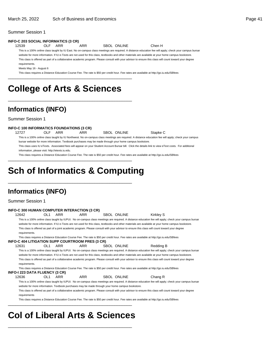Summer Session 1

#### **INFO-C 203 SOCIAL INFORMATICS (3 CR)**

12539 OLF ARR ARR SBOL ONLINE Chen H

This is a 100% online class taught by IU East. No on-campus class meetings are required. A distance education fee will apply; check your campus bursar website for more information. If IU e-Texts are not used for this class, textbooks and other materials are available at your home campus bookstore. This class is offered as part of a collaborative academic program. Please consult with your advisor to ensure this class will count toward your degree requirements.

Meets May 16 - August 6

This class requires a Distance Education Course Fee. The rate is \$50 per credit hour. Fee rates are available at http://go.iu.edu/SBfees

## **College of Arts & Sciences**

\_\_\_\_\_\_\_\_\_\_\_\_\_\_\_\_\_\_\_\_\_\_\_\_\_\_\_\_\_\_\_\_\_\_\_\_\_\_\_\_\_\_\_\_\_\_\_\_\_\_

\_\_\_\_\_\_\_\_\_\_\_\_\_\_\_\_\_\_\_\_\_\_\_\_\_\_\_\_\_\_\_\_\_\_\_\_\_\_\_\_\_\_\_\_\_\_\_\_\_\_

### **Informatics (INFO)**

Summer Session 1

#### **INFO-C 100 INFORMATICS FOUNDATIONS (3 CR)**

12727 OLF ARR ARR SBOL ONLINE Stapke C

This is a 100% online class taught by IU Northwest. No on-campus class meetings are required. A distance education fee will apply; check your campus bursar website for more information. Textbook purchases may be made through your home campus bookstore.

This class uses IU eTexts. Associated fees will appear on your Student Account Bursar bill. Click the details link to view eText costs. For additional information, please visit: http://etexts.iu.edu.

This class requires a Distance Education Course Fee. The rate is \$50 per credit hour. Fee rates are available at http://go.iu.edu/SBfees

## **Sch of Informatics & Computing**

\_\_\_\_\_\_\_\_\_\_\_\_\_\_\_\_\_\_\_\_\_\_\_\_\_\_\_\_\_\_\_\_\_\_\_\_\_\_\_\_\_\_\_\_\_\_\_\_\_\_

\_\_\_\_\_\_\_\_\_\_\_\_\_\_\_\_\_\_\_\_\_\_\_\_\_\_\_\_\_\_\_\_\_\_\_\_\_\_\_\_\_\_\_\_\_\_\_\_\_\_

### **Informatics (INFO)**

Summer Session 1

| INFO-C 300 HUMAN COMPUTER INTERACTION (3 CR)     |                 |     |      |                                                                                                                                                |                                                                                                                                                                                                                                                                                                             |
|--------------------------------------------------|-----------------|-----|------|------------------------------------------------------------------------------------------------------------------------------------------------|-------------------------------------------------------------------------------------------------------------------------------------------------------------------------------------------------------------------------------------------------------------------------------------------------------------|
| 12642                                            | OL1             | ARR | ARR  | <b>SBOL ONLINE</b>                                                                                                                             | Kirkley S                                                                                                                                                                                                                                                                                                   |
|                                                  |                 |     |      |                                                                                                                                                | This is a 100% online class taught by IUPUI. No on-campus class meetings are required. A distance education fee will apply; check your campus bursar<br>website for more information. If IU e-Texts are not used for this class, textbooks and other materials are available at your home campus bookstore. |
|                                                  |                 |     |      |                                                                                                                                                |                                                                                                                                                                                                                                                                                                             |
| requirements.                                    |                 |     |      | This class is offered as part of a joint academic program. Please consult with your advisor to ensure this class will count toward your degree |                                                                                                                                                                                                                                                                                                             |
|                                                  |                 |     |      | This class requires a Distance Education Course Fee. The rate is \$50 per credit hour. Fee rates are available at http://go.iu.edu/SBfees      |                                                                                                                                                                                                                                                                                                             |
| INFO-C 404 LITIGATION SUPP COURTROOM PRES (3 CR) |                 |     |      |                                                                                                                                                |                                                                                                                                                                                                                                                                                                             |
| 12631                                            | OL <sub>1</sub> | ARR | ARR  | <b>SBOL ONLINE</b>                                                                                                                             | Redding B                                                                                                                                                                                                                                                                                                   |
|                                                  |                 |     |      |                                                                                                                                                | This is a 100% online class taught by IUPUI. No on-campus class meetings are required. A distance education fee will apply; check your campus bursar                                                                                                                                                        |
|                                                  |                 |     |      |                                                                                                                                                | website for more information. If IU e-Texts are not used for this class, textbooks and other materials are available at your home campus bookstore.                                                                                                                                                         |
| requirements.                                    |                 |     |      |                                                                                                                                                | This class is offered as part of a collaborative academic program. Please consult with your advisor to ensure this class will count toward your degree                                                                                                                                                      |
|                                                  |                 |     |      | This class requires a Distance Education Course Fee. The rate is \$50 per credit hour. Fee rates are available at http://go.iu.edu/SBfees      |                                                                                                                                                                                                                                                                                                             |
| INFO-I 223 DATA FLUENCY (3 CR)                   |                 |     |      |                                                                                                                                                |                                                                                                                                                                                                                                                                                                             |
| 12636                                            | OL <sub>1</sub> | ARR | ARR. | <b>SBOL ONLINE</b>                                                                                                                             | Chang R                                                                                                                                                                                                                                                                                                     |
|                                                  |                 |     |      |                                                                                                                                                | This is a 100% online class taught by IUPUI. No on-campus class meetings are required. A distance education fee will apply; check your campus bursar                                                                                                                                                        |
|                                                  |                 |     |      | website for more information. Textbook purchases may be made through your home campus bookstore.                                               |                                                                                                                                                                                                                                                                                                             |
| requirements                                     |                 |     |      |                                                                                                                                                | This class is offered as part of a collaborative academic program. Please consult with your advisor to ensure this class will count toward your degree                                                                                                                                                      |
|                                                  |                 |     |      | This class requires a Distance Education Course Fee. The rate is \$50 per credit hour. Fee rates are available at http://go.iu.edu/SBfees      |                                                                                                                                                                                                                                                                                                             |

## **Col of Liberal Arts & Sciences**

\_\_\_\_\_\_\_\_\_\_\_\_\_\_\_\_\_\_\_\_\_\_\_\_\_\_\_\_\_\_\_\_\_\_\_\_\_\_\_\_\_\_\_\_\_\_\_\_\_\_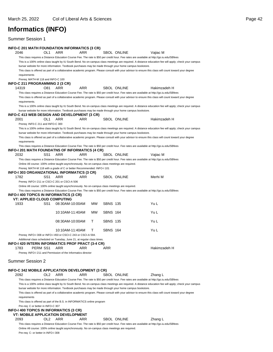**INFO-C 201 MATH FOUNDATION INFORMATICS (3 CR)**

## **Informatics (INFO)**

| 2046                                                          | OL1             | ARR                                                                                                     | ARR |           |                 | <b>SBOL ONLINE</b> | Vajiac M                                                                                                                                               |  |
|---------------------------------------------------------------|-----------------|---------------------------------------------------------------------------------------------------------|-----|-----------|-----------------|--------------------|--------------------------------------------------------------------------------------------------------------------------------------------------------|--|
|                                                               |                 |                                                                                                         |     |           |                 |                    | This class requires a Distance Education Course Fee. The rate is \$50 per credit hour. Fee rates are available at http://go.iu.edu/SBfees              |  |
|                                                               |                 |                                                                                                         |     |           |                 |                    | This is a 100% online class taught by IU South Bend. No on-campus class meetings are required. A distance education fee will apply; check your campus  |  |
|                                                               |                 | bursar website for more information. Textbook purchases may be made through your home campus bookstore. |     |           |                 |                    |                                                                                                                                                        |  |
|                                                               |                 |                                                                                                         |     |           |                 |                    | This class is offered as part of a collaborative academic program. Please consult with your advisor to ensure this class will count toward your degree |  |
| requirements                                                  |                 |                                                                                                         |     |           |                 |                    |                                                                                                                                                        |  |
| Prereq: MATH-M 118 and INFO-C 100                             |                 |                                                                                                         |     |           |                 |                    |                                                                                                                                                        |  |
| INFO-C 211 PROGRAMMING 2 (3 CR)                               |                 |                                                                                                         |     |           |                 |                    |                                                                                                                                                        |  |
| 14319                                                         | O81             | ARR                                                                                                     | ARR |           |                 | <b>SBOL ONLINE</b> | Hakimzadeh H                                                                                                                                           |  |
|                                                               |                 |                                                                                                         |     |           |                 |                    | This class requires a Distance Education Course Fee. The rate is \$50 per credit hour. Fee rates are available at http://go.iu.edu/SBfees              |  |
|                                                               |                 |                                                                                                         |     |           |                 |                    | This class is offered as part of a collaborative academic program. Please consult with your advisor to ensure this class will count toward your degree |  |
| requirements.                                                 |                 |                                                                                                         |     |           |                 |                    |                                                                                                                                                        |  |
|                                                               |                 |                                                                                                         |     |           |                 |                    | This is a 100% online class taught by IU South Bend. No on-campus class meetings are required. A distance education fee will apply; check your campus  |  |
|                                                               |                 | bursar website for more information. Textbook purchases may be made through your home campus bookstore. |     |           |                 |                    |                                                                                                                                                        |  |
| INFO-C 413 WEB DESIGN AND DEVELOPMENT (3 CR)                  |                 |                                                                                                         |     |           |                 |                    |                                                                                                                                                        |  |
| 2001                                                          | OL1             | ARR                                                                                                     | ARR |           |                 | <b>SBOL ONLINE</b> | Hakimzadeh H                                                                                                                                           |  |
| Prereq: INF0-C 211 and INFO-C 300                             |                 |                                                                                                         |     |           |                 |                    |                                                                                                                                                        |  |
|                                                               |                 |                                                                                                         |     |           |                 |                    | This is a 100% online class taught by IU South Bend. No on-campus class meetings are required. A distance education fee will apply; check your campus  |  |
|                                                               |                 | bursar website for more information. Textbook purchases may be made through your home campus bookstore. |     |           |                 |                    |                                                                                                                                                        |  |
|                                                               |                 |                                                                                                         |     |           |                 |                    | This class is offered as part of a collaborative academic program. Please consult with your advisor to ensure this class will count toward your degree |  |
| requirements                                                  |                 |                                                                                                         |     |           |                 |                    |                                                                                                                                                        |  |
|                                                               |                 |                                                                                                         |     |           |                 |                    | This class requires a Distance Education Course Fee. The rate is \$50 per credit hour. Fee rates are available at http://go.iu.edu/SBfees              |  |
| INFO-I 201 MATH FOUNDATNS OF INFORMATICS (4 CR)               |                 |                                                                                                         |     |           |                 |                    |                                                                                                                                                        |  |
| 2032                                                          | SS1             | ARR                                                                                                     | ARR |           |                 | SBOL ONLINE        | Vajiac M                                                                                                                                               |  |
|                                                               |                 |                                                                                                         |     |           |                 |                    | This class requires a Distance Education Course Fee. The rate is \$50 per credit hour. Fee rates are available at http://go.iu.edu/SBfees              |  |
|                                                               |                 | Online All course: 100% online taught asynchronously. No on-campus class meetings are required.         |     |           |                 |                    |                                                                                                                                                        |  |
|                                                               |                 | Prereq: MATH-M 118 with a grade of C or better Recommended: INFO-I 101                                  |     |           |                 |                    |                                                                                                                                                        |  |
| INFO-I 303 ORGANIZATIONAL INFORMATICS (3 CR)                  |                 |                                                                                                         |     |           |                 |                    |                                                                                                                                                        |  |
| 1782                                                          | SS1             | ARR                                                                                                     | ARR |           |                 | <b>SBOL ONLINE</b> | Merhi M                                                                                                                                                |  |
|                                                               |                 | Prereq: INFO-I 211 or CSCI-C 201 or CSCI-A 506                                                          |     |           |                 |                    |                                                                                                                                                        |  |
|                                                               |                 | Online All course: 100% online taught asynchronously. No on-campus class meetings are required.         |     |           |                 |                    |                                                                                                                                                        |  |
|                                                               |                 |                                                                                                         |     |           |                 |                    | This class requires a Distance Education Course Fee. The rate is \$50 per credit hour. Fee rates are available at http://go.iu.edu/SBfees              |  |
| INFO-I 400 TOPICS IN INFORMATICS (3 CR)                       |                 |                                                                                                         |     |           |                 |                    |                                                                                                                                                        |  |
| VT: APPLIED CLOUD COMPUTING                                   |                 |                                                                                                         |     |           |                 |                    |                                                                                                                                                        |  |
| 1933                                                          | SS1             | 08:30AM-10:00AM                                                                                         |     | <b>MW</b> | <b>SBNS 135</b> |                    | Yu L                                                                                                                                                   |  |
|                                                               |                 |                                                                                                         |     |           |                 |                    |                                                                                                                                                        |  |
|                                                               |                 | 10:10AM-11:40AM                                                                                         |     | MW        | <b>SBNS 164</b> |                    | Yu L                                                                                                                                                   |  |
|                                                               |                 |                                                                                                         |     |           |                 |                    |                                                                                                                                                        |  |
|                                                               |                 | 08:30AM-10:00AM                                                                                         |     | т         | <b>SBNS 135</b> |                    | Yu L                                                                                                                                                   |  |
|                                                               |                 |                                                                                                         |     |           |                 |                    |                                                                                                                                                        |  |
|                                                               |                 | 10:10AM-11:40AM                                                                                         |     | т         | <b>SBNS 164</b> |                    | Yu L                                                                                                                                                   |  |
|                                                               |                 | Prereq: INFO-I 308 or INFO-I 450 or CSCI-C 243 or CSCI-A 594.                                           |     |           |                 |                    |                                                                                                                                                        |  |
|                                                               |                 | Additional class scheduled on Tuesday, June 21, at regular class times.                                 |     |           |                 |                    |                                                                                                                                                        |  |
| INFO-I 420 INTERN INFORMATICS PROF PRACT (3-4 CR)<br>PERM SS1 |                 |                                                                                                         |     |           |                 |                    | Hakimzadeh H                                                                                                                                           |  |
| 1783                                                          |                 | ARR                                                                                                     | ARR |           | ARR             |                    |                                                                                                                                                        |  |
|                                                               |                 | Prereq: INFO-I 211 and Permission of the Informatics director                                           |     |           |                 |                    |                                                                                                                                                        |  |
| <b>Summer Session 2</b>                                       |                 |                                                                                                         |     |           |                 |                    |                                                                                                                                                        |  |
|                                                               |                 |                                                                                                         |     |           |                 |                    |                                                                                                                                                        |  |
| INFO-C 342 MOBILE APPLICATION DEVELOPMENT (3 CR)              |                 |                                                                                                         |     |           |                 |                    |                                                                                                                                                        |  |
| 2092                                                          | OL <sub>2</sub> | ARR                                                                                                     | ARR |           |                 |                    |                                                                                                                                                        |  |
|                                                               |                 |                                                                                                         |     |           |                 | SBOL ONLINE        | Zhang L                                                                                                                                                |  |
|                                                               |                 |                                                                                                         |     |           |                 |                    | This class requires a Distance Education Course Fee. The rate is \$50 per credit hour. Fee rates are available at http://go.iu.edu/SBfees              |  |
|                                                               |                 |                                                                                                         |     |           |                 |                    | This is a 100% online class taught by IU South Bend. No on-campus class meetings are required. A distance education fee will apply; check your campus  |  |
|                                                               |                 | bursar website for more information. Textbook purchases may be made through your home campus bookstore. |     |           |                 |                    |                                                                                                                                                        |  |
|                                                               |                 |                                                                                                         |     |           |                 |                    | This class is offered as part of a collaborative academic program. Please consult with your advisor to ensure this class will count toward your degree |  |
| requirements                                                  |                 |                                                                                                         |     |           |                 |                    |                                                                                                                                                        |  |
|                                                               |                 | This class is offered as part of the B.S. in INFORMATICS online program                                 |     |           |                 |                    |                                                                                                                                                        |  |
| Pre-rea: C or better in INFO-C 307                            |                 |                                                                                                         |     |           |                 |                    |                                                                                                                                                        |  |
| INFO-I 400 TOPICS IN INFORMATICS (3 CR)                       |                 |                                                                                                         |     |           |                 |                    |                                                                                                                                                        |  |
| VT: MOBILE APPLICATION DEVELOPMENT                            |                 |                                                                                                         |     |           |                 |                    |                                                                                                                                                        |  |
| 2093                                                          | OL2             | ARR                                                                                                     | ARR |           |                 | <b>SBOL ONLINE</b> | Zhang L                                                                                                                                                |  |
|                                                               |                 |                                                                                                         |     |           |                 |                    | This class requires a Distance Education Course Fee. The rate is \$50 per credit hour. Fee rates are available at http://go.iu.edu/SBfees              |  |
|                                                               |                 | Online All course: 100% online taught asynchronously. No on-campus class meetings are required.         |     |           |                 |                    |                                                                                                                                                        |  |
| Pre-req: C- or better in INFO-I 308                           |                 |                                                                                                         |     |           |                 |                    |                                                                                                                                                        |  |
|                                                               |                 |                                                                                                         |     |           |                 |                    |                                                                                                                                                        |  |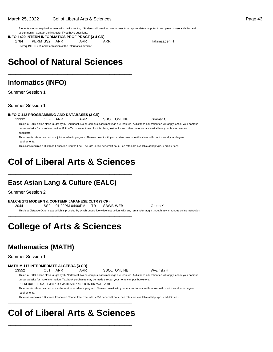Students are not required to meet with the instructor,. Students will need to have access to an appropriate computer to complete course activities and assignments. Contact the instructor if you have questions.

**INFO-I 420 INTERN INFORMATICS PROF PRACT (3-4 CR)**

1784 PERM SS2 ARR ARR ARR Hakimzadeh H

Prereq: INFO-I 211 and Permission of the Informatics director \_\_\_\_\_\_\_\_\_\_\_\_\_\_\_\_\_\_\_\_\_\_\_\_\_\_\_\_\_\_\_\_\_\_\_\_\_\_\_\_\_\_\_\_\_\_\_\_\_\_

## **School of Natural Sciences**

\_\_\_\_\_\_\_\_\_\_\_\_\_\_\_\_\_\_\_\_\_\_\_\_\_\_\_\_\_\_\_\_\_\_\_\_\_\_\_\_\_\_\_\_\_\_\_\_\_\_

### **Informatics (INFO)**

Summer Session 1

Summer Session 1

#### **INFO-C 112 PROGRAMMING AND DATABASES (3 CR)**

13332 OLF ARR ARR SBOL ONLINE Kimmer C

This is a 100% online class taught by IU Southeast. No on-campus class meetings are required. A distance education fee will apply; check your campus bursar website for more information. If IU e-Texts are not used for this class, textbooks and other materials are available at your home campus bookstore.

This class is offered as part of a joint academic program. Please consult with your advisor to ensure this class will count toward your degree requirements.

This class requires a Distance Education Course Fee. The rate is \$50 per credit hour. Fee rates are available at http://go.iu.edu/SBfees

## **Col of Liberal Arts & Sciences**

\_\_\_\_\_\_\_\_\_\_\_\_\_\_\_\_\_\_\_\_\_\_\_\_\_\_\_\_\_\_\_\_\_\_\_\_\_\_\_\_\_\_\_\_\_\_\_\_\_\_

\_\_\_\_\_\_\_\_\_\_\_\_\_\_\_\_\_\_\_\_\_\_\_\_\_\_\_\_\_\_\_\_\_\_\_\_\_\_\_\_\_\_\_\_\_\_\_\_\_\_

### **East Asian Lang & Culture (EALC)**

Summer Session 2

#### **EALC-E 271 MODERN & CONTEMP JAPANESE CLTR (3 CR)**

2044 SS2 01:00PM-04:00PM TR SBWB WEB Green Y This is a Distance-Other class which is provided by synchronous live video instruction, with any remainder taught through asynchronous online instruction \_\_\_\_\_\_\_\_\_\_\_\_\_\_\_\_\_\_\_\_\_\_\_\_\_\_\_\_\_\_\_\_\_\_\_\_\_\_\_\_\_\_\_\_\_\_\_\_\_\_

## **College of Arts & Sciences**

\_\_\_\_\_\_\_\_\_\_\_\_\_\_\_\_\_\_\_\_\_\_\_\_\_\_\_\_\_\_\_\_\_\_\_\_\_\_\_\_\_\_\_\_\_\_\_\_\_\_

### **Mathematics (MATH)**

Summer Session 1

### **MATH-M 117 INTERMEDIATE ALGEBRA (3 CR)**

13552 OL1 ARR ARR SBOL ONLINE Wyzinski H

This is a 100% online class taught by IU Northwest. No on-campus class meetings are required. A distance education fee will apply; check your campus bursar website for more information. Textbook purchases may be made through your home campus bookstore. PREREQUISITE: MATH-M 007 OR MATH-A 007 AND B007 OR MATH-A 100

This class is offered as part of a collaborative academic program. Please consult with your advisor to ensure this class will count toward your degree requirements.

This class requires a Distance Education Course Fee. The rate is \$50 per credit hour. Fee rates are available at http://go.iu.edu/SBfees \_\_\_\_\_\_\_\_\_\_\_\_\_\_\_\_\_\_\_\_\_\_\_\_\_\_\_\_\_\_\_\_\_\_\_\_\_\_\_\_\_\_\_\_\_\_\_\_\_\_

## **Col of Liberal Arts & Sciences**

\_\_\_\_\_\_\_\_\_\_\_\_\_\_\_\_\_\_\_\_\_\_\_\_\_\_\_\_\_\_\_\_\_\_\_\_\_\_\_\_\_\_\_\_\_\_\_\_\_\_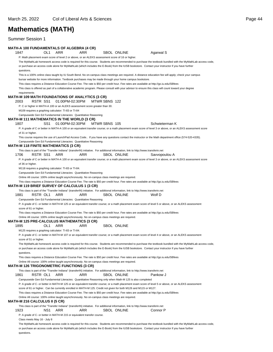### **Mathematics (MATH)**

Summer Session 1

questions.

|      |                        |                                      |                                                      | <b>MATH-A 100 FUNDAMENTALS OF ALGEBRA (4 CR)</b>                                                                 |               |                    |                                                                                                                                                            |
|------|------------------------|--------------------------------------|------------------------------------------------------|------------------------------------------------------------------------------------------------------------------|---------------|--------------------|------------------------------------------------------------------------------------------------------------------------------------------------------------|
|      | 1847                   | OL1                                  | ARR                                                  | ARR                                                                                                              |               | <b>SBOL ONLINE</b> | Agarwal S                                                                                                                                                  |
|      |                        |                                      |                                                      | P: Math placement exam score of level 2 or above, or an ALEKS assessment score of 16 or higher.                  |               |                    |                                                                                                                                                            |
|      |                        |                                      |                                                      |                                                                                                                  |               |                    | The MyMathLab homework access code is required for this course. Students are recommended to purchase the textbook bundled with the MyMathLab access code,  |
|      | questions.             |                                      |                                                      |                                                                                                                  |               |                    | or purchase an access code alone for MyMathLab (which includes the E-Book) from the IUSB bookstore. Contact your instructor if you have further            |
|      |                        |                                      |                                                      |                                                                                                                  |               |                    | This is a 100% online class taught by IU South Bend. No on-campus class meetings are required. A distance education fee will apply; check your campus      |
|      |                        |                                      |                                                      | bursar website for more information. Textbook purchases may be made through your home campus bookstore.          |               |                    |                                                                                                                                                            |
|      |                        |                                      |                                                      |                                                                                                                  |               |                    | This class requires a Distance Education Course Fee. The rate is \$50 per credit hour. Fee rates are available at http://go.iu.edu/SBfees                  |
|      |                        |                                      |                                                      |                                                                                                                  |               |                    | This class is offered as part of a collaborative academic program. Please consult with your advisor to ensure this class will count toward your degree     |
|      | requirements           |                                      |                                                      |                                                                                                                  |               |                    |                                                                                                                                                            |
|      |                        |                                      |                                                      | <b>MATH-M 109 MATH FOUNDATIONS OF ANALYTICS (3 CR)</b>                                                           |               |                    |                                                                                                                                                            |
| 2003 |                        | RSTR SS1                             | 01:00PM-02:30PM                                      |                                                                                                                  | MTWR SBNS 122 |                    |                                                                                                                                                            |
|      |                        |                                      |                                                      | P: C or higher in MATH-A 100 or an ALEKS assessment score greater than 30.                                       |               |                    |                                                                                                                                                            |
|      |                        |                                      | M109 requires a graphing calculator: TI-83 or TI-84  |                                                                                                                  |               |                    |                                                                                                                                                            |
|      |                        |                                      |                                                      | Campuswide Gen Ed Fundamental Literacies: Quantitative Reasoning                                                 |               |                    |                                                                                                                                                            |
|      |                        |                                      |                                                      | <b>MATH-M 111 MATHEMATICS IN THE WORLD (3 CR)</b>                                                                |               |                    |                                                                                                                                                            |
|      | 1807                   |                                      | SS1  01:00PM-02:30PM                                 |                                                                                                                  | MTWR SBNS 105 |                    | Schwieterman K                                                                                                                                             |
|      |                        |                                      |                                                      |                                                                                                                  |               |                    | P: A grade of C or better in MATH-A 100 or an equivalent transfer course; or a math placement exam score of level 3 or above, or an ALEKS assessment score |
|      | of 31 or higher.       |                                      |                                                      |                                                                                                                  |               |                    |                                                                                                                                                            |
|      |                        |                                      |                                                      |                                                                                                                  |               |                    | This course requires the use of LaunchPad Access Code If you have any questions contact the instructor or the Math department office (574-520-4335).       |
|      |                        |                                      |                                                      | Campuswide Gen Ed Fundamental Literacies: Quantitative Reasoning                                                 |               |                    |                                                                                                                                                            |
|      |                        |                                      | <b>MATH-M 118 FINITE MATHEMATICS (3 CR)</b>          |                                                                                                                  |               |                    |                                                                                                                                                            |
|      |                        |                                      |                                                      |                                                                                                                  |               |                    | This class is part of the "Transfer Indiana" (transferIN) initiative. For additional information, link to http://www.transferin.net                        |
|      | 1706                   | RSTR SS1                             | ARR                                                  | ARR                                                                                                              |               | SBOL ONLINE        | Savvopoulou A                                                                                                                                              |
|      |                        |                                      |                                                      |                                                                                                                  |               |                    | P: A grade of C or better in MATH-A 100 or an equivalent transfer course; or a math placement exam score of level 3 or above, or an ALEKS assessment score |
|      | of 36 or higher.       |                                      |                                                      |                                                                                                                  |               |                    |                                                                                                                                                            |
|      |                        |                                      | M118 requires a graphing calculator: TI-83 or TI-84. |                                                                                                                  |               |                    |                                                                                                                                                            |
|      |                        |                                      |                                                      | Campuswide Gen Ed Fundamental Literacies: Quantitative Reasoning                                                 |               |                    |                                                                                                                                                            |
|      |                        |                                      |                                                      | Online All course: 100% online taught asynchronously. No on-campus class meetings are required.                  |               |                    |                                                                                                                                                            |
|      |                        |                                      |                                                      |                                                                                                                  |               |                    | This class requires a Distance Education Course Fee. The rate is \$50 per credit hour. Fee rates are available at http://go.iu.edu/SBfees                  |
|      |                        |                                      |                                                      | MATH-M 119 BRIEF SURVEY OF CALCULUS 1 (3 CR)                                                                     |               |                    |                                                                                                                                                            |
|      |                        |                                      |                                                      |                                                                                                                  |               |                    | This class is part of the "Transfer Indiana" (transferIN) initiative. For additional information, link to http://www.transferin.net                        |
|      | 1881                   | RSTR OL1                             | ARR                                                  | ARR                                                                                                              |               | SBOL ONLINE        | Wolf D                                                                                                                                                     |
|      |                        |                                      |                                                      | Campuswide Gen Ed Fundamental Literacies: Quantitative Reasoning                                                 |               |                    |                                                                                                                                                            |
|      |                        |                                      |                                                      |                                                                                                                  |               |                    | P: A grade of C- or better in MATH-M 125 or an equivalent transfer course; or a math placement exam score of level 5 or above, or an ALEKS assessment      |
|      | score of 61 or higher. |                                      |                                                      |                                                                                                                  |               |                    |                                                                                                                                                            |
|      |                        |                                      |                                                      |                                                                                                                  |               |                    | This class requires a Distance Education Course Fee. The rate is \$50 per credit hour. Fee rates are available at http://go.iu.edu/SBfees                  |
|      |                        |                                      |                                                      | Online All course: 100% online taught asynchronously. No on-campus class meetings are required.                  |               |                    |                                                                                                                                                            |
|      |                        |                                      |                                                      | MATH-M 125 PRE-CALCULUS MATHEMATICS (3 CR)                                                                       |               |                    |                                                                                                                                                            |
|      | 1895                   | OL1                                  | ARR                                                  | ARR                                                                                                              |               | <b>SBOL ONLINE</b> |                                                                                                                                                            |
|      |                        |                                      | M125 requires a graphing calculator: TI-83 or TI-84. |                                                                                                                  |               |                    |                                                                                                                                                            |
|      |                        |                                      |                                                      |                                                                                                                  |               |                    | P: A grade of C- or better in MATH-M 107 or an equivalent transfer course; or a math placement exam score of level 4 or above, or an ALEKS assessment      |
|      | score of 51 or higher. |                                      |                                                      |                                                                                                                  |               |                    |                                                                                                                                                            |
|      |                        |                                      |                                                      |                                                                                                                  |               |                    | The MyMathLab homework access code is required for this course. Students are recommended to purchase the textbook bundled with the MyMathLab access code,  |
|      |                        |                                      |                                                      |                                                                                                                  |               |                    | or purchase an access code alone for MyMathLab (which includes the E-Book) from the IUSB bookstore. Contact your instructor if you have further            |
|      | questions.             |                                      |                                                      |                                                                                                                  |               |                    |                                                                                                                                                            |
|      |                        |                                      |                                                      |                                                                                                                  |               |                    | This class requires a Distance Education Course Fee. The rate is \$50 per credit hour. Fee rates are available at http://go.iu.edu/SBfees                  |
|      |                        |                                      |                                                      | Online All course: 100% online taught asynchronously. No on-campus class meetings are required.                  |               |                    |                                                                                                                                                            |
|      |                        |                                      |                                                      | <b>MATH-M 126 TRIGONOMETRIC FUNCTIONS (3 CR)</b>                                                                 |               |                    |                                                                                                                                                            |
| 1861 |                        |                                      | ARR                                                  | ARR                                                                                                              |               |                    | This class is part of the "Transfer Indiana" (transferIN) initiative. For additional information, link to http://www.transferin.net                        |
|      |                        | RSTR OL1                             |                                                      |                                                                                                                  |               | SBOL ONLINE        | Pankow J                                                                                                                                                   |
|      |                        |                                      |                                                      | Campuswide Gen Ed Fundamental Literacies: Quantitative Reasoning only when Math-M 125 is also completed          |               |                    |                                                                                                                                                            |
|      |                        |                                      |                                                      |                                                                                                                  |               |                    | P: A grade of C- or better in MATH-M 125 or an equivalent transfer course; or a math placement exam score of level 5 or above, or an ALEKS assessment      |
|      |                        |                                      |                                                      | score of 61 or higher. Can be currently enrolled in MATH-M 125. Credit not given for both M126 and M115 or M127. |               |                    |                                                                                                                                                            |
|      |                        |                                      |                                                      |                                                                                                                  |               |                    | This class requires a Distance Education Course Fee. The rate is \$50 per credit hour. Fee rates are available at http://go.iu.edu/SBfees                  |
|      |                        |                                      |                                                      | Online All course: 100% online taught asynchronously. No on-campus class meetings are required.                  |               |                    |                                                                                                                                                            |
|      |                        | <b>MATH-M 216 CALCULUS II (5 CR)</b> |                                                      |                                                                                                                  |               |                    |                                                                                                                                                            |
|      | 1923                   | NS1                                  | ARR                                                  | ARR                                                                                                              |               | SBOL ONLINE        | This class is part of the "Transfer Indiana" (transferIN) initiative. For additional information, link to http://www.transferin.net<br>Connor P            |
|      |                        |                                      |                                                      | P: A grade of C- or better in MATH-M 215 or equivalent transfer course.                                          |               |                    |                                                                                                                                                            |
|      |                        |                                      |                                                      |                                                                                                                  |               |                    |                                                                                                                                                            |
|      |                        | Class meets May 16 - July 8          |                                                      |                                                                                                                  |               |                    | The MyMathLab homework access code is required for this course. Students are recommended to purchase the textbook bundled with the MyMathLab access code,  |
|      |                        |                                      |                                                      |                                                                                                                  |               |                    | or purchase an access code alone for MyMathLab (which includes the E-Book) from the IUSB bookstore. Contact your instructor if you have further            |
|      |                        |                                      |                                                      |                                                                                                                  |               |                    |                                                                                                                                                            |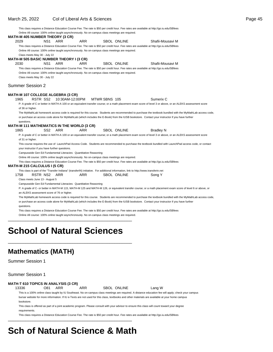with the MyMathLab access code,

This class requires a Distance Education Course Fee. The rate is \$50 per credit hour. Fee rates are available at http://go.iu.edu/SBfees Online All course: 100% online taught asynchronously. No on-campus class meetings are required.

|                                                |                              |     | Online All course: 100% online taught asynchronously. No on-campus class meetings are required. |               |                    |                                                                                                                                                            |  |
|------------------------------------------------|------------------------------|-----|-------------------------------------------------------------------------------------------------|---------------|--------------------|------------------------------------------------------------------------------------------------------------------------------------------------------------|--|
| MATH-M 405 NUMBER THEORY (3 CR)                |                              |     |                                                                                                 |               |                    |                                                                                                                                                            |  |
| 2029                                           | NS1                          | ARR | ARR                                                                                             |               | <b>SBOL ONLINE</b> | Shafii-Mousavi M                                                                                                                                           |  |
|                                                |                              |     |                                                                                                 |               |                    | This class requires a Distance Education Course Fee. The rate is \$50 per credit hour. Fee rates are available at http://go.iu.edu/SBfees                  |  |
|                                                |                              |     | Online All course: 100% online taught asynchronously. No on-campus class meetings are required. |               |                    |                                                                                                                                                            |  |
|                                                | Class meets May 30 - July 22 |     |                                                                                                 |               |                    |                                                                                                                                                            |  |
| <b>MATH-M 505 BASIC NUMBER THEORY I (3 CR)</b> |                              |     |                                                                                                 |               |                    |                                                                                                                                                            |  |
| 2030                                           | NS1                          | ARR | ARR                                                                                             |               | <b>SBOL ONLINE</b> | Shafii-Mousavi M                                                                                                                                           |  |
|                                                |                              |     |                                                                                                 |               |                    | This class requires a Distance Education Course Fee. The rate is \$50 per credit hour. Fee rates are available at http://go.iu.edu/SBfees                  |  |
|                                                |                              |     | Online All course: 100% online taught asynchronously. No on-campus class meetings are required. |               |                    |                                                                                                                                                            |  |
|                                                | Class meets May 30 - July 22 |     |                                                                                                 |               |                    |                                                                                                                                                            |  |
|                                                |                              |     |                                                                                                 |               |                    |                                                                                                                                                            |  |
| Summer Session 2                               |                              |     |                                                                                                 |               |                    |                                                                                                                                                            |  |
| MATH-M 107 COLLEGE ALGEBRA (3 CR)              |                              |     |                                                                                                 |               |                    |                                                                                                                                                            |  |
| 1965                                           | RSTR SS2                     |     | 10:30AM-12:00PM                                                                                 | MTWR SBNS 105 |                    | Sumerix C                                                                                                                                                  |  |
|                                                |                              |     |                                                                                                 |               |                    | P: A grade of C or better in MATH-A 100 or an equivalent transfer course; or a math placement exam score of level 3 or above, or an ALEKS assessment score |  |
| of 36 or higher.                               |                              |     |                                                                                                 |               |                    |                                                                                                                                                            |  |
|                                                |                              |     |                                                                                                 |               |                    | The MyMathLab homework access code is required for this course. Students are recommended to purchase the textbook bundled with the MyMathLab access        |  |
|                                                |                              |     |                                                                                                 |               |                    | or purchase an access code alone for MyMathLab (which includes the E-Book) from the IUSB bookstore. Contact your instructor if you have further            |  |
|                                                |                              |     |                                                                                                 |               |                    |                                                                                                                                                            |  |
| questions.                                     |                              |     |                                                                                                 |               |                    |                                                                                                                                                            |  |
| MATH-M 111 MATHEMATICS IN THE WORLD (3 CR)     |                              |     |                                                                                                 |               |                    |                                                                                                                                                            |  |
| 1865                                           | SS <sub>2</sub>              | ARR | ARR.                                                                                            |               | <b>SBOL ONLINE</b> | <b>Bradley N</b>                                                                                                                                           |  |

P: A grade of C or better in MATH-A 100 or an equivalent transfer course; or a math placement exam score of level 3 or above, or an ALEKS assessment score of 31 or higher.

This course requires the use of LaunchPad Access Code. Students are recommended to purchase the textbook bundled with LaunchPad access code, or contact your instructor if you have further questions.

Campuswide Gen Ed Fundamental Literacies: Quantitative Reasoning

Online All course: 100% online taught asynchronously. No on-campus class meetings are required.

This class requires a Distance Education Course Fee. The rate is \$50 per credit hour. Fee rates are available at http://go.iu.edu/SBfees

#### **MATH-M 215 CALCULUS I (5 CR)**

This class is part of the "Transfer Indiana" (transferIN) initiative. For additional information, link to http://www.transferin.net 1758 RSTR NS2 ARR ARR SBOL ONLINE Song Y

Class meets June 13 - August 5

Campuswide Gen Ed Fundamental Literacies: Quantitative Reasoning

P: A grade of C- or better in MATH-M 115, MATH-M 125 and MATH-M 126, or equivalent transfer course; or a math placement exam score of level 6 or above, or an ALEKS assessment score of 76 or higher.

The MyMathLab homework access code is required for this course. Students are recommended to purchase the textbook bundled with the MyMathLab access code, or purchase an access code alone for MyMathLab (which includes the E-Book) from the IUSB bookstore. Contact your instructor if you have further

questions.

This class requires a Distance Education Course Fee. The rate is \$50 per credit hour. Fee rates are available at http://go.iu.edu/SBfees Online All course: 100% online taught asynchronously. No on-campus class meetings are required.

## **School of Natural Sciences**

\_\_\_\_\_\_\_\_\_\_\_\_\_\_\_\_\_\_\_\_\_\_\_\_\_\_\_\_\_\_\_\_\_\_\_\_\_\_\_\_\_\_\_\_\_\_\_\_\_\_

\_\_\_\_\_\_\_\_\_\_\_\_\_\_\_\_\_\_\_\_\_\_\_\_\_\_\_\_\_\_\_\_\_\_\_\_\_\_\_\_\_\_\_\_\_\_\_\_\_\_

### **Mathematics (MATH)**

Summer Session 1

Summer Session 1

#### **MATH-T 610 TOPICS IN ANALYSIS (3 CR)**

13336 O81 ARR ARR SBOL ONLINE Lang W This is a 100% online class taught by IU Southeast. No on-campus class meetings are required. A distance education fee will apply; check your campus bursar website for more information. If IU e-Texts are not used for this class, textbooks and other materials are available at your home campus bookstore.

This class is offered as part of a joint academic program. Please consult with your advisor to ensure this class will count toward your degree requirements.

This class requires a Distance Education Course Fee. The rate is \$50 per credit hour. Fee rates are available at http://go.iu.edu/SBfees

## **Sch of Natural Science & Math**

\_\_\_\_\_\_\_\_\_\_\_\_\_\_\_\_\_\_\_\_\_\_\_\_\_\_\_\_\_\_\_\_\_\_\_\_\_\_\_\_\_\_\_\_\_\_\_\_\_\_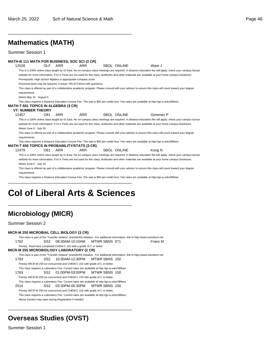\_\_\_\_\_\_\_\_\_\_\_\_\_\_\_\_\_\_\_\_\_\_\_\_\_\_\_\_\_\_\_\_\_\_\_\_\_\_\_\_\_\_\_\_\_\_\_\_\_\_

### **Mathematics (MATH)**

Summer Session 1

#### **MATH-B 111 MATH FOR BUSINESS, SOC SCI (3 CR)** 12528 OLF ARR ARR SBOL ONLINE Ware J This is a 100% online class taught by IU East. No on-campus class meetings are required. A distance education fee will apply; check your campus bursar website for more information. If IU e-Texts are not used for this class, textbooks and other materials are available at your home campus bookstore. Prerequisite: High School Algebra or appropriate compass score Proctored tests may be required. Contact 765-973-8210 with questions. This class is offered as part of a collaborative academic program. Please consult with your advisor to ensure this class will count toward your degree requirements. Meets May 16 - August 6 This class requires a Distance Education Course Fee. The rate is \$50 per credit hour. Fee rates are available at http://go.iu.edu/SBfees **MATH-T 601 TOPICS IN ALGEBRA (3 CR) VT: NUMBER THEORY** 12457 O81 ARR ARR SBOL ONLINE Gimenez P This is a 100% online class taught by IU East. No on-campus class meetings are required. A distance education fee will apply; check your campus bursar website for more information. If IU e-Texts are not used for this class, textbooks and other materials are available at your home campus bookstore. Meets June 6 - July 30 This class is offered as part of a collaborative academic program. Please consult with your advisor to ensure this class will count toward your degree requirements. This class requires a Distance Education Course Fee. The rate is \$50 per credit hour. Fee rates are available at http://go.iu.edu/SBfees **MATH-T 650 TOPICS IN PROBABILITY/STATS (3 CR)** 12479 O81 ARR ARR SBOL ONLINE Kong N This is a 100% online class taught by IU East. No on-campus class meetings are required. A distance education fee will apply; check your campus bursar website for more information. If IU e-Texts are not used for this class, textbooks and other materials are available at your home campus bookstore. Meets June 6 - July 30 This class is offered as part of a collaborative academic program. Please consult with your advisor to ensure this class will count toward your degree requirements.

This class requires a Distance Education Course Fee. The rate is \$50 per credit hour. Fee rates are available at http://go.iu.edu/SBfees

## **Col of Liberal Arts & Sciences**

\_\_\_\_\_\_\_\_\_\_\_\_\_\_\_\_\_\_\_\_\_\_\_\_\_\_\_\_\_\_\_\_\_\_\_\_\_\_\_\_\_\_\_\_\_\_\_\_\_\_

\_\_\_\_\_\_\_\_\_\_\_\_\_\_\_\_\_\_\_\_\_\_\_\_\_\_\_\_\_\_\_\_\_\_\_\_\_\_\_\_\_\_\_\_\_\_\_\_\_\_

\_\_\_\_\_\_\_\_\_\_\_\_\_\_\_\_\_\_\_\_\_\_\_\_\_\_\_\_\_\_\_\_\_\_\_\_\_\_\_\_\_\_\_\_\_\_\_\_\_\_

### **Microbiology (MICR)**

Summer Session 2

#### **MICR-M 250 MICROBIAL CELL BIOLOGY (3 CR)** This class is part of the "Transfer Indiana" (transferIN) initiative. For additional information, link to http://www.transferin.net

1762 SS2 08:30AM-10:10AM MTWR SBNS 071 Franz M Prereq: Must have completed CHEM-C 102 with a grade of C or better **MICR-M 255 MICROBIOLOGY LABORATORY (2 CR)** This class is part of the "Transfer Indiana" (transferIN) initiative. For additional information, link to http://www.transferin.net 1793 SS2 10:30AM-12:30PM MTWR SBNS 150 Prereq: MICR-M 250 (or concurrent) and CHEM-C 102 with grade of C or better. This class requires a Laboratory Fee. Current rates are available at http://go.iu.edu/SBfees 1763 SS2 01:00PM-03:00PM MTWR SBNS 150 Prereq: MICR-M 250 (or concurrent) and CHEM-C 102 with grade of C or better. This class requires a Laboratory Fee. Current rates are available at http://go.iu.edu/SBfees 2014 SS2 03:30PM-05:30PM MTWR SBNS 150 Prereq: MICR-M 250 (or concurrent) and CHEM-C 102 with grade of C or better. This class requires a Laboratory Fee. Current rates are available at http://go.iu.edu/SBfees Above Section may open during Registration if needed

### **Overseas Studies (OVST)**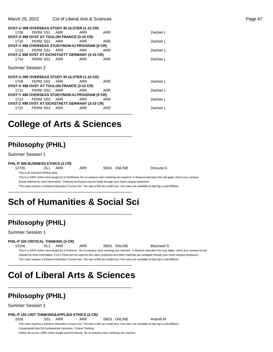March 25, 2022 Col of Liberal Arts & Sciences Page 47

|                  |                       | OVST-U 396 OVERSEAS STUDY IN ULSTER (1-15 CR)          |            |           |
|------------------|-----------------------|--------------------------------------------------------|------------|-----------|
|                  | 1708 PERM SS1 ARR ARR |                                                        | <b>ARR</b> | Zwicker L |
|                  |                       | <b>OVST-X 498 OVST AT TOULON FRANCE (3-15 CR)</b>      |            |           |
|                  |                       | 1710 PERM SS1 ARR ARR                                  | ARR        | Zwicker L |
|                  |                       | <b>OVST-Y 496 OVERSEAS STUDY/NON-IU PROGRAM (0 CR)</b> |            |           |
|                  | 1712 PERM SS1 ARR ARR |                                                        | <b>ARR</b> | Zwicker L |
|                  |                       | <b>OVST-Z 498 OVST AT EICHSTAETT GERMANY (3-15 CR)</b> |            |           |
|                  | 1714 PERM SS1 ARR     | ARR                                                    | <b>ARR</b> | Zwicker L |
| Summer Session 2 |                       |                                                        |            |           |
|                  |                       | OVST-U 396 OVERSEAS STUDY IN ULSTER (1-15 CR)          |            |           |
|                  | 1709 PERM SS2 ARR ARR |                                                        | ARR        | Zwicker L |
|                  |                       | <b>OVST-X 498 OVST AT TOULON FRANCE (3-15 CR)</b>      |            |           |
|                  | 1711 PERM SS2 ARR ARR |                                                        | <b>ARR</b> | Zwicker L |
|                  |                       | OVST-Y 496 OVERSEAS STUDY/NON-IU PROGRAM (0 CR)        |            |           |
|                  | 1713 PERM SS2 ARR ARR |                                                        | ARR        | Zwicker L |

1715 PERM SS2 ARR ARR ARR 2wicker L \_\_\_\_\_\_\_\_\_\_\_\_\_\_\_\_\_\_\_\_\_\_\_\_\_\_\_\_\_\_\_\_\_\_\_\_\_\_\_\_\_\_\_\_\_\_\_\_\_\_

**OVST-Z 498 OVST AT EICHSTAETT GERMANY (3-15 CR)**

### **College of Arts & Sciences** \_\_\_\_\_\_\_\_\_\_\_\_\_\_\_\_\_\_\_\_\_\_\_\_\_\_\_\_\_\_\_\_\_\_\_\_\_\_\_\_\_\_\_\_\_\_\_\_\_\_

### **Philosophy (PHIL)**

Summer Session 1

#### **PHIL-P 306 BUSINESS ETHICS (3 CR)**

12735 OL1 ARR ARR SBOL ONLINE Dimuzio G This is an Intensive Writing class. This is a 100% online class taught by IU Northwest. No on-campus class meetings are required. A distance education fee will apply; check your campus bursar website for more information. Textbook purchases may be made through your home campus bookstore.

This class requires a Distance Education Course Fee. The rate is \$50 per credit hour. Fee rates are available at http://go.iu.edu/SBfees \_\_\_\_\_\_\_\_\_\_\_\_\_\_\_\_\_\_\_\_\_\_\_\_\_\_\_\_\_\_\_\_\_\_\_\_\_\_\_\_\_\_\_\_\_\_\_\_\_\_

# **Sch of Humanities & Social Sci**

\_\_\_\_\_\_\_\_\_\_\_\_\_\_\_\_\_\_\_\_\_\_\_\_\_\_\_\_\_\_\_\_\_\_\_\_\_\_\_\_\_\_\_\_\_\_\_\_\_\_

### **Philosophy (PHIL)**

Summer Session 1

### **PHIL-P 105 CRITICAL THINKING (3 CR)**

13156 OL1 ARR ARR SBOL ONLINE Blackwell S

This is a 100% online class taught by IU Kokomo. No on-campus class meetings are required. A distance education fee may apply; check your campus bursar website for more information. If IU e-Texts are not used for this class, textbooks and other materials are available through your home campus bookstore. This class requires a Distance Education Course Fee. The rate is \$50 per credit hour. Fee rates are available at http://go.iu.edu/SBfees \_\_\_\_\_\_\_\_\_\_\_\_\_\_\_\_\_\_\_\_\_\_\_\_\_\_\_\_\_\_\_\_\_\_\_\_\_\_\_\_\_\_\_\_\_\_\_\_\_\_

# **Col of Liberal Arts & Sciences**

\_\_\_\_\_\_\_\_\_\_\_\_\_\_\_\_\_\_\_\_\_\_\_\_\_\_\_\_\_\_\_\_\_\_\_\_\_\_\_\_\_\_\_\_\_\_\_\_\_\_

### **Philosophy (PHIL)**

### Summer Session 1

### **PHIL-P 102 CRIT THINKING&APPLIED ETHICS (3 CR)**

2028 SS1 ARR ARR SBOL ONLINE Ananth M

This class requires a Distance Education Course Fee. The rate is \$50 per credit hour. Fee rates are available at http://go.iu.edu/SBfees Campuswide Gen Ed Fundamental Literacies: Critical Thinking

Online All course: 100% online taught asynchronously. No on-campus class meetings are required.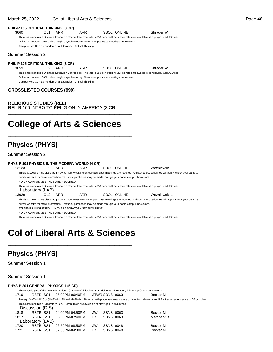#### March 25, 2022 Col of Liberal Arts & Sciences Page 48

| PHIL-P 105 CRITICAL THINKING (3 CR)           |            |     |                                                             |                                                                                                                                           |           |
|-----------------------------------------------|------------|-----|-------------------------------------------------------------|-------------------------------------------------------------------------------------------------------------------------------------------|-----------|
| 3660                                          | $\Omega$ 1 | ARR | ARR                                                         | SBOL ONLINE                                                                                                                               | Shrader W |
|                                               |            |     |                                                             | This class requires a Distance Education Course Fee. The rate is \$50 per credit hour. Fee rates are available at http://qo.iu.edu/SBfees |           |
|                                               |            |     |                                                             | Online All course: 100% online taught asynchronously. No on-campus class meetings are required.                                           |           |
|                                               |            |     | Campuswide Gen Ed Fundamental Literacies: Critical Thinking |                                                                                                                                           |           |
| Summer Session 2                              |            |     |                                                             |                                                                                                                                           |           |
| PHIL-P 105 CRITICAL THINKING (3 CR)           |            |     |                                                             |                                                                                                                                           |           |
| 3659                                          | $\Omega$ 2 | ARR | ARR                                                         | SBOL ONLINE                                                                                                                               | Shrader W |
|                                               |            |     |                                                             | This class requires a Distance Education Course Fee. The rate is \$50 per credit hour. Fee rates are available at http://go.iu.edu/SBfees |           |
|                                               |            |     |                                                             | Online All course: 100% online taught asynchronously. No on-campus class meetings are required.                                           |           |
|                                               |            |     | Campuswide Gen Ed Fundamental Literacies: Critical Thinking |                                                                                                                                           |           |
| <b>CROSSLISTED COURSES (999)</b>              |            |     |                                                             |                                                                                                                                           |           |
| <b>RELIGIOUS STUDIES (REL)</b>                |            |     |                                                             |                                                                                                                                           |           |
| REL-R 160 INTRO TO RELIGION IN AMERICA (3 CR) |            |     |                                                             |                                                                                                                                           |           |
|                                               |            |     |                                                             |                                                                                                                                           |           |
| <b>College of Arts &amp; Sciences</b>         |            |     |                                                             |                                                                                                                                           |           |
|                                               |            |     |                                                             |                                                                                                                                           |           |
|                                               |            |     |                                                             |                                                                                                                                           |           |
| <b>Physics (PHYS)</b>                         |            |     |                                                             |                                                                                                                                           |           |

Summer Session 2

#### **PHYS-P 101 PHYSICS IN THE MODERN WORLD (4 CR)**

13123 OL2 ARR ARR SBOL ONLINE Wozniewski L This is a 100% online class taught by IU Northwest. No on-campus class meetings are required. A distance education fee will apply; check your campus bursar website for more information. Textbook purchases may be made through your home campus bookstore. NO ON-CAMPUS MEETINGS ARE REQUIRED

This class requires a Distance Education Course Fee. The rate is \$50 per credit hour. Fee rates are available at http://go.iu.edu/SBfees Laboratory (LAB)

13929 OL2 ARR ARR SBOL ONLINE Wozniewski L This is a 100% online class taught by IU Northwest. No on-campus class meetings are required. A distance education fee will apply; check your campus

bursar website for more information. Textbook purchases may be made through your home campus bookstore.

STUDENTS MUST ENROLL IN THE LABORATORY SECTION FIRST

NO ON-CAMPUS MEETINGS ARE REQUIRED

This class requires a Distance Education Course Fee. The rate is \$50 per credit hour. Fee rates are available at http://go.iu.edu/SBfees

## **Col of Liberal Arts & Sciences**

\_\_\_\_\_\_\_\_\_\_\_\_\_\_\_\_\_\_\_\_\_\_\_\_\_\_\_\_\_\_\_\_\_\_\_\_\_\_\_\_\_\_\_\_\_\_\_\_\_\_

\_\_\_\_\_\_\_\_\_\_\_\_\_\_\_\_\_\_\_\_\_\_\_\_\_\_\_\_\_\_\_\_\_\_\_\_\_\_\_\_\_\_\_\_\_\_\_\_\_\_

### **Physics (PHYS)**

Summer Session 1

Summer Session 1

#### **PHYS-P 201 GENERAL PHYSICS 1 (5 CR)**

This class is part of the "Transfer Indiana" (transferIN) initiative. For additional information, link to http://www.transferin.net 1719 RSTR SS1 05:00PM-06:40PM MTWR SBNS 0063 Becker M Prereq: MATH-M115 or (MATH-M 125 and MATH-M 126) or a math placement exam score of level 6 or above or an ALEKS assessment score of 76 or higher. This class requires a Laboratory Fee. Current rates are available at http://go.iu.edu/SBfees Discussion (DIS)<br>1818 RSTR SS1 RSTR SS1 04:00PM-04:50PM MW SBNS 0063 Becker M 1817 RSTR SS1 06:50PM-07:40PM TR SBNS 0063 Marchant B Laboratory (LAB) 1720 RSTR SS1 06:50PM-08:50PM MW SBNS 0048 Becker M 1721 RSTR SS1 02:30PM-04:30PM TR SBNS 0048 Becker M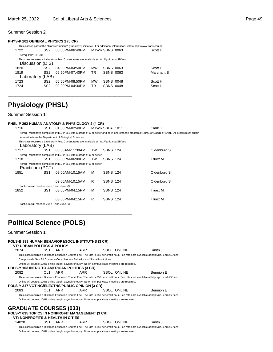### **PHYS-P 202 GENERAL PHYSICS 2 (5 CR)**

|                    |                 | This class is part of the "Transfer Indiana" (transferIN) initiative. For additional information, link to http://www.transferin.net |           |                  |            |
|--------------------|-----------------|-------------------------------------------------------------------------------------------------------------------------------------|-----------|------------------|------------|
| 1722               | SS2             | 05:00PM-06:40PM                                                                                                                     |           | MTWR SBNS 0063   | Scott H    |
| Prereg: PHYS-P 201 |                 |                                                                                                                                     |           |                  |            |
|                    |                 | This class requires a Laboratory Fee. Current rates are available at http://go.iu.edu/SBfees                                        |           |                  |            |
| Discussion (DIS)   |                 |                                                                                                                                     |           |                  |            |
| 1820               | SS <sub>2</sub> | 04:00PM-04:50PM                                                                                                                     | <b>MW</b> | SBNS 0063        | Scott H    |
| 1819               | SS <sub>2</sub> | 06:50PM-07:40PM                                                                                                                     | <b>TR</b> | SBNS 0063        | Marchant B |
| Laboratory (LAB)   |                 |                                                                                                                                     |           |                  |            |
| 1723               | SS <sub>2</sub> | 06:50PM-08:50PM                                                                                                                     | <b>MW</b> | <b>SBNS 0048</b> | Scott H    |
| 1724               | SS <sub>2</sub> | 02:30PM-04:30PM                                                                                                                     | <b>TR</b> | <b>SBNS 0048</b> | Scott H    |
|                    |                 |                                                                                                                                     |           |                  |            |

### **Physiology (PHSL)**

Summer Session 1

### **PHSL-P 262 HUMAN ANATOMY & PHYSIOLOGY 2 (4 CR)**

\_\_\_\_\_\_\_\_\_\_\_\_\_\_\_\_\_\_\_\_\_\_\_\_\_\_\_\_\_\_\_\_\_\_\_\_\_\_\_\_\_\_\_\_\_\_\_\_\_\_

\_\_\_\_\_\_\_\_\_\_\_\_\_\_\_\_\_\_\_\_\_\_\_\_\_\_\_\_\_\_\_\_\_\_\_\_\_\_\_\_\_\_\_\_\_\_\_\_\_\_

1716 SS1 01:00PM-02:40PM MTWR SBEA 1011 Clark T Prereq: Must have completed PHSL-P 261 with a grade of C or better and be in one of these programs: Nurs1 or Daed1 or Ahlt1. All others must obtain permission from the Department of Biological Sciences. This class requires a Laboratory Fee. Current rates are available at http://go.iu.edu/SBfees Laboratory (LAB) 1717 SS1 08:30AM-11:30AM TW SBNS 124 Oldenburg S Prereq: Must have completed PHSL-P 261 with a grade of C or better 1718 SS1 03:00PM-06:00PM TW SBNS 124 Truex M Prereq: Must have completed PHSL-P 261 with a grade of C or better Practicum (PCT) 1851 SS1 09:00AM-10:15AM M SBNS 124 Oldenburg S 09:00AM-10:15AM R SBNS 124 Oldenburg S Practicum will meet on June 6 and June 23 1852 SS1 03:00PM-04:15PM M SBNS 124 Truex M 03:00PM-04:15PM R SBNS 124 Truex M

Practicum will meet on June 6 and June 23

### **Political Science (POLS)**

|                                              |                 |     | POLS-B 399 HUMAN BEHAVIOR&SOCL INSTITUTNS (3 CR)                                                |                    |                                                                                                                                           |
|----------------------------------------------|-----------------|-----|-------------------------------------------------------------------------------------------------|--------------------|-------------------------------------------------------------------------------------------------------------------------------------------|
| <b>VT: URBAN POLITICS &amp; POLICY</b>       |                 |     |                                                                                                 |                    |                                                                                                                                           |
| 2074                                         | SS <sub>1</sub> | ARR | ARR                                                                                             | SBOL ONLINE        | Smith J                                                                                                                                   |
|                                              |                 |     |                                                                                                 |                    | This class requires a Distance Education Course Fee. The rate is \$50 per credit hour. Fee rates are available at http://go.iu.edu/SBfees |
|                                              |                 |     | Campuswide Gen Ed Common Core: Human Behavior and Social Institutions                           |                    |                                                                                                                                           |
|                                              |                 |     | Online All course: 100% online taught asynchronously. No on-campus class meetings are required. |                    |                                                                                                                                           |
| POLS-Y 103 INTRO TO AMERICAN POLITICS (3 CR) |                 |     |                                                                                                 |                    |                                                                                                                                           |
| 2082                                         | OL <sub>1</sub> | ARR | ARR                                                                                             | SBOL ONLINE        | Bennion E                                                                                                                                 |
|                                              |                 |     |                                                                                                 |                    | This class requires a Distance Education Course Fee. The rate is \$50 per credit hour. Fee rates are available at http://go.iu.edu/SBfees |
|                                              |                 |     | Online All course: 100% online taught asynchronously. No on-campus class meetings are required. |                    |                                                                                                                                           |
|                                              |                 |     | POLS-Y 317 VOTING/ELECTNS/PUBLIC OPINION (3 CR)                                                 |                    |                                                                                                                                           |
| 2083                                         | OL <sub>1</sub> | ARR | ARR                                                                                             | <b>SBOL ONLINE</b> | Bennion E                                                                                                                                 |
|                                              |                 |     |                                                                                                 |                    | This class requires a Distance Education Course Fee. The rate is \$50 per credit hour. Fee rates are available at http://go.iu.edu/SBfees |
|                                              |                 |     | Online All course: 100% online taught asynchronously. No on-campus class meetings are required. |                    |                                                                                                                                           |
|                                              |                 |     |                                                                                                 |                    |                                                                                                                                           |
| <b>GRADUATE COURSES (033)</b>                |                 |     |                                                                                                 |                    |                                                                                                                                           |
|                                              |                 |     | POLS-Y 635 TOPICS IN NONPROFIT MANAGEMENT (3 CR)                                                |                    |                                                                                                                                           |
| <b>VT: NONPROFITS &amp; HEALTH IN CITIES</b> |                 |     |                                                                                                 |                    |                                                                                                                                           |
| 14028                                        | SS <sub>1</sub> | ARR | ARR                                                                                             | <b>SBOL ONLINE</b> | Smith J                                                                                                                                   |
|                                              |                 |     |                                                                                                 |                    | This class requires a Distance Education Course Fee. The rate is \$50 per credit hour. Fee rates are available at http://go.iu.edu/SBfees |
|                                              |                 |     | Online All course: 100% online taught asynchronously. No on-campus class meetings are required. |                    |                                                                                                                                           |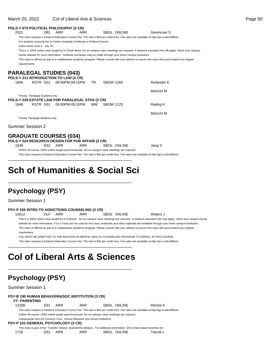#### March 25, 2022 Col of Liberal Arts & Sciences Page 50

|                                 |          |                 | POLS-Y 675 POLITICAL PHILOSOPHY (3 CR)                                        |            |           |                  |                                                                                                                                           |                                                                                                                                                        |
|---------------------------------|----------|-----------------|-------------------------------------------------------------------------------|------------|-----------|------------------|-------------------------------------------------------------------------------------------------------------------------------------------|--------------------------------------------------------------------------------------------------------------------------------------------------------|
| 2021                            |          | O81             | <b>ARR</b>                                                                    | ARR        |           |                  | SBOL ONLINE                                                                                                                               | Gerencser S                                                                                                                                            |
|                                 |          |                 |                                                                               |            |           |                  | This class requires a Distance Education Course Fee. The rate is \$50 per credit hour. Fee rates are available at http://qo.iu.edu/SBfees |                                                                                                                                                        |
|                                 |          |                 | For students pursuing the IU Online Graduate Certificate in Political Science |            |           |                  |                                                                                                                                           |                                                                                                                                                        |
| Class meets June 6 - July 30    |          |                 |                                                                               |            |           |                  |                                                                                                                                           |                                                                                                                                                        |
|                                 |          |                 |                                                                               |            |           |                  |                                                                                                                                           | This is a 100% online class taught by IU South Bend. No on-campus class meetings are required. A distance education fee will apply; check your campus  |
|                                 |          |                 |                                                                               |            |           |                  | bursar website for more information. Textbook purchases may be made through your home campus bookstore.                                   |                                                                                                                                                        |
|                                 |          |                 |                                                                               |            |           |                  |                                                                                                                                           | This class is offered as part of a collaborative academic program. Please consult with your advisor to ensure this class will count toward your degree |
| requirements                    |          |                 |                                                                               |            |           |                  |                                                                                                                                           |                                                                                                                                                        |
|                                 |          |                 |                                                                               |            |           |                  |                                                                                                                                           |                                                                                                                                                        |
|                                 |          |                 | <b>PARALEGAL STUDIES (043)</b>                                                |            |           |                  |                                                                                                                                           |                                                                                                                                                        |
|                                 |          |                 | POLS-Y 211 INTRODUCTION TO LAW (3 CR)                                         |            |           |                  |                                                                                                                                           |                                                                                                                                                        |
| 1806                            | RSTR SS1 |                 | 06:00PM-09:15PM                                                               |            | <b>TR</b> | <b>SBDW 1260</b> |                                                                                                                                           | Reilander E                                                                                                                                            |
|                                 |          |                 |                                                                               |            |           |                  |                                                                                                                                           | Mancini M                                                                                                                                              |
| Prereq: Paralegal Students only |          |                 |                                                                               |            |           |                  |                                                                                                                                           |                                                                                                                                                        |
|                                 |          |                 | POLS-Y 229 ESTATE LAW FOR PARALEGAL STDS (3 CR)                               |            |           |                  |                                                                                                                                           |                                                                                                                                                        |
| 1846                            | RSTR SS1 |                 | 06:00PM-09:15PM                                                               |            | <b>MW</b> | <b>SBDW 1125</b> |                                                                                                                                           | Railing K                                                                                                                                              |
|                                 |          |                 |                                                                               |            |           |                  |                                                                                                                                           |                                                                                                                                                        |
|                                 |          |                 |                                                                               |            |           |                  |                                                                                                                                           | Mancini M                                                                                                                                              |
| Prereg: Paralegal Students only |          |                 |                                                                               |            |           |                  |                                                                                                                                           |                                                                                                                                                        |
|                                 |          |                 |                                                                               |            |           |                  |                                                                                                                                           |                                                                                                                                                        |
| <b>Summer Session 2</b>         |          |                 |                                                                               |            |           |                  |                                                                                                                                           |                                                                                                                                                        |
|                                 |          |                 |                                                                               |            |           |                  |                                                                                                                                           |                                                                                                                                                        |
|                                 |          |                 | <b>GRADUATE COURSES (034)</b>                                                 |            |           |                  |                                                                                                                                           |                                                                                                                                                        |
|                                 |          |                 | POLS-Y 524 RESEARCH DESIGN FOR PUB AFFAIR (3 CR)                              |            |           |                  |                                                                                                                                           |                                                                                                                                                        |
| 1939                            |          | SS <sub>2</sub> | <b>ARR</b>                                                                    | <b>ARR</b> |           |                  | SBOL ONLINE                                                                                                                               | Jang S                                                                                                                                                 |

Online All course: 100% online taught asynchronously. No on-campus class meetings are required. This class requires a Distance Education Course Fee. The rate is \$50 per credit hour. Fee rates are available at http://go.iu.edu/SBfees \_\_\_\_\_\_\_\_\_\_\_\_\_\_\_\_\_\_\_\_\_\_\_\_\_\_\_\_\_\_\_\_\_\_\_\_\_\_\_\_\_\_\_\_\_\_\_\_\_\_

## **Sch of Humanities & Social Sci**

\_\_\_\_\_\_\_\_\_\_\_\_\_\_\_\_\_\_\_\_\_\_\_\_\_\_\_\_\_\_\_\_\_\_\_\_\_\_\_\_\_\_\_\_\_\_\_\_\_\_

### **Psychology (PSY)**

Summer Session 1

#### **PSY-P 535 INTRO TO ADDICTIONS COUNSELING (3 CR)**

12612 OLF ARR ARR SBOL ONLINE Waters J This is a 100% online class taught by IU Kokomo. No on-campus class meetings are required. A distance education fee may apply; check your campus bursar website for more information. If IU e-Texts are not used for this class, textbooks and other materials are available through your home campus bookstore. This class is offered as part of a collaborative academic program. Please consult with your advisor to ensure this class will count toward your degree requirement

YOU MUST BE ADMITTED TO THE MASTERS IN MENTAL HEALTH COUNSELING PROGRAM TO ENROLL IN THIS COURSE. This class requires a Distance Education Course Fee. The rate is \$50 per credit hour. Fee rates are available at http://go.iu.edu/SBfees \_\_\_\_\_\_\_\_\_\_\_\_\_\_\_\_\_\_\_\_\_\_\_\_\_\_\_\_\_\_\_\_\_\_\_\_\_\_\_\_\_\_\_\_\_\_\_\_\_\_

## **Col of Liberal Arts & Sciences**

\_\_\_\_\_\_\_\_\_\_\_\_\_\_\_\_\_\_\_\_\_\_\_\_\_\_\_\_\_\_\_\_\_\_\_\_\_\_\_\_\_\_\_\_\_\_\_\_\_\_

### **Psychology (PSY)**

Summer Session 1

**PSY-B 190 HUMAN BEHAVIOR&SOC INSTITUTION (3 CR) VT: PARENTING** 13188 SS1 ARR ARR SBOL ONLINE Ritchie K This class requires a Distance Education Course Fee. The rate is \$50 per credit hour. Fee rates are available at http://go.iu.edu/SBfees Online All course: 100% online taught asynchronously. No on-campus class meetings are required. Campuswide Gen Ed Common Core: Human Behavior and Social Institutions **PSY-P 103 GENERAL PSYCHOLOGY (3 CR)**

|      |         |     |                    | This class is part of the "Transfer Indiana" (transferIN) initiative. For additional information, link to http://www.transferin.net |
|------|---------|-----|--------------------|-------------------------------------------------------------------------------------------------------------------------------------|
| 1726 | SS1 ARR | ARR | <b>SBOL ONLINE</b> | Talcott L                                                                                                                           |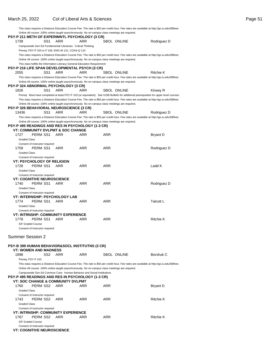|                                        |          |                                                                                                                                                   |            |     | This class requires a Distance Education Course Fee. The rate is \$50 per credit hour. Fee rates are available at http://go.iu.edu/SBfees |                  |
|----------------------------------------|----------|---------------------------------------------------------------------------------------------------------------------------------------------------|------------|-----|-------------------------------------------------------------------------------------------------------------------------------------------|------------------|
|                                        |          | Online All course: 100% online taught asynchronously. No on-campus class meetings are required.<br>PSY-P 211 METH OF EXPERIMNTL PSYCHOLOGY (3 CR) |            |     |                                                                                                                                           |                  |
| 1739                                   | SS1      | ARR                                                                                                                                               | ARR        |     | SBOL ONLINE                                                                                                                               | Rodriguez D      |
|                                        |          | Campuswide Gen Ed Fundamental Literacies: Critical Thinking                                                                                       |            |     |                                                                                                                                           |                  |
|                                        |          | Prereq: PSY-P 103 or P 106, ENG-W 131, COAS-Q 110                                                                                                 |            |     |                                                                                                                                           |                  |
|                                        |          |                                                                                                                                                   |            |     | This class requires a Distance Education Course Fee. The rate is \$50 per credit hour. Fee rates are available at http://go.iu.edu/SBfees |                  |
|                                        |          | Online All course: 100% online taught asynchronously. No on-campus class meetings are required.                                                   |            |     |                                                                                                                                           |                  |
|                                        |          | This class fulfills the Information Literacy General Education Requirement                                                                        |            |     |                                                                                                                                           |                  |
|                                        |          | PSY-P 216 LIFE SPAN DEVELOPMENTAL PSYCH (3 CR)<br>ARR                                                                                             | ARR        |     | <b>SBOL ONLINE</b>                                                                                                                        |                  |
| 2055                                   | SS1      |                                                                                                                                                   |            |     | This class requires a Distance Education Course Fee. The rate is \$50 per credit hour. Fee rates are available at http://go.iu.edu/SBfees | Ritchie K        |
|                                        |          | Online All course: 100% online taught asynchronously. No on-campus class meetings are required.                                                   |            |     |                                                                                                                                           |                  |
|                                        |          | <b>PSY-P 324 ABNORMAL PSYCHOLOGY (3 CR)</b>                                                                                                       |            |     |                                                                                                                                           |                  |
| 1826                                   | SS1      | ARR                                                                                                                                               | ARR        |     | SBOL ONLINE                                                                                                                               | Kinsey R         |
|                                        |          |                                                                                                                                                   |            |     | Prereq: Must have completed at least PSY-P 103 (or equivalent). See IUSB Bulletin for additional prerequisites for upper level courses.   |                  |
|                                        |          |                                                                                                                                                   |            |     | This class requires a Distance Education Course Fee. The rate is \$50 per credit hour. Fee rates are available at http://go.iu.edu/SBfees |                  |
|                                        |          | Online All course: 100% online taught asynchronously. No on-campus class meetings are required.                                                   |            |     |                                                                                                                                           |                  |
|                                        |          | PSY-P 326 BEHAVIORAL NEUROSCIENCE (3 CR)                                                                                                          |            |     |                                                                                                                                           |                  |
| 13436                                  | SS1      | ARR                                                                                                                                               | ARR        |     | <b>SBOL ONLINE</b>                                                                                                                        | Rodriguez D      |
|                                        |          |                                                                                                                                                   |            |     | This class requires a Distance Education Course Fee. The rate is \$50 per credit hour. Fee rates are available at http://go.iu.edu/SBfees |                  |
|                                        |          | Online All course: 100% online taught asynchronously. No on-campus class meetings are required.                                                   |            |     |                                                                                                                                           |                  |
|                                        |          | <b>PSY-P 495 READINGS AND RES IN PSYCHOLOGY (1-3 CR)</b>                                                                                          |            |     |                                                                                                                                           |                  |
| 1727                                   | PERM SS1 | <b>VT: COMMUNITY DVLPMT &amp; SOC CHANGE</b><br>ARR                                                                                               | ARR        | ARR |                                                                                                                                           | <b>Bryant D</b>  |
| <b>Graded Class</b>                    |          |                                                                                                                                                   |            |     |                                                                                                                                           |                  |
| Consent of Instructor required         |          |                                                                                                                                                   |            |     |                                                                                                                                           |                  |
| 1759                                   | PERM SS1 | ARR                                                                                                                                               | <b>ARR</b> | ARR |                                                                                                                                           | Rodriguez D      |
| <b>Graded Class</b>                    |          |                                                                                                                                                   |            |     |                                                                                                                                           |                  |
| Consent of Instructor required         |          |                                                                                                                                                   |            |     |                                                                                                                                           |                  |
| <b>VT: PSYCHOLOGY OF RELIGION</b>      |          |                                                                                                                                                   |            |     |                                                                                                                                           |                  |
| 1728                                   | PERM SS1 | ARR                                                                                                                                               | ARR        | ARR |                                                                                                                                           | Ladd K           |
| <b>Graded Class</b>                    |          |                                                                                                                                                   |            |     |                                                                                                                                           |                  |
| Consent of Instructor required         |          |                                                                                                                                                   |            |     |                                                                                                                                           |                  |
| <b>VT: COGNITIVE NEUROSCIENCE</b>      |          |                                                                                                                                                   |            |     |                                                                                                                                           |                  |
| 1740                                   | PERM SS1 | ARR                                                                                                                                               | ARR        | ARR |                                                                                                                                           | Rodriguez D      |
| <b>Graded Class</b>                    |          |                                                                                                                                                   |            |     |                                                                                                                                           |                  |
| Consent of Instructor required         |          | VT: INTERNSHIP: PSYCHOLOGY LAB                                                                                                                    |            |     |                                                                                                                                           |                  |
| 1774                                   | PERM SS1 | ARR                                                                                                                                               | <b>ARR</b> | ARR |                                                                                                                                           | <b>Talcott L</b> |
| <b>Graded Class</b>                    |          |                                                                                                                                                   |            |     |                                                                                                                                           |                  |
| Consent of Instructor required         |          |                                                                                                                                                   |            |     |                                                                                                                                           |                  |
|                                        |          | <b>VT: INTRNSHP: COMMUNITY EXPERIENCE</b>                                                                                                         |            |     |                                                                                                                                           |                  |
| 1778                                   | PERM SS1 | ARR                                                                                                                                               | ARR        | ARR |                                                                                                                                           | Ritchie K        |
| S/F Graded Course                      |          |                                                                                                                                                   |            |     |                                                                                                                                           |                  |
| Consent of Instructor required         |          |                                                                                                                                                   |            |     |                                                                                                                                           |                  |
|                                        |          |                                                                                                                                                   |            |     |                                                                                                                                           |                  |
| Summer Session 2                       |          |                                                                                                                                                   |            |     |                                                                                                                                           |                  |
|                                        |          | <b>PSY-B 399 HUMAN BEHAVIOR&amp;SOCL INSTITUTNS (3 CR)</b>                                                                                        |            |     |                                                                                                                                           |                  |
| <b>VT: WOMEN AND MADNESS</b>           |          |                                                                                                                                                   |            |     |                                                                                                                                           |                  |
| 1898                                   | SS2      | ARR                                                                                                                                               | ARR        |     | <b>SBOL ONLINE</b>                                                                                                                        | Borshuk C        |
| Prereq: PSY-P 103                      |          |                                                                                                                                                   |            |     |                                                                                                                                           |                  |
|                                        |          |                                                                                                                                                   |            |     | This class requires a Distance Education Course Fee. The rate is \$50 per credit hour. Fee rates are available at http://go.iu.edu/SBfees |                  |
|                                        |          | Online All course: 100% online taught asynchronously. No on-campus class meetings are required.                                                   |            |     |                                                                                                                                           |                  |
|                                        |          | Campuswide Gen Ed Common Core: Human Behavior and Social Institutions                                                                             |            |     |                                                                                                                                           |                  |
|                                        |          | <b>PSY-P 495 READINGS AND RES IN PSYCHOLOGY (1-3 CR)</b>                                                                                          |            |     |                                                                                                                                           |                  |
|                                        |          | <b>VT: SOC CHANGE &amp; COMMUNITY DVLPMT</b>                                                                                                      |            |     |                                                                                                                                           |                  |
| 1760                                   | PERM SS2 | ARR                                                                                                                                               | ARR        | ARR |                                                                                                                                           | <b>Bryant D</b>  |
| <b>Graded Class</b>                    |          |                                                                                                                                                   |            |     |                                                                                                                                           |                  |
| Consent of Instructor required<br>1743 | PERM SS2 | ARR                                                                                                                                               | ARR        | ARR |                                                                                                                                           | Ritchie K        |
| <b>Graded Class</b>                    |          |                                                                                                                                                   |            |     |                                                                                                                                           |                  |
| Consent of Instructor required         |          |                                                                                                                                                   |            |     |                                                                                                                                           |                  |
|                                        |          | <b>VT: INTRNSHP: COMMUNITY EXPERIENCE</b>                                                                                                         |            |     |                                                                                                                                           |                  |
| 1767                                   | PERM SS2 | ARR                                                                                                                                               | ARR        | ARR |                                                                                                                                           | <b>Ritchie K</b> |
| S/F Graded Course                      |          |                                                                                                                                                   |            |     |                                                                                                                                           |                  |
| Consent of Instructor required         |          |                                                                                                                                                   |            |     |                                                                                                                                           |                  |

**VT: COGNITIVE NEUROSCIENCE**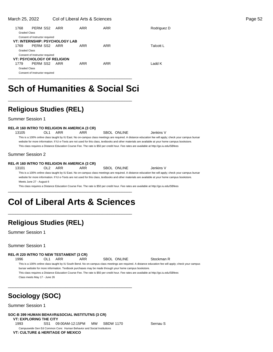#### March 25, 2022 Col of Liberal Arts & Sciences Page 52

| 1768                | PERM SS2 ARR                          | ARR | ARR | Rodriguez D |
|---------------------|---------------------------------------|-----|-----|-------------|
| <b>Graded Class</b> |                                       |     |     |             |
|                     | Consent of Instructor required        |     |     |             |
|                     | <b>VT: INTERNSHIP: PSYCHOLOGY LAB</b> |     |     |             |
| 1769                | PERM SS2 ARR                          | ARR | ARR | Talcott L   |
| <b>Graded Class</b> |                                       |     |     |             |
|                     | Consent of Instructor required        |     |     |             |
|                     | <b>VT: PSYCHOLOGY OF RELIGION</b>     |     |     |             |
| 1779                | PFRM SS <sub>2</sub> ARR              | ARR | ARR | I add K     |
| <b>Graded Class</b> |                                       |     |     |             |
|                     | Consent of Instructor required        |     |     |             |
|                     |                                       |     |     |             |

## **Sch of Humanities & Social Sci**

\_\_\_\_\_\_\_\_\_\_\_\_\_\_\_\_\_\_\_\_\_\_\_\_\_\_\_\_\_\_\_\_\_\_\_\_\_\_\_\_\_\_\_\_\_\_\_\_\_\_

### **Religious Studies (REL)**

Summer Session 1

#### **REL-R 160 INTRO TO RELIGION IN AMERICA (3 CR)**

13105 OL1 ARR ARR SBOL ONLINE Jenkins V This is a 100% online class taught by IU East. No on-campus class meetings are required. A distance education fee will apply; check your campus bursar website for more information. If IU e-Texts are not used for this class, textbooks and other materials are available at your home campus bookstore. This class requires a Distance Education Course Fee. The rate is \$50 per credit hour. Fee rates are available at http://go.iu.edu/SBfees

#### Summer Session 2

### **REL-R 160 INTRO TO RELIGION IN AMERICA (3 CR)**

13101 OL2 ARR ARR SBOL ONLINE Jenkins V This is a 100% online class taught by IU East. No on-campus class meetings are required. A distance education fee will apply; check your campus bursar website for more information. If IU e-Texts are not used for this class, textbooks and other materials are available at your home campus bookstore. Meets June 27 - August 6

This class requires a Distance Education Course Fee. The rate is \$50 per credit hour. Fee rates are available at http://go.iu.edu/SBfees

## **Col of Liberal Arts & Sciences**

\_\_\_\_\_\_\_\_\_\_\_\_\_\_\_\_\_\_\_\_\_\_\_\_\_\_\_\_\_\_\_\_\_\_\_\_\_\_\_\_\_\_\_\_\_\_\_\_\_\_

\_\_\_\_\_\_\_\_\_\_\_\_\_\_\_\_\_\_\_\_\_\_\_\_\_\_\_\_\_\_\_\_\_\_\_\_\_\_\_\_\_\_\_\_\_\_\_\_\_\_

\_\_\_\_\_\_\_\_\_\_\_\_\_\_\_\_\_\_\_\_\_\_\_\_\_\_\_\_\_\_\_\_\_\_\_\_\_\_\_\_\_\_\_\_\_\_\_\_\_\_

## **Religious Studies (REL)**

Summer Session 1

Summer Session 1

#### **REL-R 220 INTRO TO NEW TESTAMENT (3 CR)**

1996 OL1 ARR ARR SBOL ONLINE Stockman R

This is a 100% online class taught by IU South Bend. No on-campus class meetings are required. A distance education fee will apply; check your campus bursar website for more information. Textbook purchases may be made through your home campus bookstore. This class requires a Distance Education Course Fee. The rate is \$50 per credit hour. Fee rates are available at http://go.iu.edu/SBfees Class meets May 17 - June 26

## **Sociology (SOC)**

Summer Session 1

**SOC-B 399 HUMAN BEHAVR&SOCIAL INSTITUTNS (3 CR) VT: EXPLORING THE CITY** 1993 SS1 09:00AM-12:15PM MW SBDW 1170 Sernau S

Campuswide Gen Ed Common Core: Human Behavior and Social Institutions **VT: CULTURE & HERITAGE OF MEXICO**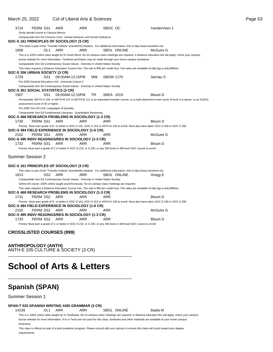| 3724                    | PERM SS1                                                                                        | ARR             | ARR        | SBOC OC            |                                                                                                                                     | VanderVeen J                                                                                                                                            |
|-------------------------|-------------------------------------------------------------------------------------------------|-----------------|------------|--------------------|-------------------------------------------------------------------------------------------------------------------------------------|---------------------------------------------------------------------------------------------------------------------------------------------------------|
|                         | Study abroad course to Oaxaca Mexico                                                            |                 |            |                    |                                                                                                                                     |                                                                                                                                                         |
|                         | Campuswide Gen Ed Common Core: Human Behavior and Social Institutions                           |                 |            |                    |                                                                                                                                     |                                                                                                                                                         |
|                         | SOC-S 161 PRINCIPLES OF SOCIOLOGY (3 CR)                                                        |                 |            |                    |                                                                                                                                     |                                                                                                                                                         |
|                         |                                                                                                 |                 |            |                    | This class is part of the "Transfer Indiana" (transferIN) initiative. For additional information, link to http://www.transferin.net |                                                                                                                                                         |
| 1958                    | OL1                                                                                             | ARR             | <b>ARR</b> | <b>SBOL ONLINE</b> |                                                                                                                                     | McGuire G                                                                                                                                               |
|                         |                                                                                                 |                 |            |                    |                                                                                                                                     | This is a 100% online class taught by IU South Bend. No on-campus class meetings are required. A distance education fee will apply; check your campus   |
|                         |                                                                                                 |                 |            |                    | bursar website for more information. Textbook purchases may be made through your home campus bookstore.                             |                                                                                                                                                         |
|                         | Campuswide Gen Ed Contemporary Social Values: Diversity in United States Society                |                 |            |                    |                                                                                                                                     |                                                                                                                                                         |
|                         |                                                                                                 |                 |            |                    |                                                                                                                                     | This class requires a Distance Education Course Fee. The rate is \$50 per credit hour. Fee rates are available at http://go.iu.edu/SBfees               |
|                         | SOC-S 306 URBAN SOCIETY (3 CR)                                                                  |                 |            |                    |                                                                                                                                     |                                                                                                                                                         |
| 1729                    | SS1                                                                                             | 09:00AM-12:15PM | MW         | <b>SBDW 1170</b>   |                                                                                                                                     | Sernau S                                                                                                                                                |
|                         | Pre-2005 General Education LAS: American Culture 2                                              |                 |            |                    |                                                                                                                                     |                                                                                                                                                         |
|                         | Campuswide Gen Ed Contemporary Social Values: Diversity in United States Society                |                 |            |                    |                                                                                                                                     |                                                                                                                                                         |
|                         | SOC-S 351 SOCIAL STATISTICS (3 CR)                                                              |                 |            |                    |                                                                                                                                     |                                                                                                                                                         |
| 1907                    | SS1                                                                                             | 09:00AM-12:15PM | TR         | SBEA 1019          |                                                                                                                                     | <b>Blouin D</b>                                                                                                                                         |
|                         |                                                                                                 |                 |            |                    |                                                                                                                                     | Prerequisite: MATH-A 100, or MATH-M 107 or MATH-M 111 or an equivalent transfer course; or a math placement exam score of level 3 or above, or an ALEKS |
|                         | assessment score of 36 or higher.                                                               |                 |            |                    |                                                                                                                                     |                                                                                                                                                         |
|                         | Pre-2005 Gen Ed LAS: Languages of Quantity.                                                     |                 |            |                    |                                                                                                                                     |                                                                                                                                                         |
|                         | Campuswide Gen Ed Fundamental Literacies: Quantitative Reasoning                                |                 |            |                    |                                                                                                                                     |                                                                                                                                                         |
|                         | SOC-S 468 RESEARCH PROBLEMS IN SOCIOLOGY (1-3 CR)                                               |                 |            |                    |                                                                                                                                     |                                                                                                                                                         |
| 1730                    | PERM SS1                                                                                        | ARR             | ARR        | ARR                |                                                                                                                                     | <b>Blouin D</b>                                                                                                                                         |
|                         | SOC-S 494 FIELD EXPERIENCE IN SOCIOLOGY (1-6 CR)                                                |                 |            |                    |                                                                                                                                     | Prereq: Must earn grade of D- or better in SOC-S 161, SOC-S 163 or ANTH-E 105 to enroll. Must also have taken SOC-S 268 or SOC-S 268.                   |
| 2102                    | PERM SS1                                                                                        | ARR             | ARR        | ARR                |                                                                                                                                     | McGuire G                                                                                                                                               |
|                         | SOC-S 495 INDIV READNGS/RES IN SOCIOLOGY (1-3 CR)                                               |                 |            |                    |                                                                                                                                     |                                                                                                                                                         |
| 1732                    | PERM SS1                                                                                        | ARR             | ARR        | ARR                |                                                                                                                                     | Blouin D                                                                                                                                                |
|                         |                                                                                                 |                 |            |                    | Prereq: Must earn a grade of C or better in SOC-S 210, or S 230, or any 300 level or 400 level SOC course to enroll.                |                                                                                                                                                         |
|                         |                                                                                                 |                 |            |                    |                                                                                                                                     |                                                                                                                                                         |
| <b>Summer Session 2</b> |                                                                                                 |                 |            |                    |                                                                                                                                     |                                                                                                                                                         |
|                         |                                                                                                 |                 |            |                    |                                                                                                                                     |                                                                                                                                                         |
|                         | SOC-S 161 PRINCIPLES OF SOCIOLOGY (3 CR)                                                        |                 |            |                    |                                                                                                                                     |                                                                                                                                                         |
|                         |                                                                                                 |                 |            |                    | This class is part of the "Transfer Indiana" (transferIN) initiative. For additional information, link to http://www.transferin.net |                                                                                                                                                         |
| 1813                    | SS <sub>2</sub>                                                                                 | ARR             | <b>ARR</b> | SBOL ONLINE        |                                                                                                                                     | Gregg K                                                                                                                                                 |
|                         | Campuswide Gen Ed Contemporary Social Values: Diversity in United States Society                |                 |            |                    |                                                                                                                                     |                                                                                                                                                         |
|                         | Online All course: 100% online taught asynchronously. No on-campus class meetings are required. |                 |            |                    |                                                                                                                                     |                                                                                                                                                         |
|                         |                                                                                                 |                 |            |                    |                                                                                                                                     | This class requires a Distance Education Course Fee. The rate is \$50 per credit hour. Fee rates are available at http://go.iu.edu/SBfees               |
|                         | SOC-S 468 RESEARCH PROBLEMS IN SOCIOLOGY (1-3 CR)                                               |                 |            |                    |                                                                                                                                     |                                                                                                                                                         |
| 1731                    | PERM SS2                                                                                        | ARR             | ARR        | ARR                |                                                                                                                                     | <b>Blouin D</b>                                                                                                                                         |
|                         |                                                                                                 |                 |            |                    |                                                                                                                                     | Prereq: Must earn grade of D- or better in SOC-S 161, SOC-S 163 or ANTH-E 105 to enroll. Must also have taken SOC-S 258 or SOC-S 268.                   |
|                         | SOC-S 494 FIELD EXPERIENCE IN SOCIOLOGY (1-6 CR)                                                |                 |            |                    |                                                                                                                                     |                                                                                                                                                         |
| 2103                    | PERM SS2                                                                                        | ARR             | ARR        | ARR                |                                                                                                                                     | McGuire G                                                                                                                                               |
|                         | SOC-S 495 INDIV READNGS/RES IN SOCIOLOGY (1-3 CR)                                               |                 |            |                    |                                                                                                                                     |                                                                                                                                                         |
| 1733                    | PERM SS2                                                                                        | ARR             | <b>ARR</b> | ARR                |                                                                                                                                     | <b>Blouin D</b>                                                                                                                                         |
|                         |                                                                                                 |                 |            |                    | Prereq: Must earn a grade of C or better in SOC-S 210, or S 230, or any 300 level or 400 level SOC course to enroll.                |                                                                                                                                                         |
|                         |                                                                                                 |                 |            |                    |                                                                                                                                     |                                                                                                                                                         |

### **CROSSLISTED COURSES (999)**

### **ANTHROPOLOGY (ANTH)**

ANTH-E 105 CULTURE & SOCIETY (3 CR) \_\_\_\_\_\_\_\_\_\_\_\_\_\_\_\_\_\_\_\_\_\_\_\_\_\_\_\_\_\_\_\_\_\_\_\_\_\_\_\_\_\_\_\_\_\_\_\_\_\_

## **School of Arts & Letters**

\_\_\_\_\_\_\_\_\_\_\_\_\_\_\_\_\_\_\_\_\_\_\_\_\_\_\_\_\_\_\_\_\_\_\_\_\_\_\_\_\_\_\_\_\_\_\_\_\_\_

### **Spanish (SPAN)**

Summer Session 1

## **SPAN-T 520 SPANISH WRITING AND GRAMMAR (3 CR)**

OL1 ARR ARR SBOL ONLINE Badia M

This is a 100% online class taught by IU Southeast. No on-campus class meetings are required. A distance education fee will apply; check your campus bursar website for more information. If IU e-Texts are not used for this class, textbooks and other materials are available at your home campus bookstore.

This class is offered as part of a joint academic program. Please consult with your advisor to ensure this class will count toward your degree requirements.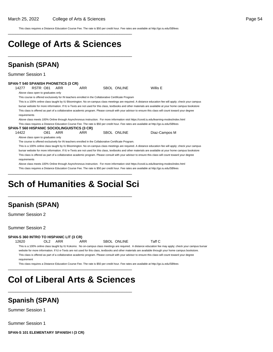\_\_\_\_\_\_\_\_\_\_\_\_\_\_\_\_\_\_\_\_\_\_\_\_\_\_\_\_\_\_\_\_\_\_\_\_\_\_\_\_\_\_\_\_\_\_\_\_\_\_

This class requires a Distance Education Course Fee. The rate is \$50 per credit hour. Fee rates are available at http://go.iu.edu/SBfees

### **College of Arts & Sciences** \_\_\_\_\_\_\_\_\_\_\_\_\_\_\_\_\_\_\_\_\_\_\_\_\_\_\_\_\_\_\_\_\_\_\_\_\_\_\_\_\_\_\_\_\_\_\_\_\_\_ **Spanish (SPAN)** Summer Session 1 **SPAN-T 540 SPANISH PHONETICS (3 CR)** 14277 RSTR O81 ARR ARR SBOL ONLINE Willis E Above class open to graduates only This course is offered exclusively for IN teachers enrolled in the Collaborative Certificate Program This is a 100% online class taught by IU Bloomington. No on-campus class meetings are required. A distance education fee will apply; check your campus bursar website for more information. If IU e-Texts are not used for this class, textbooks and other materials are available at your home campus bookstore This class is offered as part of a collaborative academic program. Please consult with your advisor to ensure this class will count toward your degree requirements Above class meets 100% Online through Asynchronous instruction. For more information visit https://covid.iu.edu/learning-modes/index.html This class requires a Distance Education Course Fee. The rate is \$50 per credit hour. Fee rates are available at http://go.iu.edu/SBfees **SPAN-T 560 HISPANIC SOCIOLINGUISTICS (3 CR)** 14422 O81 ARR ARR SBOL ONLINE Diaz-Campos M Above class open to graduates only The course is offered exclusively for IN teachers enrolled in the Collaborative Certificate Program. This is a 100% online class taught by IU Bloomington. No on-campus class meetings are required. A distance education fee will apply; check your campus bursar website for more information. If IU e-Texts are not used for this class, textbooks and other materials are available at your home campus bookstore This class is offered as part of a collaborative academic program. Please consult with your advisor to ensure this class will count toward your degree requirements Above class meets 100% Online through Asynchronous instruction. For more information visit https://covid.iu.edu/learning-modes/index.html This class requires a Distance Education Course Fee. The rate is \$50 per credit hour. Fee rates are available at http://go.iu.edu/SBfees \_\_\_\_\_\_\_\_\_\_\_\_\_\_\_\_\_\_\_\_\_\_\_\_\_\_\_\_\_\_\_\_\_\_\_\_\_\_\_\_\_\_\_\_\_\_\_\_\_\_

## **Sch of Humanities & Social Sci**

\_\_\_\_\_\_\_\_\_\_\_\_\_\_\_\_\_\_\_\_\_\_\_\_\_\_\_\_\_\_\_\_\_\_\_\_\_\_\_\_\_\_\_\_\_\_\_\_\_\_

### **Spanish (SPAN)**

Summer Session 2

Summer Session 2

#### **SPAN-S 360 INTRO TO HISPANIC LIT (3 CR)**

12620 OL2 ARR ARR SBOL ONLINE Taff C This is a 100% online class taught by IU Kokomo. No on-campus class meetings are required. A distance education fee may apply; check your campus bursar website for more information. If IU e-Texts are not used for this class, textbooks and other materials are available through your home campus bookstore. This class is offered as part of a collaborative academic program. Please consult with your advisor to ensure this class will count toward your degree requirement

This class requires a Distance Education Course Fee. The rate is \$50 per credit hour. Fee rates are available at http://go.iu.edu/SBfees

## **Col of Liberal Arts & Sciences**

\_\_\_\_\_\_\_\_\_\_\_\_\_\_\_\_\_\_\_\_\_\_\_\_\_\_\_\_\_\_\_\_\_\_\_\_\_\_\_\_\_\_\_\_\_\_\_\_\_\_

\_\_\_\_\_\_\_\_\_\_\_\_\_\_\_\_\_\_\_\_\_\_\_\_\_\_\_\_\_\_\_\_\_\_\_\_\_\_\_\_\_\_\_\_\_\_\_\_\_\_

### **Spanish (SPAN)**

Summer Session 1

Summer Session 1

**SPAN-S 101 ELEMENTARY SPANISH I (3 CR)**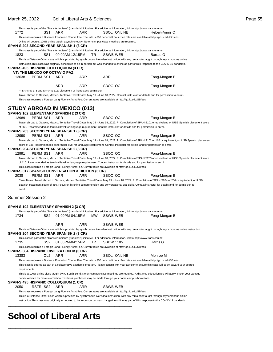### March 25, 2022 Col of Liberal Arts & Sciences **Page 55**

|                         |          |                                                                                                                                            |            |                  | This class is part of the "Transfer Indiana" (transferIN) initiative. For additional information, link to http://www.transferin.net       |                                                                                                                                                            |
|-------------------------|----------|--------------------------------------------------------------------------------------------------------------------------------------------|------------|------------------|-------------------------------------------------------------------------------------------------------------------------------------------|------------------------------------------------------------------------------------------------------------------------------------------------------------|
| 1772                    | SS1      | ARR                                                                                                                                        | ARR        |                  | SBOL ONLINE                                                                                                                               | Hebert-Annis C                                                                                                                                             |
|                         |          |                                                                                                                                            |            |                  | This class requires a Distance Education Course Fee. The rate is \$50 per credit hour. Fee rates are available at http://qo.iu.edu/SBfees |                                                                                                                                                            |
|                         |          | Online All course: 100% online taught asynchronously. No on-campus class meetings are required.<br>SPAN-S 203 SECOND YEAR SPANISH 1 (3 CR) |            |                  |                                                                                                                                           |                                                                                                                                                            |
|                         |          |                                                                                                                                            |            |                  | This class is part of the "Transfer Indiana" (transferIN) initiative. For additional information, link to http://www.transferin.net       |                                                                                                                                                            |
| 1823                    | SS1      | 09:00AM-12:15PM                                                                                                                            | TR         | SBWB WEB         |                                                                                                                                           | Barrau O                                                                                                                                                   |
|                         |          |                                                                                                                                            |            |                  |                                                                                                                                           | This is a Distance-Other class which is provided by synchronous live video instruction, with any remainder taught through asynchronous online              |
|                         |          |                                                                                                                                            |            |                  |                                                                                                                                           | instruction. This class was originally scheduled to be in-person but was changed to online as part of IU's response to the COVID-19 pandemic.              |
|                         |          | SPAN-S 495 HISPANIC COLLOQUIUM (3 CR)<br><b>VT: THE MEXICO OF OCTAVIO PAZ</b>                                                              |            |                  |                                                                                                                                           |                                                                                                                                                            |
| 13638                   | PERM SS1 | ARR                                                                                                                                        | ARR        | ARR              |                                                                                                                                           | Fong-Morgan B                                                                                                                                              |
|                         |          |                                                                                                                                            |            |                  |                                                                                                                                           |                                                                                                                                                            |
|                         |          | ARR                                                                                                                                        | <b>ARR</b> | SBOC OC          |                                                                                                                                           | Fong-Morgan B                                                                                                                                              |
|                         |          | P: SPAN-S 275 and SPAN-S 313; placement or instructor's permission                                                                         |            |                  |                                                                                                                                           |                                                                                                                                                            |
|                         |          |                                                                                                                                            |            |                  |                                                                                                                                           | Travel abroad to Oaxaca, Mexico. Tentative Travel Dates May 19 - June 18, 2022. Contact instructor for details and for permission to enroll.               |
|                         |          |                                                                                                                                            |            |                  | This class requires a Foreign Lang Fluency Asmt Fee. Current rates are available at http://go.iu.edu/SBfees                               |                                                                                                                                                            |
|                         |          | STUDY ABROAD IN MEXICO (013)                                                                                                               |            |                  |                                                                                                                                           |                                                                                                                                                            |
|                         |          | <b>SPAN-S 102 ELEMENTARY SPANISH 2 (3 CR)</b>                                                                                              |            |                  |                                                                                                                                           |                                                                                                                                                            |
| 12989                   | PERM SS1 | ARR                                                                                                                                        | ARR        | SBOC OC          |                                                                                                                                           | Fong-Morgan B                                                                                                                                              |
|                         |          |                                                                                                                                            |            |                  |                                                                                                                                           | Travel abroad to Oaxaca, Mexico. Tentative Travel Dates May 19 - June 18, 2022. P: Completion of SPAN S101 or equivalent, or IUSB Spanish placement score  |
|                         |          |                                                                                                                                            |            |                  | of 260. Recommended as terminal level for language requirement. Contact instructor for details and for permission to enroll.              |                                                                                                                                                            |
|                         |          | SPAN-S 203 SECOND YEAR SPANISH 1 (3 CR)                                                                                                    |            |                  |                                                                                                                                           |                                                                                                                                                            |
| 12990                   | PERM SS1 | ARR                                                                                                                                        | ARR        | SBOC OC          |                                                                                                                                           | Fong-Morgan B                                                                                                                                              |
|                         |          |                                                                                                                                            |            |                  |                                                                                                                                           | Travel abroad to Oaxaca, Mexico. Tentative Travel Dates May 19 - June 18, 2022. P: Completion of SPAN S102 or 116 or equivalent, or IUSB Spanish placement |
|                         |          |                                                                                                                                            |            |                  | score of 335. Recommended as terminal level for language requirement. Contact instructor for details and for permission to enroll.        |                                                                                                                                                            |
| 12991                   | PERM SS1 | SPAN-S 204 SECOND YEAR SPANISH 2 (3 CR)<br>ARR                                                                                             | ARR        | SBOC OC          |                                                                                                                                           | Fong-Morgan B                                                                                                                                              |
|                         |          |                                                                                                                                            |            |                  |                                                                                                                                           | Travel abroad to Oaxaca, Mexico. Tentative Travel Dates May 19 - June 18, 2022. P: Completion of SPAN S203 or equivalent, or IUSB Spanish placement score  |
|                         |          |                                                                                                                                            |            |                  | of 410. Recommended as terminal level for language requirement. Contact instructor for details and for permission to enroll.              |                                                                                                                                                            |
|                         |          |                                                                                                                                            |            |                  | This class requires a Foreign Lang Fluency Asmt Fee. Current rates are available at http://go.iu.edu/SBfees                               |                                                                                                                                                            |
|                         |          | <b>SPAN-S 317 SPANISH CONVERSATION &amp; DICTION (3 CR)</b>                                                                                |            |                  |                                                                                                                                           |                                                                                                                                                            |
| 2038                    | PERM SS1 | ARR                                                                                                                                        | ARR        | SBOC OC          |                                                                                                                                           | Fong-Morgan B                                                                                                                                              |
|                         |          |                                                                                                                                            |            |                  |                                                                                                                                           | Class Notes Travel abroad to Oaxaca, Mexico. Tentative Travel Dates May 19 - June 18, 2022. P: Completion of SPAN S204 or 206 or equivalent, or IUSB       |
|                         |          |                                                                                                                                            |            |                  |                                                                                                                                           | Spanish placement score of 450. Focus on listening comprehension and conversational oral skills. Contact instructor for details and for permission to      |
| enroll.                 |          |                                                                                                                                            |            |                  |                                                                                                                                           |                                                                                                                                                            |
| <b>Summer Session 2</b> |          |                                                                                                                                            |            |                  |                                                                                                                                           |                                                                                                                                                            |
|                         |          | <b>SPAN-S 102 ELEMENTARY SPANISH 2 (3 CR)</b>                                                                                              |            |                  |                                                                                                                                           |                                                                                                                                                            |
|                         |          |                                                                                                                                            |            |                  | This class is part of the "Transfer Indiana" (transferIN) initiative. For additional information, link to http://www.transferin.net       |                                                                                                                                                            |
| 1734                    | SS2      | 01:00PM-04:15PM                                                                                                                            | МW         | SBWB WEB         |                                                                                                                                           | Fong-Morgan B                                                                                                                                              |
|                         |          |                                                                                                                                            |            |                  |                                                                                                                                           |                                                                                                                                                            |
|                         |          | ARR                                                                                                                                        | ARR        | SBWB WEB         |                                                                                                                                           |                                                                                                                                                            |
|                         |          |                                                                                                                                            |            |                  |                                                                                                                                           | This is a Distance-Other class which is provided by synchronous live video instruction, with any remainder taught through asynchronous online instruction  |
|                         |          | SPAN-S 204 SECOND YEAR SPANISH 2 (3 CR)                                                                                                    |            |                  |                                                                                                                                           |                                                                                                                                                            |
| 1735                    | SS2      | 01:00PM-04:15PM                                                                                                                            | TR         | <b>SBDW 1185</b> | This class is part of the "Transfer Indiana" (transferIN) initiative. For additional information, link to http://www.transferin.net       | Harris G                                                                                                                                                   |
|                         |          |                                                                                                                                            |            |                  | This class requires a Foreign Lang Fluency Asmt Fee. Current rates are available at http://go.iu.edu/SBfees                               |                                                                                                                                                            |
|                         |          | SPAN-S 384 HISPANIC CIVILIZATION IV (3 CR)                                                                                                 |            |                  |                                                                                                                                           |                                                                                                                                                            |
| 13383                   | OL2      | ARR                                                                                                                                        | ARR        |                  | <b>SBOL ONLINE</b>                                                                                                                        | Monroe M                                                                                                                                                   |
|                         |          |                                                                                                                                            |            |                  | This class requires a Distance Education Course Fee. The rate is \$50 per credit hour. Fee rates are available at http://go.iu.edu/SBfees |                                                                                                                                                            |
|                         |          |                                                                                                                                            |            |                  |                                                                                                                                           | This class is offered as part of a collaborative academic program. Please consult with your advisor to ensure this class will count toward your degree     |
| requirements            |          |                                                                                                                                            |            |                  |                                                                                                                                           |                                                                                                                                                            |
|                         |          |                                                                                                                                            |            |                  |                                                                                                                                           | This is a 100% online class taught by IU South Bend. No on-campus class meetings are required. A distance education fee will apply; check your campus      |
|                         |          |                                                                                                                                            |            |                  | bursar website for more information. Textbook purchases may be made through your home campus bookstore.                                   |                                                                                                                                                            |
| 2050                    | RSTR SS2 | SPAN-S 495 HISPANIC COLLOQUIUM (1 CR)<br>ARR                                                                                               | ARR        | SBWB WEB         |                                                                                                                                           |                                                                                                                                                            |
|                         |          |                                                                                                                                            |            |                  | This class requires a Foreign Lang Fluency Asmt Fee. Current rates are available at http://go.iu.edu/SBfees                               |                                                                                                                                                            |
|                         |          |                                                                                                                                            |            |                  |                                                                                                                                           | This is a Distance-Other class which is provided by synchronous live video instruction, with any remainder taught through asynchronous online              |
|                         |          |                                                                                                                                            |            |                  |                                                                                                                                           | instruction. This class was originally scheduled to be in-person but was changed to online as part of IU's response to the COVID-19 pandemic.              |
|                         |          |                                                                                                                                            |            |                  |                                                                                                                                           |                                                                                                                                                            |

# **School of Liberal Arts**

\_\_\_\_\_\_\_\_\_\_\_\_\_\_\_\_\_\_\_\_\_\_\_\_\_\_\_\_\_\_\_\_\_\_\_\_\_\_\_\_\_\_\_\_\_\_\_\_\_\_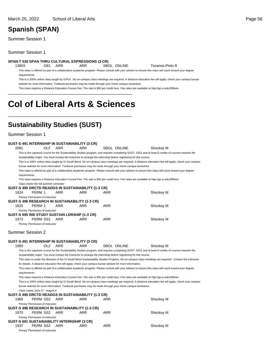### **Spanish (SPAN)**

Summer Session 1

Summer Session 1

### **SPAN-T 530 SPAN THRU CULTURAL EXPRESSIONS (3 CR)**

Tezanos-Pinto R

This class is offered as part of a collaborative academic program. Please consult with your advisor to ensure this class will count toward your degree requirements

This is a 100% online class taught by IUPUI. No on-campus class meetings are required. A distance education fee will apply; check your campus bursar website for more information. Textbook purchases may be made through your home campus bookstore.

This class requires a Distance Education Course Fee. The rate is \$50 per credit hour. Fee rates are available at http://go.iu.edu/SBfees

## **Col of Liberal Arts & Sciences**

\_\_\_\_\_\_\_\_\_\_\_\_\_\_\_\_\_\_\_\_\_\_\_\_\_\_\_\_\_\_\_\_\_\_\_\_\_\_\_\_\_\_\_\_\_\_\_\_\_\_

\_\_\_\_\_\_\_\_\_\_\_\_\_\_\_\_\_\_\_\_\_\_\_\_\_\_\_\_\_\_\_\_\_\_\_\_\_\_\_\_\_\_\_\_\_\_\_\_\_\_

### **Sustainability Studies (SUST)**

Summer Session 1

Prereq: Permission of instructor

|      |                                      |                 |                                             | SUST-S 491 INTERNSHIP IN SUSTAINABILITY (3 CR)     |     |                                                                                                                     |                                                                                                                                                         |
|------|--------------------------------------|-----------------|---------------------------------------------|----------------------------------------------------|-----|---------------------------------------------------------------------------------------------------------------------|---------------------------------------------------------------------------------------------------------------------------------------------------------|
| 2081 |                                      | OLF             | ARR                                         | ARR                                                |     | <b>SBOL ONLINE</b>                                                                                                  | Shockey M                                                                                                                                               |
|      |                                      |                 |                                             |                                                    |     |                                                                                                                     | This is the capstone course for the Sustainability Studies program, and requires completing SUST-S201 and at least 6 credits of courses towards the     |
|      |                                      |                 |                                             |                                                    |     | Sustainability major. You must contact the Instructor to arrange the internship before registering for this course. |                                                                                                                                                         |
|      |                                      |                 |                                             |                                                    |     |                                                                                                                     | This is a 100% online class taught by IU South Bend. No on-campus class meetings are required. A distance education fee will apply; check your campus   |
|      |                                      |                 |                                             |                                                    |     | bursar website for more information. Textbook purchases may be made through your home campus bookstore.             |                                                                                                                                                         |
|      |                                      |                 |                                             |                                                    |     |                                                                                                                     | This class is offered as part of a collaborative academic program. Please consult with your advisor to ensure this class will count toward your degree  |
|      | requirements                         |                 |                                             |                                                    |     |                                                                                                                     |                                                                                                                                                         |
|      |                                      |                 |                                             |                                                    |     |                                                                                                                     | This class requires a Distance Education Course Fee. The rate is \$50 per credit hour. Fee rates are available at http://go.iu.edu/SBfees               |
|      | Class meets the full summer semester |                 |                                             |                                                    |     |                                                                                                                     |                                                                                                                                                         |
|      |                                      |                 |                                             | SUST-S 495 DRCTD READGS IN SUSTAINABILITY (1-3 CR) |     |                                                                                                                     |                                                                                                                                                         |
| 1824 | PERM 1                               |                 | ARR                                         | ARR                                                | ARR |                                                                                                                     | Shockey M                                                                                                                                               |
|      | Prereg: Permission of instructor     |                 |                                             |                                                    |     |                                                                                                                     |                                                                                                                                                         |
|      |                                      |                 |                                             | SUST-S 496 RESEARCH IN SUSTAINABILITY (1-3 CR)     |     |                                                                                                                     |                                                                                                                                                         |
| 1825 | PERM 1                               |                 | ARR                                         | ARR                                                | ARR |                                                                                                                     | Shockey M                                                                                                                                               |
|      | Prereq: Permission of instructor     |                 |                                             |                                                    |     |                                                                                                                     |                                                                                                                                                         |
|      |                                      |                 |                                             | SUST-S 695 IND STUDY SUSTAIN LDRSHIP (1-3 CR)      |     |                                                                                                                     |                                                                                                                                                         |
| 1973 | PERM SS1                             |                 | ARR                                         | ARR                                                | ARR |                                                                                                                     | Shockey M                                                                                                                                               |
|      | Prereg: Permission of instructor     |                 |                                             |                                                    |     |                                                                                                                     |                                                                                                                                                         |
|      |                                      |                 |                                             |                                                    |     |                                                                                                                     |                                                                                                                                                         |
|      | <b>Summer Session 2</b>              |                 |                                             |                                                    |     |                                                                                                                     |                                                                                                                                                         |
|      |                                      |                 |                                             | SUST-S 491 INTERNSHIP IN SUSTAINABILITY (3 CR)     |     |                                                                                                                     |                                                                                                                                                         |
| 1960 |                                      | OL <sub>2</sub> | <b>ARR</b>                                  | ARR                                                |     | <b>SBOL ONLINE</b>                                                                                                  | Shockey M                                                                                                                                               |
|      |                                      |                 |                                             |                                                    |     |                                                                                                                     | This is the capstone course for the Sustainability Studies program, and requires completing SUST- S201 and at least 6 credits of courses towards the    |
|      |                                      |                 |                                             |                                                    |     | Sustainability major. You must contact the Instructor to arrange the internship before registering for this course. |                                                                                                                                                         |
|      |                                      |                 |                                             |                                                    |     |                                                                                                                     | This class is under the direction of the IU South Bend Sustainability Studies Program. No on-campus class meetings are required. Contact the instructor |
|      |                                      |                 |                                             |                                                    |     | for details. A distance education fee will apply; check your campus bursar website for more information.            |                                                                                                                                                         |
|      |                                      |                 |                                             |                                                    |     |                                                                                                                     | This class is offered as part of a collaborative academic program. Please consult with your advisor to ensure this class will count toward your degree  |
|      | requirements                         |                 |                                             |                                                    |     |                                                                                                                     |                                                                                                                                                         |
|      |                                      |                 |                                             |                                                    |     |                                                                                                                     | This class requires a Distance Education Course Fee. The rate is \$50 per credit hour. Fee rates are available at http://go.iu.edu/SBfees               |
|      |                                      |                 |                                             |                                                    |     |                                                                                                                     | This is a 100% online class taught by IU South Bend. No on-campus class meetings are required. A distance education fee will apply; check your campus   |
|      |                                      |                 |                                             |                                                    |     | bursar website for more information. Textbook purchases may be made through your home campus bookstore.             |                                                                                                                                                         |
|      | Class meets June 27 - August 6       |                 |                                             |                                                    |     |                                                                                                                     |                                                                                                                                                         |
|      |                                      |                 |                                             | SUST-S 495 DRCTD READGS IN SUSTAINABILITY (1-3 CR) |     |                                                                                                                     |                                                                                                                                                         |
| 1969 | PERM SS2                             |                 | ARR                                         | ARR                                                | ARR |                                                                                                                     | Shockey M                                                                                                                                               |
|      | Prereq: Permission of instructor     |                 |                                             |                                                    |     |                                                                                                                     |                                                                                                                                                         |
|      |                                      |                 |                                             | SUST-S 496 RESEARCH IN SUSTAINABILITY (1-3 CR)     |     |                                                                                                                     |                                                                                                                                                         |
| 1970 | PERM SS2                             |                 | ARR                                         | ARR                                                | ARR |                                                                                                                     | Shockey M                                                                                                                                               |
|      | Prereq: Permission of instructor     |                 |                                             |                                                    |     |                                                                                                                     |                                                                                                                                                         |
|      |                                      |                 | SUST-S 691 SUSTAINABILITY INTERNSHIP (3 CR) |                                                    |     |                                                                                                                     |                                                                                                                                                         |
| 1937 | PERM SS2                             |                 | <b>ARR</b>                                  | ARR                                                | ARR |                                                                                                                     | Shockey M                                                                                                                                               |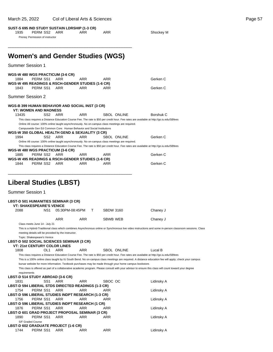### March 25, 2022 Col of Liberal Arts & Sciences **Page 57** Collection 2014 12:30 Arts 2014 12:30 Page 57

**SUST-S 695 IND STUDY SUSTAIN LDRSHIP (1-3 CR)**

1935 PERM SS2 ARR ARR ARR Shockey M Prereq: Permission of instructor

| <b>Women's and Gender Studies (WGS)</b>                                                                                  |                 |            |                                                                                                         |                                                                                                                                                                                                                                                                                                                                                                                                                                                              |
|--------------------------------------------------------------------------------------------------------------------------|-----------------|------------|---------------------------------------------------------------------------------------------------------|--------------------------------------------------------------------------------------------------------------------------------------------------------------------------------------------------------------------------------------------------------------------------------------------------------------------------------------------------------------------------------------------------------------------------------------------------------------|
| <b>Summer Session 1</b>                                                                                                  |                 |            |                                                                                                         |                                                                                                                                                                                                                                                                                                                                                                                                                                                              |
| WGS-W 480 WGS PRACTICUM (3-6 CR)<br>PERM SS1<br>1884<br>WGS-W 495 READINGS & RSCH-GENDER STUDIES (1-6 CR)<br>PERM SS1    | ARR<br>ARR      | ARR<br>ARR | ARR<br>ARR                                                                                              | Gerken C<br>Gerken C                                                                                                                                                                                                                                                                                                                                                                                                                                         |
| 1843                                                                                                                     |                 |            |                                                                                                         |                                                                                                                                                                                                                                                                                                                                                                                                                                                              |
| <b>Summer Session 2</b>                                                                                                  |                 |            |                                                                                                         |                                                                                                                                                                                                                                                                                                                                                                                                                                                              |
| WGS-B 399 HUMAN BEHAVIOR AND SOCIAL INST (3 CR)<br><b>VT: WOMEN AND MADNESS</b><br>SS <sub>2</sub><br>13435              | ARR             | ARR        | <b>SBOL ONLINE</b>                                                                                      | <b>Borshuk C</b>                                                                                                                                                                                                                                                                                                                                                                                                                                             |
| Campuswide Gen Ed Common Core: Human Behavior and Social Institutions<br>WGS-W 350 GLOBAL HEALTH GEND & SEXUALITY (3 CR) |                 |            | Online All course: 100% online taught asynchronously. No on-campus class meetings are required.         | This class requires a Distance Education Course Fee. The rate is \$50 per credit hour. Fee rates are available at http://go.iu.edu/SBfees                                                                                                                                                                                                                                                                                                                    |
| 1994<br>SS2                                                                                                              | ARR             | ARR        | <b>SBOL ONLINE</b>                                                                                      | Gerken C                                                                                                                                                                                                                                                                                                                                                                                                                                                     |
| WGS-W 480 WGS PRACTICUM (3-6 CR)                                                                                         |                 |            | Online All course: 100% online taught asynchronously. No on-campus class meetings are required.         | This class requires a Distance Education Course Fee. The rate is \$50 per credit hour. Fee rates are available at http://go.iu.edu/SBfees                                                                                                                                                                                                                                                                                                                    |
| 1885<br>PERM SS2                                                                                                         | ARR             | ARR        | ARR                                                                                                     | Gerken C                                                                                                                                                                                                                                                                                                                                                                                                                                                     |
| <b>WGS-W 495 READINGS &amp; RSCH-GENDER STUDIES (1-6 CR)</b><br>1844<br>PERM SS2                                         | ARR             | ARR        | ARR                                                                                                     | Gerken C                                                                                                                                                                                                                                                                                                                                                                                                                                                     |
| <b>LBST-D 501 HUMANITIES SEMINAR (3 CR)</b><br><b>VT: SHAKESPEARE'S VENICE</b><br>2088<br>NS1                            | 05:30PM-08:45PM | T          | <b>SBDW 3160</b>                                                                                        | Chaney J                                                                                                                                                                                                                                                                                                                                                                                                                                                     |
|                                                                                                                          | <b>ARR</b>      | ARR.       | SBWB WEB                                                                                                |                                                                                                                                                                                                                                                                                                                                                                                                                                                              |
| Class meets June 14 - July 21                                                                                            |                 |            |                                                                                                         | Chaney J                                                                                                                                                                                                                                                                                                                                                                                                                                                     |
| meeting details will be provided by the instructor.                                                                      |                 |            |                                                                                                         | This is a Hybrid-Traditional class which combines Asynchronous online or Synchronous live video instructions and some in-person classroom sessions. Class                                                                                                                                                                                                                                                                                                    |
| Topic: Shakespeare's Venice<br><b>LBST-D 502 SOCIAL SCIENCES SEMINAR (3 CR)</b><br><b>VT: 21st CENTURY COLOR LINES</b>   |                 |            |                                                                                                         |                                                                                                                                                                                                                                                                                                                                                                                                                                                              |
| 1808<br>OL1                                                                                                              | ARR             | ARR        | SBOL ONLINE                                                                                             | Lucal B                                                                                                                                                                                                                                                                                                                                                                                                                                                      |
|                                                                                                                          |                 |            | bursar website for more information. Textbook purchases may be made through your home campus bookstore. | This class requires a Distance Education Course Fee. The rate is \$50 per credit hour. Fee rates are available at http://go.iu.edu/SBfees<br>This is a 100% online class taught by IU South Bend. No on-campus class meetings are required. A distance education fee will apply; check your campus<br>This class is offered as part of a collaborative academic program. Please consult with your advisor to ensure this class will count toward your degree |
| requirements<br><b>LBST-D 514 STUDY ABROAD (3-6 CR)</b><br>1831<br>SS1                                                   | ARR             | ARR        | SBOC OC                                                                                                 | Lidinsky A                                                                                                                                                                                                                                                                                                                                                                                                                                                   |
| <b>LBST-D 594 LIBERAL STDS DIRECTED READINGS (1-3 CR)</b><br>1754<br>PERM SS1                                            | ARR             | ARR        | ARR                                                                                                     | Lidinsky A                                                                                                                                                                                                                                                                                                                                                                                                                                                   |
| LBST-D 596 LIBERAL STUDIES INDPT RESEARCH (1-3 CR)<br>1756<br>PERM SS1                                                   | ARR             | ARR        | ARR                                                                                                     | Lidinsky A                                                                                                                                                                                                                                                                                                                                                                                                                                                   |
| LBST-D 596 LIBERAL STUDIES INDPT RESEARCH (1 CR)<br>1876<br>PERM SS1                                                     | ARR             | ARR        | ARR                                                                                                     | Lidinsky A                                                                                                                                                                                                                                                                                                                                                                                                                                                   |
| LBST-D 601 GRAD PROJECT PROPOSAL SEMINAR (3 CR)<br>1890<br>PERM SS1                                                      | ARR             | ARR        | ARR                                                                                                     | Lidinsky A                                                                                                                                                                                                                                                                                                                                                                                                                                                   |
| S/F Graded Course<br>LBST-D 602 GRADUATE PROJECT (1-6 CR)                                                                |                 |            |                                                                                                         |                                                                                                                                                                                                                                                                                                                                                                                                                                                              |

1744 PERM SS1 ARR ARR ARR Lidinsky A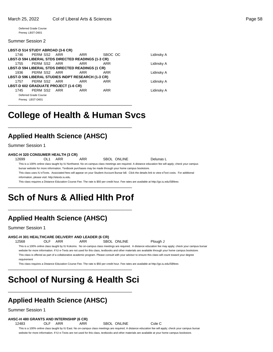### Summer Session 2

|      | LBST-D 514 STUDY ABROAD (3-6 CR)            |                                                           |         |            |
|------|---------------------------------------------|-----------------------------------------------------------|---------|------------|
|      | 1746 PERM SS2 ARR                           | ARR                                                       | SBOC OC | Lidinsky A |
|      |                                             | <b>LBST-D 594 LIBERAL STDS DIRECTED READINGS (1-3 CR)</b> |         |            |
| 1755 | PERM SS2 ARR                                | ARR                                                       | ARR     | Lidinsky A |
|      |                                             | <b>LBST-D 594 LIBERAL STDS DIRECTED READINGS (1 CR)</b>   |         |            |
|      | 1936 PERM SS2 ARR                           | ARR                                                       | ARR     | Lidinsky A |
|      |                                             | <b>LBST-D 596 LIBERAL STUDIES INDPT RESEARCH (1-3 CR)</b> |         |            |
| 1757 | PERM SS2 ARR                                | ARR                                                       | ARR     | Lidinsky A |
|      | <b>LBST-D 602 GRADUATE PROJECT (1-6 CR)</b> |                                                           |         |            |
|      | 1745 PERM SS2 ARR                           | <b>ARR</b>                                                | ARR     | Lidinsky A |
|      | Deferred Grade Course                       |                                                           |         |            |
|      | Prerea: LBST-D601                           |                                                           |         |            |

## **College of Health & Human Svcs**

\_\_\_\_\_\_\_\_\_\_\_\_\_\_\_\_\_\_\_\_\_\_\_\_\_\_\_\_\_\_\_\_\_\_\_\_\_\_\_\_\_\_\_\_\_\_\_\_\_\_

\_\_\_\_\_\_\_\_\_\_\_\_\_\_\_\_\_\_\_\_\_\_\_\_\_\_\_\_\_\_\_\_\_\_\_\_\_\_\_\_\_\_\_\_\_\_\_\_\_\_

### **Applied Health Science (AHSC)**

Summer Session 1

### **AHSC-H 320 CONSUMER HEALTH (3 CR)**

12699 OL1 ARR ARR SBOL ONLINE Delunas L

This is a 100% online class taught by IU Northwest. No on-campus class meetings are required. A distance education fee will apply; check your campus bursar website for more information. Textbook purchases may be made through your home campus bookstore.

This class uses IU eTexts. Associated fees will appear on your Student Account Bursar bill. Click the details link to view eText costs. For additional information, please visit: http://etexts.iu.edu.

This class requires a Distance Education Course Fee. The rate is \$50 per credit hour. Fee rates are available at http://go.iu.edu/SBfees

## **Sch of Nurs & Allied Hlth Prof**

\_\_\_\_\_\_\_\_\_\_\_\_\_\_\_\_\_\_\_\_\_\_\_\_\_\_\_\_\_\_\_\_\_\_\_\_\_\_\_\_\_\_\_\_\_\_\_\_\_\_

\_\_\_\_\_\_\_\_\_\_\_\_\_\_\_\_\_\_\_\_\_\_\_\_\_\_\_\_\_\_\_\_\_\_\_\_\_\_\_\_\_\_\_\_\_\_\_\_\_\_

## **Applied Health Science (AHSC)**

Summer Session 1

#### **AHSC-H 301 HEALTHCARE DELIVERY AND LEADER (6 CR)**

12568 OLF ARR ARR SBOL ONLINE Plough J This is a 100% online class taught by IU Kokomo. No on-campus class meetings are required. A distance education fee may apply; check your campus bursar website for more information. If IU e-Texts are not used for this class, textbooks and other materials are available through your home campus bookstore. This class is offered as part of a collaborative academic program. Please consult with your advisor to ensure this class will count toward your degree requirement

This class requires a Distance Education Course Fee. The rate is \$50 per credit hour. Fee rates are available at http://go.iu.edu/SBfees

## **School of Nursing & Health Sci**

\_\_\_\_\_\_\_\_\_\_\_\_\_\_\_\_\_\_\_\_\_\_\_\_\_\_\_\_\_\_\_\_\_\_\_\_\_\_\_\_\_\_\_\_\_\_\_\_\_\_

\_\_\_\_\_\_\_\_\_\_\_\_\_\_\_\_\_\_\_\_\_\_\_\_\_\_\_\_\_\_\_\_\_\_\_\_\_\_\_\_\_\_\_\_\_\_\_\_\_\_

### **Applied Health Science (AHSC)**

Summer Session 1

#### **AHSC-H 480 GRANTS AND INTERNSHIP (6 CR)**

12483 OLF ARR ARR SBOL ONLINE Cole C

This is a 100% online class taught by IU East. No on-campus class meetings are required. A distance education fee will apply; check your campus bursar website for more information. If IU e-Texts are not used for this class, textbooks and other materials are available at your home campus bookstore.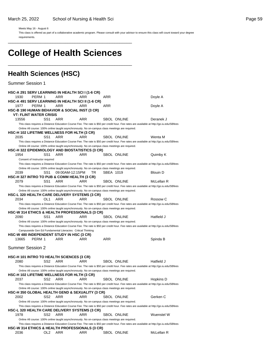Meets May 16 - August 6

This class is offered as part of a collaborative academic program. Please consult with your advisor to ensure this class will count toward your degree requirements.

## **College of Health Sciences**

\_\_\_\_\_\_\_\_\_\_\_\_\_\_\_\_\_\_\_\_\_\_\_\_\_\_\_\_\_\_\_\_\_\_\_\_\_\_\_\_\_\_\_\_\_\_\_\_\_\_

\_\_\_\_\_\_\_\_\_\_\_\_\_\_\_\_\_\_\_\_\_\_\_\_\_\_\_\_\_\_\_\_\_\_\_\_\_\_\_\_\_\_\_\_\_\_\_\_\_\_

### **Health Sciences (HSC)**

|                                                                   |                                                             |                 | <b>HSC-A 291 SERV LEARNING IN HEALTH SCI I (1-6 CR)</b>                                               |           |                    |                                                                                                                                           |
|-------------------------------------------------------------------|-------------------------------------------------------------|-----------------|-------------------------------------------------------------------------------------------------------|-----------|--------------------|-------------------------------------------------------------------------------------------------------------------------------------------|
| 1930<br><b>HSC-A 491 SERV LEARNING IN HEALTH SCI II (1-6 CR)</b>  | PERM 1                                                      | ARR             | ARR                                                                                                   | ARR       |                    | Doyle A                                                                                                                                   |
| 1977                                                              | PERM 1                                                      | ARR             | ARR                                                                                                   | ARR       |                    | Doyle A                                                                                                                                   |
| <b>HSC-B 190 HUMAN BEHAVIOR &amp; SOCIAL INST (3 CR)</b>          | <b>VT: FLINT WATER CRISIS</b>                               |                 |                                                                                                       |           |                    |                                                                                                                                           |
| 13556                                                             | SS1                                                         | ARR             | ARR                                                                                                   |           | <b>SBOL ONLINE</b> | Deranek J                                                                                                                                 |
|                                                                   |                                                             |                 |                                                                                                       |           |                    | This class requires a Distance Education Course Fee. The rate is \$50 per credit hour. Fee rates are available at http://go.iu.edu/SBfees |
|                                                                   |                                                             |                 | Online All course: 100% online taught asynchronously. No on-campus class meetings are required.       |           |                    |                                                                                                                                           |
| HSC-H 102 LIFETIME WELLNESS FOR HLTH (3 CR)                       |                                                             |                 |                                                                                                       |           |                    |                                                                                                                                           |
| 2035                                                              | SS <sub>1</sub>                                             | ARR             | ARR                                                                                                   |           | <b>SBOL ONLINE</b> | Wenta M                                                                                                                                   |
|                                                                   |                                                             |                 |                                                                                                       |           |                    | This class requires a Distance Education Course Fee. The rate is \$50 per credit hour. Fee rates are available at http://go.iu.edu/SBfees |
|                                                                   |                                                             |                 | Online All course: 100% online taught asynchronously. No on-campus class meetings are required.       |           |                    |                                                                                                                                           |
| <b>HSC-H 322 EPIDEMIOLOGY AND BIOSTATISTICS (3 CR)</b>            |                                                             |                 |                                                                                                       |           |                    |                                                                                                                                           |
| 1954                                                              | SS1                                                         | ARR             | ARR                                                                                                   |           | <b>SBOL ONLINE</b> | Quimby K                                                                                                                                  |
|                                                                   | Consent of Instructor required                              |                 |                                                                                                       |           |                    |                                                                                                                                           |
|                                                                   |                                                             |                 |                                                                                                       |           |                    | This class requires a Distance Education Course Fee. The rate is \$50 per credit hour. Fee rates are available at http://go.iu.edu/SBfees |
| 2039                                                              | SS1                                                         | 09:00AM-12:15PM | Online All course: 100% online taught asynchronously. No on-campus class meetings are required.<br>TR | SBEA 1019 |                    | <b>Blouin D</b>                                                                                                                           |
| HSC-H 327 INTRO TO PUB & COMM HEALTH (3 CR)                       |                                                             |                 |                                                                                                       |           |                    |                                                                                                                                           |
| 2079                                                              | SS1                                                         | ARR             | ARR                                                                                                   |           | <b>SBOL ONLINE</b> | McLellan R                                                                                                                                |
|                                                                   |                                                             |                 |                                                                                                       |           |                    | This class requires a Distance Education Course Fee. The rate is \$50 per credit hour. Fee rates are available at http://go.iu.edu/SBfees |
|                                                                   |                                                             |                 | Online All course: 100% online taught asynchronously. No on-campus class meetings are required.       |           |                    |                                                                                                                                           |
| HSC-L 320 HEALTH CARE DELIVERY SYSTEMS (3 CR)                     |                                                             |                 |                                                                                                       |           |                    |                                                                                                                                           |
| 2034                                                              | OL1                                                         | ARR             | ARR                                                                                                   |           | SBOL ONLINE        | Rossow C                                                                                                                                  |
|                                                                   |                                                             |                 |                                                                                                       |           |                    | This class requires a Distance Education Course Fee. The rate is \$50 per credit hour. Fee rates are available at http://go.iu.edu/SBfees |
|                                                                   |                                                             |                 | Online All course: 100% online taught asynchronously. No on-campus class meetings are required.       |           |                    |                                                                                                                                           |
| HSC-W 314 ETHICS & HEALTH PROFESSIONALS (3 CR)                    |                                                             |                 |                                                                                                       |           |                    |                                                                                                                                           |
| 2090                                                              | SS1                                                         | ARR             | ARR                                                                                                   |           | <b>SBOL ONLINE</b> | Hatfield J                                                                                                                                |
|                                                                   |                                                             |                 |                                                                                                       |           |                    |                                                                                                                                           |
|                                                                   |                                                             |                 | Online All course: 100% online taught asynchronously. No on-campus class meetings are required.       |           |                    |                                                                                                                                           |
|                                                                   |                                                             |                 |                                                                                                       |           |                    | This class requires a Distance Education Course Fee. The rate is \$50 per credit hour. Fee rates are available at http://go.iu.edu/SBfees |
|                                                                   | Campuswide Gen Ed Fundamental Literacies: Critical Thinking |                 |                                                                                                       |           |                    |                                                                                                                                           |
| HSC-W 480 INDEPENDENT STUDY IN HSC (3 CR)                         |                                                             |                 |                                                                                                       |           |                    |                                                                                                                                           |
| 13665                                                             | PERM 1                                                      | ARR             | ARR                                                                                                   | ARR       |                    | Spinda B                                                                                                                                  |
|                                                                   |                                                             |                 |                                                                                                       |           |                    |                                                                                                                                           |
| <b>Summer Session 2</b>                                           |                                                             |                 |                                                                                                       |           |                    |                                                                                                                                           |
|                                                                   |                                                             |                 |                                                                                                       |           |                    |                                                                                                                                           |
| <b>HSC-H 101 INTRO TO HEALTH SCIENCES (3 CR)</b>                  |                                                             |                 |                                                                                                       |           |                    |                                                                                                                                           |
| 2080                                                              | SS2                                                         | <b>ARR</b>      | ARR                                                                                                   |           | <b>SBOL ONLINE</b> | Hatfield J                                                                                                                                |
|                                                                   |                                                             |                 |                                                                                                       |           |                    | This class requires a Distance Education Course Fee. The rate is \$50 per credit hour. Fee rates are available at http://go.iu.edu/SBfees |
|                                                                   |                                                             |                 | Online All course: 100% online taught asynchronously. No on-campus class meetings are required.       |           |                    |                                                                                                                                           |
| <b>HSC-H 102 LIFETIME WELLNESS FOR HLTH (3 CR)</b><br>2037        | SS2                                                         | ARR             | ARR                                                                                                   |           | SBOL ONLINE        | Hopkins D                                                                                                                                 |
|                                                                   |                                                             |                 |                                                                                                       |           |                    | This class requires a Distance Education Course Fee. The rate is \$50 per credit hour. Fee rates are available at http://go.iu.edu/SBfees |
|                                                                   |                                                             |                 | Online All course: 100% online taught asynchronously. No on-campus class meetings are required.       |           |                    |                                                                                                                                           |
| HSC-H 350 GLOBAL HEALTH GEND & SEXUALITY (3 CR)                   |                                                             |                 |                                                                                                       |           |                    |                                                                                                                                           |
| 2002                                                              | SS <sub>2</sub>                                             | ARR             | ARR                                                                                                   |           | <b>SBOL ONLINE</b> | Gerken C                                                                                                                                  |
|                                                                   |                                                             |                 | Online All course: 100% online taught asynchronously. No on-campus class meetings are required.       |           |                    |                                                                                                                                           |
|                                                                   |                                                             |                 |                                                                                                       |           |                    | This class requires a Distance Education Course Fee. The rate is \$50 per credit hour. Fee rates are available at http://go.iu.edu/SBfees |
| HSC-L 320 HEALTH CARE DELIVERY SYSTEMS (3 CR)                     |                                                             |                 |                                                                                                       |           |                    |                                                                                                                                           |
| 1978                                                              | SS2                                                         | ARR             | ARR                                                                                                   |           | <b>SBOL ONLINE</b> | Wuenstel W                                                                                                                                |
|                                                                   |                                                             |                 | Online All course: 100% online taught asynchronously. No on-campus class meetings are required.       |           |                    |                                                                                                                                           |
|                                                                   |                                                             |                 |                                                                                                       |           |                    | This class requires a Distance Education Course Fee. The rate is \$50 per credit hour. Fee rates are available at http://go.iu.edu/SBfees |
| <b>HSC-W 314 ETHICS &amp; HEALTH PROFESSIONALS (3 CR)</b><br>2036 | OL <sub>2</sub>                                             | ARR             | ARR                                                                                                   |           | <b>SBOL ONLINE</b> | McLellan R                                                                                                                                |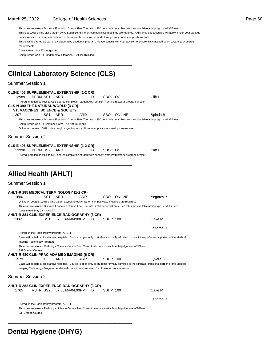#### March 25, 2022 College of Health Sciences **Page 60** College 60

This class requires a Distance Education Course Fee. The rate is \$50 per credit hour. Fee rates are available at http://go.iu.edu/SBfees This is a 100% online class taught by IU South Bend. No on-campus class meetings are required. A distance education fee will apply; check your campus bursar website for more information. Textbook purchases may be made through your home campus bookstore. This class is offered as part of a collaborative academic program. Please consult with your advisor to ensure this class will count toward your degree requirements Class meets June 27 - August 6 Campuswide Gen Ed Fundamental Literacies: Critical Thinking

### **Clinical Laboratory Science (CLS)**

\_\_\_\_\_\_\_\_\_\_\_\_\_\_\_\_\_\_\_\_\_\_\_\_\_\_\_\_\_\_\_\_\_\_\_\_\_\_\_\_\_\_\_\_\_\_\_\_\_\_

Summer Session 1

| <b>CLS-E 406 SUPPLEMENTAL EXTERNSHIP (1-2 CR)</b><br>13989 | PERM SS1                                  | ARR                                                                                             | D   | SBOC OC         |                                                                                                                                           | Clift I                                                                                                                                            |
|------------------------------------------------------------|-------------------------------------------|-------------------------------------------------------------------------------------------------|-----|-----------------|-------------------------------------------------------------------------------------------------------------------------------------------|----------------------------------------------------------------------------------------------------------------------------------------------------|
|                                                            |                                           |                                                                                                 |     |                 | Prereq: enrolled as MLT to CLS degree completion student with consent from instructor or program director.                                |                                                                                                                                                    |
| <b>CLS-N 390 THE NATURAL WORLD (3 CR)</b>                  |                                           | <b>VT: VACCINES: SCIENCE &amp; SOCIETY</b>                                                      |     |                 |                                                                                                                                           |                                                                                                                                                    |
| 2071                                                       | SS1                                       | ARR                                                                                             | ARR |                 | SBOL ONLINE                                                                                                                               | Spinda B                                                                                                                                           |
|                                                            |                                           |                                                                                                 |     |                 | This class requires a Distance Education Course Fee. The rate is \$50 per credit hour. Fee rates are available at http://go.iu.edu/SBfees |                                                                                                                                                    |
|                                                            |                                           | Campuswide Gen Ed Common Core: The Natural World                                                |     |                 |                                                                                                                                           |                                                                                                                                                    |
|                                                            |                                           | Online All course: 100% online taught asynchronously. No on-campus class meetings are required. |     |                 |                                                                                                                                           |                                                                                                                                                    |
| Summer Session 2                                           |                                           |                                                                                                 |     |                 |                                                                                                                                           |                                                                                                                                                    |
| <b>CLS-E 406 SUPPLEMENTAL EXTERNSHIP (1-2 CR)</b>          |                                           |                                                                                                 |     |                 |                                                                                                                                           |                                                                                                                                                    |
| 13990                                                      | PERM SS2                                  | ARR                                                                                             | D   | SBOC OC         |                                                                                                                                           | Clift I                                                                                                                                            |
|                                                            |                                           |                                                                                                 |     |                 | Prereq: enrolled as MLT to CLS degree completion student with consent from instructor or program director.                                |                                                                                                                                                    |
|                                                            |                                           |                                                                                                 |     |                 |                                                                                                                                           |                                                                                                                                                    |
|                                                            |                                           |                                                                                                 |     |                 |                                                                                                                                           |                                                                                                                                                    |
| <b>Allied Health (AHLT)</b>                                |                                           |                                                                                                 |     |                 |                                                                                                                                           |                                                                                                                                                    |
| <b>Summer Session 1</b>                                    |                                           |                                                                                                 |     |                 |                                                                                                                                           |                                                                                                                                                    |
| <b>AHLT-R 185 MEDICAL TERMINOLOGY (1-2 CR)</b>             |                                           |                                                                                                 |     |                 |                                                                                                                                           |                                                                                                                                                    |
| 1660                                                       | SS <sub>1</sub>                           | ARR                                                                                             | ARR |                 | <b>SBOL ONLINE</b>                                                                                                                        | Yegorov Y                                                                                                                                          |
|                                                            |                                           | Online All course: 100% online taught asynchronously. No on-campus class meetings are required. |     |                 |                                                                                                                                           |                                                                                                                                                    |
|                                                            |                                           |                                                                                                 |     |                 | This class requires a Distance Education Course Fee. The rate is \$50 per credit hour. Fee rates are available at http://go.iu.edu/SBfees |                                                                                                                                                    |
| <b>AHLT-R 281 CLIN EXPERIENCE-RADIOGRAPHY (3 CR)</b>       | Class meets May 18 - June 27              |                                                                                                 |     |                 |                                                                                                                                           |                                                                                                                                                    |
| 1661                                                       | SS1                                       | 07:30AM-04:00PM                                                                                 | D   | <b>SBHP 100</b> |                                                                                                                                           | Oake M                                                                                                                                             |
|                                                            |                                           |                                                                                                 |     |                 |                                                                                                                                           |                                                                                                                                                    |
|                                                            |                                           |                                                                                                 |     |                 |                                                                                                                                           | Langton R                                                                                                                                          |
|                                                            | Prereq: in the Radiography program, AHLT1 |                                                                                                 |     |                 |                                                                                                                                           |                                                                                                                                                    |
|                                                            |                                           |                                                                                                 |     |                 |                                                                                                                                           | Class will be held at local areas hospitals. Course is open only to students formally admitted to the clinical/professional portion of the Medical |
|                                                            | Imaging Technology Program.               |                                                                                                 |     |                 | This class requires a Radiologic Science Course Fee. Current rates are available at http://go.iu.edu/SBfees                               |                                                                                                                                                    |
| S/F Graded Course                                          |                                           |                                                                                                 |     |                 |                                                                                                                                           |                                                                                                                                                    |
| AHLT-R 480 CLIN PRAC ADV MED IMAGING (6 CR)                |                                           |                                                                                                 |     |                 |                                                                                                                                           |                                                                                                                                                    |
| 1979                                                       | 1                                         | ARR                                                                                             | ARR | SBHP 100        |                                                                                                                                           | Lyvere C                                                                                                                                           |
|                                                            |                                           |                                                                                                 |     |                 |                                                                                                                                           | Class will be held at local areas hospitals. Course is open only to students formally admitted to the clinical/professional portion of the Medical |
|                                                            |                                           | Imaging Technology Program. Additional contact hours required for ultrasound concentration.     |     |                 |                                                                                                                                           |                                                                                                                                                    |
| Summer Session 2                                           |                                           |                                                                                                 |     |                 |                                                                                                                                           |                                                                                                                                                    |
| AHLT-R 282 CLIN EXPERIENCE-RADIOGRAPHY (3 CR)              |                                           |                                                                                                 |     |                 |                                                                                                                                           |                                                                                                                                                    |
| 1765                                                       | RSTR SS2                                  | 07:30AM-04:00PM                                                                                 | D   | SBHP 100        |                                                                                                                                           | Oake M                                                                                                                                             |
|                                                            |                                           |                                                                                                 |     |                 |                                                                                                                                           |                                                                                                                                                    |
|                                                            |                                           |                                                                                                 |     |                 |                                                                                                                                           | Langton R                                                                                                                                          |
|                                                            | Prereq: in the Radiography program, AHLT1 |                                                                                                 |     |                 |                                                                                                                                           |                                                                                                                                                    |
| S/F Graded Course                                          |                                           |                                                                                                 |     |                 | This class requires a Radiologic Science Course Fee. Current rates are available at http://go.iu.edu/SBfees                               |                                                                                                                                                    |
|                                                            |                                           |                                                                                                 |     |                 |                                                                                                                                           |                                                                                                                                                    |

### **Dental Hygiene (DHYG)**

\_\_\_\_\_\_\_\_\_\_\_\_\_\_\_\_\_\_\_\_\_\_\_\_\_\_\_\_\_\_\_\_\_\_\_\_\_\_\_\_\_\_\_\_\_\_\_\_\_\_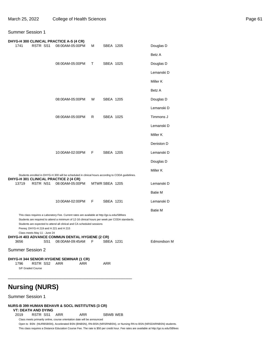### Summer Session 1

|                         |                               |     | DHYG-H 300 CLINICAL PRACTICE A-S (4 CR)                                                                                                                                                                                                                                                                            |     |   |                  |                |
|-------------------------|-------------------------------|-----|--------------------------------------------------------------------------------------------------------------------------------------------------------------------------------------------------------------------------------------------------------------------------------------------------------------------|-----|---|------------------|----------------|
| 1741                    | RSTR SS1                      |     | 08:00AM-05:00PM                                                                                                                                                                                                                                                                                                    |     | м | SBEA 1205        | Douglas D      |
|                         |                               |     |                                                                                                                                                                                                                                                                                                                    |     |   |                  | Betz A         |
|                         |                               |     | 08:00AM-05:00PM                                                                                                                                                                                                                                                                                                    |     | т | SBEA 1025        | Douglas D      |
|                         |                               |     |                                                                                                                                                                                                                                                                                                                    |     |   |                  | Lemanski D     |
|                         |                               |     |                                                                                                                                                                                                                                                                                                                    |     |   |                  | Miller K       |
|                         |                               |     |                                                                                                                                                                                                                                                                                                                    |     |   |                  | Betz A         |
|                         |                               |     | 08:00AM-05:00PM                                                                                                                                                                                                                                                                                                    |     | W | <b>SBEA 1205</b> | Douglas D      |
|                         |                               |     |                                                                                                                                                                                                                                                                                                                    |     |   |                  | Lemanski D     |
|                         |                               |     | 08:00AM-05:00PM                                                                                                                                                                                                                                                                                                    |     | R | SBEA 1025        | Timmons J      |
|                         |                               |     |                                                                                                                                                                                                                                                                                                                    |     |   |                  | Lemanski D     |
|                         |                               |     |                                                                                                                                                                                                                                                                                                                    |     |   |                  | Miller K       |
|                         |                               |     |                                                                                                                                                                                                                                                                                                                    |     |   |                  | Deniston D     |
|                         |                               |     | 10:00AM-02:00PM                                                                                                                                                                                                                                                                                                    |     | F | SBEA 1205        | Lemanski D     |
|                         |                               |     |                                                                                                                                                                                                                                                                                                                    |     |   |                  | Douglas D      |
|                         |                               |     |                                                                                                                                                                                                                                                                                                                    |     |   |                  | Miller K       |
|                         |                               |     | Students enrolled in DHYG-H 300 will be scheduled in clinical hours accordng to CODA guidelines.<br>DHYG-H 301 CLINICAL PRACTICE 2 (4 CR)                                                                                                                                                                          |     |   |                  |                |
| 13719                   | RSTR NS1                      |     | 08:00AM-05:00PM                                                                                                                                                                                                                                                                                                    |     |   | MTWR SBEA 1205   | Lemanski D     |
|                         |                               |     |                                                                                                                                                                                                                                                                                                                    |     |   |                  | <b>Batie M</b> |
|                         |                               |     | 10:00AM-02:00PM                                                                                                                                                                                                                                                                                                    |     | F | SBEA 1231        | Lemanski D     |
|                         |                               |     |                                                                                                                                                                                                                                                                                                                    |     |   |                  | <b>Batie M</b> |
|                         | Class meets May 11 - June 24  |     | This class requires a Laboratory Fee. Current rates are available at http://go.iu.edu/SBfees<br>Students are required to attend a minimum of 12-16 clinical hours per week per CODA standards.<br>Students are expected to attend all clinical and CA scheduled sessions<br>Prereq: DHYG-H 219 and H 221 and H 215 |     |   |                  |                |
| 3656                    |                               | SS1 | DHYG-H 403 ADVANCE COMMUN DENTAL HYGIENE (2 CR)<br>08:00AM-09:45AM                                                                                                                                                                                                                                                 |     | F | SBEA 1231        | Edmondson M    |
| <b>Summer Session 2</b> |                               |     |                                                                                                                                                                                                                                                                                                                    |     |   |                  |                |
|                         |                               |     |                                                                                                                                                                                                                                                                                                                    |     |   |                  |                |
| 1796                    | RSTR SS2<br>S/F Graded Course |     | DHYG-H 344 SENIOR HYGIENE SEMINAR (1 CR)<br>ARR                                                                                                                                                                                                                                                                    | ARR |   | ARR              |                |

### **Nursing (NURS)**

Summer Session 1

### **NURS-B 399 HUMAN BEHAVR & SOCL INSTITUTNS (3 CR)**

**VT: DEATH AND DYING**

2019 RSTR SS1 ARR ARR SBWB WEB

Class meets primarily online, course orientation date will be announced

\_\_\_\_\_\_\_\_\_\_\_\_\_\_\_\_\_\_\_\_\_\_\_\_\_\_\_\_\_\_\_\_\_\_\_\_\_\_\_\_\_\_\_\_\_\_\_\_\_\_

Open to BSN (NURBSBSN), Accelerated BSN (BNBSN), RN-BSN (NRSRNBSN), or Nursing RN to BSN (NRSDARNBSN) students. This class requires a Distance Education Course Fee. The rate is \$50 per credit hour. Fee rates are available at http://go.iu.edu/SBfees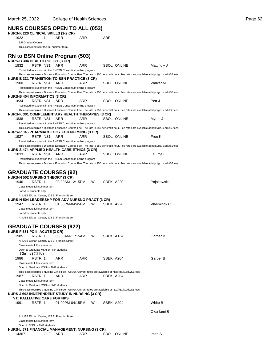### March 25, 2022 College of Health Sciences Page 62 **NURS COURSES OPEN TO ALL (053) NURS-K 220 CLINICAL SKILLS (1-2 CR)** 1922 1 ARR ARR ARR S/F Graded Course This class meets for the full summer term. **RN to BSN Online Program (503) NURS-B 304 HEALTH POLICY (3 CR)** 1832 RSTR NS1 ARR ARR SBOL ONLINE Mattingly J Restricted to students in the RNBSN Consortium online program This class requires a Distance Education Course Fee. The rate is \$50 per credit hour. Fee rates are available at http://go.iu.edu/SBfees **NURS-B 331 TRANSITION TO BSN PRACTICE (3 CR)** 1900 RSTR NS1 ARR ARR SBOL ONLINE Walker M Restricted to students in the RNBSN Consortium online program This class requires a Distance Education Course Fee. The rate is \$50 per credit hour. Fee rates are available at http://go.iu.edu/SBfees **NURS-B 404 INFORMATICS (3 CR)** 1834 RSTR NS1 ARR ARR SBOL ONLINE Petr J Restricted to students in the RNBSN Consortium online program This class requires a Distance Education Course Fee. The rate is \$50 per credit hour. Fee rates are available at http://go.iu.edu/SBfees **NURS-K 301 COMPLEMENTARY HEALTH THERAPIES (3 CR)** 1838 RSTR NS1 ARR ARR SBOL ONLINE Myers J Restricted to students in the RNBSN Consortium online program This class requires a Distance Education Course Fee. The rate is \$50 per credit hour. Fee rates are available at http://go.iu.edu/SBfees **NURS-P 345 PHARMACOLOGY FOR NURSING (3 CR)** RSTR NS1 ARR ARR SBOL ONLINE Free K Restricted to students in the RNBSN Consortium online program This class requires a Distance Education Course Fee. The rate is \$50 per credit hour. Fee rates are available at http://go.iu.edu/SBfees **NURS-S 474 APPLIED HEALTH CARE ETHICS (3 CR)** 1833 RSTR NS1 ARR ARR SBOL ONLINE LaLime L Restricted to students in the RNBSN Consortium online program This class requires a Distance Education Course Fee. The rate is \$50 per credit hour. Fee rates are available at http://go.iu.edu/SBfees

#### **GRADUATE COURSES (92) NURS-N 502 NURSING THEORY (3 CR)**

|      |       |                                      |     | ן אט כן זאכאטוו טאונסאטא שער אי-סאטאו                   |            |   |           |                                                                                                         |              |
|------|-------|--------------------------------------|-----|---------------------------------------------------------|------------|---|-----------|---------------------------------------------------------------------------------------------------------|--------------|
|      | 1946  | RSTR 1                               |     | 08:30AM-12:15PM                                         |            | W | SBEK A220 |                                                                                                         | Pajakowski L |
|      |       | Class meets full summer term         |     |                                                         |            |   |           |                                                                                                         |              |
|      |       | For MSN students only                |     |                                                         |            |   |           |                                                                                                         |              |
|      |       |                                      |     | At IUSB Elkhart Center, 125 E. Franklin Street          |            |   |           |                                                                                                         |              |
|      |       |                                      |     | <b>NURS-N 504 LEADERSHP FOR ADV NURSNG PRACT (3 CR)</b> |            |   |           |                                                                                                         |              |
|      | 1947  | RSTR 1                               |     | 01:00PM-04:45PM                                         |            | W | SBEK A220 |                                                                                                         | Vlaeminck C  |
|      |       | Class meets full summer term         |     |                                                         |            |   |           |                                                                                                         |              |
|      |       | For MSN students only                |     |                                                         |            |   |           |                                                                                                         |              |
|      |       |                                      |     | At IUSB Elkhart Center, 125 E. Franklin Street          |            |   |           |                                                                                                         |              |
|      |       |                                      |     |                                                         |            |   |           |                                                                                                         |              |
|      |       |                                      |     | <b>GRADUATE COURSES (922)</b>                           |            |   |           |                                                                                                         |              |
|      |       | NURS-F 581 PC II: ACUTE (3 CR)       |     |                                                         |            |   |           |                                                                                                         |              |
|      | 1985  | RSTR 1                               |     | 08:30AM-11:15AM                                         |            | W | SBEK A134 |                                                                                                         | Garber B     |
|      |       |                                      |     | At IUSB Elkhart Center, 125 E. Franklin Street          |            |   |           |                                                                                                         |              |
|      |       | Class meets full summer term         |     |                                                         |            |   |           |                                                                                                         |              |
|      |       | Open to Graduate MSN or FNP students |     |                                                         |            |   |           |                                                                                                         |              |
|      |       | Clinic (CLN)                         |     |                                                         |            |   |           |                                                                                                         |              |
| 1986 |       | RSTR 1                               |     | <b>ARR</b>                                              | <b>ARR</b> |   | SBEK A204 |                                                                                                         | Garber B     |
|      |       | Class meets full summer term         |     |                                                         |            |   |           |                                                                                                         |              |
|      |       | Open to Graduate MSN or FNP students |     |                                                         |            |   |           |                                                                                                         |              |
|      |       |                                      |     |                                                         |            |   |           | This class requires a Nursing Clinic Fee - GRAD. Current rates are available at http://go.iu.edu/SBfees |              |
| 1987 |       | RSTR 1                               |     | <b>ARR</b>                                              | ARR        |   | SBEK A204 |                                                                                                         |              |
|      |       | Class meets full summer term         |     |                                                         |            |   |           |                                                                                                         |              |
|      |       | Open to Graduate MSN or FNP students |     |                                                         |            |   |           |                                                                                                         |              |
|      |       |                                      |     |                                                         |            |   |           | This class requires a Nursing Clinic Fee - GRAD. Current rates are available at http://go.iu.edu/SBfees |              |
|      |       |                                      |     | <b>NURS-J 692 INDEPENDENT STUDY IN NURSING (3 CR)</b>   |            |   |           |                                                                                                         |              |
|      |       |                                      |     | <b>VT: PALLIATIVE CARE FOR NPS</b>                      |            |   |           |                                                                                                         |              |
| 1991 |       | RSTR 1                               |     | 01:00PM-04:15PM                                         |            | W | SBEK A204 |                                                                                                         | White B      |
|      |       |                                      |     |                                                         |            |   |           |                                                                                                         |              |
|      |       |                                      |     |                                                         |            |   |           |                                                                                                         | Okanlami B   |
|      |       |                                      |     |                                                         |            |   |           |                                                                                                         |              |
|      |       |                                      |     | At IUSB Elkhart Center, 125 E. Franklin Street          |            |   |           |                                                                                                         |              |
|      |       | Class meets full summer term         |     |                                                         |            |   |           |                                                                                                         |              |
|      |       | Open to MSN or FNP students          |     |                                                         |            |   |           |                                                                                                         |              |
|      |       |                                      | OLF | NURS-L 671 FINANCIAL MANAGEMENT: NURSING (3 CR)         | <b>ARR</b> |   |           |                                                                                                         |              |
|      | 14367 |                                      |     | <b>ARR</b>                                              |            |   |           | <b>SBOL ONLINE</b>                                                                                      | Imes S       |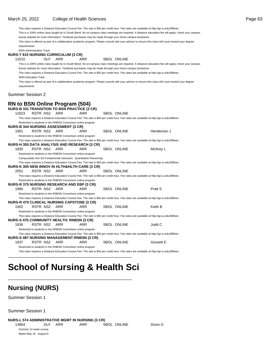#### March 25, 2022 College of Health Sciences Page 63

This class requires a Distance Education Course Fee. The rate is \$50 per credit hour. Fee rates are available at http://go.iu.edu/SBfees This is a 100% online class taught by IU South Bend. No on-campus class meetings are required. A distance education fee will apply; check your campus bursar website for more information. Textbook purchases may be made through your home campus bookstore. This class is offered as part of a collaborative academic program. Please consult with your advisor to ensure this class will count toward your degree requirements. MSN Administration Track **NURS-T 615 NURSING CURRICULUM (3 CR)** 13210 OLF ARR ARR SBOL ONLINE This is a 100% online class taught by IU South Bend. No on-campus class meetings are required. A distance education fee will apply; check your campus bursar website for more information. Textbook purchases may be made through your home campus bookstore. This class requires a Distance Education Course Fee. The rate is \$50 per credit hour. Fee rates are available at http://go.iu.edu/SBfees MSN Education Track This class is offered as part of a collaborative academic program. Please consult with your advisor to ensure this class will count toward your degree requirements Summer Session 2 **RN to BSN Online Program (504) NURS-B 331 TRANSITION TO BSN PRACTICE (3 CR)** 12623 RSTR NS2 ARR ARR SBOL ONLINE This class requires a Distance Education Course Fee. The rate is \$50 per credit hour. Fee rates are available at http://go.iu.edu/SBfees Restricted to students in the RNBSN Consortium online program **NURS-B 344 NURSING ASSESSMENT (3 CR)** 1901 RSTR NS2 ARR ARR SBOL ONLINE Henderson J Restricted to students in the RNBSN Consortium online program This class requires a Distance Education Course Fee. The rate is \$50 per credit hour. Fee rates are available at http://go.iu.edu/SBfees **NURS-H 355 DATA ANALYSIS AND RESEARCH (3 CR)** 1835 RSTR NS2 ARR ARR SBOL ONLINE McIlvoy L Restricted to students in the RNBSN Consortium online program Campuswide Gen Ed Fundamental Literacies: Quantitative Reasoning This class requires a Distance Education Course Fee. The rate is \$50 per credit hour. Fee rates are available at http://go.iu.edu/SBfees **NURS-K 305 NEW INNOV IN HLTH&HLTH CARE (3 CR)** 2051 RSTR NS2 ARR ARR SBOL ONLINE This class requires a Distance Education Course Fee. The rate is \$50 per credit hour. Fee rates are available at http://go.iu.edu/SBfees Restricted to students in the RNBSN Consortium online program **NURS-R 375 NURSING RESEARCH AND EBP (3 CR)** 1990 RSTR NS2 ARR ARR SBOL ONLINE Pratt S Restricted to students in the RNBSN Consortium online program This class requires a Distance Education Course Fee. The rate is \$50 per credit hour. Fee rates are available at http://go.iu.edu/SBfees **NURS-R 470 CLINICAL NURSING CAPSTONE (3 CR)** 1902 RSTR NS2 ARR ARR SBOL ONLINE Keith B Restricted to students in the RNBSN Consortium online program This class requires a Distance Education Course Fee. The rate is \$50 per credit hour. Fee rates are available at http://go.iu.edu/SBfees **NURS-S 475 COMMUNITY HEALTH: RNBSN (3 CR)** 1836 RSTR NS2 ARR ARR SBOL ONLINE Judd C Restricted to students in the RNBSN Consortium online program This class requires a Distance Education Course Fee. The rate is \$50 per credit hour. Fee rates are available at http://go.iu.edu/SBfees **NURS-S 487 NURSING MANAGEMENT:RNBSN (3 CR)** 1837 RSTR NS2 ARR ARR SBOL ONLINE Gossett E Restricted to students in the RNBSN Consortium online program This class requires a Distance Education Course Fee. The rate is \$50 per credit hour. Fee rates are available at http://go.iu.edu/SBfees

## **School of Nursing & Health Sci**

\_\_\_\_\_\_\_\_\_\_\_\_\_\_\_\_\_\_\_\_\_\_\_\_\_\_\_\_\_\_\_\_\_\_\_\_\_\_\_\_\_\_\_\_\_\_\_\_\_\_

\_\_\_\_\_\_\_\_\_\_\_\_\_\_\_\_\_\_\_\_\_\_\_\_\_\_\_\_\_\_\_\_\_\_\_\_\_\_\_\_\_\_\_\_\_\_\_\_\_\_

### **Nursing (NURS)**

Summer Session 1

Summer Session 1

#### **NURS-L 574 ADMINISTRATIVE MGMT IN NURSING (3 CR)**

|  | 13864 | OLF<br><b>ARR</b> | ARR | <b>SBOL ONLINE</b> | Dixon G |
|--|-------|-------------------|-----|--------------------|---------|
|--|-------|-------------------|-----|--------------------|---------|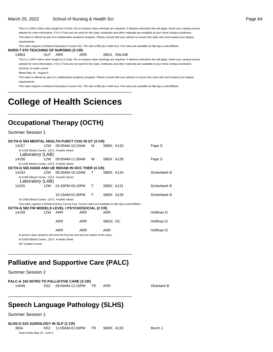This is a 100% online class taught by IU East. No on-campus class meetings are required. A distance education fee will apply; check your campus bursar website for more information. If IU e-Texts are not used for this class, textbooks and other materials are available at your home campus bookstore. This class is offered as part of a collaborative academic program. Please consult with your advisor to ensure this class will count toward your degree requirements.

This class requires a Distance Education Course Fee. The rate is \$50 per credit hour. Fee rates are available at http://go.iu.edu/SBfees

### **NURS-T 670 TEACHING OF NURSING (3 CR)**

13863 OLF ARR ARR SBOL ONLINE

This is a 100% online class taught by IU East. No on-campus class meetings are required. A distance education fee will apply; check your campus bursar website for more information. If IU e-Texts are not used for this class, textbooks and other materials are available at your home campus bookstore. Summer 12-week course Meets May 16 - August 6

This class is offered as part of a collaborative academic program. Please consult with your advisor to ensure this class will count toward your degree requirements.

This class requires a Distance Education Course Fee. The rate is \$50 per credit hour. Fee rates are available at http://go.iu.edu/SBfees \_\_\_\_\_\_\_\_\_\_\_\_\_\_\_\_\_\_\_\_\_\_\_\_\_\_\_\_\_\_\_\_\_\_\_\_\_\_\_\_\_\_\_\_\_\_\_\_\_\_

## **College of Health Sciences**

\_\_\_\_\_\_\_\_\_\_\_\_\_\_\_\_\_\_\_\_\_\_\_\_\_\_\_\_\_\_\_\_\_\_\_\_\_\_\_\_\_\_\_\_\_\_\_\_\_\_

### **Occupational Therapy (OCTH)**

Summer Session 1

| OCTH-G 554 MENTAL HEALTH FUNCT COG IN OT (3 CR)  |     |                                                                                                        |            |   |            |              |
|--------------------------------------------------|-----|--------------------------------------------------------------------------------------------------------|------------|---|------------|--------------|
| 14157                                            | 12W | 09:00AM-10:15AM                                                                                        |            | м | SBEK A133  | Pape S       |
| Laboratory (LAB)                                 |     | At IUSB Elkhart Center, 125 E. Franklin Street                                                         |            |   |            |              |
| 14158                                            | 12W | 09:00AM-11:30AM                                                                                        |            | W | SBEK A128  | Pape S       |
|                                                  |     | At IUSB Elkhart Center, 125 E. Franklin Street                                                         |            |   |            |              |
| OCTH-G 555 HAND AND UE REHAB IN OCC THER (4 CR)  |     |                                                                                                        |            |   |            |              |
| 14154                                            | 12W | 08:30AM-10:10AM                                                                                        |            | T | SBEK A134  | Schierbeek B |
| Laboratory (LAB)                                 |     | At IUSB Elkhart Center, 125 E. Franklin Street                                                         |            |   |            |              |
| 14155                                            | 12W | 01:50PM-05:10PM                                                                                        |            | т | SBEK A131  | Schierbeek B |
|                                                  |     | 10:15AM-01:35PM                                                                                        |            | T | SBEK A128  | Schierbeek B |
|                                                  |     | At IUSB Elkhart Center, 125 E. Franklin Street                                                         |            |   |            |              |
|                                                  |     | This class requires a Rehab Science Course Fee. Current rates are available at http://go.iu.edu/SBfees |            |   |            |              |
| OCTH-G 592 FW MODELS LEVEL I PSYCHOSOCIAL (2 CR) |     |                                                                                                        |            |   |            |              |
| 14159                                            | 12W | ARR                                                                                                    | ARR        |   | ARR        | Hoffman D    |
|                                                  |     | <b>ARR</b>                                                                                             | <b>ARR</b> |   | SBOC OC    | Hoffman D    |
|                                                  |     | <b>ARR</b>                                                                                             | <b>ARR</b> |   | <b>ARR</b> | Hoffman D    |
|                                                  |     | In-person class sessions will meet the first two and last two weeks of this class.                     |            |   |            |              |
|                                                  |     | At IUSB Elkhart Center, 125 E. Franklin Street                                                         |            |   |            |              |
| S/F Graded Course                                |     |                                                                                                        |            |   |            |              |

### **Palliative and Supportive Care (PALC)**

\_\_\_\_\_\_\_\_\_\_\_\_\_\_\_\_\_\_\_\_\_\_\_\_\_\_\_\_\_\_\_\_\_\_\_\_\_\_\_\_\_\_\_\_\_\_\_\_\_\_

Summer Session 2

**PALC-A 102 INTRO TO PALLIATIVE CARE (3 CR)** 14049 SS2 09:00AM-12:15PM TR ARR Okanlami B

### **Speech Language Pathology (SLHS)**

\_\_\_\_\_\_\_\_\_\_\_\_\_\_\_\_\_\_\_\_\_\_\_\_\_\_\_\_\_\_\_\_\_\_\_\_\_\_\_\_\_\_\_\_\_\_\_\_\_\_

Summer Session 1

**SLHS-G 510 AUDIOLOGY IN SLP (1 CR)**

3654 NS1 11:00AM-01:00PM TR SBEK A133 Burch J Class meets May 16 - June 3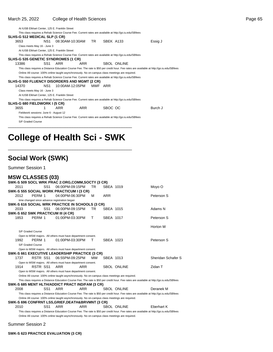At IUSB Elkhart Center, 125 E. Franklin Street This class requires a Rehab Science Course Fee. Current rates are available at http://go.iu.edu/SBfees **SLHS-G 512 MEDICAL SLP (1 CR)** 3653 NS1 08:30AM-10:30AM TR SBEK A133 Essig J Class meets May 16 - June 3 At IUSB Elkhart Center, 125 E. Franklin Street This class requires a Rehab Science Course Fee. Current rates are available at http://go.iu.edu/SBfees **SLHS-G 535 GENETIC SYNDROMES (1 CR)** 13386 SS1 ARR ARR SBOL ONLINE This class requires a Distance Education Course Fee. The rate is \$50 per credit hour. Fee rates are available at http://go.iu.edu/SBfees Online All course: 100% online taught asynchronously. No on-campus class meetings are required. This class requires a Rehab Science Course Fee. Current rates are available at http://go.iu.edu/SBfees **SLHS-G 550 FLUENCY DISORDERS AND MGMT (2 CR)** 14370 NS1 10:00AM-12:05PM MWF ARR Class meets May 16 - June 3 At IUSB Elkhart Center, 125 E. Franklin Street This class requires a Rehab Science Course Fee. Current rates are available at http://go.iu.edu/SBfees **SLHS-G 680 FIELDWORK I (5 CR)** 3655 1 ARR ARR SBOC OC Burch J Fieldwork sessions: June 6 - August 12 This class requires a Rehab Science Course Fee. Current rates are available at http://go.iu.edu/SBfees S/F Graded Course \_\_\_\_\_\_\_\_\_\_\_\_\_\_\_\_\_\_\_\_\_\_\_\_\_\_\_\_\_\_\_\_\_\_\_\_\_\_\_\_\_\_\_\_\_\_\_\_\_\_

## **College of Health Sci - SWK**

\_\_\_\_\_\_\_\_\_\_\_\_\_\_\_\_\_\_\_\_\_\_\_\_\_\_\_\_\_\_\_\_\_\_\_\_\_\_\_\_\_\_\_\_\_\_\_\_\_\_

### **Social Work (SWK)**

Summer Session 1

| <b>MSW CLASSES (03)</b> |                   |                 |                                                                                                                                                    |            |           |            |                                                                                                                                           |                    |
|-------------------------|-------------------|-----------------|----------------------------------------------------------------------------------------------------------------------------------------------------|------------|-----------|------------|-------------------------------------------------------------------------------------------------------------------------------------------|--------------------|
|                         |                   |                 | SWK-S 509 SOCL WRK PRAC 2:ORG, COMM, SOCTY (3 CR)                                                                                                  |            |           |            |                                                                                                                                           |                    |
| 2011                    |                   | SS <sub>1</sub> | 06:00PM-09:15PM                                                                                                                                    |            | TR.       | SBEA 1019  |                                                                                                                                           | Moyo O             |
|                         |                   |                 | SWK-S 555 SOCIAL WORK PRACTICUM I (3 CR)                                                                                                           |            |           |            |                                                                                                                                           |                    |
| 2012                    | PERM 1            |                 | 04:00PM-06:30PM                                                                                                                                    |            | м         | <b>ARR</b> |                                                                                                                                           | Peterson S         |
|                         |                   |                 | time changed since advance registration began                                                                                                      |            |           |            |                                                                                                                                           |                    |
|                         |                   |                 | SWK-S 616 SOCIAL WRK PRACTICE IN SCHOOLS (3 CR)                                                                                                    |            |           |            |                                                                                                                                           |                    |
| 2033                    |                   | SS <sub>1</sub> | 06:00PM-09:15PM                                                                                                                                    |            | TR.       | SBEA 1015  |                                                                                                                                           | Adams N            |
|                         |                   |                 | SWK-S 652 SWK PRACTICUM III (4 CR)                                                                                                                 |            |           |            |                                                                                                                                           |                    |
| 1853                    | PFRM 1            |                 | 01:00PM-03:30PM                                                                                                                                    |            | т         | SBEA 1017  |                                                                                                                                           | Peterson S         |
|                         |                   |                 |                                                                                                                                                    |            |           |            |                                                                                                                                           |                    |
|                         |                   |                 |                                                                                                                                                    |            |           |            |                                                                                                                                           | Horton W           |
|                         | S/F Graded Course |                 |                                                                                                                                                    |            |           |            |                                                                                                                                           |                    |
|                         |                   |                 | Open to MSW majors. All others must have department consent.                                                                                       |            |           |            |                                                                                                                                           |                    |
| 1992                    | PERM 1            |                 | 01:00PM-03:30PM                                                                                                                                    |            | т         | SBEA 1023  |                                                                                                                                           | Peterson S         |
|                         | S/F Graded Course |                 |                                                                                                                                                    |            |           |            |                                                                                                                                           |                    |
|                         |                   |                 | Open to MSW majors. All others must have department consent.                                                                                       |            |           |            |                                                                                                                                           |                    |
|                         |                   |                 | SWK-S 661 EXECUTIVE LEADERSHIP PRACTICE (3 CR)                                                                                                     |            |           |            |                                                                                                                                           |                    |
| 1737                    | RSTR SS1          |                 | 06:55PM-09:25PM                                                                                                                                    |            | <b>MW</b> | SBEA 1013  |                                                                                                                                           | Sheridan Schafer S |
|                         |                   |                 | Open to MSW majors. All others must have department consent.                                                                                       |            |           |            |                                                                                                                                           |                    |
| 1914                    | RSTR SS1          |                 | <b>ARR</b>                                                                                                                                         | <b>ARR</b> |           |            | <b>SBOL ONLINE</b>                                                                                                                        | Zidan T            |
|                         |                   |                 | Open to MSW majors. All others must have department consent.                                                                                       |            |           |            |                                                                                                                                           |                    |
|                         |                   |                 | Online All course: 100% online taught asynchronously. No on-campus class meetings are required.                                                    |            |           |            |                                                                                                                                           |                    |
|                         |                   |                 |                                                                                                                                                    |            |           |            | This class requires a Distance Education Course Fee. The rate is \$50 per credit hour. Fee rates are available at http://go.iu.edu/SBfees |                    |
| 2008                    |                   | SS <sub>1</sub> | SWK-S 685 MENT HLTH/ADDICT PRACT IND/FAM (3 CR)<br><b>ARR</b>                                                                                      | <b>ARR</b> |           |            | <b>SBOL ONLINE</b>                                                                                                                        | Deranek M          |
|                         |                   |                 |                                                                                                                                                    |            |           |            |                                                                                                                                           |                    |
|                         |                   |                 |                                                                                                                                                    |            |           |            | This class requires a Distance Education Course Fee. The rate is \$50 per credit hour. Fee rates are available at http://go.iu.edu/SBfees |                    |
|                         |                   |                 | Online All course: 100% online taught asynchronously. No on-campus class meetings are required.<br>SWK-S 696 CONFRNT LSS,GRIEF,DEATH&BRVMNT (3 CR) |            |           |            |                                                                                                                                           |                    |
| 2010                    |                   | SS <sub>1</sub> | <b>ARR</b>                                                                                                                                         | <b>ARR</b> |           |            | <b>SBOL ONLINE</b>                                                                                                                        | Eberhart K         |
|                         |                   |                 |                                                                                                                                                    |            |           |            | This class requires a Distance Education Course Fee. The rate is \$50 per credit hour. Fee rates are available at http://go.iu.edu/SBfees |                    |
|                         |                   |                 | Online All course: 100% online taught asynchronously. No on-campus class meetings are required.                                                    |            |           |            |                                                                                                                                           |                    |
|                         |                   |                 |                                                                                                                                                    |            |           |            |                                                                                                                                           |                    |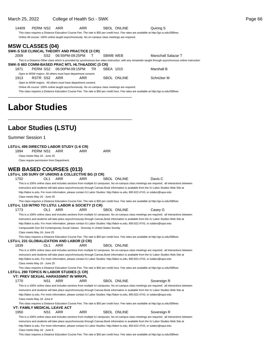### 14409 PERM NS2 ARR ARR SBOL ONLINE Quiring S

This class requires a Distance Education Course Fee. The rate is \$50 per credit hour. Fee rates are available at http://go.iu.edu/SBfees

Online All course: 100% online taught asynchronously. No on-campus class meetings are required.

\_\_\_\_\_\_\_\_\_\_\_\_\_\_\_\_\_\_\_\_\_\_\_\_\_\_\_\_\_\_\_\_\_\_\_\_\_\_\_\_\_\_\_\_\_\_\_\_\_\_

\_\_\_\_\_\_\_\_\_\_\_\_\_\_\_\_\_\_\_\_\_\_\_\_\_\_\_\_\_\_\_\_\_\_\_\_\_\_\_\_\_\_\_\_\_\_\_\_\_\_

### **MSW CLASSES (04)**

| SWK-S 518 CLINICAL THEORY AND PRACTICE (3 CR)   |                                                                                                 |     |                 |           |             |                                                                                                                                                           |  |
|-------------------------------------------------|-------------------------------------------------------------------------------------------------|-----|-----------------|-----------|-------------|-----------------------------------------------------------------------------------------------------------------------------------------------------------|--|
| 2009                                            | SS2                                                                                             |     | 06:55PM-09:25PM | SBWB WEB  |             | Marschall Salazar T                                                                                                                                       |  |
|                                                 |                                                                                                 |     |                 |           |             | This is a Distance-Other class which is provided by synchronous live video instruction, with any remainder taught through asynchronous online instruction |  |
| SWK-S 683 COMM-BASED PRAC MTL HLTH&ADDIC (3 CR) |                                                                                                 |     |                 |           |             |                                                                                                                                                           |  |
| 1871                                            | PERM SS2 06:00PM-09:15PM TR                                                                     |     |                 | SBEA 1015 |             | Marshall B                                                                                                                                                |  |
|                                                 | Open to MSW majors. All others must have department consent.                                    |     |                 |           |             |                                                                                                                                                           |  |
| 1913                                            | RSTR SS2                                                                                        | ARR | ARR             |           | SBOL ONLINE | Schricker M                                                                                                                                               |  |
|                                                 | Open to MSW majors. All others must have department consent.                                    |     |                 |           |             |                                                                                                                                                           |  |
|                                                 | Online All course: 100% online taught asynchronously. No on-campus class meetings are required. |     |                 |           |             |                                                                                                                                                           |  |

This class requires a Distance Education Course Fee. The rate is \$50 per credit hour. Fee rates are available at http://go.iu.edu/SBfees

## **Labor Studies**

### **Labor Studies (LSTU)**

Summer Session 1

| <b>LSTU-L 495 DIRECTED LABOR STUDY (1-6 CR)</b>                                    |          |                                                                                  |            |     |                    |                                                                                                                                                 |
|------------------------------------------------------------------------------------|----------|----------------------------------------------------------------------------------|------------|-----|--------------------|-------------------------------------------------------------------------------------------------------------------------------------------------|
| 1894                                                                               | PERM NS1 | ARR                                                                              | ARR        | ARR |                    |                                                                                                                                                 |
| Class meets May 16 - June 25                                                       |          |                                                                                  |            |     |                    |                                                                                                                                                 |
| Class require permission from Department.                                          |          |                                                                                  |            |     |                    |                                                                                                                                                 |
|                                                                                    |          |                                                                                  |            |     |                    |                                                                                                                                                 |
| <b>WEB BASED COURSES (013)</b><br>LSTU-L 100 SURV OF UNIONS & COLLECTIVE BG (3 CR) |          |                                                                                  |            |     |                    |                                                                                                                                                 |
| 1702                                                                               | OL1      | <b>ARR</b>                                                                       | <b>ARR</b> |     | <b>SBOL ONLINE</b> | Davis C                                                                                                                                         |
|                                                                                    |          |                                                                                  |            |     |                    | This is a 100% online class and includes sections from multiple IU campuses. No on-campus class meetings are required; all interactions between |
|                                                                                    |          |                                                                                  |            |     |                    | instructors and students will take place asynchronously through Canvas. Book information is available from the IU Labor Studies Web Site at     |
|                                                                                    |          |                                                                                  |            |     |                    | http://labor.iu.edu. For more information, please contact IU Labor Studies: http://labor-iu.edu, 800.822.4743, or iulabor@iupui.edu             |
| Class meets May 16 - June 25                                                       |          |                                                                                  |            |     |                    |                                                                                                                                                 |
|                                                                                    |          |                                                                                  |            |     |                    | This class requires a Distance Education Course Fee. The rate is \$50 per credit hour. Fee rates are available at http://go.iu.edu/SBfees       |
| LSTU-L 110 INTRO TO LSTU: LABOR & SOCIETY (3 CR)                                   |          |                                                                                  |            |     |                    |                                                                                                                                                 |
| 1773                                                                               | OL1      | ARR                                                                              | ARR        |     | <b>SBOL ONLINE</b> | Casey G                                                                                                                                         |
|                                                                                    |          |                                                                                  |            |     |                    | This is a 100% online class and includes sections from multiple IU campuses. No on-campus class meetings are required; all interactions between |
|                                                                                    |          |                                                                                  |            |     |                    | instructors and students will take place asynchronously through Canvas. Book information is available from the IU Labor Studies Web Site at     |
|                                                                                    |          |                                                                                  |            |     |                    | http://labor.iu.edu. For more information, please contact IU Labor Studies: http://labor-iu.edu, 800.822.4743, or iulabor@iupui.edu             |
|                                                                                    |          | Campuswide Gen Ed Contemporary Social Values: Diversity in United States Society |            |     |                    |                                                                                                                                                 |
| Class meets May 16- June 25                                                        |          |                                                                                  |            |     |                    |                                                                                                                                                 |
| <b>LSTU-L 231 GLOBALIZATION AND LABOR (3 CR)</b>                                   |          |                                                                                  |            |     |                    | This class requires a Distance Education Course Fee. The rate is \$50 per credit hour. Fee rates are available at http://go.iu.edu/SBfees       |
| 1839                                                                               | OL1      | ARR                                                                              | ARR        |     | <b>SBOL ONLINE</b> |                                                                                                                                                 |
|                                                                                    |          |                                                                                  |            |     |                    | This is a 100% online class and includes sections from multiple IU campuses. No on-campus class meetings are required; all interactions between |
|                                                                                    |          |                                                                                  |            |     |                    | instructors and students will take place asynchronously through Canvas. Book information is available from the IU Labor Studies Web Site at     |
|                                                                                    |          |                                                                                  |            |     |                    | http://labor.iu.edu. For more information, please contact IU Labor Studies: http://labor-iu.edu, 800.822.4743, or iulabor@iupui.edu             |
| Class meets May 16 - June 25                                                       |          |                                                                                  |            |     |                    |                                                                                                                                                 |
|                                                                                    |          |                                                                                  |            |     |                    | This class requires a Distance Education Course Fee. The rate is \$50 per credit hour. Fee rates are available at http://go.iu.edu/SBfees       |
| LSTU-L 290 TOPICS IN LABOR STUDIES (1 CR)                                          |          |                                                                                  |            |     |                    |                                                                                                                                                 |
|                                                                                    |          | VT: PREV SEXUAL HARASSMNT IN WRKPL                                               |            |     |                    |                                                                                                                                                 |
| 1770                                                                               | NS1      | ARR                                                                              | ARR        |     | <b>SBOL ONLINE</b> | Sovereign R                                                                                                                                     |
|                                                                                    |          |                                                                                  |            |     |                    | This is a 100% online class and includes sections from multiple IU campuses. No on-campus class meetings are required; all interactions between |
|                                                                                    |          |                                                                                  |            |     |                    | instructors and students will take place asynchronously through Canvas. Book information is available from the IU Labor Studies Web Site at     |
|                                                                                    |          |                                                                                  |            |     |                    | http://labor.iu.edu. For more information, please contact IU Labor Studies: http://labor-iu.edu, 800.822.4743, or iulabor@iupui.edu             |
| Class meets May 18 - June 8                                                        |          |                                                                                  |            |     |                    |                                                                                                                                                 |
| VT: FAMILY MEDICAL LEAVE ACT                                                       |          |                                                                                  |            |     |                    | This class requires a Distance Education Course Fee. The rate is \$50 per credit hour. Fee rates are available at http://qo.iu.edu/SBfees       |
| 1950                                                                               | NS1      | ARR                                                                              | ARR        |     | SBOL ONLINE        | Sovereign R                                                                                                                                     |
|                                                                                    |          |                                                                                  |            |     |                    | This is a 100% online class and includes sections from multiple IU campuses. No on-campus class meetings are required; all interactions between |
|                                                                                    |          |                                                                                  |            |     |                    | instructors and students will take place asynchronously through Canvas. Book information is available from the IU Labor Studies Web Site at     |
|                                                                                    |          |                                                                                  |            |     |                    | http://labor.iu.edu. For more information, please contact IU Labor Studies: http://labor-iu.edu, 800.822.4743, or iulabor@iupui.edu             |
| Class meets May 18 - June 8                                                        |          |                                                                                  |            |     |                    |                                                                                                                                                 |

This class requires a Distance Education Course Fee. The rate is \$50 per credit hour. Fee rates are available at http://go.iu.edu/SBfees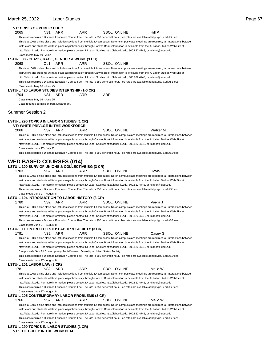#### **VT: CRISIS OF PUBLIC EDUC** 2065 NS1 ARR ARR SBOL ONLINE Hill P This class requires a Distance Education Course Fee. The rate is \$50 per credit hour. Fee rates are available at http://go.iu.edu/SBfees This is a 100% online class and includes sections from multiple IU campuses. No on-campus class meetings are required; all interactions between instructors and students will take place asynchronously through Canvas. Book information is available from the IU Labor Studies Web Site at http://labor.iu.edu. For more information, please contact IU Labor Studies: http://labor-iu.edu, 800.822.4743, or iulabor@iupui.edu Class meets May 19 - June 9 **LSTU-L 385 CLASS, RACE, GENDER & WORK (3 CR)** 2068 OL1 ARR ARR SBOL ONLINE This is a 100% online class and includes sections from multiple IU campuses. No on-campus class meetings are required; all interactions between instructors and students will take place asynchronously through Canvas. Book information is available from the IU Labor Studies Web Site at http://labor.iu.edu. For more information, please contact IU Labor Studies: http://labor-iu.edu, 800.822.4743, or iulabor@iupui.edu This class requires a Distance Education Course Fee. The rate is \$50 per credit hour. Fee rates are available at http://go.iu.edu/SBfees Class meets May 16 - June 25 **LSTU-L 420 LABOR STUDIES INTERNSHIP (1-6 CR)** 1704 NS1 ARR ARR ARR Class meets May 16 - June 25 Class requires permission from Department. Summer Session 2 **LSTU-L 290 TOPICS IN LABOR STUDIES (1 CR) VT: WHITE PRIVLGE IN THE WORKFORCE** 2066 NS2 ARR ARR SBOL ONLINE Walker M This is a 100% online class and includes sections from multiple IU campuses. No on-campus class meetings are required; all interactions between instructors and students will take place asynchronously through Canvas. Book information is available from the IU Labor Studies Web Site at http://labor.iu.edu. For more information, please contact IU Labor Studies: http://labor-iu.edu, 800.822.4743, or iulabor@iupui.edu Class meets June 27 - July 25 This class requires a Distance Education Course Fee. The rate is \$50 per credit hour. Fee rates are available at http://go.iu.edu/SBfees **WED BASED COURSES (014) LSTU-L 100 SURV OF UNIONS & COLLECTIVE BG (3 CR)** 1703 NS2 ARR ARR SBOL ONLINE Davis C This is a 100% online class and includes sections from multiple IU campuses. No on-campus class meetings are required; all interactions between instructors and students will take place asynchronously through Canvas. Book information is available from the IU Labor Studies Web Site at http://labor.iu.edu. For more information, please contact IU Labor Studies: http://labor-iu.edu, 800.822.4743, or iulabor@iupui.edu This class requires a Distance Education Course Fee. The rate is \$50 per credit hour. Fee rates are available at http://go.iu.edu/SBfees Class meets June 27 - August 8 **LSTU-L 104 INTRODUCTION TO LABOR HISTORY (3 CR)** 1780 NS2 ARR ARR SBOL ONLINE Varga J This is a 100% online class and includes sections from multiple IU campuses. No on-campus class meetings are required; all interactions between instructors and students will take place asynchronously through Canvas. Book information is available from the IU Labor Studies Web Site at http://labor.iu.edu. For more information, please contact IU Labor Studies: http://labor-iu.edu, 800.822.4743, or iulabor@iupui.edu This class requires a Distance Education Course Fee. The rate is \$50 per credit hour. Fee rates are available at http://go.iu.edu/SBfees Class meets June 27 - August 8 **LSTU-L 110 INTRO TO LSTU: LABOR & SOCIETY (3 CR)** 1791 NS2 ARR ARR SBOL ONLINE Casey G This is a 100% online class and includes sections from multiple IU campuses. No on-campus class meetings are required; all interactions between instructors and students will take place asynchronously through Canvas. Book information is available from the IU Labor Studies Web Site at http://labor.iu.edu. For more information, please contact IU Labor Studies: http://labor-iu.edu, 800.822.4743, or iulabor@iupui.edu Campuswide Gen Ed Contemporary Social Values: Diversity in United States Society This class requires a Distance Education Course Fee. The rate is \$50 per credit hour. Fee rates are available at http://go.iu.edu/SBfees Class meets June 27 - August 8 **LSTU-L 201 LABOR LAW (3 CR)** 1781 NS2 ARR ARR SBOL ONLINE Mello W This is a 100% online class and includes sections from multiple IU campuses. No on-campus class meetings are required; all interactions between instructors and students will take place asynchronously through Canvas. Book information is available from the IU Labor Studies Web Site at http://labor.iu.edu. For more information, please contact IU Labor Studies: http://labor-iu.edu, 800.822.4743, or iulabor@iupui.edu This class requires a Distance Education Course Fee. The rate is \$50 per credit hour. Fee rates are available at http://go.iu.edu/SBfees Class meets June 27 - August 8 **LSTU-L 205 CONTEMPORARY LABOR PROBLEMS (3 CR)** 1766 NS2 ARR ARR SBOL ONLINE Mello W This is a 100% online class and includes sections from multiple IU campuses. No on-campus class meetings are required; all interactions between instructors and students will take place asynchronously through Canvas. Book information is available from the IU Labor Studies Web Site at http://labor.iu.edu. For more information, please contact IU Labor Studies: http://labor-iu.edu, 800.822.4743, or iulabor@iupui.edu This class requires a Distance Education Course Fee. The rate is \$50 per credit hour. Fee rates are available at http://go.iu.edu/SBfees

Class meets June 27 - August 8

#### **LSTU-L 290 TOPICS IN LABOR STUDIES (1 CR) VT: THE BULLY IN THE WORKPLACE**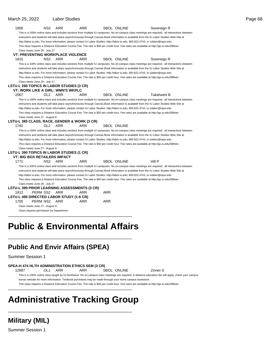| 906  | NS <sub>2</sub>                 | ARR | ARR                                   |      | SBOL ONLINE | Sovereign R                                                                                                                                     |  |
|------|---------------------------------|-----|---------------------------------------|------|-------------|-------------------------------------------------------------------------------------------------------------------------------------------------|--|
|      |                                 |     |                                       |      |             | This is a 100% online class and includes sections from multiple IU campuses. No on-campus class meetings are required; all interactions between |  |
|      |                                 |     |                                       |      |             | instructors and students will take place asynchronously through Canvas. Book information is available from the IU Labor Studies Web Site at     |  |
|      |                                 |     |                                       |      |             | http://labor.iu.edu. For more information, please contact IU Labor Studies: http://labor-iu.edu, 800.822.4743, or iulabor@iupui.edu             |  |
|      |                                 |     |                                       |      |             | This class requires a Distance Education Course Fee. The rate is \$50 per credit hour. Fee rates are available at http://qo.iu.edu/SBfees       |  |
|      | Class meets June 29 - July 27   |     |                                       |      |             |                                                                                                                                                 |  |
|      |                                 |     | : PREVENTING WORKPLACE VIOLENCE       |      |             |                                                                                                                                                 |  |
| 315. | NS2                             | ARR | ARR                                   |      | SBOL ONLINE | Sovereign R                                                                                                                                     |  |
|      |                                 |     |                                       |      |             | This is a 100% online class and includes sections from multiple IU campuses. No on-campus class meetings are required; all interactions between |  |
|      |                                 |     |                                       |      |             | instructors and students will take place asynchronously through Canvas. Book information is available from the IU Labor Studies Web Site at     |  |
|      |                                 |     |                                       |      |             | http://labor.iu.edu. For more information, please contact IU Labor Studies: http://labor-iu.edu, 800.822.4743, or iulabor@iupui.edu             |  |
|      |                                 |     |                                       |      |             | This class requires a Distance Education Course Fee. The rate is \$50 per credit hour. Fee rates are available at http://qo.iu.edu/SBfees       |  |
|      | Class meets June 29 - July 27   |     |                                       |      |             |                                                                                                                                                 |  |
|      |                                 |     | -L 290 TOPICS IN LABOR STUDIES (3 CR) |      |             |                                                                                                                                                 |  |
|      | : WORK LIKE A GIRL: WMN'S WKPLC |     |                                       |      |             |                                                                                                                                                 |  |
| าค7  | $\bigcap$ 2 $\bigcap$ $\bigcap$ |     | ARR                                   | SROL | ONI INF     | Takahashi R                                                                                                                                     |  |

http://labor.iu.edu. For more information, please contact IU Labor Studies: This class requires a Distance Education Course Fee. The rate is \$50 per Class meets June 29 - July 27 **VT: PREVENTING WORKPLACE VIOLENCE** 1815 NS2 ARR ARR SI This is a 100% online class and includes sections from multiple IU campus instructors and students will take place asynchronously through Canvas. B http://labor.iu.edu. For more information, please contact IU Labor Studies: This class requires a Distance Education Course Fee. The rate is \$50 per Class meets June 29 - July 27 **LSTU-L 290 TOPICS IN LABOR STUDIES (3 CR) VT: WORK LIKE A GIRL: WMN'S WKPLC** 2067 OL2 ARR ARR SBOL ONLINE This is a 100% online class and includes sections from multiple IU campuses. No on-campus class meetings are required; all interactions between instructors and students will take place asynchronously through Canvas. Book information is available from the IU Labor Studies Web Site at http://labor.iu.edu. For more information, please contact IU Labor Studies: http://labor-iu.edu, 800.822.4743, or iulabor@iupui.edu

This class requires a Distance Education Course Fee. The rate is \$50 per credit hour. Fee rates are available at http://go.iu.edu/SBfees Class meets June 27 - August 8

#### **LSTU-L 385 CLASS, RACE, GENDER & WORK (3 CR)**

1792 OL2 ARR ARR SBOL ONLINE

This is a 100% online class and includes sections from multiple IU campuses. No on-campus class meetings are required; all interactions between instructors and students will take place asynchronously through Canvas. Book information is available from the IU Labor Studies Web Site at http://labor.iu.edu. For more information, please contact IU Labor Studies: http://labor-iu.edu, 800.822.4743, or iulabor@iupui.edu This class requires a Distance Education Course Fee. The rate is \$50 per credit hour. Fee rates are available at http://go.iu.edu/SBfees Class meets June 27 - August 8

### **LSTU-L 390 TOPICS IN LABOR STUDIES (1 CR)**

**VT: BIG BOX RETAILERS IMPACT** 1771 NS2 ARR ARR SBOL ONLINE Hill P This is a 100% online class and includes sections from multiple IU campuses. No on-campus class meetings are required; all interactions between instructors and students will take place asynchronously through Canvas. Book information is available from the IU Labor Studies Web Site at http://labor.iu.edu. For more information, please contact IU Labor Studies: http://labor-iu.edu, 800.822.4743, or iulabor@iupui.edu This class requires a Distance Education Course Fee. The rate is \$50 per credit hour. Fee rates are available at http://go.iu.edu/SBfees

Class meets June 29 - July 27 **LSTU-L 399 PRIOR LEARNING ASSESSMENTS (3 CR)** 1912 PERM SS2 ARR ARR ARR **LSTU-L 495 DIRECTED LABOR STUDY (1-6 CR)** 1705 PERM NS2 ARR ARR ARR Class meets June 27 - August 8 Class requires permission by Department.

## **Public & Environmental Affairs**

\_\_\_\_\_\_\_\_\_\_\_\_\_\_\_\_\_\_\_\_\_\_\_\_\_\_\_\_\_\_\_\_\_\_\_\_\_\_\_\_\_\_\_\_\_\_\_\_\_\_

\_\_\_\_\_\_\_\_\_\_\_\_\_\_\_\_\_\_\_\_\_\_\_\_\_\_\_\_\_\_\_\_\_\_\_\_\_\_\_\_\_\_\_\_\_\_\_\_\_\_

### **Public And Envir Affairs (SPEA)**

Summer Session 1

#### **SPEA-H 474 HLTH ADMINISTRATION ETHICS SEM (3 CR)**

12687 OL1 ARR ARR SBOL ONLINE Zinner S

This is a 100% online class taught by IU Northwest. No on-campus class meetings are required. A distance education fee will apply; check your campus bursar website for more information. Textbook purchases may be made through your home campus bookstore. This class requires a Distance Education Course Fee. The rate is \$50 per credit hour. Fee rates are available at http://go.iu.edu/SBfees

## **Administrative Tracking Group**

\_\_\_\_\_\_\_\_\_\_\_\_\_\_\_\_\_\_\_\_\_\_\_\_\_\_\_\_\_\_\_\_\_\_\_\_\_\_\_\_\_\_\_\_\_\_\_\_\_\_

\_\_\_\_\_\_\_\_\_\_\_\_\_\_\_\_\_\_\_\_\_\_\_\_\_\_\_\_\_\_\_\_\_\_\_\_\_\_\_\_\_\_\_\_\_\_\_\_\_\_

## **Military (MIL)**